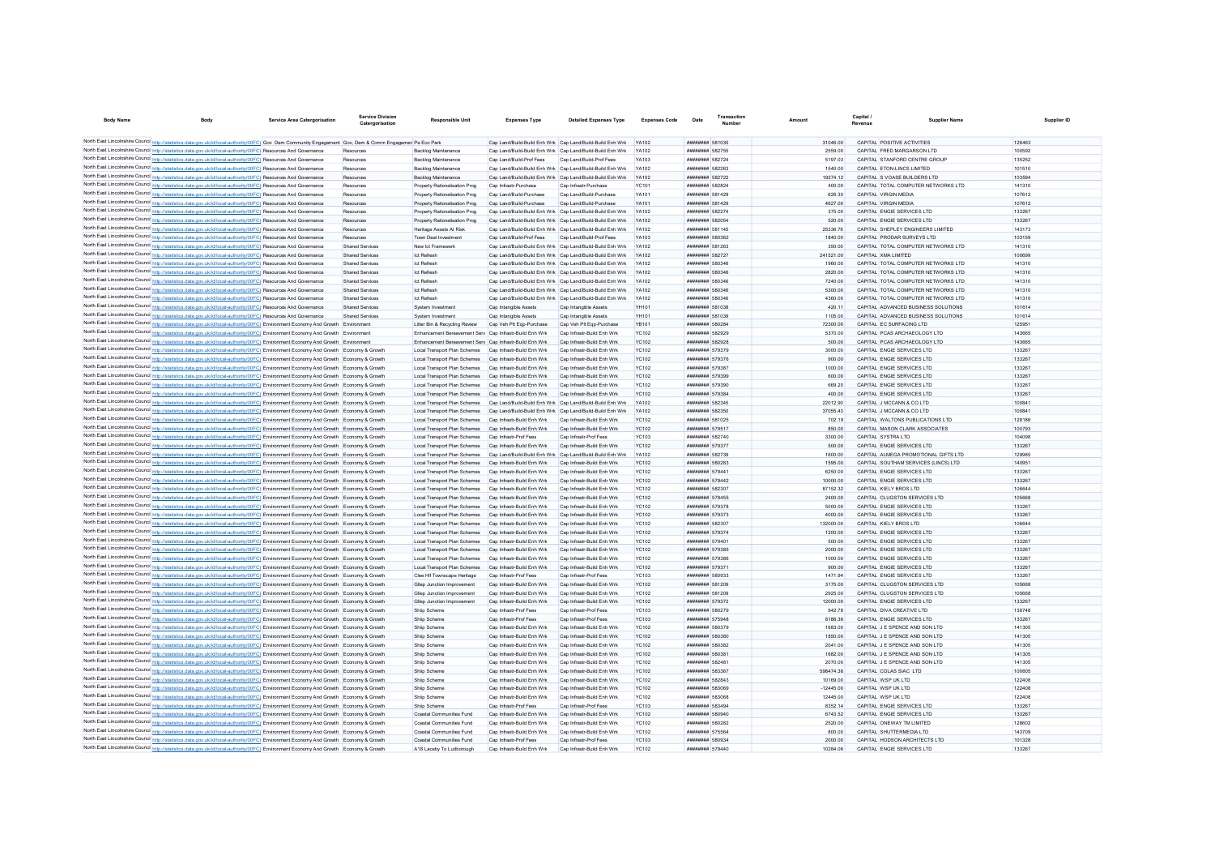| <b>Body Name</b> |                                                                                                                                                                                                                                                                                  | <b>Service Area Catergorisation</b> | <b>Service Division</b><br>Catergorisatio | <b>Responsible Unit</b>                                      | <b>Expenses Type</b>                                                                                                   | <b>Detailed Expenses Type</b>                            | <b>Expenses Code</b>         | Date                                                                  | Transaction |                      | Capital<br>Revenue | Supplier Name                                               | Supplier ID      |
|------------------|----------------------------------------------------------------------------------------------------------------------------------------------------------------------------------------------------------------------------------------------------------------------------------|-------------------------------------|-------------------------------------------|--------------------------------------------------------------|------------------------------------------------------------------------------------------------------------------------|----------------------------------------------------------|------------------------------|-----------------------------------------------------------------------|-------------|----------------------|--------------------|-------------------------------------------------------------|------------------|
|                  |                                                                                                                                                                                                                                                                                  |                                     |                                           |                                                              |                                                                                                                        |                                                          |                              |                                                                       |             |                      |                    |                                                             |                  |
|                  | North East Lincolnshire Council http://statistics.data.gov.uk/id/local-authority/00FC) Gov Dem Community Engagement Gov, Dem & Comm Engagemer Pa Eco Park                                                                                                                        |                                     |                                           |                                                              | Cap Land/Build-Build Enh Wrk Cap Land/Build-Build Enh Wrk                                                              |                                                          | <b>YA102</b>                 | ######## 581035                                                       |             | 31046.00             |                    | CAPITAL POSITIVE ACTIVITIES                                 | 126463           |
|                  | North East Lincolnshire Council http://statistics.data.gov.uk/id/local-authority/00FC) Resources And Governance                                                                                                                                                                  |                                     | Resources                                 | Backlog Maintenance<br>Backlog Maintenance                   | Cap Land/Build-Build Enh Wrk Cap Land/Build-Build Enh Wrk<br>Can Land/Build-Prof Fees                                  | Cap Land/Build-Prof Fees                                 | YA102<br>YA103               | <b><i>BREEZEEE</i></b> 582755<br><b><i>BREEZER 582724</i></b>         |             | 2559.00<br>5197.03   |                    | CAPITAL FRED MARGARSON LTD<br>CAPITAL STANFORD CENTRE GROUP | 100592<br>135252 |
|                  | North East Lincolnshire Council http://statistics.data.gov.uk/id/local-authority/00FC) Resources And Governance<br>North East Lincolnshire Council http://statistics.data.gov.uk/id/local-authority/00FC) Resources And Governance                                               |                                     | Resources<br>Resources                    | Backlog Maintenance                                          | Cap Land/Build-Build Enh Wrk Cap Land/Build-Build Enh Wrk                                                              |                                                          | YA102                        | ######## 582263                                                       |             | 1540.00              |                    | CAPITAL ETON-LINCS LIMITED                                  | 101510           |
|                  | North East Lincolnshire Council http://statistics.data.gov.uk/id/local-authority/00FC) Resources And Governance                                                                                                                                                                  |                                     | Resources                                 | Backlog Maintenance                                          | Cap Land/Build-Build Enh Wrk Cap Land/Build-Build Enh Wrk                                                              |                                                          | <b>YA102</b>                 | ######## 582722                                                       |             | 19274.12             |                    | CAPITAL S VOASE BUILDERS LTD                                | 103594           |
|                  | North East Lincolnshire Council http://statistics.data.gov.uk/id/local-authority/00FC) Resources And Governance                                                                                                                                                                  |                                     | Resources                                 | Property Rationalisation Prog                                | Cap Infrastr-Purchase                                                                                                  | Cap Infrastr-Purchase                                    | <b>YC101</b>                 | ######## 582824                                                       |             | 400.00               |                    | CAPITAL TOTAL COMPUTER NETWORKS LTD                         | 141310           |
|                  | North East Lincolnshire Council http://statistics.data.gov.uk/id/local-authority/00FC) Resources And Governance                                                                                                                                                                  |                                     | Resources                                 | Property Rationalisation Prog                                | Can Land/Build-Purchase                                                                                                | Can Land/Build-Purchase                                  | <b>YA101</b>                 | <b><i>BREEZEEE</i></b> 581429                                         |             | 626.30               |                    | CAPITAL VIRGIN MEDIA                                        | 107612           |
|                  | North East Lincolnshire Council http://statistics.data.gov.uk/id/local-authority/00FC) Resources And Governance                                                                                                                                                                  |                                     | Resources                                 | Property Rationalisation Prog                                | Can Land/Build-Purchase                                                                                                | Can Land/Build-Purchase                                  | <b>YA101</b>                 | <b><i>BREEZEEE</i></b> 581429                                         |             | 4627.00              |                    | CAPITAL VIRGIN MEDIA                                        | 107612           |
|                  | North East Lincolnshire Council http://statistics.data.gov.uk/id/local-authority/00FC) Resources And Governance                                                                                                                                                                  |                                     | Resources                                 | Property Rationalisation Prog                                | Cap Land/Build-Build Enh Wrk Cap Land/Build-Build Enh Wrk                                                              |                                                          | YA102                        | <b><i><u>BRESHHAM 582274</u></i></b>                                  |             | 375.00               |                    | CAPITAL FNGIF SERVICES LTD                                  | 133267           |
|                  | North East Lincolnshire Council http://statistics.data.gov.uk/id/local-authority/00FC) Resources And Governance                                                                                                                                                                  |                                     | Resources                                 | Property Rationalisation Prog                                | Cap Land/Build-Build Enh Wrk Cap Land/Build-Build Enh Wrk                                                              |                                                          | YA102                        | <b><i>BREEZERE 582054</i></b>                                         |             | 520.00               |                    | CAPITAL ENGIE SERVICES LTD                                  | 133267           |
|                  | North East Lincolnshire Council http://statistics.data.gov.uk/id/local-authority/00FC) Resources And Governance                                                                                                                                                                  |                                     | Resources                                 | Heritage Assets At Risk                                      | Cap Land/Build-Build Enh Wrk Cap Land/Build-Build Enh Wrk                                                              |                                                          | YA102                        | <b><i>BREEZER 581145</i></b>                                          |             | 25336.76             |                    | CAPITAL SHEPLEY ENGINEERS LIMITED                           | 143173           |
|                  | North East Lincolnshire Council http://statistics.data.gov.uk/id/local-authority/00FC) Resources And Governance                                                                                                                                                                  |                                     | Resources                                 | Town Deal Investment                                         | Cap Land/Build-Prof Fees                                                                                               | Cap Land/Build-Prof Fees                                 | YA103                        | ######## 580362                                                       |             | 1840.00              |                    | CAPITAL PRODAR SURVEYS LTD                                  | 103159           |
|                  | North East Lincolnshire Council http://statistics.data.gov.uk/id/local-authority/00FC) Resources And Governance                                                                                                                                                                  |                                     | Shared Service                            | New Ict Framework                                            | Cap Land/Build-Build Enh Wrk Cap Land/Build-Build Enh Wrk                                                              |                                                          | <b>YA102</b>                 | ######## 581263                                                       |             | 350.00               |                    | CAPITAL TOTAL COMPUTER NETWORKS LTD                         | 141310           |
|                  | North East Lincolnshire Council http://statistics.data.gov.uk/id/local-authority/00FC) Resources And Governance<br>North East Lincolnshire Council http://statistics.data.gov.uk/id/local-authority/00FC) Resources And Governance                                               |                                     | Shared Service<br><b>Shared Service</b>   | <b>Ict Refresh</b><br><b>Ict Refresh</b>                     | Cap Land/Build-Build Enh Wrk Cap Land/Build-Build Enh Wrk<br>Cap Land/Build-Build Enh Wrk Cap Land/Build-Build Enh Wrk |                                                          | <b>YA102</b><br>YA102        | ######## 582727<br>######## 580346                                    |             | 241521.00<br>1960.00 |                    | CAPITAL XMA LIMITED<br>CAPITAL TOTAL COMPUTER NETWORKS LTD  | 100699<br>141310 |
|                  | North East Lincolnshire Council http://statistics.data.gov.uk/id/local-authority/00FC) Resources And Governance                                                                                                                                                                  |                                     | <b>Shared Service</b>                     | <b>Ict Refresh</b>                                           | Cap Land/Build-Build Enh Wrk Cap Land/Build-Build Enh Wrk                                                              |                                                          | YA102                        | ######## 580346                                                       |             | 2820.00              |                    | CAPITAL TOTAL COMPUTER NETWORKS LTD                         | 141310           |
|                  | North East Lincolnshire Council http://statistics.data.gov.uk/id/local-authority/00FC) Resources And Governance                                                                                                                                                                  |                                     | <b>Shared Service</b>                     | <b>Ict Refresh</b>                                           | Cap Land/Build-Build Enh Wrk Cap Land/Build-Build Enh Wrk                                                              |                                                          |                              | ######## 580346                                                       |             | 7240.00              |                    | CAPITAL TOTAL COMPUTER NETWORKS LTD                         | 141310           |
|                  | North East Lincolnshire Council http://statistics.data.gov.uk/id/local-authority/00FC) Resources And Governance                                                                                                                                                                  |                                     | <b>Shared Services</b>                    | Ict Refresh                                                  | Cap Land/Build-Build Enh Wrk Cap Land/Build-Build Enh Wrk                                                              |                                                          | YA102                        | ######## 580346                                                       |             | 5300.00              |                    | CAPITAL TOTAL COMPUTER NETWORKS LTD                         | 141310           |
|                  | North East Lincolnshire Council http://statistics.data.gov.uk/id/local-authority/00FC) Resources And Governance                                                                                                                                                                  |                                     | <b>Shared Services</b>                    | Ict Refresh                                                  | Cap Land/Build-Build Enh Wrk Cap Land/Build-Build Enh Wrk                                                              |                                                          | YA102                        | ######## 580346                                                       |             | 4360.00              |                    | CAPITAL TOTAL COMPUTER NETWORKS LTD                         | 141310           |
|                  | North East Lincolnshire Council http://statistics.data.gov.uk/id/local-authority/00FC) Resources And Governance                                                                                                                                                                  |                                     | <b>Shared Services</b>                    | System Investment                                            | Cap Intangible Assets                                                                                                  | Cap Intangible Assets                                    | YH101                        | ######## 581038                                                       |             | 420.11               |                    | CAPITAL ADVANCED BUSINESS SOLUTIONS                         | 101614           |
|                  | North East Lincolnshire Council http://statistics.data.gov.uk/id/local-authority/00FC) Resources And Governance                                                                                                                                                                  |                                     | <b>Shared Services</b>                    | System Investment                                            | Cap Intangible Assets                                                                                                  | Cap Intangible Assets                                    | YH101                        | ######## 581039                                                       |             | 1105.00              |                    | CAPITAL ADVANCED BUSINESS SOLUTIONS                         | 101614           |
|                  | North East Lincolnshire Council http://statistics.data.gov.uk/id/local-authority/00FC) Environment Economy And Growth Environment                                                                                                                                                |                                     |                                           | Litter Bin & Recycling Review                                | Cap Veh Plt Egp-Purchase                                                                                               | Cap Veh Plt Ego-Purchase                                 | <b>YB101</b>                 | ######## 580284                                                       |             | 72300.00             |                    | CAPITAL EC SURFACING LTD                                    | 125951           |
|                  | North East Lincolnshire Council http://statistics.data.gov.uk/id/local-authority/00FC) Environment Economy And Growth Environment                                                                                                                                                |                                     |                                           | Enhancement Bereavement Serv Cap Infrastr-Build Enh Wrk      |                                                                                                                        | Cap Infrastr-Build Enh Wrk                               | <b>YC102</b>                 | ######## 582929                                                       |             | 5370.00              |                    | CAPITAL PCAS ARCHAEOLOGY LTD                                | 143665           |
|                  | North East Lincolnshire Council http://statistics.data.gov.uk/id/local-authority/00FC) Environment Economy And Growth Environment                                                                                                                                                |                                     |                                           | Enhancement Bereavement Serv Can Infrastr-Build Enh Wrk      |                                                                                                                        | Can Infrastr-Build Enh Wrk                               | YC102                        | <b><i>BREEZER 582928</i></b>                                          |             | 500.00               |                    | CAPITAL PCAS ARCHAEOLOGY LTD                                | 143665           |
|                  | North East Lincolnshire Council http://statistics.data.gov.uk/id/local-authority/00FC) Environment Economy And Growth Economy & Growth                                                                                                                                           |                                     |                                           | Local Transport Plan Schemes                                 | Can Infrastr-Build Enh Wrk                                                                                             | Can Infrastr-Build Fnh Wrk                               | YC102                        | ######## 579379                                                       |             | 3000.00              |                    | CAPITAL FNGIF SERVICES LTD                                  | 133267           |
|                  | North East Lincolnshire Council http://statistics.data.gov.uk/id/local-authority/00FC) Environment Economy And Growth Economy & Growth                                                                                                                                           |                                     |                                           | Local Transport Plan Schemes<br>Local Transport Plan Schemes | Can Infrastr-Build Enh Wrk<br>Can Infrastr-Build Fnh Wrk                                                               | Can Infrastr-Build Enh Wrk<br>Can Infrastr-Build Fnh Wrk | YC102<br>YC102               | <b><i><u>BRAHHHHH</u> 579376</i></b><br><b><i>BREEZEEE</i></b> 579387 |             | 900.00<br>1000.00    |                    | CAPITAL FNGIF SERVICES LTD<br>CAPITAL ENGIF SERVICES LTD    | 133267<br>133267 |
|                  | North East Lincolnshire Council http://statistics.data.gov.uk/id/local-authority/00FC) Environment Economy And Growth Economy & Growth<br>North East Lincolnshire Council http://statistics.data.gov.uk/id/local-authority/00FC) Environment Economy And Growth Economy & Growth |                                     |                                           | Local Transport Plan Schemes                                 | Can Infrastr-Build Fnh Wrk                                                                                             | Can Infrastr-Build Enh Wrk                               | YC102                        | <b><i>BREEZEEE 579395</i></b>                                         |             | 600.00               |                    | CAPITAL ENGIF SERVICES LTD                                  | 133267           |
|                  | North East Lincolnshire Council http://statistics.data.gov.uk/id/local-authority/00FC) Environment Economy And Growth Economy & Growth                                                                                                                                           |                                     |                                           | Local Transport Plan Schemes                                 | Can Infrastr-Build Enh Wrk                                                                                             | Can Infrastr-Build Enh Wrk                               | YC102                        | ######## 579390                                                       |             | 669.20               |                    | CAPITAL ENGIE SERVICES LTD                                  | 133267           |
|                  | North East Lincolnshire Council http://statistics.data.gov.uk/id/local-authority/00FC) Environment Economy And Growth Economy & Growth                                                                                                                                           |                                     |                                           | Local Transport Plan Schemes                                 | Cap Infrastr-Build Enh Wrk                                                                                             | Cap Infrastr-Build Enh Wrk                               | <b>YC102</b>                 | ######## 579384                                                       |             | 400.00               |                    | CAPITAL ENGIE SERVICES LTD                                  | 133267           |
|                  | North East Lincolnshire Council http://statistics.data.gov.uk/id/local-authority/00FC) Environment Economy And Growth Economy & Growth                                                                                                                                           |                                     |                                           | Local Transport Plan Schemes                                 | Cap Land/Build-Build Enh Wrk Cap Land/Build-Build Enh Wr                                                               |                                                          | YA102                        | ######## 582345                                                       |             | 22012.90             |                    | CAPITAL J MCCANN & CO LTD                                   | 100841           |
|                  | North East Lincolnshire Council http://statistics.data.gov.uk/id/local-authority/00FC) Environment Economy And Growth Economy & Growth                                                                                                                                           |                                     |                                           | Local Transport Plan Schemes                                 | Cap Land/Build-Build Enh Wrk Cap Land/Build-Build Enh Wr                                                               |                                                          | YA102                        | ######## 582350                                                       |             | 37055.43             |                    | CAPITAL J MCCANN & CO LTD                                   | 100841           |
|                  | North East Lincolnshire Council http://statistics.data.gov.uk/id/local-authority/00FC) Environment Economy And Growth Economy & Growth                                                                                                                                           |                                     |                                           | <b>Local Transport Plan Schemes</b>                          | Cap Infrastr-Build Enh Wrk                                                                                             | Cap Infrastr-Build Enh Wrk                               | YC102                        | ######## 581025                                                       |             | 702.19               |                    | CAPITAL WALTONS PUBLICATIONS LTD                            | 128186           |
|                  | North East Lincolnshire Council http://statistics.data.gov.uk/id/local-authority/00FC) Environment Economy And Growth Economy & Growth                                                                                                                                           |                                     |                                           | Local Transport Plan Schemes                                 | Cap Infrastr-Build Enh Wrk                                                                                             | Cap Infrastr-Build Enh Wrk                               | <b>YC102</b>                 | ######## 57951                                                        |             | 850.00               |                    | CAPITAL MASON CLARK ASSOCIATES                              | 100793           |
|                  | North East Lincolnshire Council http://statistics.data.gov.uk/id/local-authority/00FC) Environment Economy And Growth Economy & Growth                                                                                                                                           |                                     |                                           | <b>Local Transport Plan Schemes</b>                          | Cap Infrastr-Prof Fees                                                                                                 | Cap Infrastr-Prof Fees                                   | <b>YC103</b>                 | ######## 582740                                                       |             | 3300.00              |                    | CAPITAL SYSTRA LTD                                          | 104098           |
|                  | North East Lincolnshire Council http://statistics.data.gov.uk/id/local-authority/00FC) Environment Economy And Growth Economy & Growth                                                                                                                                           |                                     |                                           | Local Transport Plan Schemes                                 | Cap Infrastr-Build Enh Wrk                                                                                             | Cap Infrastr-Build Enh Wrk                               | <b>YC102</b>                 | ######## 579377                                                       |             | 500.00               |                    | CAPITAL ENGIE SERVICES LTD                                  | 133267           |
|                  | North East Lincolnshire Council http://statistics.data.gov.uk/id/local-authority/00FC) Environment Economy And Growth Economy & Growth                                                                                                                                           |                                     |                                           | Local Transport Plan Schemes                                 | Can Land/Build-Build Enh Wrk Can Land/Build-Build Enh Wrk                                                              |                                                          | YA102                        | <b><i>BREEZER 582739</i></b>                                          |             | 1600.00              |                    | CAPITAL ALMEGA PROMOTIONAL GIFTS LTD                        | 129985           |
|                  | North East Lincolnshire Council http://statistics.data.gov.uk/id/local-authority/00FC) Environment Economy And Growth Economy & Growth                                                                                                                                           |                                     |                                           | Local Transport Plan Schemes                                 | Can Infrastr-Build Enh Wrk                                                                                             | Can Infrastr-Build Enh Wrk                               | YC102                        | ######## 580283                                                       |             | 1595.00              |                    | CAPITAL SOUTHAM SERVICES (LINCS) LTD                        | 140951           |
|                  | North East Lincolnshire Council http://statistics.data.gov.uk/id/local-authority/00FC) Environment Economy And Growth Economy & Growth<br>North East Lincolnshire Council http://statistics.data.gov.uk/id/local-authority/00FC) Environment Economy And Growth Economy & Growth |                                     |                                           | Local Transport Plan Schemes<br>Local Transport Plan Schemes | Cap Infrastr-Build Enh Wrk<br>Cap Infrastr-Build Enh Wrk                                                               | Cap Infrastr-Build Enh Wrk<br>Cap Infrastr-Build Enh Wrk | YC102<br><b>YC102</b>        | ######## 579441<br>######## 579442                                    |             | 6250.00<br>10000.00  |                    | CAPITAL ENGIE SERVICES LTD<br>CAPITAL ENGIE SERVICES LTD    | 133267<br>133267 |
|                  | North East Lincolnshire Council http://statistics.data.gov.uk/id/local-authority/00FC) Environment Economy And Growth Economy & Growth                                                                                                                                           |                                     |                                           | Local Transport Plan Schemes                                 | Can Infrastr-Build Enh Wrk                                                                                             | Can Infrastr-Build Fnh Wrk                               | YC102                        | <b><i>BREEZER 582307</i></b>                                          |             | 8715232              |                    | CAPITAL KIFLY BROS LTD                                      | 106644           |
|                  | North East Lincolnshire Council http://statistics.data.gov.uk/id/local-authority/00FC) Environment Economy And Growth Economy & Growth                                                                                                                                           |                                     |                                           | Local Transport Plan Schemes                                 | Can Infrastr-Build Enh Wrk                                                                                             | Can Infrastr-Build Fnh Wrk                               | YC102                        | <b><i><u>BRAHHHHH</u> 578455</i></b>                                  |             | 2400.00              |                    | CAPITAL CLUGSTON SERVICES LTD                               | 105668           |
|                  | North East Lincolnshire Council http://statistics.data.gov.uk/id/local-authority/00FC) Environment Economy And Growth Economy & Growth                                                                                                                                           |                                     |                                           | Local Transport Plan Schemes                                 | Can Infrastr-Build Enh Wrk                                                                                             | Can Infrastr-Build Enh Wrk                               | YC102                        | <b><i>BREEZEEE</i></b> 579378                                         |             | 5000.00              |                    | CAPITAL FNGIF SERVICES LTD                                  | 133267           |
|                  | North East Lincolnshire Council http://statistics.data.gov.uk/id/local-authority/00FC) Environment Economy And Growth Economy & Growth                                                                                                                                           |                                     |                                           | Local Transport Plan Schemes                                 | Can Infrastr-Build Enh Wrk                                                                                             | Can Infrastr-Build Enh Wrk                               | <b>YC102</b>                 | <b><i>BREEZEEE</i></b> 579373                                         |             | 4000.00              |                    | CAPITAL ENGIF SERVICES LTD                                  | 133267           |
|                  | North East Lincolnshire Council http://statistics.data.gov.uk/id/local-authority/00FC) Environment Economy And Growth Economy & Growth                                                                                                                                           |                                     |                                           | Local Transport Plan Schemes                                 | Cap Infrastr-Build Enh Wrk                                                                                             | Cap Infrastr-Build Enh Wrk                               | <b>YC102</b>                 | <b><i>BREEZER 582307</i></b>                                          |             | 132000.00            |                    | CAPITAL KIELY BROS LTD                                      | 106644           |
|                  | North East Lincolnshire Council http://statistics.data.gov.uk/id/local-authority/00FC) Environment Economy And Growth Economy & Growth                                                                                                                                           |                                     |                                           | Local Transport Plan Schemes                                 | Cap Infrastr-Build Enh Wrk                                                                                             | Cap Infrastr-Build Enh Wrk                               | <b>YC102</b>                 | <b><i>BREEZEEE 579374</i></b>                                         |             | 1200.00              |                    | CAPITAL FNGIF SERVICES LTD                                  | 133267           |
|                  | North East Lincolnshire Council http://statistics.data.gov.uk/id/local-authority/00FC) Environment Economy And Growth Economy & Growth                                                                                                                                           |                                     |                                           | Local Transport Plan Schemes                                 | Cap Infrastr-Build Enh Wrk                                                                                             | Cap Infrastr-Build Enh Wrk                               | <b>YC102</b>                 | ######## 579401                                                       |             | 500.00               |                    | CAPITAL ENGIE SERVICES LTD                                  | 133267           |
|                  | North East Lincolnshire Council http://statistics.data.gov.uk/id/local-authority/00FC) Environment Economy And Growth Economy & Growth                                                                                                                                           |                                     |                                           | Local Transport Plan Schemes                                 | Cap Infrastr-Build Enh Wrk                                                                                             | Cap Infrastr-Build Enh Wrk                               | <b>YC102</b>                 | ######## 579385                                                       |             | 2000.00              |                    | CAPITAL ENGIE SERVICES LTD                                  | 133267           |
|                  | North East Lincolnshire Council http://statistics.data.gov.uk/id/local-authority/00FC) Environment Economy And Growth Economy & Growth                                                                                                                                           |                                     |                                           | Local Transport Plan Schemes                                 | Cap Infrastr-Build Enh Wrk                                                                                             | Cap Infrastr-Build Enh Wrk                               | <b>YC102</b>                 | ######## 579386                                                       |             | 1000.00              |                    | CAPITAL ENGIE SERVICES LTD                                  | 133267           |
|                  | North East Lincolnshire Council http://statistics.data.gov.uk/id/local-authority/00FC) Environment Economy And Growth Economy & Growth                                                                                                                                           |                                     |                                           | Local Transport Plan Schemes                                 | Cap Infrastr-Build Enh Wrk                                                                                             | Cap Infrastr-Build Enh Wrk                               | <b>YC102</b>                 | ######## 579371                                                       |             | 900.00               |                    | CAPITAL ENGIE SERVICES LTD                                  | 133267           |
|                  | North East Lincolnshire Council http://statistics.data.gov.uk/id/local-authority/00FC) Environment Economy And Growth Economy & Growth<br>North East Lincolnshire Council http://statistics.data.gov.uk/id/local-authority/00FC) Environment Economy And Growth Economy & Growth |                                     |                                           | Clee Hif Townscape Heritage<br>Gliep Junction Improvement    | Cap Infrastr-Prof Fees<br>Cap Infrastr-Build Enh Wrk                                                                   | Cap Infrastr-Prof Fees<br>Cap Infrastr-Build Enh Wrk     | <b>YC103</b><br><b>YC102</b> | ######## 580933<br>######## 581209                                    |             | 1471.94<br>3175.00   |                    | CAPITAL ENGIE SERVICES LTD<br>CAPITAL CLUGSTON SERVICES LTD | 133267<br>105668 |
|                  | North East Lincolnshire Council http://statistics.data.gov.uk/id/local-authority/00FC) Environment Economy And Growth Economy & Growth                                                                                                                                           |                                     |                                           | Gllep Junction Improvement                                   | Cap Infrastr-Build Enh Wrk                                                                                             | Cap Infrastr-Build Enh Wrk                               | <b>YC102</b>                 | ######## 581209                                                       |             | 2925.00              |                    | CAPITAL CLUGSTON SERVICES LTD                               | 105668           |
|                  | North East Lincolnshire Council http://statistics.data.gov.uk/id/local-authority/00FC) Environment Economy And Growth Economy & Growth                                                                                                                                           |                                     |                                           | Gliep Junction Improvement                                   | Cap Infrastr-Build Enh Wrk                                                                                             | Cap Infrastr-Build Enh Wrk                               | YC102                        | <b><i>BREEZER 579372</i></b>                                          |             | 12000.00             |                    | CAPITAL FNGIF SERVICES LTD                                  | 133267           |
|                  | North East Lincolnshire Council http://statistics.data.gov.uk/id/local-authority/00FC) Environment Economy And Growth Economy & Growth                                                                                                                                           |                                     |                                           | Shiip Scheme                                                 | Cap Infrastr-Prof Fees                                                                                                 | Cap Infrastr-Prof Fees                                   | YC103                        | ######## 580279                                                       |             | 942.76               |                    | CAPITAL DIVA CREATIVE LTD                                   | 138748           |
|                  | North East Lincolnshire Council http://statistics.data.gov.uk/id/local-authority/00FC) Environment Economy And Growth Economy & Growth                                                                                                                                           |                                     |                                           | Shiip Scheme                                                 | Cap Infrastr-Prof Fees                                                                                                 | Cap Infrastr-Prof Fees                                   | <b>YC103</b>                 | ######## 575948                                                       |             | 8186.36              |                    | CAPITAL ENGIE SERVICES LTD                                  | 133267           |
|                  | North East Lincolnshire Council http://statistics.data.gov.uk/id/local-authority/00FC) Environment Economy And Growth Economy & Growth                                                                                                                                           |                                     |                                           | Shiip Scheme                                                 | Cap Infrastr-Build Enh Wrk                                                                                             | Cap Infrastr-Build Enh Wrk                               | <b>YC102</b>                 | ######## 580379                                                       |             | 1683.00              |                    | CAPITAL J E SPENCE AND SON LTD                              | 141305           |
|                  | North East Lincolnshire Council http://statistics.data.gov.uk/id/local-authority/00FC) Environment Economy And Growth Economy & Growth                                                                                                                                           |                                     |                                           | Shiip Scheme                                                 | Cap Infrastr-Build Enh Wrk                                                                                             | Cap Infrastr-Build Enh Wrk                               | <b>YC102</b>                 | ######## 580380                                                       |             | 1850.00              |                    | CAPITAL J E SPENCE AND SON LTD                              | 141305           |
|                  | North East Lincolnshire Council http://statistics.data.gov.uk/id/local-authority/00FC) Environment Economy And Growth Economy & Growth                                                                                                                                           |                                     |                                           | Shiip Scheme                                                 | Can Infrastr-Build Enh Wrk                                                                                             | Can Infrastr-Build Enh Wrk                               | YC102                        | ######## 580382                                                       |             | 2041.00              |                    | CAPITAL J F SPENCE AND SON LTD                              | 141305           |
|                  | North East Lincolnshire Council http://statistics.data.gov.uk/id/local-authority/00FC) Environment Economy And Growth Economy & Growth                                                                                                                                           |                                     |                                           | Shiip Scheme                                                 | Cap Infrastr-Build Enh Wrk                                                                                             | Can Infrastr-Build Enh Wrk                               | YC102                        | ######## 580381                                                       |             | 1682.00              |                    | CAPITAL J F SPENCE AND SON LTD                              | 141305           |
|                  | North East Lincolnshire Council http://statistics.data.gov.uk/id/local-authority/00FC) Environment Economy And Growth Economy & Growth                                                                                                                                           |                                     |                                           | Shiip Scheme                                                 | Cap Infrastr-Build Enh Wrk                                                                                             | Cap Infrastr-Build Enh Wrk                               | YC102                        | <b><i>BRENHHHH 582481</i></b>                                         |             | 2070.00              |                    | CAPITAL J F SPENCE AND SON LTD                              | 141305           |
|                  | North East Lincolnshire Council http://statistics.data.gov.uk/id/local-authority/00FC) Environment Economy And Growth Economy & Growth                                                                                                                                           |                                     |                                           | Shiip Scheme                                                 | Cap Infrastr-Build Enh Wrk                                                                                             | Cap Infrastr-Build Enh Wrk                               | <b>YC102</b>                 | <b><i>BRENHHHH 583367</i></b>                                         |             | 598474.36            |                    | CAPITAL COLAS SIAC LTD                                      | 100605           |
|                  | North East Lincolnshire Council http://statistics.data.gov.uk/id/local-authority/00FC) Environment Economy And Growth Economy & Growth                                                                                                                                           |                                     |                                           | Shijp Scheme                                                 | Cap Infrastr-Build Enh Wrk                                                                                             | Cap Infrastr-Build Enh Wrk                               | YC102                        | <b><i>BRENHHHH</i></b> 582843                                         |             | 10169.00             |                    | CAPITAL WSP LIK I TD                                        | 122408           |
|                  | North East Lincolnshire Council http://statistics.data.gov.uk/id/local-authority/00FC) Environment Economy And Growth Economy & Growth                                                                                                                                           |                                     |                                           | Shiip Scheme                                                 | Cap Infrastr-Build Enh Wrk                                                                                             | Cap Infrastr-Build Enh Wrk                               | <b>YC102</b>                 | ######## 583069                                                       |             | $-12445.00$          |                    | CAPITAL WSP LIK LTD<br>CAPITAL WSP LIK LTD                  | 122408           |
|                  | North East Lincolnshire Council http://statistics.data.gov.uk/id/local-authority/00FC) Environment Economy And Growth Economy & Growth<br>North East Lincolnshire Council http://statistics.data.gov.uk/id/local-authority/00FC) Environment Economy And Growth Economy & Growth |                                     |                                           | Shiip Scheme<br>Shiip Scheme                                 | Cap Infrastr-Build Enh Wrk<br>Cap Infrastr-Prof Fees                                                                   | Cap Infrastr-Build Enh Wrk<br>Cap Infrastr-Prof Fees     | <b>YC102</b><br><b>YC103</b> | ######## 583068<br>######## 583494                                    |             | 12445.00<br>8352.14  |                    | CAPITAL ENGIE SERVICES LTD                                  | 122408<br>133267 |
|                  | North East Lincolnshire Council http://statistics.data.gov.uk/id/local-authority/00FC) Environment Economy And Growth Economy & Growth                                                                                                                                           |                                     |                                           | Coastal Communities Fund                                     | Cap Infrastr-Build Enh Wrk                                                                                             | Cap Infrastr-Build Enh Wrk                               | <b>YC102</b>                 | <b><i>BREEZERBE</i></b> 580940                                        |             | 6743.52              |                    | CAPITAL ENGIE SERVICES LTD                                  | 133267           |
|                  | North East Lincolnshire Council http://statistics.data.gov.uk/id/local-authority/00FC) Environment Economy And Growth Economy & Growth                                                                                                                                           |                                     |                                           | Coastal Communities Fund                                     | Cap Infrastr-Build Enh Wrk                                                                                             | Cap Infrastr-Build Enh Wri                               | <b>YC102</b>                 | ######## 580282                                                       |             | 2520.00              |                    | CAPITAL ONEWAY TM LIMITED                                   | 128602           |
|                  | North East Lincolnshire Council http://statistics.data.gov.uk/id/local-authority/00FC) Environment Economy And Growth Economy & Growth                                                                                                                                           |                                     |                                           | Coastal Communities Fund                                     | Cap Infrastr-Build Enh Wrk                                                                                             | Cap Infrastr-Build Enh Wrk                               | <b>YC102</b>                 | ######## 57556                                                        |             | 800.00               |                    | CAPITAL SHUTTERMEDIA LTD                                    | 143709           |
|                  | North East Lincolnshire Council http://statistics.data.gov.uk/id/local-authority/00FC) Environment Economy And Growth Economy & Growth                                                                                                                                           |                                     |                                           | Coastal Communities Fund                                     | Cap Infrastr-Prof Fees                                                                                                 | Cap Infrastr-Prof Fees                                   | <b>YC103</b>                 | ######## 580934                                                       |             | 2000.00              |                    | CAPITAL HODSON ARCHITECTS LTD                               | 101328           |
|                  | North East Lincolnshire Council http://statistics.data.gov.uk/id/local-authority/00FC) Environment Economy And Growth Economy & Growth                                                                                                                                           |                                     |                                           | A18 Laceby To Ludborough                                     | Cap Infrastr-Build Enh Wrk                                                                                             | Cap Infrastr-Build Enh Wrk                               | <b>YC102</b>                 | ######## 579440                                                       |             | 10284.06             |                    | CAPITAL ENGIE SERVICES LTD                                  | 133267           |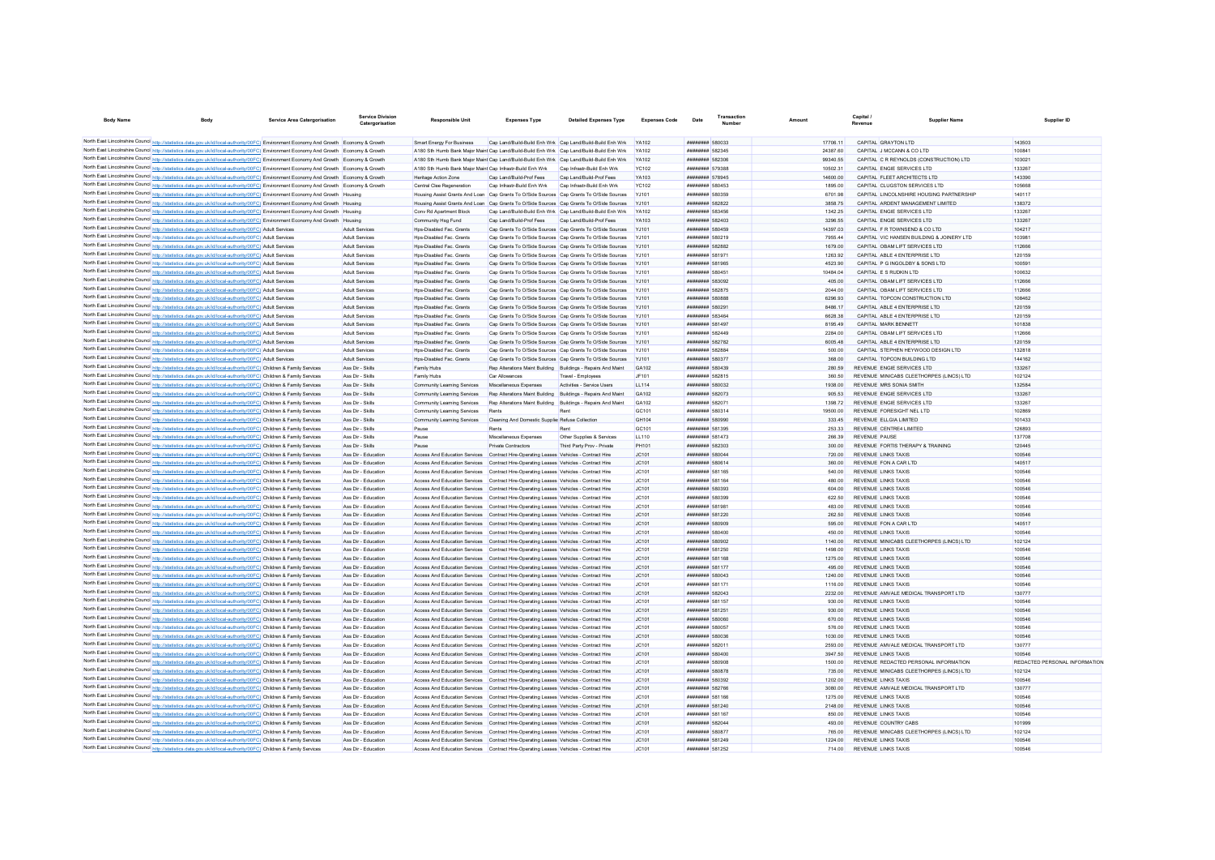| <b>Body Name</b>                                                                                                                                                                                                                                                                 | <b>Service Area Catergorisation</b> | <b>Service Division</b><br>Catergorisation | <b>Responsible Unit</b>                                                                                                                                                        | <b>Expenses Type</b>                                         | <b>Detailed Expenses Type</b>                                                                                          | <b>Expenses Code</b>  | Date                                      | Transactio |                      | Capital<br>Revenue | Supplier Name                                                         | Supplier ID                   |
|----------------------------------------------------------------------------------------------------------------------------------------------------------------------------------------------------------------------------------------------------------------------------------|-------------------------------------|--------------------------------------------|--------------------------------------------------------------------------------------------------------------------------------------------------------------------------------|--------------------------------------------------------------|------------------------------------------------------------------------------------------------------------------------|-----------------------|-------------------------------------------|------------|----------------------|--------------------|-----------------------------------------------------------------------|-------------------------------|
|                                                                                                                                                                                                                                                                                  |                                     |                                            |                                                                                                                                                                                |                                                              |                                                                                                                        |                       |                                           |            |                      |                    |                                                                       |                               |
| North East Lincolnshire Council http://statistics.data.gov.uk/id/local-authority/00FC) Environment Economy And Growth Economy & Growth                                                                                                                                           |                                     |                                            | Smart Energy For Business                                                                                                                                                      |                                                              | Cap Land/Build-Build Enh Wrk Cap Land/Build-Build Enh Wrk                                                              | <b>YA102</b>          | ######## 580033                           |            | 17706.11             |                    | CAPITAL GRAYTON LTD                                                   | 143503                        |
| North East Lincolnshire Council http://statistics.data.gov.uk/id/local-authority/00FC) Environment Economy And Growth Economy & Growth                                                                                                                                           |                                     |                                            | A180 Sth Humb Bank Maior Maint Cap Land/Build-Build Enh Wrk Cap Land/Build-Build Enh Wrk                                                                                       |                                                              |                                                                                                                        | <b>VA102</b>          | <b><i><u>HHHHHHH</u></i></b> 582345       |            | 24387.60             |                    | CAPITAL J MCCANN & CO LTD                                             | 100841                        |
| North East Lincolnshire Council http://statistics.data.gov.uk/id/local-authority/00FC) Environment Economy And Growth Economy & Growth                                                                                                                                           |                                     |                                            | A180 Sth Humb Bank Maior Maint Cap Land/Build-Build Enh Wrk Cap Land/Build-Build Enh Wrk<br>A180 Sth Humb Bank Maior Maint Cap Infrastr-Build Enh Wrk                          |                                                              |                                                                                                                        | YA102                 | ######## 582306<br>######## 579388        |            | 99340.55             |                    | CAPITAL C R REYNOLDS (CONSTRUCTION) LTD<br>CAPITAL ENGIE SERVICES LTD | 103021<br>133267              |
| North East Lincolnshire Council http://statistics.data.gov.uk/id/local-authority/00FC) Environment Economy And Growth Economy & Growth<br>North East Lincolnshire Council http://statistics.data.gov.uk/id/local-authority/00FC) Environment Economy And Growth Economy & Growth |                                     |                                            | Heritage Action Zone                                                                                                                                                           | Cap Land/Build-Prof Fees                                     | Cap Infrastr-Build Enh Wrk<br>Cap Land/Build-Prof Fees                                                                 | <b>YC102</b><br>YA103 | <b>########</b> 578945                    |            | 10502.31<br>14600.00 |                    | CAPITAL FLEET ARCHITECTS LTD                                          | 143390                        |
| North East Lincolnshire Council http://statistics.data.gov.uk/id/local-authority/00FC) Environment Economy And Growth Economy & Growth                                                                                                                                           |                                     |                                            | Central Clee Regeneration                                                                                                                                                      | Cap Infrastr-Build Enh Wrk                                   | Cap Infrastr-Build Enh Wrk                                                                                             | <b>YC102</b>          | ######## 580453                           |            | 1895.00              |                    | CAPITAL CLUGSTON SERVICES LTD                                         | 105668                        |
| North East Lincolnshire Council http://statistics.data.gov.uk/id/local-authority/00FC) Environment Economy And Growth                                                                                                                                                            |                                     |                                            | Housing Assist Grants And Loan Cap Grants To O/Side Sources Cap Grants To O/Side Sources                                                                                       |                                                              |                                                                                                                        | <b>YJ101</b>          | ######## 580359                           |            | 6701.98              |                    | CAPITAL LINCOLNSHIRE HOUSING PARTNERSHIP                              | 140117                        |
| North East Lincolnshire Council http://statistics.data.gov.uk/id/local-authority/00FC) Environment Economy And Growth Housing                                                                                                                                                    |                                     |                                            | Housing Assist Grants And Loan Cap Grants To O/Side Sources Cap Grants To O/Side Sources                                                                                       |                                                              |                                                                                                                        |                       | ######## 582822                           |            | 3858.75              |                    | CAPITAL ARDENT MANAGEMENT LIMITED                                     | 138372                        |
| North East Lincolnshire Council http://statistics.data.gov.uk/id/local-authority/00FC) Environment Economy And Growth Housing                                                                                                                                                    |                                     |                                            | Conv Rd Anartment Block                                                                                                                                                        | Cap Land/Build-Build Enh Wrk Cap Land/Build-Build Enh Wrk    |                                                                                                                        | YA102                 | <b>######## 583456</b>                    |            | 1342 25              |                    | CAPITAL FNGIF SERVICES LTD                                            | 133267                        |
| North East Lincolnshire Council http://statistics.data.gov.uk/id/local-authority/00FC) Environment Economy And Growth Housing                                                                                                                                                    |                                     |                                            | Community Hsg Fund                                                                                                                                                             | Can Land/Build-Prof Fees                                     | Cap Land/Build-Prof Fees                                                                                               | YA103                 | ######## 582403                           |            | 3296.55              |                    | CAPITAL ENGIE SERVICES LTD                                            | 133267                        |
| North East Lincolnshire Council http://statistics.data.gov.uk/id/local-authority/00FC) Adult Services                                                                                                                                                                            |                                     | Adult Services                             | Hos-Disabled Fac. Grants                                                                                                                                                       |                                                              | Cap Grants To O/Side Sources Cap Grants To O/Side Sources                                                              | Y.1101                | ######## 580459                           |            | 14397.03             |                    | CAPITAL F R TOWNSEND & CO LTD                                         | 104217                        |
| North East Lincolnshire Council http://statistics.data.gov.uk/id/local-authority/00FC) Adult Services                                                                                                                                                                            |                                     | Adult Services                             | Hos-Disabled Fac. Grant                                                                                                                                                        |                                                              | Cap Grants To O/Side Sources Cap Grants To O/Side Sources                                                              | Y.1101                | ######## 580219                           |            | 7955.44              |                    | CAPITAL VIC HANSEN BUILDING & JOINERY LTD                             | 103981                        |
| North East Lincolnshire Council http://statistics.data.gov.uk/id/local-authority/00FC) Adult Services                                                                                                                                                                            |                                     | Adult Services                             | Hos-Disabled Fac Grant                                                                                                                                                         |                                                              | Can Grants To O/Side Sources Can Grants To O/Side Sources                                                              | Y.1101                | <b>######## 582882</b>                    |            | 1679.00              |                    | CAPITAL ORAM LIFT SERVICES LTD                                        | 112666                        |
| North East Lincolnshire Council http://statistics.data.gov.uk/id/local-authority/00FC) Adult Services                                                                                                                                                                            |                                     | <b>Adult Services</b>                      | Hos-Disabled Fac. Grant                                                                                                                                                        |                                                              | Can Grants To O/Side Sources Can Grants To O/Side Sources                                                              | Y.1101                | <b><i>BREEZERE 581971</i></b>             |            | 1263.92              |                    | CAPITAL ABLE 4 ENTERPRISE LTD.                                        | 120159                        |
| North East Lincolnshire Council http://statistics.data.gov.uk/id/local-authority/00FC) Adult Services                                                                                                                                                                            |                                     | Adult Services                             | Hos-Disabled Fac. Grant                                                                                                                                                        |                                                              | Cap Grants To O/Side Sources Cap Grants To O/Side Sources                                                              | Y.1101                | ######## 581965                           |            | 4523.90              |                    | CAPITAL P G INGOLDBY & SONS LTD                                       | 100591                        |
| North East Lincolnshire Council http://statistics.data.gov.uk/id/local-authority/00FC) Adult Services                                                                                                                                                                            |                                     | Adult Services                             | Hos-Disabled Fac. Grant                                                                                                                                                        |                                                              | Can Grants To O/Side Sources Can Grants To O/Side Sources                                                              | Y.1101                | <b><i>BRRHHHHH 58045*</i></b>             |            | 10484.04             |                    | CAPITAL F S RUDKIN I TD                                               | 100632                        |
| North East Lincolnshire Council http://statistics.data.gov.uk/id/local-authority/00FC) Adult Services                                                                                                                                                                            |                                     | Adult Services                             | Hos-Disabled Fac. Grant                                                                                                                                                        |                                                              | Cap Grants To O/Side Sources Cap Grants To O/Side Sources                                                              | Y.1101                | ######## 583092                           |            | 405.00               |                    | CAPITAL OBAM LIFT SERVICES LTD                                        | 112666                        |
| North East Lincolnshire Council http://statistics.data.gov.uk/id/local-authority/00FC) Adult Services                                                                                                                                                                            |                                     | Adult Services                             | Hos-Disabled Fac. Grant                                                                                                                                                        |                                                              | Cap Grants To O/Side Sources Cap Grants To O/Side Sources                                                              | Y.1101                | ######## 582875                           |            | 2044.00              |                    | CAPITAL ORAM LIFT SERVICES LTD                                        | 112666                        |
| North East Lincolnshire Council http://statistics.data.gov.uk/id/local-authority/00FC) Adult Services                                                                                                                                                                            |                                     | Adult Services                             | Hps-Disabled Fac. Grants                                                                                                                                                       |                                                              | Cap Grants To O/Side Sources Cap Grants To O/Side Sources                                                              | <b>YJ101</b>          | ######## 580888                           |            | 6296.93              |                    | CAPITAL TOPCON CONSTRUCTION LTD                                       | 108462                        |
| North East Lincolnshire Council http://statistics.data.gov.uk/id/local-authority/00FC) Adult Services                                                                                                                                                                            |                                     | <b>Adult Services</b>                      | Hos-Disabled Fac. Grant                                                                                                                                                        |                                                              | Cap Grants To O/Side Sources Cap Grants To O/Side Sources                                                              |                       | ######## 580291                           |            | 8486.17              |                    | CAPITAL ABLE 4 ENTERPRISE LTD                                         | 120159                        |
| North East Lincolnshire Council http://statistics.data.gov.uk/id/local-authority/00FC) Adult Services<br>North East Lincolnshire Council http://statistics.data.gov.uk/id/local-authority/00FC) Adult Services                                                                   |                                     | Adult Services                             | Hos-Disabled Fac. Grant                                                                                                                                                        |                                                              | Cap Grants To O/Side Sources Cap Grants To O/Side Sources                                                              |                       | ######## 583464                           |            | 6628.38              |                    | CAPITAL ABLE 4 ENTERPRISE LTD                                         | 120159                        |
| North East Lincolnshire Council http://statistics.data.gov.uk/id/local-authority/00FC) Adult Services                                                                                                                                                                            |                                     | Adult Services<br>Adult Services           | Hos-Disabled Fac. Grants                                                                                                                                                       |                                                              | Cap Grants To O/Side Sources Cap Grants To O/Side Sources<br>Cap Grants To O/Side Sources Cap Grants To O/Side Sources |                       | ######## 581497<br>######## 582449        |            | 8195.49<br>2284.00   |                    | CAPITAL MARK BENNET<br>CAPITAL OBAM LIFT SERVICES LTD                 | 101838<br>112666              |
| North East Lincolnshire Council http://statistics.data.gov.uk/id/local-authority/00FC) Adult Services                                                                                                                                                                            |                                     | Adult Services                             | Hps-Disabled Fac. Grants<br>Hps-Disabled Fac. Grants                                                                                                                           |                                                              | Cap Grants To O/Side Sources Cap Grants To O/Side Sources                                                              | Y.1101                | <b><i>BREEZER 582782</i></b>              |            | 600548               |                    | CAPITAL ABLE 4 ENTERPRISE LTD                                         | 120159                        |
| North East Lincolnshire Council http://statistics.data.gov.uk/id/local-authority/00FC) Adult Services                                                                                                                                                                            |                                     | Adult Services                             | Hos-Disabled Fac. Grants                                                                                                                                                       | Cap Grants To O/Side Sources Cap Grants To O/Side Sources    |                                                                                                                        | Y.1101                | <b>иннинин</b> 582884                     |            | 500.00               |                    | CAPITAL STEPHEN HEYWOOD DESIGN LTD                                    | 132818                        |
| North East Lincolnshire Council http://statistics.data.gov.uk/id/local-authority/00FC) Adult Services                                                                                                                                                                            |                                     | Adult Services                             | Hos-Disabled Fac. Grants                                                                                                                                                       |                                                              | Cap Grants To O/Side Sources Cap Grants To O/Side Sources                                                              | <b>YJ101</b>          | ######## 580377                           |            | 368.00               |                    | CAPITAL TOPCON BUILDING LTD                                           | 144162                        |
| North East Lincolnshire Council http://statistics.data.gov.uk/id/local-authority/00FC) Children & Family Services                                                                                                                                                                |                                     | Ass Dir - Skills                           | Family Hubs                                                                                                                                                                    | Ren Alterations Maint Building Ruildings - Renairs And Maint |                                                                                                                        | GA102                 | ######## 580439                           |            | 280.59               |                    | REVENUE ENGIE SERVICES LTD                                            | 133267                        |
| North East Lincolnshire Council http://statistics.data.gov.uk/id/local-authority/00FC) Children & Family Services                                                                                                                                                                |                                     | Ass Dir - Skills                           | Family Hubs                                                                                                                                                                    | Car Allowances                                               | Travel - Employees                                                                                                     | JF101                 | <b><i>BREEZER 582815</i></b>              |            | 360.50               |                    | REVENUE MINICARS CLEETHORPES (LINCS) LTD                              | 102124                        |
| North East Lincolnshire Council http://statistics.data.gov.uk/id/local-authority/00FC) Children & Family Services                                                                                                                                                                |                                     | Ass Dir - Skills                           | Community Learning Services                                                                                                                                                    | Miscellaneous Expenses                                       | Activities - Service Users                                                                                             | 11114                 | ######## 580032                           |            | 1938.00              |                    | REVENUE MRS SONIA SMITH                                               | 132584                        |
| North East Lincolnshire Council http://statistics.data.gov.uk/id/local-authority/00FC) Children & Family Services                                                                                                                                                                |                                     | Ass Dir - Skills                           | Community Learning Services                                                                                                                                                    | Rep Alterations Maint Building Buildings - Repairs And Maint |                                                                                                                        | GA102                 | <b><i>BREEZER 582073</i></b>              |            | 905 53               |                    | REVENUE ENGIE SERVICES LTD                                            | 133267                        |
| North East Lincolnshire Council http://statistics.data.gov.uk/id/local-authority/00FC) Children & Family Services                                                                                                                                                                |                                     | Ass Dir - Skills                           | Community Learning Services                                                                                                                                                    | Ren Alterations Maint Building Ruildings - Renairs And Maint |                                                                                                                        | GA102                 | <b><i>BREEZER 582071</i></b>              |            | 1308.72              |                    | REVENUE ENGIE SERVICES LTD                                            | 133267                        |
| North East Lincolnshire Council http://statistics.data.gov.uk/id/local-authority/00FC) Children & Family Services                                                                                                                                                                |                                     | Ass Dir - Skills                           | Community Learning Services                                                                                                                                                    | <b>Rente</b>                                                 | Rent                                                                                                                   | GC <sub>101</sub>     | ######## 580314                           |            | 19500.00             |                    | REVENUE FORESIGHT NEL LTD                                             | 102869                        |
| North East Lincolnshire Council http://statistics.data.gov.uk/id/local-authority/00FC) Children & Family Services                                                                                                                                                                |                                     | Ass Dir - Skills                           | Community Learning Services                                                                                                                                                    | Cleaning And Domestic Supplier Refuse Collection             |                                                                                                                        | GH104                 | ######## 580990                           |            | 333.45               |                    | REVENUE ELLGIA LIMITED                                                | 101433                        |
| North East Lincolnshire Council http://statistics.data.gov.uk/id/local-authority/00FC) Children & Family Services                                                                                                                                                                |                                     | Ass Dir - Skills                           | Pause                                                                                                                                                                          | Rents                                                        | Rent                                                                                                                   | GC101                 | ######## 581395                           |            | 253.33               |                    | REVENUE CENTRE4 LIMITED                                               | 126893                        |
| North East Lincolnshire Council http://statistics.data.gov.uk/id/local-authority/00FC) Children & Family Services                                                                                                                                                                |                                     | Ass Dir - Skills                           | Pause                                                                                                                                                                          | Miscellaneous Expenses                                       | Other Supplies & Services                                                                                              | LL110                 | ####### 581473                            |            | 266.39               |                    | REVENUE PAUSE                                                         | 137708                        |
| North East Lincolnshire Council http://statistics.data.gov.uk/id/local-authority/00FC) Children & Family Services                                                                                                                                                                |                                     | Ass Dir - Skills                           | Pause                                                                                                                                                                          | Private Contractors                                          | Third Party Prov - Private                                                                                             | PH101                 | ######## 582303                           |            | 300.00               |                    | REVENUE FORTIS THERAPY & TRAINING                                     | 120445                        |
| North East Lincolnshire Council http://statistics.data.gov.uk/id/local-authority/00FC) Children & Family Services                                                                                                                                                                |                                     | Ass Dir - Education                        | Access And Education Services Contract Hire-Operating Leases Vehicles - Contract Hire                                                                                          |                                                              |                                                                                                                        | JC101                 | ######## 580044                           |            | 720.00               |                    | REVENUE LINKS TAXIS                                                   | 100546                        |
| North East Lincolnshire Council http://statistics.data.gov.uk/id/local-authority/00FC) Children & Family Services                                                                                                                                                                |                                     | Ass Dir - Education                        | Access And Education Services Contract Hire-Operating Leases Vehicles - Contract Hire                                                                                          |                                                              |                                                                                                                        | JC101                 | ######## 580614                           |            | 360.00               |                    | REVENUE FON A CAR LTD                                                 | 140517                        |
| North East Lincolnshire Council http://statistics.data.gov.uk/id/local-authority/00FC) Children & Family Services                                                                                                                                                                |                                     | Ass Dir - Education                        | Access And Education Services  Contract Hire-Operating Leases  Vehicles - Contract Hire                                                                                        |                                                              |                                                                                                                        | IC101                 | ######## 581165                           |            | 540.00               |                    | REVENUE I INKS TAXIS                                                  | 100546                        |
| North East Lincolnshire Council http://statistics.data.gov.uk/id/local-authority/00FC) Children & Family Services                                                                                                                                                                |                                     | Ass Dir - Education                        | Access And Education Services  Contract Hire-Operating Leases  Vehicles - Contract Hire                                                                                        |                                                              |                                                                                                                        | IC101                 | ######## 581164                           |            | 480.00               |                    | REVENUE I INKS TAXIS                                                  | 100546                        |
| North East Lincolnshire Council http://statistics.data.gov.uk/id/local-authority/00FC) Children & Family Services<br>North East Lincolnshire Council http://statistics.data.gov.uk/id/local-authority/00FC) Children & Family Services                                           |                                     | Ass Dir - Education<br>Ass Dir - Education | Access And Education Services Contract Hire-Operating Leases Vehicles - Contract Hire<br>Access And Education Services Contract Hire-Operation Leases Vehicles - Contract Hire |                                                              |                                                                                                                        | JC101<br>IC101        | ######## 580393<br>######## 580399        |            | 604.00<br>622.50     |                    | REVENUE LINKS TAXIS<br>REVENUE LINKS TAXIS                            | 100546<br>100546              |
| North East Lincolnshire Council http://statistics.data.gov.uk/id/local-authority/00FC) Children & Family Services                                                                                                                                                                |                                     | Ass Dir - Education                        | Access And Education Services Contract Hire-Operating Leases Vehicles - Contract Hire                                                                                          |                                                              |                                                                                                                        | IC101                 | ######## 581981                           |            | 483.00               |                    | <b>REVENUE LINKS TAXIS</b>                                            | 100546                        |
| North East Lincolnshire Council http://statistics.data.gov.uk/id/local-authority/00FC) Children & Family Services                                                                                                                                                                |                                     | Ass Dir - Education                        | Access And Education Services Contract Hire-Operating Leases Vehicles - Contract Hire                                                                                          |                                                              |                                                                                                                        | IC101                 | <b><i>BREEZEEE</i></b> 581220             |            | 262.50               |                    | <b>REVENUE LINKS TAXIS</b>                                            | 100546                        |
| North East Lincolnshire Council http://statistics.data.gov.uk/id/local-authority/00FC) Children & Family Services                                                                                                                                                                |                                     | Ass Dir - Education                        | Access And Education Services Contract Hire-Operating Leases Vehicles - Contract Hire                                                                                          |                                                              |                                                                                                                        | JC101                 | ######## 580909                           |            | 595.00               |                    | REVENUE FON A CAR LTD                                                 | 140517                        |
| North East Lincolnshire Council http://statistics.data.gov.uk/id/local-authority/00FC) Children & Family Services                                                                                                                                                                |                                     | Ass Dir - Education                        | Access And Education Services Contract Hire-Operating Leases Vehicles - Contract Hire                                                                                          |                                                              |                                                                                                                        | JC101                 | <b>########</b> 580400                    |            | 450.00               |                    | <b>REVENUE LINKS TAXIS</b>                                            | 100546                        |
| North East Lincolnshire Council http://statistics.data.gov.uk/id/local-authority/00FC) Children & Family Services                                                                                                                                                                |                                     | Ass Dir - Education                        | Access And Education Services Contract Hire-Operating Leases Vehicles - Contract Hire                                                                                          |                                                              |                                                                                                                        | JC101                 | ######## 580902                           |            | 1140.00              |                    | REVENUE MINICABS CLEETHORPES (LINCS) LTD                              | 102124                        |
| North East Lincolnshire Council http://statistics.data.gov.uk/id/local-authority/00FC) Children & Family Services                                                                                                                                                                |                                     | Ass Dir - Education                        | Access And Education Services Contract Hire-Operating Leases Vehicles - Contract Hire                                                                                          |                                                              |                                                                                                                        | JC101                 | ######## 581250                           |            | 1498.00              |                    | <b>REVENUE LINKS TAXIS</b>                                            | 100546                        |
| North East Lincolnshire Council http://statistics.data.gov.uk/id/local-authority/00FC) Children & Family Services                                                                                                                                                                |                                     | Ass Dir - Education                        | Access And Education Services Contract Hire-Operating Leases Vehicles - Contract Hire                                                                                          |                                                              |                                                                                                                        | JC101                 | ######## 581168                           |            | 1275.00              |                    | <b>REVENUE LINKS TAXIS</b>                                            | 100546                        |
| North East Lincolnshire Council http://statistics.data.gov.uk/id/local-authority/00FC) Children & Family Services                                                                                                                                                                |                                     | Ass Dir - Education                        | Access And Education Services Contract Hire-Operating Leases Vehicles - Contract Hire                                                                                          |                                                              |                                                                                                                        | JC101                 | ######## 581177                           |            | 495.00               |                    | REVENUE LINKS TAXIS                                                   | 100546                        |
| North East Lincolnshire Council http://statistics.data.gov.uk/id/local-authority/00FC) Children & Family Services                                                                                                                                                                |                                     | Ass Dir - Education                        | Access And Education Services Contract Hire-Operating Leases Vehicles - Contract Hire                                                                                          |                                                              |                                                                                                                        | JC101                 | ######## 580043                           |            | 1240.00              |                    | <b>REVENUE LINKS TAXIS</b>                                            | 100546                        |
| North East Lincolnshire Council http://statistics.data.gov.uk/id/local-authority/00FC) Children & Family Services                                                                                                                                                                |                                     | Ass Dir - Education                        | Access And Education Services Contract Hire-Operating Leases Vehicles - Contract Hire                                                                                          |                                                              |                                                                                                                        | JC101                 | ######## 581171                           |            | 1116.00              |                    | <b>REVENUE LINKS TAXIS</b>                                            | 100546                        |
| North East Lincolnshire Council http://statistics.data.gov.uk/id/local-authority/00FC) Children & Family Services                                                                                                                                                                |                                     | Ass Dir - Education                        | Access And Education Services Contract Hire-Operating Leases Vehicles - Contract Hire                                                                                          |                                                              |                                                                                                                        | IC101                 | ######## 582043                           |            | 2232.00              |                    | REVENUE AMVALE MEDICAL TRANSPORT LTD                                  | 130777                        |
| North East Lincolnshire Council http://statistics.data.gov.uk/id/local-authority/00FC) Children & Family Services                                                                                                                                                                |                                     | Ass Dir - Education                        | Access And Education Services Contract Hire-Operating Leases Vehicles - Contract Hire                                                                                          |                                                              |                                                                                                                        | JC101                 | ######## 581157                           |            | 930.00               |                    | <b>REVENUE LINKS TAXIS</b>                                            | 100546                        |
| North East Lincolnshire Council http://statistics.data.gov.uk/id/local-authority/00FC) Children & Family Services                                                                                                                                                                |                                     | Ass Dir - Education                        | Access And Education Services Contract Hire-Operating Leases Vehicles - Contract Hire                                                                                          |                                                              |                                                                                                                        | JC101                 | ######## 581251                           |            | 930.00               |                    | REVENUE LINKS TAXIS                                                   | 100546                        |
| North East Lincolnshire Council http://statistics.data.gov.uk/id/local-authority/00FC) Children & Family Services                                                                                                                                                                |                                     | Ass Dir - Education                        | Access And Education Services Contract Hire-Operating Leases Vehicles - Contract Hire                                                                                          |                                                              |                                                                                                                        | JC101                 | ######## 580060                           |            | 670.00               |                    | <b>REVENUE LINKS TAXIS</b>                                            | 100546                        |
| North East Lincolnshire Council http://statistics.data.gov.uk/id/local-authority/00FC) Children & Family Services                                                                                                                                                                |                                     | Ass Dir - Education                        | Access And Education Services Contract Hire-Operating Leases Vehicles - Contract Hire                                                                                          |                                                              |                                                                                                                        | IC101                 | ######## 580057                           |            | 576.00               |                    | <b>REVENUE LINKS TAXIS</b>                                            | 100546<br>100546              |
| North East Lincolnshire Council http://statistics.data.gov.uk/id/local-authority/00FC) Children & Family Services<br>North East Lincolnshire Council http://statistics.data.gov.uk/id/local-authority/00FC) Children & Family Services                                           |                                     | Ass Dir - Education<br>Ass Dir - Education | Access And Education Services Contract Hire-Operating Leases Vehicles - Contract Hire                                                                                          |                                                              |                                                                                                                        | IC101<br>IC101        | ######## 580036<br><b>########</b> 582011 |            | 1030.00<br>2593.00   |                    | <b>REVENUE LINKS TAXIS</b><br>REVENUE AMVALE MEDICAL TRANSPORT LTD    | 130777                        |
| North East Lincolnshire Council http://statistics.data.gov.uk/id/local-authority/00FC) Children & Family Services                                                                                                                                                                |                                     |                                            | Access And Education Services Contract Hire-Operating Leases Vehicles - Contract Hire                                                                                          |                                                              |                                                                                                                        |                       | ######## 580400                           |            | 3947.50              |                    | REVENUE LINKS TAXIS                                                   | 100546                        |
| North East Lincolnshire Council http://statistics.data.gov.uk/id/local-authority/00FC) Children & Family Services                                                                                                                                                                |                                     | Ass Dir - Education<br>Ass Dir - Education | Access And Education Services Contract Hire-Operating Leases Vehicles - Contract Hire<br>Access And Education Services Contract Hire-Operating Leases Vehicles - Contract Hire |                                                              |                                                                                                                        | JC101<br>JC101        | <b><i>HRRHHHHH</i></b> 580908             |            | 1500.00              |                    | REVENUE REDACTED PERSONAL INFORMATION                                 | REDACTED PERSONAL INFORMATION |
| North East Lincolnshire Council http://statistics.data.gov.uk/id/local-authority/00FC) Children & Family Services                                                                                                                                                                |                                     | Ass Dir - Education                        | Access And Education Services Contract Hire-Operating Leases Vehicles - Contract Hire                                                                                          |                                                              |                                                                                                                        | JC101                 | <b>########</b> 580878                    |            | 735.00               |                    | REVENUE MINICABS CLEETHORPES (LINCS) LTD                              | 102124                        |
| North East Lincolnshire Council http://statistics.data.gov.uk/id/local-authority/00FC) Children & Family Services                                                                                                                                                                |                                     | Ass Dir - Education                        | Access And Education Services Contract Hire-Operating Leases Vehicles - Contract Hire                                                                                          |                                                              |                                                                                                                        | JC101                 | ######## 580392                           |            | 1202.00              |                    | <b>REVENUE LINKS TAXIS</b>                                            | 100546                        |
| North East Lincolnshire Council http://statistics.data.gov.uk/id/local-authority/00FC) Children & Family Services                                                                                                                                                                |                                     | Ass Dir - Education                        | Access And Education Services Contract Hire-Operating Leases Vehicles - Contract Hire                                                                                          |                                                              |                                                                                                                        | JC101                 | <b>######## 582766</b>                    |            | 3080.00              |                    | REVENUE AMVALE MEDICAL TRANSPORT LTD                                  | 130777                        |
| North East Lincolnshire Council http://statistics.data.gov.uk/id/local-authority/00FC) Children & Family Services                                                                                                                                                                |                                     | Ass Dir - Education                        | Access And Education Services Contract Hire-Operating Leases Vehicles - Contract Hire                                                                                          |                                                              |                                                                                                                        | JC101                 | ######## 581166                           |            | 1275.00              |                    | REVENUE LINKS TAXIS                                                   | 100546                        |
| North East Lincolnshire Council http://statistics.data.gov.uk/id/local-authority/00FC) Children & Family Services                                                                                                                                                                |                                     | Ass Dir - Education                        | Access And Education Services Contract Hire-Operating Leases Vehicles - Contract Hire                                                                                          |                                                              |                                                                                                                        | JC101                 | ######## 581240                           |            | 2148.00              |                    | REVENUE LINKS TAXIS                                                   | 100546                        |
| North East Lincolnshire Council http://statistics.data.gov.uk/id/local-authority/00FC) Children & Family Services                                                                                                                                                                |                                     | Ass Dir - Education                        | Access And Education Services Contract Hire-Operating Leases Vehicles - Contract Hire                                                                                          |                                                              |                                                                                                                        | JC101                 | ######## 581167                           |            | 850.00               |                    | REVENUE LINKS TAXIS                                                   | 100546                        |
| North East Lincolnshire Council http://statistics.data.gov.uk/id/local-authority/00FC) Children & Family Services                                                                                                                                                                |                                     | Ass Dir - Education                        | Access And Education Services Contract Hire-Operating Leases Vehicles - Contract Hire                                                                                          |                                                              |                                                                                                                        | IC101                 | <b><i>BREEZER 582044</i></b>              |            | 493.00               |                    | REVENUE COUNTRY CARS                                                  | 101999                        |
| North East Lincolnshire Council http://statistics.data.gov.uk/id/local-authority/00FC) Children & Family Services                                                                                                                                                                |                                     | Ass Dir - Education                        | Access And Education Services Contract Hire-Operating Leases Vehicles - Contract Hire                                                                                          |                                                              |                                                                                                                        | IC101                 | ######## 580877                           |            | 765.00               |                    | REVENUE MINICARS CLEETHORPES (LINCS) LTD                              | 102124                        |
| North East Lincolnshire Council http://statistics.data.gov.uk/id/local-authority/00FC) Children & Family Services                                                                                                                                                                |                                     | Ass Dir - Education                        | Access And Education Services Contract Hire-Operating Leases Vehicles - Contract Hire                                                                                          |                                                              |                                                                                                                        | JC101                 | <b><i>BREEZER 581249</i></b>              |            | 1224.00              |                    | <b>REVENUE LINKS TAXIS</b>                                            | 100546                        |
| North East Lincolnshire Council http://statistics.data.gov.uk/id/local-authority/00FC) Children & Family Services                                                                                                                                                                |                                     | Ass Dir - Education                        | Access And Education Services Contract Hire-Operating Leases Vehicles - Contract Hire                                                                                          |                                                              |                                                                                                                        | IC101                 | ######## 581252                           |            | 714.00               |                    | <b>REVENUE LINKS TAXIS</b>                                            | 100546                        |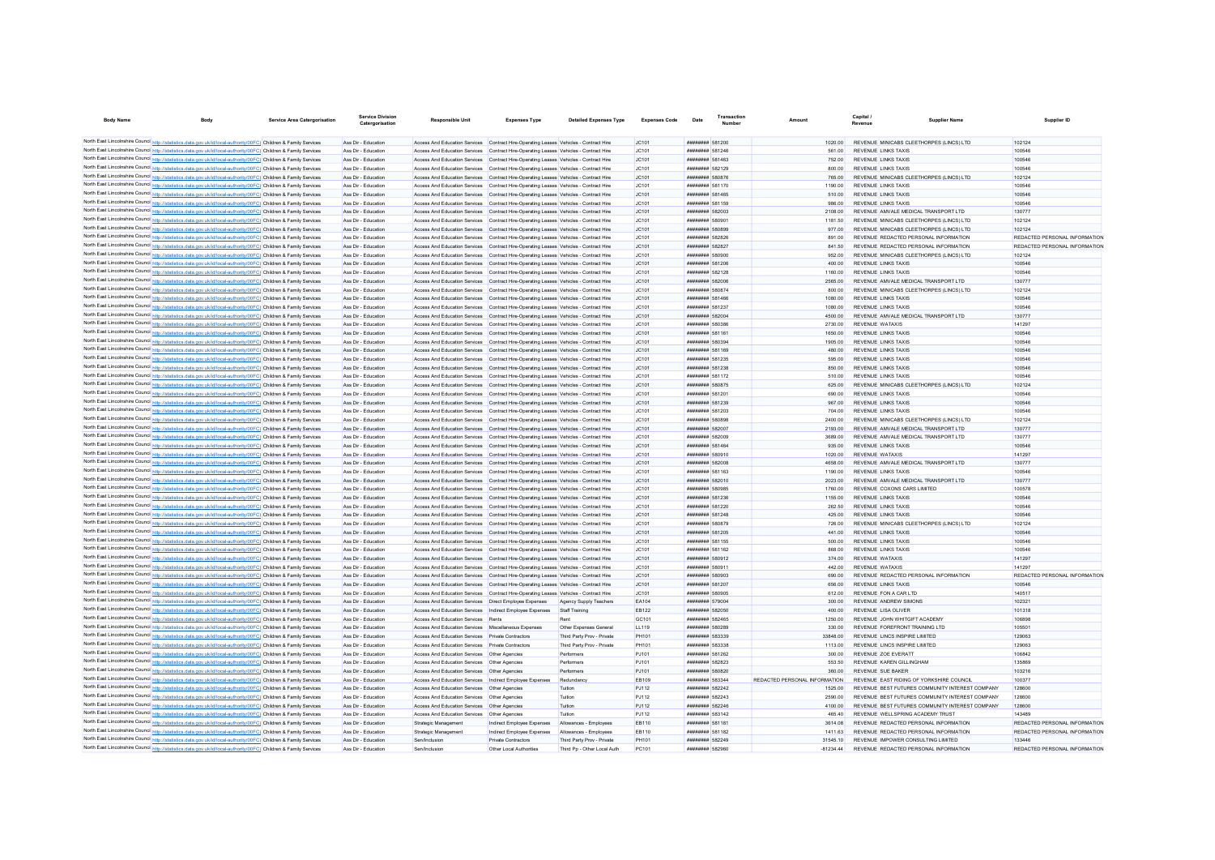| <b>Body Name</b>                                                                                                                                                                                                                       | Service Area Catergorisation | <b>Service Division</b><br>Catergorisation | <b>Responsible Unit</b>                                    | <b>Expenses Type</b>                                                                    | <b>Detailed Expenses Type</b> | <b>Expenses Code</b> | Date                                | Transaction | Amount                        | Capital /<br><b>Pavenue</b>      | Supplier Name                                   | Supplier ID                   |
|----------------------------------------------------------------------------------------------------------------------------------------------------------------------------------------------------------------------------------------|------------------------------|--------------------------------------------|------------------------------------------------------------|-----------------------------------------------------------------------------------------|-------------------------------|----------------------|-------------------------------------|-------------|-------------------------------|----------------------------------|-------------------------------------------------|-------------------------------|
|                                                                                                                                                                                                                                        |                              |                                            |                                                            |                                                                                         |                               |                      |                                     |             |                               |                                  |                                                 |                               |
| North East Lincolnshire Council http://statistics.data.gov.uk/id/local-authority/00FC) Children & Family Services                                                                                                                      |                              | Ass Dir - Education                        |                                                            | Access And Education Services Contract Hire-Operating Leases Vehicles - Contract Hire   |                               | JC101                | ######## 581200<br>######## 581246  |             | 1020.00                       |                                  | REVENUE MINICABS CLEETHORPES (LINCS) LTD        | 102124<br>100546              |
| North East Lincolnshire Council http://statistics.data.gov.uk/id/local-authority/00FC) Children & Family Services                                                                                                                      |                              | Ass Dir - Education                        |                                                            | Access And Education Services Contract Hire-Operating Leases Vehicles - Contract Hire   |                               | JC101                |                                     |             | 561.00                        | <b>REVENUE LINKS TAXIS</b>       |                                                 |                               |
| North East Lincolnshire Council http://statistics.data.gov.uk/id/local-authority/00FC) Children & Family Services<br>North East Lincolnshire Council http://statistics.data.gov.uk/id/local-authority/00FC) Children & Family Services |                              | Ass Dir - Education                        |                                                            | Access And Education Services Contract Hire-Operating Leases Vehicles - Contract Hire   |                               | JC101                | ######## 581463                     |             | 752.00                        | <b>REVENUE LINKS TAXIS</b>       |                                                 | 100546                        |
|                                                                                                                                                                                                                                        |                              | Ass Dir - Education                        |                                                            | Access And Education Services Contract Hire-Operating Leases Vehicles - Contract Hire   |                               | JC101                | ######## 582129                     |             | 800.00                        | REVENUE LINKS TAXIS              |                                                 | 100546                        |
| North East Lincolnshire Council http://statistics.data.gov.uk/id/local-authority/00FC) Children & Family Services                                                                                                                      |                              | Ass Dir - Education                        |                                                            | Access And Education Services Contract Hire-Operating Leases Vehicles - Contract Hire   |                               | JC101                | ######## 580876                     |             | 765.00                        |                                  | REVENUE MINICABS CLEETHORPES (LINCS) LTD        | 102124                        |
| North East Lincolnshire Council http://statistics.data.gov.uk/id/local-authority/00FC) Children & Family Services                                                                                                                      |                              | Ass Dir - Education                        |                                                            | Access And Education Services Contract Hire-Operating Leases Vehicles - Contract Hire   |                               | IC101                | ######## 581170                     |             | 1190.00                       | REVENUE LINKS TAXIS              |                                                 | 100546                        |
| North East Lincolnshire Council http://statistics.data.gov.uk/id/local-authority/00FC) Children & Family Services                                                                                                                      |                              | Ass Dir - Education                        |                                                            | Access And Education Services Contract Hire-Operating Leases Vehicles - Contract Hire   |                               | JC101                | ######## 581465                     |             | 510.00                        | REVENUE LINKS TAXIS              |                                                 | 100546                        |
| North East Lincolnshire Council http://statistics.data.gov.uk/id/local-authority/00FC) Children & Family Services                                                                                                                      |                              | Ass Dir - Education                        |                                                            | Access And Education Services Contract Hire-Operating Leases Vehicles - Contract Hire   |                               | JC101                | ######## 581159                     |             | 986.00                        | REVENUE LINKS TAXIS              |                                                 | 100546                        |
| North East Lincolnshire Council http://statistics.data.gov.uk/id/local-authority/00FC) Children & Family Services                                                                                                                      |                              | Ass Dir - Education                        |                                                            | Access And Education Services Contract Hire-Operating Leases Vehicles - Contract Hire   |                               | JC101                | ######## 582003                     |             | 2108.00                       |                                  | REVENUE AMVALE MEDICAL TRANSPORT LTD            | 130777                        |
| North East Lincolnshire Council http://statistics.data.gov.uk/id/local-authority/00FC) Children & Family Services                                                                                                                      |                              | Ass Dir - Education                        |                                                            | Access And Education Services Contract Hire-Operating Leases Vehicles - Contract Hire   |                               | IC101                | ######## 580901                     |             | 1181.50                       |                                  | REVENUE MINICARS CLEETHORPES (LINCS) LTD        | 102124                        |
| North East Lincolnshire Council http://statistics.data.gov.uk/id/local-authority/00FC) Children & Family Services                                                                                                                      |                              | Ass Dir - Education                        |                                                            | Access And Education Services Contract Hire-Operating Leases Vehicles - Contract Hire   |                               | IC101                | ######## 580899                     |             | 977.00                        |                                  | REVENUE MINICARS CLEETHORPES (LINCS) LTD        | 102124                        |
| North East Lincolnshire Council http://statistics.data.gov.uk/id/local-authority/00FC) Children & Family Services                                                                                                                      |                              | Ass Dir - Education                        |                                                            | Access And Education Services Contract Hire-Operating Leases Vehicles - Contract Hire   |                               | JC101                | <b>######## 582826</b>              |             | 891.00                        |                                  | REVENUE REDACTED PERSONAL INFORMATION           | REDACTED PERSONAL INFORMATION |
| North East Lincolnshire Council http://statistics.data.gov.uk/id/local-authority/00FC) Children & Family Services                                                                                                                      |                              | Ass Dir - Education                        |                                                            | Access And Education Services Contract Hire-Operation Leases Vehicles - Contract Hire   |                               | JC101                | <b><i><u>HHHHHHH</u></i></b> 582827 |             | 84150                         |                                  | REVENUE REDACTED PERSONAL INFORMATION           | REDACTED PERSONAL INFORMATION |
| North East Lincolnshire Council http://statistics.data.gov.uk/id/local-authority/00FC) Children & Family Services                                                                                                                      |                              | Ass Dir - Education                        |                                                            | Access And Education Services Contract Hire-Operating Leases Vehicles - Contract Hire   |                               | JC101                | <b><i>HRRHHHHH</i></b> 580900       |             | 952.00                        |                                  | REVENUE MINICARS CLEETHORPES (LINCS) LTD        | 102124                        |
| North East Lincolnshire Council http://statistics.data.gov.uk/id/local-authority/00FC) Children & Family Services                                                                                                                      |                              | Ass Dir - Education                        |                                                            | Access And Education Services Contract Hire-Operating Leases Vehicles - Contract Hire   |                               | JC101                | ######## 581206                     |             | 400.00                        | <b>REVENUE LINKS TAXIS</b>       |                                                 | 100546                        |
| North East Lincolnshire Council http://statistics.data.gov.uk/id/local-authority/00FC) Children & Family Services                                                                                                                      |                              | Ass Dir - Education                        |                                                            | Access And Education Services Contract Hire-Operating Leases Vehicles - Contract Hire   |                               | JC101                | ######## 582128                     |             | 1160.00                       | <b>REVENUE LINKS TAXIS</b>       |                                                 | 100546                        |
| North East Lincolnshire Council http://statistics.data.gov.uk/id/local-authority/00FC) Children & Family Services                                                                                                                      |                              | Ass Dir - Education                        |                                                            | Access And Education Services Contract Hire-Operating Leases Vehicles - Contract Hire   |                               | JC101                | ######## 582006                     |             | 2565.00                       |                                  | REVENUE AMVALE MEDICAL TRANSPORT LTD            | 130777                        |
| North East Lincolnshire Council http://statistics.data.gov.uk/id/local-authority/00FC) Children & Family Services                                                                                                                      |                              | Ass Dir - Education                        |                                                            | Access And Education Services Contract Hire-Operating Leases Vehicles - Contract Hire   |                               | JC101                | ######## 580874                     |             | 800.00                        |                                  | REVENUE MINICABS CLEETHORPES (LINCS) LTD        | 102124                        |
| North East Lincolnshire Council http://statistics.data.gov.uk/id/local-authority/00FC) Children & Family Services                                                                                                                      |                              | Ass Dir - Education                        |                                                            | Access And Education Services Contract Hire-Operating Leases Vehicles - Contract Hire   |                               | JC101                | ######## 581466                     |             | 1080.00                       | <b>REVENUE LINKS TAXIS</b>       |                                                 | 100546                        |
| North East Lincolnshire Council http://statistics.data.gov.uk/id/local-authority/00FC) Children & Family Services                                                                                                                      |                              | Ass Dir - Education                        |                                                            | Access And Education Services Contract Hire-Operating Leases Vehicles - Contract Hire   |                               | JC101                | ######## 581237                     |             | 1080.00                       | <b>REVENUE LINKS TAXIS</b>       |                                                 | 100546                        |
| North East Lincolnshire Council http://statistics.data.gov.uk/id/local-authority/00FC) Children & Family Services                                                                                                                      |                              | Ass Dir - Education                        |                                                            | Access And Education Services Contract Hire-Operating Leases Vehicles - Contract Hire   |                               | IC101                | ######## 582004                     |             | 4500.00                       |                                  | REVENUE AMVALE MEDICAL TRANSPORT LTD            | 130777                        |
| North East Lincolnshire Council http://statistics.data.gov.uk/id/local-authority/00FC) Children & Family Services                                                                                                                      |                              | Ass Dir - Education                        |                                                            | Access And Education Services Contract Hire-Operating Leases Vehicles - Contract Hire   |                               | JC101                | ######## 580386                     |             | 2730.00                       | REVENUE WATAXIS                  |                                                 | 141297                        |
| North East Lincolnshire Council http://statistics.data.gov.uk/id/local-authority/00FC) Children & Family Services                                                                                                                      |                              | Ass Dir - Education                        |                                                            | Access And Education Services Contract Hire-Operating Leases Vehicles - Contract Hire   |                               | JC101                | ######## 581161                     |             | 1650.00                       | <b>REVENUE LINKS TAXIS</b>       |                                                 | 100546                        |
| North East Lincolnshire Council http://statistics.data.gov.uk/id/local-authority/00FC) Children & Family Services                                                                                                                      |                              | Ass Dir - Education                        |                                                            | Access And Education Services Contract Hire-Operating Leases Vehicles - Contract Hire   |                               | JC101                | ######## 580394                     |             | 1905.00                       | REVENUE LINKS TAXIS              |                                                 | 100546                        |
| North East Lincolnshire Council http://statistics.data.gov.uk/id/local-authority/00FC) Children & Family Services                                                                                                                      |                              | Ass Dir - Education                        |                                                            | Access And Education Services Contract Hire-Operation Leases Vehicles - Contract Hire   |                               | IC101                | ######## 581169                     |             | 480.00                        | <b>REVENUE LINKS TAXIS</b>       |                                                 | 100546                        |
| North East Lincolnshire Council http://statistics.data.gov.uk/id/local-authority/00FC) Children & Family Services                                                                                                                      |                              | Ass Dir - Education                        |                                                            | Access And Education Services Contract Hire-Operating Leases Vehicles - Contract Hire   |                               | JC101                | ######## 581235                     |             | 595.00                        | <b>REVENUE LINKS TAXIS</b>       |                                                 | 100546                        |
| North East Lincolnshire Council http://statistics.data.gov.uk/id/local-authority/00FC) Children & Family Services                                                                                                                      |                              | Ass Dir - Education                        |                                                            | Access And Education Services Contract Hire-Operation Leases Vehicles - Contract Hire   |                               | JC101                | ######## 581238                     |             | 850.00                        | <b>REVENUE LINKS TAXIS</b>       |                                                 | 100546                        |
| North East Lincolnshire Council http://statistics.data.gov.uk/id/local-authority/00FC) Children & Family Services                                                                                                                      |                              | Ass Dir - Education                        |                                                            | Access And Education Services Contract Hire-Operating Leases Vehicles - Contract Hire   |                               | JC101                | <b><i>BREEZER 581172</i></b>        |             | 510.00                        | REVENUE LINKS TAXIS              |                                                 | 100546                        |
| North East Lincolnshire Council http://statistics.data.gov.uk/id/local-authority/00FC) Children & Family Services                                                                                                                      |                              | Ass Dir - Education                        |                                                            | Access And Education Services Contract Hire-Operating Leases Vehicles - Contract Hire   |                               | JC101                | <b><i>BRESHHHH</i></b> 580875       |             | 625.00                        |                                  | REVENUE MINICARS CLEETHORPES (LINCS) LTD        | 102124                        |
| North East Lincolnshire Council http://statistics.data.gov.uk/id/local-authority/00FC) Children & Family Services                                                                                                                      |                              | Ass Dir - Education                        |                                                            | Access And Education Services Contract Hire-Operating Leases Vehicles - Contract Hire   |                               | JC101                | <b><i>BREEZER 581201</i></b>        |             | 690.00                        | REVENUE LINKS TAXIS              |                                                 | 100546                        |
| North East Lincolnshire Council http://statistics.data.gov.uk/id/local-authority/00FC) Children & Family Services                                                                                                                      |                              | Ass Dir - Education                        |                                                            | Access And Education Services Contract Hire-Operating Leases Vehicles - Contract Hire   |                               | JC101                | ######## 581239                     |             | 967.00                        | <b>REVENUE LINKS TAXIS</b>       |                                                 | 100546                        |
| North East Lincolnshire Council http://statistics.data.gov.uk/id/local-authority/00FC) Children & Family Services                                                                                                                      |                              | Ass Dir - Education                        |                                                            | Access And Education Services Contract Hire-Operating Leases Vehicles - Contract Hire   |                               | JC101                | ######## 581203                     |             | 704.00                        | <b>REVENUE LINKS TAXIS</b>       |                                                 | 100546                        |
| North East Lincolnshire Council http://statistics.data.gov.uk/id/local-authority/00FC) Children & Family Services                                                                                                                      |                              | Ass Dir - Education                        |                                                            | Access And Education Services Contract Hire-Operating Leases Vehicles - Contract Hire   |                               | JC101                | ######## 580898                     |             | 2400.00                       |                                  | REVENUE MINICABS CLEETHORPES (LINCS) LTD        | 102124                        |
| North East Lincolnshire Council http://statistics.data.gov.uk/id/local-authority/00FC) Children & Family Services                                                                                                                      |                              | Ass Dir - Education                        |                                                            | Access And Education Services Contract Hire-Operating Leases Vehicles - Contract Hire   |                               | JC101                | ######## 582007                     |             | 2193.00                       |                                  | REVENUE AMVALE MEDICAL TRANSPORT LTD            | 130777                        |
| North East Lincolnshire Council http://statistics.data.gov.uk/id/local-authority/00FC) Children & Family Services                                                                                                                      |                              | Ass Dir - Education                        |                                                            | Access And Education Services Contract Hire-Operating Leases Vehicles - Contract Hire   |                               | JC101                | ######## 582009                     |             | 3689.00                       |                                  | REVENUE AMVALE MEDICAL TRANSPORT LTD            | 130777                        |
| North East Lincolnshire Council http://statistics.data.gov.uk/id/local-authority/00FC) Children & Family Services                                                                                                                      |                              | Ass Dir - Education                        |                                                            | Access And Education Services Contract Hire-Operating Leases Vehicles - Contract Hire   |                               | JC101                | ######## 581464                     |             | 935.00                        | REVENUE LINKS TAXIS              |                                                 | 100546                        |
| North East Lincolnshire Council http://statistics.data.gov.uk/id/local-authority/00FC) Children & Family Services                                                                                                                      |                              | Ass Dir - Education                        |                                                            | Access And Education Services Contract Hire-Operating Leases Vehicles - Contract Hire   |                               | IC101                | ######## 580910                     |             | 1020.00                       | REVENUE WATAXIS                  |                                                 | 141297                        |
| North East Lincolnshire Council http://statistics.data.gov.uk/id/local-authority/00FC) Children & Family Services                                                                                                                      |                              | Ass Dir - Education                        |                                                            | Access And Education Services  Contract Hire-Operating Leases  Vehicles - Contract Hire |                               | IC101                | ######## 582008                     |             | 4658.00                       |                                  | REVENUE AMVALE MEDICAL TRANSPORT LTD            | 130777                        |
| North East Lincolnshire Council http://statistics.data.gov.uk/id/local-authority/00FC) Children & Family Services                                                                                                                      |                              | Ass Dir - Education                        |                                                            | Access And Education Services Contract Hire-Operating Leases Vehicles - Contract Hire   |                               | IC101                | ######## 581163                     |             | 1190.00                       | REVENUE I INKS TAXIS             |                                                 | 100546                        |
| North East Lincolnshire Council http://statistics.data.gov.uk/id/local-authority/00FC) Children & Family Services                                                                                                                      |                              | Ass Dir - Education                        |                                                            | Access And Education Services Contract Hire-Operating Leases Vehicles - Contract Hire   |                               | JC101                | ######## 582010                     |             | 2023.00                       |                                  | REVENUE AMVALE MEDICAL TRANSPORT LTD            | 130777                        |
| North East Lincolnshire Council http://statistics.data.gov.uk/id/local-authority/00FC) Children & Family Services                                                                                                                      |                              | Ass Dir - Education                        |                                                            | Access And Education Services Contract Hire-Operating Leases Vehicles - Contract Hire   |                               | IC101                | ######## 580985                     |             | 1760.00                       | REVENUE COXONS CARS LIMITED      |                                                 | 100578                        |
| North East Lincolnshire Council http://statistics.data.gov.uk/id/local-authority/00FC) Children & Family Services                                                                                                                      |                              | Ass Dir - Education                        |                                                            | Access And Education Services Contract Hire-Operating Leases Vehicles - Contract Hire   |                               | IC101                | <b>######## 581236</b>              |             | 1155.00                       | <b>REVENUE LINKS TAXIS</b>       |                                                 | 100546                        |
| North East Lincolnshire Council http://statistics.data.gov.uk/id/local-authority/00FC) Children & Family Services                                                                                                                      |                              | Ass Dir - Education                        |                                                            | Access And Education Services Contract Hire-Operating Leases Vehicles - Contract Hire   |                               | IC101                | <b>######## 581220</b>              |             | 262.50                        | <b>REVENUE LINKS TAXIS</b>       |                                                 | 100546                        |
| North East Lincolnshire Council http://statistics.data.gov.uk/id/local-authority/00FC) Children & Family Services                                                                                                                      |                              | Ass Dir - Education                        |                                                            |                                                                                         |                               | IC101                | <b><i>BREEZEEE</i></b> 581248       |             | 425.00                        | REVENUE LINKS TAXIS              |                                                 | 100546                        |
|                                                                                                                                                                                                                                        |                              | Ass Dir - Education                        |                                                            | Access And Education Services Contract Hire-Operating Leases Vehicles - Contract Hire   |                               |                      | ######## 580879                     |             |                               |                                  | REVENUE MINICARS CLEETHORPES (LINCS) LTD        | 102124                        |
| North East Lincolnshire Council http://statistics.data.gov.uk/id/local-authority/00FC) Children & Family Services                                                                                                                      |                              |                                            |                                                            | Access And Education Services Contract Hire-Operating Leases Vehicles - Contract Hire   |                               | JC101                |                                     |             | 726.00                        |                                  |                                                 |                               |
| North East Lincolnshire Council http://statistics.data.gov.uk/id/local-authority/00FC) Children & Family Services                                                                                                                      |                              | Ass Dir - Education                        |                                                            | Access And Education Services Contract Hire-Operating Leases Vehicles - Contract Hire   |                               | JC101                | ######## 581205                     |             | 441.00                        | <b>REVENUE LINKS TAXIS</b>       |                                                 | 100546                        |
| North East Lincolnshire Council http://statistics.data.gov.uk/id/local-authority/00FC) Children & Family Services                                                                                                                      |                              | Ass Dir - Education                        |                                                            | Access And Education Services Contract Hire-Operating Leases Vehicles - Contract Hire   |                               | JC101                | ######## 581155                     |             | 500.00                        | <b>REVENUE LINKS TAXIS</b>       |                                                 | 100546                        |
| North East Lincolnshire Council http://statistics.data.gov.uk/id/local-authority/00FC) Children & Family Services                                                                                                                      |                              | Ass Dir - Education                        |                                                            | Access And Education Services Contract Hire-Operating Leases Vehicles - Contract Hire   |                               | JC101                | <b>########</b> 581162              |             | 868.00                        | <b>REVENUE LINKS TAXIS</b>       |                                                 | 100546                        |
| North East Lincolnshire Council http://statistics.data.gov.uk/id/local-authority/00FC) Children & Family Services                                                                                                                      |                              | Ass Dir - Education                        |                                                            | Access And Education Services Contract Hire-Operating Leases Vehicles - Contract Hire   |                               | JC101                | ####### 580912                      |             | 374.00                        | <b>REVENUE WATAXIS</b>           |                                                 | 141297                        |
| North East Lincolnshire Council http://statistics.data.gov.uk/id/local-authority/00FC) Children & Family Services                                                                                                                      |                              | Ass Dir - Education                        |                                                            | Access And Education Services Contract Hire-Operating Leases Vehicles - Contract Hire   |                               | JC101                | ######## 580911                     |             | 442.00                        | REVENUE WATAXIS                  |                                                 | 141297                        |
| North East Lincolnshire Council http://statistics.data.gov.uk/id/local-authority/00FC) Children & Family Services                                                                                                                      |                              | Ass Dir - Education                        |                                                            | Access And Education Services Contract Hire-Operating Leases Vehicles - Contract Hire   |                               | JC101                | ######## 580903                     |             | 690.00                        |                                  | REVENUE REDACTED PERSONAL INFORMATION           | REDACTED PERSONAL INFORMATION |
| North East Lincolnshire Council http://statistics.data.gov.uk/id/local-authority/00FC) Children & Family Services                                                                                                                      |                              | Ass Dir - Education                        |                                                            | Access And Education Services Contract Hire-Operating Leases Vehicles - Contract Hire   |                               | IC101                | <b>########</b> 581207              |             | 656.00                        | <b>REVENUE LINKS TAXIS</b>       |                                                 | 100546                        |
| North East Lincolnshire Council http://statistics.data.gov.uk/id/local-authority/00FC) Children & Family Services                                                                                                                      |                              | Ass Dir - Education                        |                                                            | Access And Education Services Contract Hire-Operating Leases Vehicles - Contract Hire   |                               | IC101                | ######## 580905                     |             | 612.00                        | REVENUE FON A CAR LTD            |                                                 | 140517                        |
| North East Lincolnshire Council http://statistics.data.gov.uk/id/local-authority/00FC) Children & Family Services                                                                                                                      |                              | Ass Dir - Education                        | Access And Education Services  Direct Employee Expenses    |                                                                                         | Agency Supply Teachers        | EA104                | <b><i>BREEZER 579004</i></b>        |             | 300.00                        | REVENUE ANDREW SIMONS            |                                                 | 102321                        |
| North East Lincolnshire Council http://statistics.data.gov.uk/id/local-authority/00FC) Children & Family Services                                                                                                                      |                              | Ass Dir - Education                        | Access And Education Services Indirect Employee Expenses   |                                                                                         | Staff Training                | <b>EB122</b>         | ######## 582050                     |             | 400.00                        | <b>REVENUE LISA OLIVER</b>       |                                                 | 101318                        |
| North East Lincolnshire Council http://statistics.data.gov.uk/id/local-authority/00FC) Children & Family Services                                                                                                                      |                              | Ass Dir - Education                        | Access And Education Services Rents                        |                                                                                         | Rent                          | GC <sub>101</sub>    | <b><i>BREEZER 582465</i></b>        |             | 1250.00                       | REVENUE JOHN WHITGIFT ACADEMY    |                                                 | 106898                        |
| North East Lincolnshire Council http://statistics.data.gov.uk/id/local-authority/00FC) Children & Family Services                                                                                                                      |                              | Ass Dir - Education                        | Access And Education Services Miscellaneous Expenses       |                                                                                         | Other Expenses General        | 11 119               | ######## 580289                     |             | 330.00                        | REVENUE FOREFRONT TRAINING LTD   |                                                 | 105501                        |
| North East Lincolnshire Council http://statistics.data.gov.uk/id/local-authority/00FC) Children & Family Services                                                                                                                      |                              | Ass Dir - Education                        | Access And Education Services Private Contractors          |                                                                                         | Third Party Prov - Private    | PH101                | <b>########</b> 583339              |             | 33848.00                      | REVENUE LINCS INSPIRE LIMITED    |                                                 | 129063                        |
| North East Lincolnshire Council http://statistics.data.gov.uk/id/local-authority/00FC) Children & Family Services                                                                                                                      |                              | Ass Dir - Education                        | Access And Education Services Private Contractors          |                                                                                         | Third Party Prov - Private    | PH101                | <b><i>BREEZER 583338</i></b>        |             | 1113.00                       | REVENUE LINCS INSPIRE LIMITED    |                                                 | 129063                        |
| North East Lincolnshire Council http://statistics.data.gov.uk/id/local-authority/00FC) Children & Family Services                                                                                                                      |                              | Ass Dir - Education                        | Access And Education Services Other Agencies               |                                                                                         | Performere                    | P.1101               | <b><i>HRRHHHHH</i></b> 581262       |             | 300.00                        | REVENUE ZOE EVERATI              |                                                 | 106842                        |
| North East Lincolnshire Council http://statistics.data.gov.uk/id/local-authority/00FC) Children & Family Services                                                                                                                      |                              | Ass Dir - Education                        | Access And Education Services Other Agencies               |                                                                                         | Performers                    | P.1101               | <b><i>HHHHHHH</i></b> 582823        |             | 553.50                        | REVENUE KAREN GILLINGHAM         |                                                 | 135869                        |
| North East Lincolnshire Council http://statistics.data.gov.uk/id/local-authority/00FC) Children & Family Services                                                                                                                      |                              | Ass Dir - Education                        | Access And Education Services   Other Agencies             |                                                                                         | Performers                    | PJ101                | <b>########</b> 580820              |             | 360.00                        | REVENUE SUE BAKER                |                                                 | 103216                        |
| North East Lincolnshire Council http://statistics.data.gov.uk/id/local-authority/00FC) Children & Family Services                                                                                                                      |                              | Ass Dir - Education                        | Access And Education Services   Indirect Employee Expenses |                                                                                         | Redundancy                    | <b>EB109</b>         | ######## 583344                     |             | REDACTED PERSONAL INFORMATION |                                  | REVENUE EAST RIDING OF YORKSHIRE COUNCIL        | 100377                        |
| North East Lincolnshire Council http://statistics.data.gov.uk/id/local-authority/00FC) Children & Family Services                                                                                                                      |                              | Ass Dir - Education                        | Access And Education Services   Other Agencies             |                                                                                         | Tuition                       | <b>PJ112</b>         | <b><i>BREEZER 582242</i></b>        |             | 1525.00                       |                                  | REVENUE BEST FUTURES COMMUNITY INTEREST COMPANY | 128600                        |
| North East Lincolnshire Council http://statistics.data.gov.uk/id/local-authority/00FC) Children & Family Services                                                                                                                      |                              | Ass Dir - Education                        | Access And Education Services   Other Agencies             |                                                                                         | Tuition                       | <b>PJ112</b>         | ####### 582243                      |             | 2590.00                       |                                  | REVENUE BEST FUTURES COMMUNITY INTEREST COMPANY | 128600                        |
| North East Lincolnshire Council http://statistics.data.gov.uk/id/local-authority/00FC) Children & Family Services                                                                                                                      |                              | Ass Dir - Education                        | Access And Education Services   Other Agencies             |                                                                                         | Tuition                       | <b>PJ112</b>         | ######## 582246                     |             | 4100.00                       |                                  | REVENUE BEST FUTURES COMMUNITY INTEREST COMPANY | 128600                        |
| North East Lincolnshire Council http://statistics.data.gov.uk/id/local-authority/00FC) Children & Family Services                                                                                                                      |                              | Ass Dir - Education                        | Access And Education Services   Other Agencies             |                                                                                         | Tuition                       | <b>PJ112</b>         | ######## 583142                     |             | 465.40                        | REVENUE WELLSPRING ACADEMY TRUS' |                                                 | 143489                        |
| North East Lincolnshire Council http://statistics.data.gov.uk/id/local-authority/00FC) Children & Family Services                                                                                                                      |                              | Ass Dir - Education                        | Strategic Management                                       | Indirect Employee Expenses                                                              | Allowances - Employees        | <b>FR110</b>         | ######## 581181                     |             | 3614.08                       |                                  | REVENUE REDACTED PERSONAL INFORMATION           | REDACTED PERSONAL INFORMATION |
| North East Lincolnshire Council http://statistics.data.gov.uk/id/local-authority/00FC) Children & Family Services                                                                                                                      |                              | Ass Dir - Education                        | Strategic Management                                       | Indirect Employee Expenses                                                              | Allowances - Employees        | <b>FR110</b>         | ######## 581182                     |             | 1411 63                       |                                  | REVENUE REDACTED PERSONAL INFORMATION           | REDACTED PERSONAL INFORMATION |
| North East Lincolnshire Council http://statistics.data.gov.uk/id/local-authority/00FC) Children & Family Services                                                                                                                      |                              | Ass Dir - Education                        | Sen/Inclusion                                              | Private Contractors                                                                     | Third Party Prov - Private    | PH101                | ######## 582249                     |             | 31545 10                      |                                  | REVENUE IMPOWER CONSULTING LIMITED              | 133446                        |
| North East Lincolnshire Council http://statistics.data.gov.uk/id/local-authority/00FC) Children & Family Services                                                                                                                      |                              | Ass Dir - Education                        | Sen/Inclusion                                              | Other Local Authorities                                                                 | Third Po - Other Local Auth   | PC101                | ######## 582960                     |             | $-81234.44$                   |                                  | REVENUE REDACTED PERSONAL INFORMATION           | REDACTED PERSONAL INFORMATION |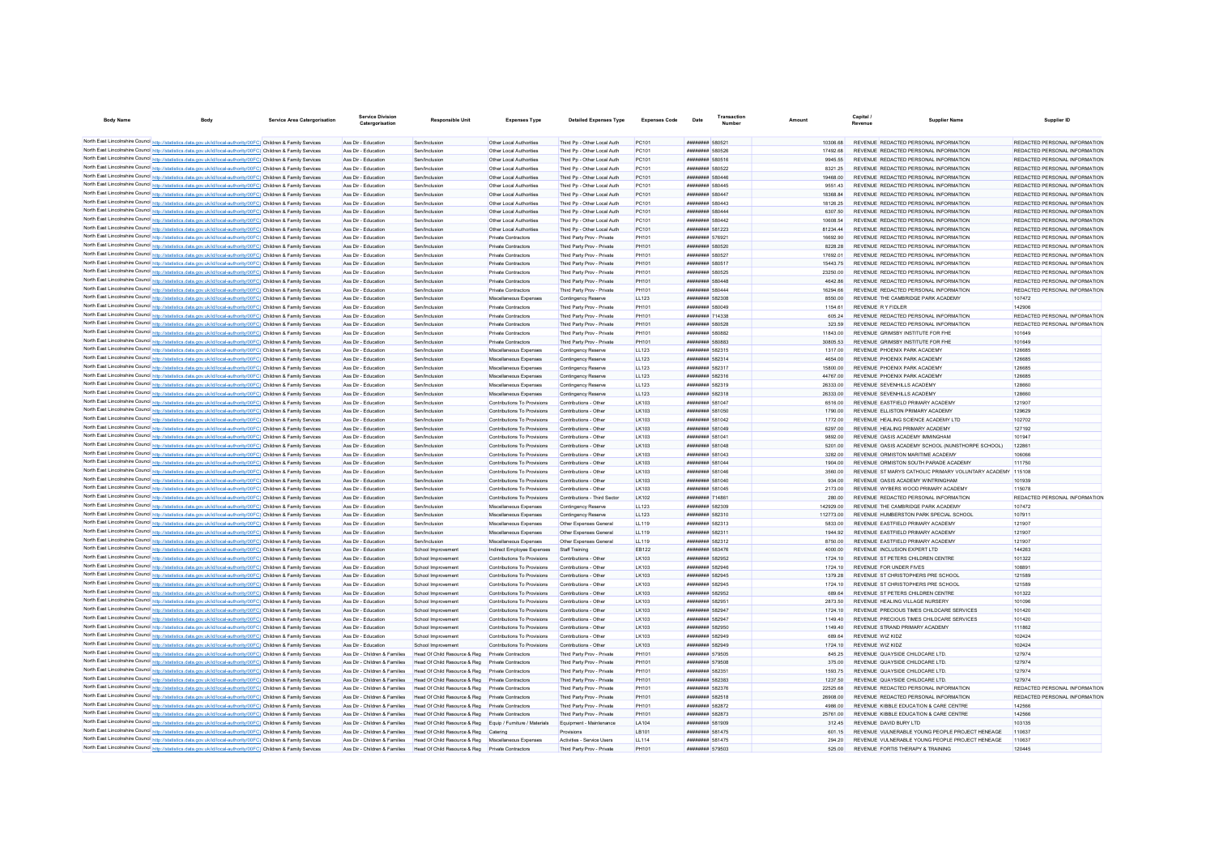| <b>Body Name</b>                                                                                                                                                                                                                       | Body | Service Area Catergorisation | <b>Service Division</b><br>Catergorisation                     | <b>Responsible Unit</b>                                                                      | <b>Expenses Type</b>                                       | <b>Detailed Expenses Type</b>                            | <b>Expenses Code</b>   | Date                                                                 | Transactio | Amoun               | Capital<br>Revenue | <b>Supplier Name</b>                                                                               | Supplier ID                                                    |
|----------------------------------------------------------------------------------------------------------------------------------------------------------------------------------------------------------------------------------------|------|------------------------------|----------------------------------------------------------------|----------------------------------------------------------------------------------------------|------------------------------------------------------------|----------------------------------------------------------|------------------------|----------------------------------------------------------------------|------------|---------------------|--------------------|----------------------------------------------------------------------------------------------------|----------------------------------------------------------------|
| North East Lincolnshire Council http://statistics.data.gov.uk/id/local-authority/00FC) Children & Family Services                                                                                                                      |      |                              | Ass Dir - Education                                            | Sen/Inclusion                                                                                | Other Local Authorities                                    | Third Pp - Other Local Auth                              | PC101                  | ######## 580521                                                      |            | 10306.68            |                    | REVENUE REDACTED PERSONAL INFORMATION                                                              | REDACTED PERSONAL INFORMATION                                  |
| North East Lincolnshire Council http://statistics.data.gov.uk/id/local-authority/00FC) Children & Family Services                                                                                                                      |      |                              | Ass Dir - Education                                            | Sen/Inclusion                                                                                | Other Local Authorities                                    | Third Po - Other Local Auth                              | PC101                  | <b><i>BERNHAM SROSS</i></b>                                          |            | 17492.68            |                    | REVENUE REDACTED PERSONAL INFORMATION                                                              | REDACTED PERSONAL INFORMATION                                  |
| North East Lincolnshire Council http://statistics.data.gov.uk/id/local-authority/00FC) Children & Family Services                                                                                                                      |      |                              | Ass Dir - Education                                            | Sen/Inclusion                                                                                | Other Local Authorities                                    | Third Pp - Other Local Auth                              | PC101                  | ######## 580516                                                      |            | 9945.55             |                    | REVENUE REDACTED PERSONAL INFORMATION                                                              | REDACTED PERSONAL INFORMATION                                  |
| North East Lincolnshire Council http://statistics.data.gov.uk/id/local-authority/00FC) Children & Family Services                                                                                                                      |      |                              | Ass Dir - Education                                            | Sen/Inclusion                                                                                | Other Local Authorities                                    | Third Pp - Other Local Auth                              | PC101                  | ######## 580522                                                      |            | 8321.25             |                    | REVENUE REDACTED PERSONAL INFORMATION                                                              | REDACTED PERSONAL INFORMATION                                  |
| North East Lincolnshire Council http://statistics.data.gov.uk/id/local-authority/00FC) Children & Family Services                                                                                                                      |      |                              | Ass Dir - Education                                            | Sen/Inclusion                                                                                | Other Local Authorities                                    | Third Pp - Other Local Auth                              | PC101                  | <b><i>BREERER 580446</i></b>                                         |            | 19468.00            |                    | REVENUE REDACTED PERSONAL INFORMATION                                                              | REDACTED PERSONAL INFORMATION                                  |
| North East Lincolnshire Council http://statistics.data.gov.uk/id/local-authority/00FC) Children & Family Services                                                                                                                      |      |                              | Ass Dir - Education                                            | Sen/Inclusion                                                                                | Other Local Authorities                                    | Third Po - Other Local Auth                              | PC101                  | ######## 580445                                                      |            | 9551.43             |                    | REVENUE REDACTED PERSONAL INFORMATION                                                              | REDACTED PERSONAL INFORMATION                                  |
| North East Lincolnshire Council http://statistics.data.gov.uk/id/local-authority/00FC) Children & Family Services                                                                                                                      |      |                              | Ass Dir - Education                                            | Sen/Inclusion                                                                                | Other Local Authorities                                    | Third Pp - Other Local Auth                              | PC101                  | ######## 580447                                                      |            | 18368.84            |                    | REVENUE REDACTED PERSONAL INFORMATION                                                              | REDACTED PERSONAL INFORMATION                                  |
| North East Lincolnshire Council http://statistics.data.gov.uk/id/local-authority/00FC) Children & Family Services                                                                                                                      |      |                              | Ass Dir - Education                                            | Sen/Inclusion                                                                                | Other Local Authorities                                    | Third Pp - Other Local Auth                              | PC101                  | ######## 580443                                                      |            | 18126.25            |                    | REVENUE REDACTED PERSONAL INFORMATION                                                              | REDACTED PERSONAL INFORMATION                                  |
| North East Lincolnshire Council http://statistics.data.gov.uk/id/local-authority/00FC) Children & Family Services                                                                                                                      |      |                              | Ass Dir - Education                                            | Sen/Inclusion                                                                                | Other Local Authorities                                    | Third Pp - Other Local Auth                              | PC101                  | <b><i>BREERER 580444</i></b>                                         |            | 6307.50             |                    | REVENUE REDACTED PERSONAL INFORMATION                                                              | REDACTED PERSONAL INFORMATION                                  |
| North East Lincolnshire Council http://statistics.data.gov.uk/id/local-authority/00FC) Children & Family Services                                                                                                                      |      |                              | Ass Dir - Education                                            | Sen/Inclusion                                                                                | Other Local Authorities                                    | Third Pp - Other Local Auth                              | PC101                  | <b><i>BREERER 580442</i></b>                                         |            | 10608.54            |                    | REVENUE REDACTED PERSONAL INFORMATION                                                              | REDACTED PERSONAL INFORMATION                                  |
| North East Lincolnshire Council http://statistics.data.gov.uk/id/local-authority/00FC) Children & Family Services                                                                                                                      |      |                              | Ass Dir - Education                                            | Sen/Inclusion                                                                                | Other Local Authorities                                    | Third Po - Other Local Auth                              | PC101                  | ######## 581223                                                      |            | 81234.44            |                    | REVENUE REDACTED PERSONAL INFORMATION                                                              | REDACTED PERSONAL INFORMATION                                  |
| North East Lincolnshire Council http://statistics.data.gov.uk/id/local-authority/00FC) Children & Family Services                                                                                                                      |      |                              | Ass Dir - Education                                            | Sen/Inclusion                                                                                | Private Contractors                                        | Third Party Prov - Private                               | PH101                  | ######## 576921                                                      |            | 16692.90            |                    | REVENUE REDACTED PERSONAL INFORMATION                                                              | REDACTED PERSONAL INFORMATION                                  |
| North East Lincolnshire Council http://statistics.data.gov.uk/id/local-authority/00FC) Children & Family Services                                                                                                                      |      |                              | Ass Dir - Education                                            | Sen/Inclusion                                                                                | Private Contractors                                        | Third Party Prov - Private                               | PH101                  | ######## 580520                                                      |            | 8228.28             |                    | REVENUE REDACTED PERSONAL INFORMATION                                                              | REDACTED PERSONAL INFORMATION                                  |
| North East Lincolnshire Council http://statistics.data.gov.uk/id/local-authority/00FC) Children & Family Services                                                                                                                      |      |                              | Ass Dir - Education                                            | Sen/Inclusion                                                                                | <b>Private Contractors</b>                                 | Third Party Prov - Private                               | PH101                  | ######## 580527                                                      |            | 17692.01            |                    | REVENUE REDACTED PERSONAL INFORMATION                                                              | REDACTED PERSONAL INFORMATION                                  |
| North East Lincolnshire Council http://statistics.data.gov.uk/id/local-authority/00FC) Children & Family Services                                                                                                                      |      |                              | Ass Dir - Education                                            | Sen/Inclusion                                                                                | Private Contractors                                        | Third Party Prov - Private                               | PH101<br><b>PH101</b>  | <b><i>BREEZEEE</i></b> 580517<br><b><i><u>HHHHHHH</u></i></b> 580525 |            | 15443.75            |                    | REVENUE REDACTED PERSONAL INFORMATION                                                              | REDACTED PERSONAL INFORMATION                                  |
| North East Lincolnshire Council http://statistics.data.gov.uk/id/local-authority/00FC) Children & Family Services<br>North East Lincolnshire Council http://statistics.data.gov.uk/id/local-authority/00FC) Children & Family Services |      |                              | Ass Dir - Education<br>Ass Dir - Education                     | Sen/Inclusion<br>Sen/Inclusion                                                               | <b>Private Contractors</b><br>Private Contractors          | Third Party Prov - Private<br>Third Party Prov - Private | PH101                  | <b><i>BREEZER 580448</i></b>                                         |            | 23250.00<br>4642.86 |                    | REVENUE REDACTED PERSONAL INFORMATION<br>REVENUE REDACTED PERSONAL INFORMATION                     | REDACTED PERSONAL INFORMATION<br>REDACTED PERSONAL INFORMATION |
| North East Lincolnshire Council http://statistics.data.gov.uk/id/local-authority/00FC) Children & Family Services                                                                                                                      |      |                              | Ass Dir - Education                                            | Sen/Inclusion                                                                                | Private Contractors                                        |                                                          | PH101                  | ######## 580444                                                      |            | 16294.66            |                    | REVENUE REDACTED PERSONAL INFORMATION                                                              | REDACTED PERSONAL INFORMATION                                  |
| North East Lincolnshire Council http://statistics.data.gov.uk/id/local-authority/00FC) Children & Family Services                                                                                                                      |      |                              | Ass Dir - Education                                            | Sen/Inclusion                                                                                | Miscellaneous Expenses                                     | Third Party Prov - Private<br>Contingency Reserve        | LL123                  | ######## 582308                                                      |            | 8550.00             |                    | REVENUE THE CAMBRIDGE PARK ACADEMY                                                                 | 107472                                                         |
| North East Lincolnshire Council http://statistics.data.gov.uk/id/local-authority/00FC) Children & Family Services                                                                                                                      |      |                              | Ass Dir - Education                                            | Sen/Inclusion                                                                                | <b>Private Contractors</b>                                 | Third Party Prov - Private                               | PH101                  | ######## 580049                                                      |            | 1154.61             |                    | <b>REVENUE R Y FIDLER</b>                                                                          | 142906                                                         |
| North East Lincolnshire Council http://statistics.data.gov.uk/id/local-authority/00FC) Children & Family Services                                                                                                                      |      |                              | Ass Dir - Education                                            | Sen/Inclusion                                                                                | Private Contractors                                        | Third Party Prov - Private                               | PH101                  | ######## 714338                                                      |            | 605.24              |                    | REVENUE REDACTED PERSONAL INFORMATION                                                              | REDACTED PERSONAL INFORMATION                                  |
| North East Lincolnshire Council http://statistics.data.gov.uk/id/local-authority/00FC) Children & Family Services                                                                                                                      |      |                              | Ass Dir - Education                                            | Sen/Inclusion                                                                                | Private Contractors                                        | Third Party Prov - Private                               | PH101                  | ######## 580528                                                      |            | 323.59              |                    | REVENUE REDACTED PERSONAL INFORMATION                                                              | REDACTED PERSONAL INFORMATION                                  |
| North East Lincolnshire Council http://statistics.data.gov.uk/id/local-authority/00FC) Children & Family Services                                                                                                                      |      |                              | Ass Dir - Education                                            | Sen/Inclusion                                                                                | Private Contractors                                        | Third Party Prov - Private                               | PH101                  | ######## 580882                                                      |            | 11843.00            |                    | REVENUE GRIMSBY INSTITUTE FOR FHE                                                                  | 101649                                                         |
| North East Lincolnshire Council http://statistics.data.gov.uk/id/local-authority/00FC) Children & Family Services                                                                                                                      |      |                              | Ass Dir - Education                                            | Sen/Inclusion                                                                                | Private Contractors                                        | Third Party Prov - Private                               | PH101                  | ######## 580883                                                      |            | 30805.53            |                    | REVENUE GRIMSBY INSTITUTE FOR FHE                                                                  | 101649                                                         |
| North East Lincolnshire Council http://statistics.data.gov.uk/id/local-authority/00FC) Children & Family Services                                                                                                                      |      |                              | Ass Dir - Education                                            | Sen/Inclusion                                                                                | Miscellaneous Expenses                                     | Contingency Reserve                                      | LL123                  | ######## 582315                                                      |            | 1317.00             |                    | REVENUE PHOENIX PARK ACADEMY                                                                       | 126685                                                         |
| North East Lincolnshire Council http://statistics.data.gov.uk/id/local-authority/00FC) Children & Family Services                                                                                                                      |      |                              | Ass Dir - Education                                            | Sen/Inclusion                                                                                | Miscellaneous Expenses                                     | Contingency Reserve                                      | LL123                  | ######## 582314                                                      |            | 4654.00             |                    | REVENUE PHOENIX PARK ACADEMY                                                                       | 126685                                                         |
| North East Lincolnshire Council http://statistics.data.gov.uk/id/local-authority/00FC) Children & Family Services                                                                                                                      |      |                              | Ass Dir - Education                                            | Sen/Inclusion                                                                                | Miscellaneous Expenses                                     | Contingency Reserve                                      | 11 123                 | <b><i>BREEZER 582317</i></b>                                         |            | 15800.00            |                    | REVENUE PHOENIX PARK ACADEMY                                                                       | 126685                                                         |
| North East Lincolnshire Council http://statistics.data.gov.uk/id/local-authority/00FC) Children & Family Services                                                                                                                      |      |                              | Ass Dir - Education                                            | Sen/Inclusion                                                                                | Miscellaneous Expenses                                     | Contingency Reserve                                      | LL123                  | ######## 582316                                                      |            | 44767.00            |                    | REVENUE PHOENIX PARK ACADEMY                                                                       | 126685                                                         |
| North East Lincolnshire Council http://statistics.data.gov.uk/id/local-authority/00FC) Children & Family Services                                                                                                                      |      |                              | Ass Dir - Education                                            | Sen/Inclusion                                                                                | Miscellaneous Expenses                                     | Contingency Reserve                                      | LL123                  | <b><i>BREEZER 582319</i></b>                                         |            | 26333.00            |                    | REVENUE SEVENHILLS ACADEMY                                                                         | 128660                                                         |
| North East Lincolnshire Council http://statistics.data.gov.uk/id/local-authority/00FC) Children & Family Services                                                                                                                      |      |                              | Ass Dir - Education                                            | Sen/Inclusion                                                                                | Miscellaneous Expenses                                     | Contingency Reserve                                      | LL123                  | ######## 582318                                                      |            | 26333.00            |                    | REVENUE SEVENHILLS ACADEMY                                                                         | 128660                                                         |
| North East Lincolnshire Council http://statistics.data.gov.uk/id/local-authority/00FC) Children & Family Services                                                                                                                      |      |                              | Ass Dir - Education                                            | Sen/Inclusion                                                                                | Contributions To Provisions                                | Contributions - Other                                    | LK103                  | <b><i>BREEZEEE</i></b> 581047                                        |            | 6516.00             |                    | REVENUE FASTEIELD PRIMARY ACADEMY                                                                  | 121907                                                         |
| North East Lincolnshire Council http://statistics.data.gov.uk/id/local-authority/00FC) Children & Family Services                                                                                                                      |      |                              | Ass Dir - Education                                            | Sen/Inclusion                                                                                | Contributions To Provisions                                | Contributions - Other                                    | LK103                  | ######## 581050                                                      |            | 1790.00             |                    | REVENUE ELLISTON PRIMARY ACADEMY                                                                   | 129629                                                         |
| North East Lincolnshire Council http://statistics.data.gov.uk/id/local-authority/00FC) Children & Family Services                                                                                                                      |      |                              | Ass Dir - Education                                            | Sen/Inclusion                                                                                | Contributions To Provisions                                | Contributions - Other                                    | LK103                  | ######## 581042                                                      |            | 1772.00             |                    | REVENUE HEALING SCIENCE ACADEMY LTD                                                                | 102702                                                         |
| North East Lincolnshire Council http://statistics.data.gov.uk/id/local-authority/00FC) Children & Family Services                                                                                                                      |      |                              | Ass Dir - Education                                            | Sen/Inclusion                                                                                | Contributions To Provisions                                | Contributions - Other                                    | LK103                  | ######## 581049                                                      |            | 6297.00             |                    | REVENUE HEALING PRIMARY ACADEMY                                                                    | 127192                                                         |
| North East Lincolnshire Council http://statistics.data.gov.uk/id/local-authority/00FC) Children & Family Services                                                                                                                      |      |                              | Ass Dir - Education                                            | Sen/Inclusion                                                                                | Contributions To Provision                                 | Contributions - Other                                    | LK103                  | ####### 581041                                                       |            | 9892.00             |                    | REVENUE OASIS ACADEMY IMMINGHAM                                                                    | 101947                                                         |
| North East Lincolnshire Council http://statistics.data.gov.uk/id/local-authority/00FC) Children & Family Services                                                                                                                      |      |                              | Ass Dir - Education                                            | Sen/Inclusion                                                                                | Contributions To Provisions                                | Contributions - Other                                    | LK103                  | ######## 581048                                                      |            | 5201.00             |                    | REVENUE OASIS ACADEMY SCHOOL (NUNSTHORPE SCHOOL)                                                   | 122861                                                         |
| North East Lincolnshire Council http://statistics.data.gov.uk/id/local-authority/00FC) Children & Family Services                                                                                                                      |      |                              | Ass Dir - Education                                            | Sen/Inclusion                                                                                | Contributions To Provisions                                | Contributions - Other                                    | LK103                  | ######## 581043                                                      |            | 3282.00             |                    | REVENUE ORMISTON MARITIME ACADEMY                                                                  | 106066                                                         |
| North East Lincolnshire Council http://statistics.data.gov.uk/id/local-authority/00FC) Children & Family Services                                                                                                                      |      |                              | Ass Dir - Education                                            | Sen/Inclusion                                                                                | Contributions To Provisions                                | Contributions - Other                                    | LK103                  | ######## 581044                                                      |            | 1904.00             |                    | REVENUE ORMISTON SOUTH PARADE ACADEMY                                                              | 111750                                                         |
| North East Lincolnshire Council http://statistics.data.gov.uk/id/local-authority/00FC) Children & Family Services                                                                                                                      |      |                              | Ass Dir - Education                                            | Sen/Inclusion                                                                                | Contributions To Provisions                                | Contributions - Other                                    | I K103                 | <b><i>BREEZER 581046</i></b>                                         |            | 3560.00             |                    | REVENUE ST MARYS CATHOLIC PRIMARY VOLUNTARY ACADEMY 115108                                         |                                                                |
| North East Lincolnshire Council http://statistics.data.gov.uk/id/local-authority/00FC) Children & Family Services<br>North East Lincolnshire Council http://statistics.data.gov.uk/id/local-authority/00FC) Children & Family Services |      |                              | Ass Dir - Education                                            | Sen/Inclusion                                                                                | Contributions To Provisions                                | Contributions - Other                                    | LK103                  | ######## 581040                                                      |            | 934.00              |                    | REVENUE OASIS ACADEMY WINTRINGHAM                                                                  | 101939                                                         |
| North East Lincolnshire Council http://statistics.data.gov.uk/id/local-authority/00FC) Children & Family Services                                                                                                                      |      |                              | Ass Dir - Education<br>Ass Dir - Education                     | Sen/Inclusion<br>Sen/Inclusion                                                               | Contributions To Provisions<br>Contributions To Provisions | Contributions - Other<br>Contributions - Third Sector    | LK103<br>I K102        | ######## 581045<br><b>########</b> 714861                            |            | 2173.00<br>280.00   |                    | REVENUE WYBERS WOOD PRIMARY ACADEMY<br>REVENUE REDACTED PERSONAL INFORMATION                       | 115078<br>REDACTED PERSONAL INFORMATION                        |
| North East Lincolnshire Council http://statistics.data.gov.uk/id/local-authority/00FC) Children & Family Services                                                                                                                      |      |                              | Ass Dir - Education                                            | Sen/Inclusion                                                                                | Miscellaneous Expenses                                     | Contingency Reserve                                      | 11 123                 | ######## 582309                                                      |            | 142929.00           |                    | REVENUE THE CAMBRIDGE PARK ACADEMY                                                                 | 107472                                                         |
| North East Lincolnshire Council http://statistics.data.gov.uk/id/local-authority/00FC) Children & Family Services                                                                                                                      |      |                              | Ass Dir - Education                                            | Sen/Inclusion                                                                                | Miscellaneous Expenses                                     | Contingency Reserve                                      | 11 123                 | ######## 582310                                                      |            | 112773.00           |                    | REVENUE HUMBERSTON PARK SPECIAL SCHOOL                                                             | 107911                                                         |
| North East Lincolnshire Council http://statistics.data.gov.uk/id/local-authority/00FC) Children & Family Services                                                                                                                      |      |                              | Ass Dir - Education                                            | Sen/Inclusion                                                                                | Miscellaneous Expenses                                     | Other Expenses Genera                                    | LL119                  | <b><i>BREEZERE 582313</i></b>                                        |            | 5833.00             |                    | REVENUE EASTFIELD PRIMARY ACADEMY                                                                  | 121907                                                         |
| North East Lincolnshire Council http://statistics.data.gov.uk/id/local-authority/00FC) Children & Family Services                                                                                                                      |      |                              | Ass Dir - Education                                            | Sen/Inclusion                                                                                | Miscellaneous Expenses                                     | Other Expenses General                                   | <b>LL119</b>           | <b><i>BREEZER 582311</i></b>                                         |            | 1944 92             |                    | REVENUE EASTEIELD PRIMARY ACADEMY                                                                  | 121907                                                         |
| North East Lincolnshire Council http://statistics.data.gov.uk/id/local-authority/00FC) Children & Family Services                                                                                                                      |      |                              | Ass Dir - Education                                            | Sen/Inclusion                                                                                | Miscellaneous Expenses                                     | Other Expenses Genera                                    | <b>LL119</b>           | ######## 582312                                                      |            | 8750.00             |                    | REVENUE EASTFIELD PRIMARY ACADEMY                                                                  | 121907                                                         |
| North East Lincolnshire Council http://statistics.data.gov.uk/id/local-authority/00FC) Children & Family Services                                                                                                                      |      |                              | Ass Dir - Education                                            | School Improvement                                                                           | Indirect Employee Expenses                                 | Staff Training                                           | EB122                  | ######## 583476                                                      |            | 4000.00             |                    | REVENUE INCLUSION EXPERT LTD                                                                       | 144263                                                         |
| North East Lincolnshire Council http://statistics.data.gov.uk/id/local-authority/00FC) Children & Family Services                                                                                                                      |      |                              | Ass Dir - Education                                            | School Improvement                                                                           | Contributions To Provisions                                | Contributions - Other                                    | LK103                  | ######## 582952                                                      |            | 1724.10             |                    | REVENUE ST PETERS CHILDREN CENTRE                                                                  | 101322                                                         |
| North East Lincolnshire Council http://statistics.data.gov.uk/id/local-authority/00FC) Children & Family Services                                                                                                                      |      |                              | Ass Dir - Education                                            | School Improvement                                                                           | Contributions To Provisions                                | Contributions - Other                                    | LK103                  | ######## 582946                                                      |            | 1724.10             |                    | REVENUE FOR UNDER FIVES                                                                            | 108891                                                         |
| North East Lincolnshire Council http://statistics.data.gov.uk/id/local-authority/00FC) Children & Family Services                                                                                                                      |      |                              | Ass Dir - Education                                            | School Improvement                                                                           | Contributions To Provisions                                | Contributions - Other                                    | LK103                  | ######## 582945                                                      |            | 1379.28             |                    | REVENUE ST CHRISTOPHERS PRE SCHOOL                                                                 | 121589                                                         |
| North East Lincolnshire Council http://statistics.data.gov.uk/id/local-authority/00FC) Children & Family Services                                                                                                                      |      |                              | Ass Dir - Education                                            | School Improvement                                                                           | Contributions To Provisions                                | Contributions - Other                                    | LK103                  | ######## 582945                                                      |            | 1724.10             |                    | REVENUE ST CHRISTOPHERS PRE SCHOOL                                                                 | 121589                                                         |
| North East Lincolnshire Council http://statistics.data.gov.uk/id/local-authority/00FC) Children & Family Services                                                                                                                      |      |                              | Ass Dir - Education                                            | School Improvement                                                                           | Contributions To Provisions                                | Contributions - Other                                    | I K103                 | ######## 582952                                                      |            | 689.64              |                    | REVENUE ST PETERS CHILDREN CENTRE                                                                  | 101322                                                         |
| North East Lincolnshire Council http://statistics.data.gov.uk/id/local-authority/00FC) Children & Family Services                                                                                                                      |      |                              | Ass Dir - Education                                            | School Improvement                                                                           | Contributions To Provisions                                | Contributions - Other                                    | I K103                 | ######## 582951                                                      |            | 2873.50             |                    | REVENUE HEALING VILLAGE NURSERY                                                                    | 101096                                                         |
| North East Lincolnshire Council http://statistics.data.gov.uk/id/local-authority/00FC) Children & Family Services                                                                                                                      |      |                              | Ass Dir - Education                                            | School Improvement                                                                           | Contributions To Provisions                                | Contributions - Other                                    | LK103                  | ######## 582947                                                      |            | 1724.10             |                    | REVENUE PRECIOUS TIMES CHILDCARE SERVICES                                                          | 101420                                                         |
| North East Lincolnshire Council http://statistics.data.gov.uk/id/local-authority/00FC) Children & Family Services                                                                                                                      |      |                              | Ass Dir - Education                                            | School Improvement                                                                           | Contributions To Provisions                                | Contributions - Other                                    | LK103                  | ######## 582947                                                      |            | 1149.40             |                    | REVENUE PRECIOUS TIMES CHILDCARE SERVICES                                                          | 101420                                                         |
| North East Lincolnshire Council http://statistics.data.gov.uk/id/local-authority/00FC) Children & Family Services                                                                                                                      |      |                              | Ass Dir - Education                                            | School Improvement                                                                           | Contributions To Provisions                                | Contributions - Other                                    | I K103                 | ######## 582950                                                      |            | 1149.40             |                    | REVENUE STRAND PRIMARY ACADEMY                                                                     | 111862                                                         |
| North East Lincolnshire Council http://statistics.data.gov.uk/id/local-authority/00FC) Children & Family Services                                                                                                                      |      |                              | Ass Dir - Education                                            | School Improvement                                                                           | Contributions To Provisions                                | Contributions - Other                                    | I K103                 | <b><i>BREEZER 582949</i></b>                                         |            | 689.64              |                    | REVENUE WIZ KIDZ                                                                                   | 102424                                                         |
| North East Lincolnshire Council http://statistics.data.gov.uk/id/local-authority/00FC) Children & Family Services                                                                                                                      |      |                              | Ass Dir - Education                                            | School Improvement                                                                           | Contributions To Provisions                                | Contributions - Other                                    | I K103                 | <b><i>BREEZER 582949</i></b>                                         |            | 1724.10             |                    | REVENUE WIZ KIDZ                                                                                   | 102424                                                         |
| North East Lincolnshire Council http://statistics.data.gov.uk/id/local-authority/00FC) Children & Family Services                                                                                                                      |      |                              | Ass Dir - Children & Families                                  | Head Of Child Resource & Reg                                                                 | <b>Private Contractors</b>                                 | Third Party Prov - Private                               | PH101                  | <b>####### 579505</b>                                                |            | 845.25              |                    | REVENUE QUAYSIDE CHILDCARE LTD                                                                     | 127974                                                         |
| North East Lincolnshire Council http://statistics.data.gov.uk/id/local-authority/00FC) Children & Family Services                                                                                                                      |      |                              | Ass Dir - Children & Families                                  | Head Of Child Resource & Reg                                                                 | Private Contractors                                        | Third Party Prov - Private                               | PH101                  | ######## 579508                                                      |            | 375.00              |                    | REVENUE QUAYSIDE CHILDCARE LTD                                                                     | 127974                                                         |
| North East Lincolnshire Council http://statistics.data.gov.uk/id/local-authority/00FC) Children & Family Services                                                                                                                      |      |                              | Ass Dir - Children & Families                                  | Head Of Child Resource & Reg                                                                 | Private Contractors                                        | Third Party Prov - Private                               | PH101                  | <b><i>BREEZER 582351</i></b>                                         |            | 1593 75             |                    | REVENUE QUAYSIDE CHILDCARE LTD                                                                     | 127974                                                         |
| North East Lincolnshire Council http://statistics.data.gov.uk/id/local-authority/00FC) Children & Family Services                                                                                                                      |      |                              | Ass Dir - Children & Families                                  | Head Of Child Resource & Reg                                                                 | Private Contractors                                        | Third Party Prov - Private                               | PH101                  | ######## 582383                                                      |            | 1237.50             |                    | REVENUE QUAYSIDE CHILDCARE LTD                                                                     | 127974                                                         |
| North East Lincolnshire Council http://statistics.data.gov.uk/id/local-authority/00FC) Children & Family Services                                                                                                                      |      |                              | Ass Dir - Children & Families                                  | Head Of Child Resource & Reg                                                                 | Private Contractors                                        | Third Party Prov - Private                               | PH101                  | <b><i><u>BRAHHHH 582376</u></i></b>                                  |            | 22525.68            |                    | REVENUE REDACTED PERSONAL INFORMATION                                                              | REDACTED PERSONAL INFORMATION                                  |
| North East Lincolnshire Council http://statistics.data.gov.uk/id/local-authority/00FC) Children & Family Services                                                                                                                      |      |                              | Ass Dir - Children & Families                                  | Head Of Child Resource & Reg                                                                 | Private Contractors                                        | Third Party Prov - Private                               | PH101                  | ######## 582518                                                      |            | 26908.00            |                    | REVENUE REDACTED PERSONAL INFORMATION                                                              | REDACTED PERSONAL INFORMATION                                  |
| North East Lincolnshire Council http://statistics.data.gov.uk/id/local-authority/00FC) Children & Family Services                                                                                                                      |      |                              | Ass Dir - Children & Families                                  | Head Of Child Resource & Reg                                                                 | Private Contractors                                        | Third Party Prov - Private                               | PH101                  | ######## 582872                                                      |            | 4986.00             |                    | REVENUE KIBBLE EDUCATION & CARE CENTRE                                                             | 142566                                                         |
| North East Lincolnshire Council http://statistics.data.gov.uk/id/local-authority/00FC) Children & Family Services                                                                                                                      |      |                              | Ass Dir - Children & Families                                  | Head Of Child Resource & Reg                                                                 | <b>Private Contractors</b>                                 | Third Party Prov - Private                               | PH101                  | ######## 582873                                                      |            | 25761.00            |                    | REVENUE KIBBLE EDUCATION & CARE CENTRE                                                             | 142566                                                         |
| North East Lincolnshire Council http://statistics.data.gov.uk/id/local-authority/00FC) Children & Family Services                                                                                                                      |      |                              | Ass Dir - Children & Families                                  | Head Of Child Resource & Reg                                                                 | Fouin / Fumiture / Materials                               | Equipment - Maintenance                                  | <b>LA104</b>           | <b>########</b> 581909                                               |            | 31245               |                    | REVENUE DAVID BURY LTD                                                                             | 103135                                                         |
| North East Lincolnshire Council http://statistics.data.gov.uk/id/local-authority/00FC) Children & Family Services<br>North East Lincolnshire Council http://statistics.data.gov.uk/id/local-authority/00FC) Children & Family Services |      |                              | Ass Dir - Children & Families<br>Ass Dir - Children & Families | Head Of Child Resource & Reg Catering<br>Head Of Child Resource & Reg Miscellaneous Expenses |                                                            | Provisions<br>Activities - Service Users                 | I B101<br><b>LL114</b> | <b><i>BREEZER 581475</i></b><br><b><i>BREEZER 581475</i></b>         |            | 601 15<br>294 20    |                    | REVENUE VULNERABLE YOUNG PEOPLE PROJECT HENEAGE<br>REVENUE VULNERABLE YOUNG PEOPLE PROJECT HENEAGE | 110637<br>110637                                               |
| North East Lincolnshire Council http://statistics.data.gov.uk/id/local-authority/00FC) Children & Family Services                                                                                                                      |      |                              | Ass Dir - Children & Families                                  | Head Of Child Resource & Reg   Private Contractors                                           |                                                            | Third Party Prov - Private                               | PH101                  | ######## 579503                                                      |            | 525.00              |                    | REVENUE FORTIS THERAPY & TRAINING                                                                  | 120445                                                         |
|                                                                                                                                                                                                                                        |      |                              |                                                                |                                                                                              |                                                            |                                                          |                        |                                                                      |            |                     |                    |                                                                                                    |                                                                |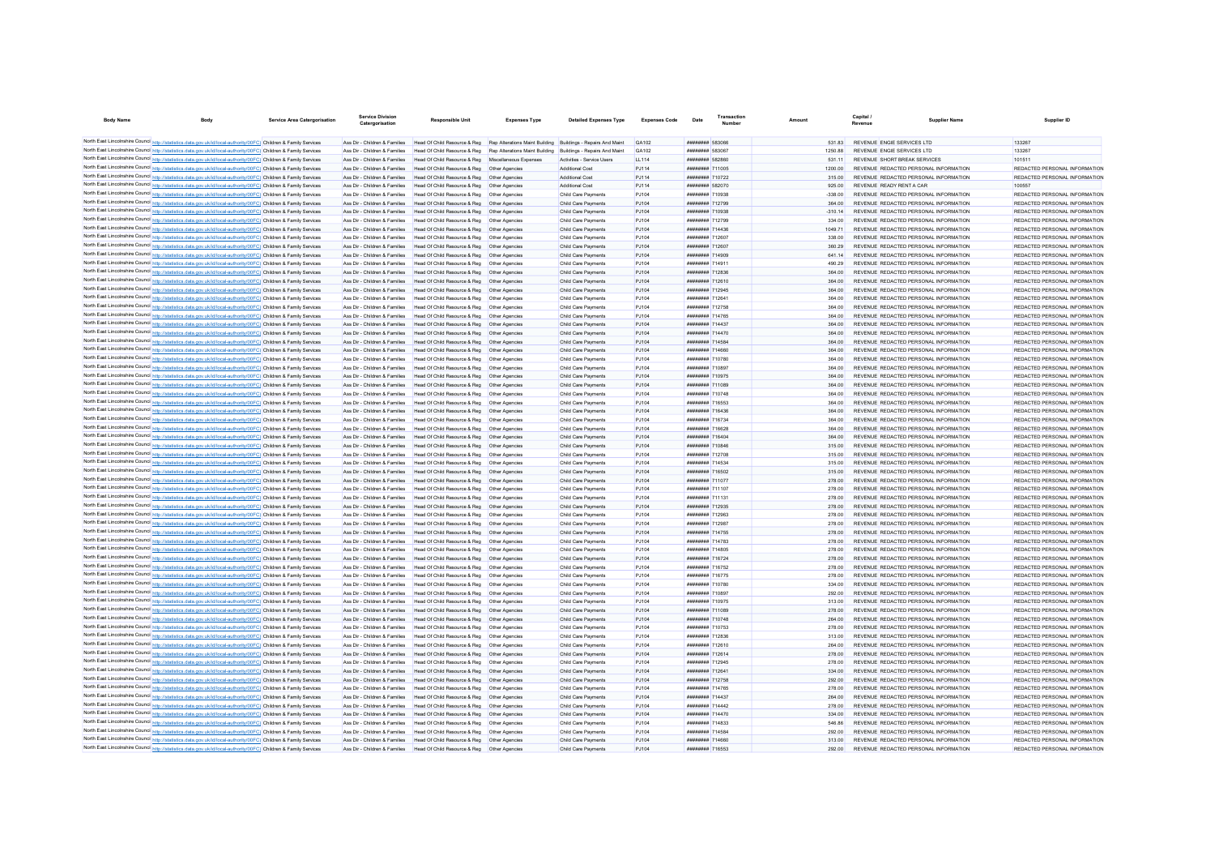| <b>Body Name</b>                                                                                                                                                                                                                       | <b>Body</b> | Service Area Catergorisation | <b>Service Division</b><br>Catergorisation                     | Responsible Unit                                                                                                        | <b>Expenses Type</b> | <b>Detailed Expenses Type</b>              | <b>Expenses Code</b> | Date                                      | Transaction | Amount           | Capital /<br><b>Pavenue</b> | Supplier Name                                                                  | Supplier ID                                                    |
|----------------------------------------------------------------------------------------------------------------------------------------------------------------------------------------------------------------------------------------|-------------|------------------------------|----------------------------------------------------------------|-------------------------------------------------------------------------------------------------------------------------|----------------------|--------------------------------------------|----------------------|-------------------------------------------|-------------|------------------|-----------------------------|--------------------------------------------------------------------------------|----------------------------------------------------------------|
| North East Lincolnshire Council http://statistics.data.gov.uk/id/local-authority/00FC) Children & Family Services                                                                                                                      |             |                              |                                                                | Ass Dir - Children & Families Head Of Child Resource & Reg Rep Alterations Maint Building Buildings - Repairs And Maint |                      |                                            | GA102                | <b>######## 583066</b>                    |             | 531.83           |                             | REVENUE ENGIE SERVICES LTD                                                     | 133267                                                         |
| North East Lincolnshire Council http://statistics.data.gov.uk/id/local-authority/00FC) Children & Family Services                                                                                                                      |             |                              | Ass Dir - Children & Families                                  | Head Of Child Resource & Reg Rep Alterations Maint Building Buildings - Repairs And Maint                               |                      |                                            | GA102                | ######## 583067                           |             | 1250 88          |                             | REVENUE ENGIE SERVICES I TD                                                    | 133267                                                         |
| North East Lincolnshire Council http://statistics.data.gov.uk/id/local-authority/00FC) Children & Family Services                                                                                                                      |             |                              | Ass Dir - Children & Families                                  | Head Of Child Resource & Reg Miscellaneous Expenses                                                                     |                      | Activities - Service Users                 | LL114                | ######## 582860                           |             | 531.1            |                             | REVENUE SHORT BREAK SERVICES                                                   | 101511                                                         |
| North East Lincolnshire Council http://statistics.data.gov.uk/id/local-authority/00FC) Children & Family Services                                                                                                                      |             |                              | Ass Dir - Children & Families                                  | Head Of Child Resource & Reg   Other Agencies                                                                           |                      | Additional Cost                            | PJ114                | ######## 711005                           |             | 1200.00          |                             | REVENUE REDACTED PERSONAL INFORMATION                                          | REDACTED PERSONAL INFORMATION                                  |
| North East Lincolnshire Council http://statistics.data.gov.uk/id/local-authority/00FC) Children & Family Services                                                                                                                      |             |                              | Ass Dir - Children & Families                                  | Head Of Child Resource & Reg   Other Agencies                                                                           |                      | Additional Cost                            | PJ114                | ######## 710722                           |             | 315.00           |                             | REVENUE REDACTED PERSONAL INFORMATION                                          | REDACTED PERSONAL INFORMATION                                  |
| North East Lincolnshire Council http://statistics.data.gov.uk/id/local-authority/00FC) Children & Family Services                                                                                                                      |             |                              | Ass Dir - Children & Families                                  | Head Of Child Resource & Reg   Other Agencies                                                                           |                      | Additional Cost                            | PJ114                | ######## 582070                           |             | 925.00           |                             | REVENUE READY RENT A CAR                                                       | 100557                                                         |
| North East Lincolnshire Council http://statistics.data.gov.uk/id/local-authority/00FC) Children & Family Services                                                                                                                      |             |                              | Ass Dir - Children & Families                                  | Head Of Child Resource & Reg   Other Agencies                                                                           |                      | Child Care Payments                        | PJ104                | ######## 710938                           |             | $-338.00$        |                             | REVENUE REDACTED PERSONAL INFORMATION                                          | REDACTED PERSONAL INFORMATION                                  |
| North East Lincolnshire Council http://statistics.data.gov.uk/id/local-authority/00FC) Children & Family Services                                                                                                                      |             |                              | Ass Dir - Children & Families                                  | Head Of Child Resource & Reg   Other Agencies                                                                           |                      | Child Care Payments                        | PJ104                | ######## 712799                           |             | 364.00           |                             | REVENUE REDACTED PERSONAL INFORMATION                                          | REDACTED PERSONAL INFORMATION                                  |
| North East Lincolnshire Council http://statistics.data.gov.uk/id/local-authority/00FC) Children & Family Services                                                                                                                      |             |                              | Ass Dir - Children & Families                                  | Head Of Child Resource & Reg   Other Agencies                                                                           |                      | Child Care Payments                        | PJ104                | ######## 710938                           |             | $-310.14$        |                             | REVENUE REDACTED PERSONAL INFORMATION                                          | REDACTED PERSONAL INFORMATION                                  |
| North East Lincolnshire Council http://statistics.data.gov.uk/id/local-authority/00FC) Children & Family Services                                                                                                                      |             |                              | Ass Dir - Children & Families                                  | Head Of Child Resource & Reg. Other Agencies                                                                            |                      | Child Care Payments                        | P.1104               | ######## 712799                           |             | 334.00           |                             | REVENUE REDACTED PERSONAL INFORMATION                                          | REDACTED PERSONAL INFORMATION                                  |
| North East Lincolnshire Council http://statistics.data.gov.uk/id/local-authority/00FC) Children & Family Services                                                                                                                      |             |                              | Ass Dir - Children & Families                                  | Head Of Child Resource & Reg   Other Agencies                                                                           |                      | Child Care Payments                        | PJ104                | <b><i><u>BRENHHHH</u></i></b> 714436      |             | 1049 71          |                             | REVENUE REDACTED PERSONAL INFORMATION                                          | REDACTED PERSONAL INFORMATION                                  |
| North East Lincolnshire Council http://statistics.data.gov.uk/id/local-authority/00FC) Children & Family Services                                                                                                                      |             |                              | Ass Dir - Children & Families                                  | Head Of Child Resource & Reg   Other Agencies                                                                           |                      | Child Care Payments                        | PJ104                | <b>######## 712607</b>                    |             | 338.00           |                             | REVENUE REDACTED PERSONAL INFORMATION                                          | REDACTED PERSONAL INFORMATION                                  |
| North East Lincolnshire Council http://statistics.data.gov.uk/id/local-authority/00FC) Children & Family Services                                                                                                                      |             |                              | Ass Dir - Children & Families                                  | Head Of Child Resource & Reg   Other Agencies                                                                           |                      | Child Care Payments                        | PJ104                | <b><i><u>HHHHHHH</u></i></b> 712607       |             | 360.29           |                             | REVENUE REDACTED PERSONAL INFORMATION                                          | REDACTED PERSONAL INFORMATION                                  |
| North East Lincolnshire Council http://statistics.data.gov.uk/id/local-authority/00FC) Children & Family Services                                                                                                                      |             |                              | Ass Dir - Children & Families                                  | Head Of Child Resource & Reg   Other Agencies                                                                           |                      | Child Care Payments                        | PJ104                | <b><i>BREEZEEE 714909</i></b>             |             | 641.14           |                             | REVENUE REDACTED PERSONAL INFORMATION                                          | REDACTED PERSONAL INFORMATION                                  |
| North East Lincolnshire Council http://statistics.data.gov.uk/id/local-authority/00FC) Children & Family Services                                                                                                                      |             |                              | Ass Dir - Children & Families                                  | Head Of Child Resource & Reg   Other Agencies                                                                           |                      | Child Care Payments                        | PJ104                | <b><i>BREEZEEE</i></b> 714911             |             | 490.29           |                             | REVENUE REDACTED PERSONAL INFORMATION                                          | REDACTED PERSONAL INFORMATION                                  |
| North East Lincolnshire Council http://statistics.data.gov.uk/id/local-authority/00FC) Children & Family Services                                                                                                                      |             |                              | Ass Dir - Children & Families                                  | Head Of Child Resource & Reg   Other Agencies                                                                           |                      | Child Care Payments                        | PJ104                | ######## 712836                           |             | 364.00           |                             | REVENUE REDACTED PERSONAL INFORMATION                                          | REDACTED PERSONAL INFORMATION                                  |
| North East Lincolnshire Council http://statistics.data.gov.uk/id/local-authority/00FC) Children & Family Services                                                                                                                      |             |                              | Ass Dir - Children & Families                                  | Head Of Child Resource & Reg   Other Agencies                                                                           |                      | Child Care Payment                         | PJ104                | <b><i>BREEZEE 712610</i></b>              |             | 364.00           |                             | REVENUE REDACTED PERSONAL INFORMATION                                          | REDACTED PERSONAL INFORMATION                                  |
| North East Lincolnshire Council http://statistics.data.gov.uk/id/local-authority/00FC) Children & Family Services                                                                                                                      |             |                              | Ass Dir - Children & Families                                  | Head Of Child Resource & Reg   Other Agencies                                                                           |                      | Child Care Payment                         | PJ104                | ######## 712945                           |             | 364.00           |                             | REVENUE REDACTED PERSONAL INFORMATION                                          | REDACTED PERSONAL INFORMATION                                  |
| North East Lincolnshire Council http://statistics.data.gov.uk/id/local-authority/00FC) Children & Family Services                                                                                                                      |             |                              | Ass Dir - Children & Families                                  | Head Of Child Resource & Reg   Other Agencies                                                                           |                      | Child Care Payments                        | PJ104                | ######## 712641                           |             | 364.00           |                             | REVENUE REDACTED PERSONAL INFORMATION                                          | REDACTED PERSONAL INFORMATION                                  |
| North East Lincolnshire Council http://statistics.data.gov.uk/id/local-authority/00FC) Children & Family Services                                                                                                                      |             |                              | Ass Dir - Children & Families                                  | Head Of Child Resource & Reg   Other Agencies                                                                           |                      | Child Care Payments                        | PJ104                | ######## 712758                           |             | 364.00           |                             | REVENUE REDACTED PERSONAL INFORMATION                                          | REDACTED PERSONAL INFORMATION                                  |
| North East Lincolnshire Council http://statistics.data.gov.uk/id/local-authority/00FC) Children & Family Services                                                                                                                      |             |                              | Ass Dir - Children & Families                                  | Head Of Child Resource & Reg. Other Agencies                                                                            |                      | Child Care Payments                        | PJ104                | <b><i>BREEZER 714765</i></b>              |             | 364.00           |                             | REVENUE REDACTED PERSONAL INFORMATION                                          | REDACTED PERSONAL INFORMATION                                  |
| North East Lincolnshire Council http://statistics.data.gov.uk/id/local-authority/00FC) Children & Family Services                                                                                                                      |             |                              | Ass Dir - Children & Families                                  | Head Of Child Resource & Reg   Other Agencies                                                                           |                      | Child Care Payments                        | PJ104                | <b><i>BREEZER 714437</i></b>              |             | 364.00           |                             | REVENUE REDACTED PERSONAL INFORMATION                                          | REDACTED PERSONAL INFORMATION                                  |
| North East Lincolnshire Council http://statistics.data.gov.uk/id/local-authority/00FC) Children & Family Services                                                                                                                      |             |                              | Ass Dir - Children & Families                                  | Head Of Child Resource & Reg   Other Agencies                                                                           |                      | Child Care Payments                        | PJ104                | <b><i>BREEZERE 714470</i></b>             |             | 364.00           |                             | REVENUE REDACTED PERSONAL INFORMATION                                          | REDACTED PERSONAL INFORMATION                                  |
| North East Lincolnshire Council http://statistics.data.gov.uk/id/local-authority/00FC) Children & Family Services                                                                                                                      |             |                              | Ass Dir - Children & Families                                  | Head Of Child Resource & Reg   Other Agencies                                                                           |                      | Child Care Payments                        | PJ104                | ######## 714584                           |             | 364.00           |                             | REVENUE REDACTED PERSONAL INFORMATION                                          | REDACTED PERSONAL INFORMATION                                  |
| North East Lincolnshire Council http://statistics.data.gov.uk/id/local-authority/00FC) Children & Family Services                                                                                                                      |             |                              | Ass Dir - Children & Families                                  | Head Of Child Resource & Reg. Other Agencies                                                                            |                      | Child Care Payments                        | P.1104               | ######## 714660                           |             | 364.00           |                             | REVENUE REDACTED PERSONAL INFORMATION                                          | REDACTED PERSONAL INFORMATION                                  |
| North East Lincolnshire Council http://statistics.data.gov.uk/id/local-authority/00FC) Children & Family Services                                                                                                                      |             |                              | Ass Dir - Children & Families                                  | Head Of Child Resource & Reg. Other Agencies                                                                            |                      | Child Care Payments                        | P.1104               | ######## 710780                           |             | 364.00           |                             | REVENUE REDACTED PERSONAL INFORMATION                                          | REDACTED PERSONAL INFORMATION                                  |
| North East Lincolnshire Council http://statistics.data.gov.uk/id/local-authority/00FC) Children & Family Services                                                                                                                      |             |                              | Ass Dir - Children & Families                                  | Head Of Child Resource & Reg. Other Agencies                                                                            |                      | Child Care Payments                        | PJ104                | ######## 710897                           |             | 364.00           |                             | REVENUE REDACTED PERSONAL INFORMATION                                          | REDACTED PERSONAL INFORMATION                                  |
| North East Lincolnshire Council http://statistics.data.gov.uk/id/local-authority/00FC) Children & Family Services                                                                                                                      |             |                              | Ass Dir - Children & Families                                  | Head Of Child Resource & Reg   Other Agencies                                                                           |                      | Child Care Payments                        | PJ104                | <b><i>BREEZER 710975</i></b>              |             | 364.00           |                             | REVENUE REDACTED PERSONAL INFORMATION                                          | REDACTED PERSONAL INFORMATION                                  |
| North East Lincolnshire Council http://statistics.data.gov.uk/id/local-authority/00FC) Children & Family Services                                                                                                                      |             |                              | Ass Dir - Children & Families                                  | Head Of Child Resource & Reg   Other Agencies                                                                           |                      | Child Care Payments                        | PJ104                | <b><i>BRENHHHH</i></b> 711089             |             | 364.00           |                             | REVENUE REDACTED PERSONAL INFORMATION                                          | REDACTED PERSONAL INFORMATION                                  |
| North East Lincolnshire Council http://statistics.data.gov.uk/id/local-authority/00FC) Children & Family Services                                                                                                                      |             |                              | Ass Dir - Children & Families                                  | Head Of Child Resource & Reg   Other Agencies                                                                           |                      | Child Care Payments                        | PJ104                | <b><i>BREBBBBB</i></b> 710748             |             | 364.00           |                             | REVENUE REDACTED PERSONAL INFORMATION                                          | REDACTED PERSONAL INFORMATION                                  |
| North East Lincolnshire Council http://statistics.data.gov.uk/id/local-authority/00FC) Children & Family Services                                                                                                                      |             |                              | Ass Dir - Children & Families                                  | Head Of Child Resource & Reg   Other Agencies                                                                           |                      | Child Care Payments                        | PJ104                | <b><i>BREEZER 716553</i></b>              |             | 364.00           |                             | REVENUE REDACTED PERSONAL INFORMATION                                          | REDACTED PERSONAL INFORMATION                                  |
| North East Lincolnshire Council http://statistics.data.gov.uk/id/local-authority/00FC) Children & Family Services                                                                                                                      |             |                              | Ass Dir - Children & Families                                  | Head Of Child Resource & Reg   Other Agencies                                                                           |                      | Child Care Payments                        | PJ104                | ######## 716436                           |             | 364.00           |                             | REVENUE REDACTED PERSONAL INFORMATION                                          | REDACTED PERSONAL INFORMATION                                  |
| North East Lincolnshire Council http://statistics.data.gov.uk/id/local-authority/00FC) Children & Family Services                                                                                                                      |             |                              | Ass Dir - Children & Families                                  | Head Of Child Resource & Reg   Other Agencies                                                                           |                      | Child Care Payments                        | PJ104                | ######## 716734                           |             | 364.00           |                             | REVENUE REDACTED PERSONAL INFORMATION                                          | REDACTED PERSONAL INFORMATION                                  |
| North East Lincolnshire Council http://statistics.data.gov.uk/id/local-authority/00FC) Children & Family Services                                                                                                                      |             |                              | Ass Dir - Children & Families                                  | Head Of Child Resource & Reg   Other Agencies                                                                           |                      | Child Care Payments                        | PJ104                | ######## 716628                           |             | 364.00           |                             | REVENUE REDACTED PERSONAL INFORMATION                                          | REDACTED PERSONAL INFORMATION                                  |
| North East Lincolnshire Council http://statistics.data.gov.uk/id/local-authority/00FC) Children & Family Services                                                                                                                      |             |                              | Ass Dir - Children & Families                                  | Head Of Child Resource & Reg   Other Agencies                                                                           |                      | Child Care Payments                        | PJ104                | ######## 716404                           |             | 364.00           |                             | REVENUE REDACTED PERSONAL INFORMATION                                          | REDACTED PERSONAL INFORMATION                                  |
| North East Lincolnshire Council http://statistics.data.gov.uk/id/local-authority/00FC) Children & Family Services                                                                                                                      |             |                              | Ass Dir - Children & Families                                  | Head Of Child Resource & Reg   Other Agencies                                                                           |                      | Child Care Payments                        | PJ104                | ######## 710846                           |             | 315.00           |                             | REVENUE REDACTED PERSONAL INFORMATION                                          | REDACTED PERSONAL INFORMATION                                  |
| North East Lincolnshire Council http://statistics.data.gov.uk/id/local-authority/00FC) Children & Family Services                                                                                                                      |             |                              | Ass Dir - Children & Families                                  | Head Of Child Resource & Reg   Other Agencies                                                                           |                      | Child Care Payments                        | P.1104               | ######## 712708                           |             | 315.00           |                             | REVENUE REDACTED PERSONAL INFORMATION                                          | REDACTED PERSONAL INFORMATION                                  |
| North East Lincolnshire Council http://statistics.data.gov.uk/id/local-authority/00FC) Children & Family Services                                                                                                                      |             |                              | Ass Dir - Children & Families                                  | Head Of Child Resource & Reg   Other Agencies                                                                           |                      | Child Care Payments                        | PJ104                | ######## 714534                           |             | 315.00           |                             | REVENUE REDACTED PERSONAL INFORMATION                                          | REDACTED PERSONAL INFORMATION                                  |
| North East Lincolnshire Council http://statistics.data.gov.uk/id/local-authority/00FC) Children & Family Services                                                                                                                      |             |                              | Ass Dir - Children & Families                                  | Head Of Child Resource & Reg   Other Agencies                                                                           |                      | Child Care Payments                        | PJ104                | ######## 716502                           |             | 315.00           |                             | REVENUE REDACTED PERSONAL INFORMATION                                          | REDACTED PERSONAL INFORMATION                                  |
| North East Lincolnshire Council http://statistics.data.gov.uk/id/local-authority/00FC) Children & Family Services                                                                                                                      |             |                              | Ass Dir - Children & Families                                  | Head Of Child Resource & Reg   Other Agencies                                                                           |                      | Child Care Payments                        | PJ104                | ######## 711077                           |             | 278.00           |                             | REVENUE REDACTED PERSONAL INFORMATION                                          | REDACTED PERSONAL INFORMATION                                  |
| North East Lincolnshire Council http://statistics.data.gov.uk/id/local-authority/00FC) Children & Family Services                                                                                                                      |             |                              | Ass Dir - Children & Families                                  | Head Of Child Resource & Reg   Other Agencies                                                                           |                      | Child Care Payments                        | P.1104               | ######## 711107                           |             | 278.00           |                             | REVENUE REDACTED PERSONAL INFORMATION                                          | REDACTED PERSONAL INFORMATION                                  |
| North East Lincolnshire Council http://statistics.data.gov.uk/id/local-authority/00FC) Children & Family Services                                                                                                                      |             |                              | Ass Dir - Children & Families                                  | Head Of Child Resource & Reg   Other Agencies                                                                           |                      | Child Care Payments                        | P.1104               | <b><i>BRENHHHH</i></b> 711131             |             | 278.00           |                             | REVENUE REDACTED PERSONAL INFORMATION                                          | REDACTED PERSONAL INFORMATION                                  |
| North East Lincolnshire Council http://statistics.data.gov.uk/id/local-authority/00FC) Children & Family Services                                                                                                                      |             |                              | Ass Dir - Children & Families                                  | Head Of Child Resource & Reg   Other Agencies                                                                           |                      | Child Care Payments                        | PJ104                | <b><i>BREEZER 712935</i></b>              |             | 278.00           |                             | REVENUE REDACTED PERSONAL INFORMATION                                          | REDACTED PERSONAL INFORMATION                                  |
| North East Lincolnshire Council http://statistics.data.gov.uk/id/local-authority/00FC) Children & Family Services                                                                                                                      |             |                              | Ass Dir - Children & Families                                  | Head Of Child Resource & Reg   Other Agencies                                                                           |                      | Child Care Payments                        | P.1104               | <b><i>BRENHHHH</i></b> 712963             |             | 278.00           |                             | REVENUE REDACTED PERSONAL INFORMATION                                          | REDACTED PERSONAL INFORMATION                                  |
| North East Lincolnshire Council http://statistics.data.gov.uk/id/local-authority/00FC) Children & Family Services                                                                                                                      |             |                              | Ass Dir - Children & Families                                  | Head Of Child Resource & Reg   Other Agencies                                                                           |                      | Child Care Payments                        | P.1104               | <b><i>BRENHHHH</i></b> 712087             |             | 278.00           |                             | REVENUE REDACTED PERSONAL INFORMATION                                          | REDACTED PERSONAL INFORMATION                                  |
| North East Lincolnshire Council http://statistics.data.gov.uk/id/local-authority/00FC) Children & Family Services                                                                                                                      |             |                              | Ass Dir - Children & Families                                  | Head Of Child Resource & Reg   Other Agencies                                                                           |                      | Child Care Payments                        | PJ104                | <b><i>BREEZER 714755</i></b>              |             | 278.00           |                             | REVENUE REDACTED PERSONAL INFORMATION                                          | REDACTED PERSONAL INFORMATION                                  |
| North East Lincolnshire Council http://statistics.data.gov.uk/id/local-authority/00FC) Children & Family Services                                                                                                                      |             |                              | Ass Dir - Children & Families                                  |                                                                                                                         |                      |                                            | PJ104                | ######## 714783                           |             | 278.00           |                             | REVENUE REDACTED PERSONAL INFORMATION                                          | REDACTED PERSONAL INFORMATION                                  |
| North East Lincolnshire Council http://statistics.data.gov.uk/id/local-authority/00FC) Children & Family Services                                                                                                                      |             |                              | Ass Dir - Children & Families                                  | Head Of Child Resource & Reg   Other Agencies                                                                           |                      | Child Care Payments                        | P.1104               | <b>########</b> 714805                    |             | 278.00           |                             |                                                                                |                                                                |
|                                                                                                                                                                                                                                        |             |                              |                                                                | Head Of Child Resource & Reg   Other Agencies                                                                           |                      | Child Care Payments                        |                      |                                           |             |                  |                             | REVENUE REDACTED PERSONAL INFORMATION                                          | REDACTED PERSONAL INFORMATION                                  |
| North East Lincolnshire Council http://statistics.data.gov.uk/id/local-authority/00FC) Children & Family Services<br>North East Lincolnshire Council http://statistics.data.gov.uk/id/local-authority/00FC) Children & Family Services |             |                              | Ass Dir - Children & Families<br>Ass Dir - Children & Families | Head Of Child Resource & Reg   Other Agencies<br>Head Of Child Resource & Reg   Other Agencies                          |                      | Child Care Payments<br>Child Care Payments | PJ104<br>PJ104       | ######## 716724<br>######## 716752        |             | 278.00<br>278.00 |                             | REVENUE REDACTED PERSONAL INFORMATION<br>REVENUE REDACTED PERSONAL INFORMATION | REDACTED PERSONAL INFORMATION<br>REDACTED PERSONAL INFORMATION |
| North East Lincolnshire Council http://statistics.data.gov.uk/id/local-authority/00FC) Children & Family Services                                                                                                                      |             |                              | Ass Dir - Children & Families                                  | Head Of Child Resource & Reg   Other Agencies                                                                           |                      | Child Care Payments                        | PJ104                | ######## 716775                           |             | 278.00           |                             | REVENUE REDACTED PERSONAL INFORMATION                                          | REDACTED PERSONAL INFORMATION                                  |
| North East Lincolnshire Council http://statistics.data.gov.uk/id/local-authority/00FC) Children & Family Services                                                                                                                      |             |                              | Ass Dir - Children & Families                                  | Head Of Child Resource & Reg   Other Agencies                                                                           |                      | Child Care Payments                        | P.1104               | <b><i>BREBBBBB</i></b> 710780             |             | 334.00           |                             | REVENUE REDACTED PERSONAL INFORMATION                                          | REDACTED PERSONAL INFORMATION                                  |
| North East Lincolnshire Council http://statistics.data.gov.uk/id/local-authority/00FC) Children & Family Services                                                                                                                      |             |                              | Ass Dir - Children & Families                                  | Head Of Child Resource & Reg   Other Agencies                                                                           |                      | Child Care Payments                        | PJ104                | ######## 710897                           |             | 292.00           |                             | REVENUE REDACTED PERSONAL INFORMATION                                          | REDACTED PERSONAL INFORMATION                                  |
| North East Lincolnshire Council http://statistics.data.gov.uk/id/local-authority/00FC) Children & Family Services                                                                                                                      |             |                              | Ass Dir - Children & Families                                  | Head Of Child Resource & Reg   Other Agencies                                                                           |                      | Child Care Payments                        | PJ104                | <b><i>BREEZERE 710975</i></b>             |             | 313.00           |                             | REVENUE REDACTED PERSONAL INFORMATION                                          | REDACTED PERSONAL INFORMATION                                  |
| North East Lincolnshire Council http://statistics.data.gov.uk/id/local-authority/00FC) Children & Family Services                                                                                                                      |             |                              | Ass Dir - Children & Families                                  | Head Of Child Resource & Reg   Other Agencies                                                                           |                      | Child Care Payments                        | PJ104                | ######## 711089                           |             | 278.00           |                             | REVENUE REDACTED PERSONAL INFORMATION                                          | REDACTED PERSONAL INFORMATION                                  |
| North East Lincolnshire Council http://statistics.data.gov.uk/id/local-authority/00FC) Children & Family Services                                                                                                                      |             |                              | Ass Dir - Children & Families                                  | Head Of Child Resource & Reg. Other Agencies                                                                            |                      | Child Care Payments                        | P.1104               | ######## 710748                           |             | 264.00           |                             | REVENUE REDACTED PERSONAL INFORMATION                                          | REDACTED PERSONAL INFORMATION                                  |
| North East Lincolnshire Council http://statistics.data.gov.uk/id/local-authority/00FC) Children & Family Services                                                                                                                      |             |                              | Ass Dir - Children & Families                                  | Head Of Child Resource & Reg. Other Agencies                                                                            |                      | Child Care Payments                        | P.1104               | ######## 710753                           |             | 278.00           |                             | REVENUE REDACTED PERSONAL INFORMATION                                          | REDACTED PERSONAL INFORMATION                                  |
| North East Lincolnshire Council http://statistics.data.gov.uk/id/local-authority/00FC) Children & Family Services                                                                                                                      |             |                              | Ass Dir - Children & Families                                  | Head Of Child Resource & Reg. Other Agencies                                                                            |                      | Child Care Payments                        | P.1104               | <b>ининнин</b> 712836                     |             | 313.00           |                             | REVENUE REDACTED PERSONAL INFORMATION                                          | REDACTED PERSONAL INFORMATION                                  |
|                                                                                                                                                                                                                                        |             |                              | Ass Dir - Children & Families                                  | Head Of Child Resource & Reg   Other Agencies                                                                           |                      |                                            |                      | <b><i>BREEZEE 712610</i></b>              |             |                  |                             |                                                                                | REDACTED PERSONAL INFORMATION                                  |
| North East Lincolnshire Council http://statistics.data.gov.uk/id/local-authority/00FC) Children & Family Services                                                                                                                      |             |                              |                                                                |                                                                                                                         |                      | Child Care Payments                        | PJ104                | <b><i><u>HHHHHHH</u></i></b> 712614       |             | 264.00           |                             | REVENUE REDACTED PERSONAL INFORMATION                                          |                                                                |
| North East Lincolnshire Council http://statistics.data.gov.uk/id/local-authority/00FC) Children & Family Services                                                                                                                      |             |                              | Ass Dir - Children & Families<br>Ass Dir - Children & Families | Head Of Child Resource & Reg   Other Agencies                                                                           |                      | Child Care Payments                        | P.1104               | <b><i><u>HHHHHHH</u></i></b> 712045       |             | 278.00           |                             | REVENUE REDACTED PERSONAL INFORMATION<br>REVENUE REDACTED PERSONAL INFORMATION | REDACTED PERSONAL INFORMATION<br>REDACTED PERSONAL INFORMATION |
| North East Lincolnshire Council http://statistics.data.gov.uk/id/local-authority/00FC) Children & Family Services                                                                                                                      |             |                              |                                                                | Head Of Child Resource & Reg   Other Agencies                                                                           |                      | Child Care Payments                        | PJ104                | <b>НЕНИМИН 712641</b>                     |             | 278.00           |                             |                                                                                |                                                                |
| North East Lincolnshire Council http://statistics.data.gov.uk/id/local-authority/00FC) Children & Family Services                                                                                                                      |             |                              | Ass Dir - Children & Families                                  | Head Of Child Resource & Reg   Other Agencies                                                                           |                      | Child Care Payments                        | PJ104                |                                           |             | 334.00           |                             | REVENUE REDACTED PERSONAL INFORMATION                                          | REDACTED PERSONAL INFORMATION                                  |
| North East Lincolnshire Council http://statistics.data.gov.uk/id/local-authority/00FC) Children & Family Services                                                                                                                      |             |                              | Ass Dir - Children & Families<br>Ass Dir - Children & Families | Head Of Child Resource & Reg   Other Agencies<br>Head Of Child Resource & Reg   Other Agencies                          |                      | Child Care Payments<br>Child Care Payments | PJ104<br>PJ104       | ######## 712758<br><b>########</b> 714765 |             | 292.00<br>278.00 |                             | REVENUE REDACTED PERSONAL INFORMATION<br>REVENUE REDACTED PERSONAL INFORMATION | REDACTED PERSONAL INFORMATION<br>REDACTED PERSONAL INFORMATION |
| North East Lincolnshire Council http://statistics.data.gov.uk/id/local-authority/00FC) Children & Family Services<br>North East Lincolnshire Council http://statistics.data.gov.uk/id/local-authority/00FC) Children & Family Services |             |                              | Ass Dir - Children & Families                                  | Head Of Child Resource & Reg   Other Agencies                                                                           |                      | Child Care Payments                        | PJ104                | ######## 714437                           |             | 264.00           |                             | REVENUE REDACTED PERSONAL INFORMATION                                          | REDACTED PERSONAL INFORMATION                                  |
| North East Lincolnshire Council http://statistics.data.gov.uk/id/local-authority/00FC) Children & Family Services                                                                                                                      |             |                              | Ass Dir - Children & Families                                  | Head Of Child Resource & Reg   Other Agencies                                                                           |                      | Child Care Payments                        | PJ104                | ######## 714442                           |             | 278.00           |                             | REVENUE REDACTED PERSONAL INFORMATION                                          | REDACTED PERSONAL INFORMATION                                  |
|                                                                                                                                                                                                                                        |             |                              |                                                                |                                                                                                                         |                      |                                            |                      |                                           |             |                  |                             |                                                                                |                                                                |
| North East Lincolnshire Council http://statistics.data.gov.uk/id/local-authority/00FC) Children & Family Services                                                                                                                      |             |                              | Ass Dir - Children & Families<br>Ass Dir - Children & Families | Head Of Child Resource & Reg   Other Agencies                                                                           |                      | Child Care Payments                        | PJ104<br>P.1104      | ######## 714470<br>######## 714833        |             | 334.00<br>546.86 |                             | REVENUE REDACTED PERSONAL INFORMATION<br>REVENUE REDACTED PERSONAL INFORMATION | REDACTED PERSONAL INFORMATION<br>REDACTED PERSONAL INFORMATION |
| North East Lincolnshire Council http://statistics.data.gov.uk/id/local-authority/00FC) Children & Family Services                                                                                                                      |             |                              |                                                                | Head Of Child Resource & Reg   Other Agencies                                                                           |                      | Child Care Payments                        | P.1104               | ######## 714584                           |             | 292.00           |                             |                                                                                |                                                                |
| North East Lincolnshire Council http://statistics.data.gov.uk/id/local-authority/00FC) Children & Family Services<br>North East Lincolnshire Council http://statistics.data.gov.uk/id/local-authority/00FC) Children & Family Services |             |                              | Ass Dir - Children & Families                                  | Head Of Child Resource & Reg   Other Agencies                                                                           |                      | Child Care Payments                        |                      | ######## 714660                           |             | 313.00           |                             | REVENUE REDACTED PERSONAL INFORMATION                                          | REDACTED PERSONAL INFORMATION                                  |
| North East Lincolnshire Council http://statistics.data.gov.uk/id/local-authority/00FC) Children & Family Services                                                                                                                      |             |                              |                                                                | Ass Dir - Children & Families Head Of Child Resource & Reg Other Agencies                                               |                      | Child Care Payments                        | PJ104                | ######## 716553                           |             |                  |                             | REVENUE REDACTED PERSONAL INFORMATION                                          | REDACTED PERSONAL INFORMATION                                  |
|                                                                                                                                                                                                                                        |             |                              |                                                                | Ass Dir - Children & Families Head Of Child Resource & Reg Other Agencies                                               |                      | Child Care Payments                        | P.1104               |                                           |             | 292.00           |                             | REVENUE REDACTED PERSONAL INFORMATION                                          | REDACTED PERSONAL INFORMATION                                  |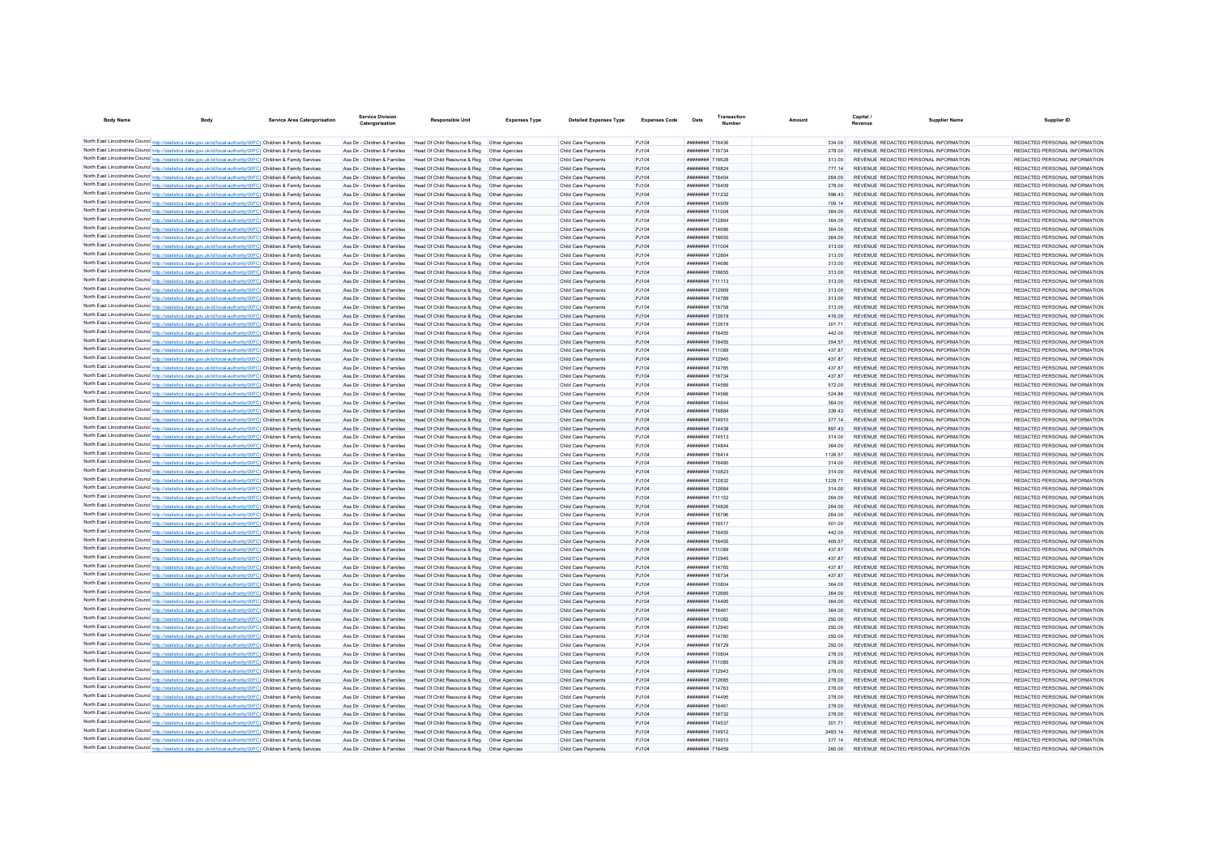| <b>Body Name</b>                                                                                                                                                                                                                       | <b>Body</b> | <b>Service Area Catergorisation</b> | <b>Service Division</b><br>Catergorisation                     | <b>Responsible Unit</b>                                                                      | <b>Expenses Type</b>             | <b>Detailed Expenses Type</b>              | <b>Expenses Code</b> | Date                                             | Transactio | Amount            | Capital /<br>Revenue | Supplier Name                                                                  | Supplier ID                                                    |
|----------------------------------------------------------------------------------------------------------------------------------------------------------------------------------------------------------------------------------------|-------------|-------------------------------------|----------------------------------------------------------------|----------------------------------------------------------------------------------------------|----------------------------------|--------------------------------------------|----------------------|--------------------------------------------------|------------|-------------------|----------------------|--------------------------------------------------------------------------------|----------------------------------------------------------------|
| North East Lincolnshire Council http://statistics.data.gov.uk/id/local-authority/00FC) Children & Family Services                                                                                                                      |             |                                     |                                                                | Ass Dir - Children & Families Head Of Child Resource & Reg. Other Agencies                   |                                  |                                            | P.1104               | <b><i>BREEZER 716436</i></b>                     |            |                   |                      | REVENUE REDACTED PERSONAL INFORMATION                                          | REDACTED PERSONAL INFORMATION                                  |
| North East Lincolnshire Council http://statistics.data.gov.uk/id/local-authority/00FC) Children & Family Services                                                                                                                      |             |                                     | Ass Dir - Children & Families                                  | Head Of Child Resource & Reg. Other Agencies                                                 |                                  | Child Care Payments<br>Child Care Payments | P.1104               | <b><i><u>HHHHHHH</u></i></b> 716734              |            | 334.00<br>278.00  |                      | REVENUE REDACTED PERSONAL INFORMATION                                          | REDACTED PERSONAL INFORMATION                                  |
| North East Lincolnshire Council http://statistics.data.gov.uk/id/local-authority/00FC) Children & Family Services                                                                                                                      |             |                                     | Ass Dir - Children & Families                                  | Head Of Child Resource & Reg   Other Agencies                                                |                                  | Child Care Payments                        | PJ104                |                                                  |            | 313.00            |                      | REVENUE REDACTED PERSONAL INFORMATION                                          | REDACTED PERSONAL INFORMATION                                  |
| North East Lincolnshire Council http://statistics.data.gov.uk/id/local-authority/00FC) Children & Family Services                                                                                                                      |             |                                     | Ass Dir - Children & Families                                  | Head Of Child Resource & Reg   Other Agencies                                                |                                  | Child Care Payments                        | PJ104                | <b>иппинин 716824</b>                            |            | 777.14            |                      | REVENUE REDACTED PERSONAL INFORMATION                                          | REDACTED PERSONAL INFORMATION                                  |
| North East Lincolnshire Council http://statistics.data.gov.uk/id/local-authority/00FC) Children & Family Services                                                                                                                      |             |                                     | Ass Dir - Children & Families                                  | Head Of Child Resource & Reg   Other Agencies                                                |                                  | Child Care Payments                        | PJ104                | <b><i>BREEZER 716404</i></b>                     |            | 264.00            |                      | REVENUE REDACTED PERSONAL INFORMATION                                          | REDACTED PERSONAL INFORMATION                                  |
| North East Lincolnshire Council http://statistics.data.gov.uk/id/local-authority/00FC) Children & Family Services                                                                                                                      |             |                                     | Ass Dir - Children & Families                                  | Head Of Child Resource & Reg   Other Agencies                                                |                                  | Child Care Payments                        | PJ104                | <b><i>BREEHEEE</i></b> 716409                    |            | 278.00            |                      | REVENUE REDACTED PERSONAL INFORMATION                                          | REDACTED PERSONAL INFORMATION                                  |
| North East Lincolnshire Council http://statistics.data.gov.uk/id/local-authority/00FC) Children & Family Services                                                                                                                      |             |                                     | Ass Dir - Children & Families                                  | Head Of Child Resource & Reg                                                                 | Other Agencies                   | Child Care Payments                        | PJ104                | ######## 711232                                  |            | 596.43            |                      | REVENUE REDACTED PERSONAL INFORMATION                                          | REDACTED PERSONAL INFORMATION                                  |
| North East Lincolnshire Council http://statistics.data.gov.uk/id/local-authority/00FC) Children & Family Services                                                                                                                      |             |                                     | Ass Dir - Children & Families                                  | Head Of Child Resource & Reg                                                                 | Other Agencies                   | Child Care Payments                        | PJ104                | ######## 714909                                  |            | 709.14            |                      | REVENUE REDACTED PERSONAL INFORMATION                                          | REDACTED PERSONAL INFORMATION                                  |
| North East Lincolnshire Council http://statistics.data.gov.uk/id/local-authority/00FC) Children & Family Services                                                                                                                      |             |                                     | Ass Dir - Children & Families                                  | Head Of Child Resource & Reg                                                                 | Other Anencies                   | Child Care Payments                        | P.1104               | ######## 711004                                  |            | 364.00            |                      | REVENUE REDACTED PERSONAL INFORMATION                                          | REDACTED PERSONAL INFORMATION                                  |
| North East Lincolnshire Council http://statistics.data.gov.uk/id/local-authority/00FC) Children & Family Services                                                                                                                      |             |                                     | Ass Dir - Children & Families                                  | Head Of Child Resource & Reg                                                                 | Other Agencies                   | Child Care Payments                        | PJ104                | <b><i>BREEBER 712864</i></b>                     |            | 364.00            |                      | REVENUE REDACTED PERSONAL INFORMATION                                          | REDACTED PERSONAL INFORMATION                                  |
| North East Lincolnshire Council http://statistics.data.gov.uk/id/local-authority/00FC) Children & Family Services                                                                                                                      |             |                                     | Ass Dir - Children & Families                                  | Head Of Child Resource & Reg                                                                 | Other Agencies                   | Child Care Payments                        | PJ104                | <b><i>BRAHHHHH 714686</i></b>                    |            | 364.00            |                      | REVENUE REDACTED PERSONAL INFORMATION                                          | REDACTED PERSONAL INFORMATION                                  |
| North East Lincolnshire Council http://statistics.data.gov.uk/id/local-authority/00FC) Children & Family Services                                                                                                                      |             |                                     | Ass Dir - Children & Families<br>Ass Dir - Children & Families | Head Of Child Resource & Reg<br>Head Of Child Resource & Reg.                                | Other Agencies                   | Child Care Payments<br>Child Care Payments | PJ104                | ######## 716655<br><b><i>BREEZERE 711004</i></b> |            | 364.00            |                      | REVENUE REDACTED PERSONAL INFORMATION                                          | REDACTED PERSONAL INFORMATION<br>REDACTED PERSONAL INFORMATION |
| North East Lincolnshire Council http://statistics.data.gov.uk/id/local-authority/00FC) Children & Family Services<br>North East Lincolnshire Council http://statistics.data.gov.uk/id/local-authority/00FC) Children & Family Services |             |                                     | Ass Dir - Children & Families                                  | Head Of Child Resource & Reg.                                                                | Other Agencies<br>Other Anencies | Child Care Payments                        | P.1104<br>P.1104     | <b>иппинин 712864</b>                            |            | 313.00<br>313.00  |                      | REVENUE REDACTED PERSONAL INFORMATION<br>REVENUE REDACTED PERSONAL INFORMATION | REDACTED PERSONAL INFORMATION                                  |
| North East Lincolnshire Council http://statistics.data.gov.uk/id/local-authority/00FC) Children & Family Services                                                                                                                      |             |                                     | Ass Dir - Children & Families                                  | Head Of Child Resource & Reg                                                                 | Other Anencies                   | Child Care Payments                        | PJ104                | <b>иппинин</b> 714686                            |            | 313.00            |                      | REVENUE REDACTED PERSONAL INFORMATION                                          | REDACTED PERSONAL INFORMATION                                  |
| North East Lincolnshire Council http://statistics.data.gov.uk/id/local-authority/00FC) Children & Family Services                                                                                                                      |             |                                     | Ass Dir - Children & Families                                  | Head Of Child Resource & Reg.                                                                | Other Anencies                   | Child Care Payments                        | PJ104                | <b><i>HRHHHHHH 716655</i></b>                    |            | 313.00            |                      | REVENUE REDACTED PERSONAL INFORMATION                                          | REDACTED PERSONAL INFORMATION                                  |
| North East Lincolnshire Council http://statistics.data.gov.uk/id/local-authority/00FC) Children & Family Services                                                                                                                      |             |                                     | Ass Dir - Children & Families                                  | Head Of Child Resource & Reg  Other Agencies                                                 |                                  | Child Care Payments                        | PJ104                | <b><i>BRENHHHH</i></b> 711113                    |            | 313.00            |                      | REVENUE REDACTED PERSONAL INFORMATION                                          | REDACTED PERSONAL INFORMATION                                  |
| North East Lincolnshire Council http://statistics.data.gov.uk/id/local-authority/00FC) Children & Family Services                                                                                                                      |             |                                     | Ass Dir - Children & Families                                  | Head Of Child Resource & Reg                                                                 | Other Agencies                   | Child Care Payments                        | PJ104                | <b>иппинин 712969</b>                            |            | 313.00            |                      | REVENUE REDACTED PERSONAL INFORMATION                                          | REDACTED PERSONAL INFORMATION                                  |
| North East Lincolnshire Council http://statistics.data.gov.uk/id/local-authority/00FC) Children & Family Services                                                                                                                      |             |                                     | Ass Dir - Children & Families                                  | Head Of Child Resource & Reg   Other Agencies                                                |                                  | Child Care Payments                        | PJ104                | ######## 714789                                  |            | 313.00            |                      | REVENUE REDACTED PERSONAL INFORMATION                                          | REDACTED PERSONAL INFORMATION                                  |
| North East Lincolnshire Council http://statistics.data.gov.uk/id/local-authority/00FC) Children & Family Services                                                                                                                      |             |                                     | Ass Dir - Children & Families                                  | Head Of Child Resource & Reg                                                                 | Other Agencies                   | Child Care Payments                        | PJ104                | <b><i>BREEZER 716758</i></b>                     |            | 313.00            |                      | REVENUE REDACTED PERSONAL INFORMATION                                          | REDACTED PERSONAL INFORMATION                                  |
| North East Lincolnshire Council http://statistics.data.gov.uk/id/local-authority/00FC) Children & Family Services                                                                                                                      |             |                                     | Ass Dir - Children & Families                                  | Head Of Child Resource & Reg                                                                 | Other Agencies                   | Child Care Payments                        | PJ104                | ######## 712619                                  |            | 416.00            |                      | REVENUE REDACTED PERSONAL INFORMATION                                          | REDACTED PERSONAL INFORMATION                                  |
| North East Lincolnshire Council http://statistics.data.gov.uk/id/local-authority/00FC) Children & Family Services                                                                                                                      |             |                                     | Ass Dir - Children & Families                                  | Head Of Child Resource & Reg                                                                 | Other Agencies                   | Child Care Payments                        | PJ104                | ######## 712619                                  |            | 301.71            |                      | REVENUE REDACTED PERSONAL INFORMATION                                          | REDACTED PERSONAL INFORMATION                                  |
| North East Lincolnshire Council http://statistics.data.gov.uk/id/local-authority/00FC) Children & Family Services                                                                                                                      |             |                                     | Ass Dir - Children & Families                                  | Head Of Child Resource & Reg                                                                 | Other Agencies                   | Child Care Payments                        | PJ104                | ######## 716455                                  |            | 442.00            |                      | REVENUE REDACTED PERSONAL INFORMATION                                          | REDACTED PERSONAL INFORMATION                                  |
| North East Lincolnshire Council http://statistics.data.gov.uk/id/local-authority/00FC) Children & Family Services                                                                                                                      |             |                                     | Ass Dir - Children & Families                                  | Head Of Child Resource & Reg                                                                 | Other Anencies                   | Child Care Payments                        | PJ104                | ######## 716455                                  |            | 354.57            |                      | REVENUE REDACTED PERSONAL INFORMATION                                          | REDACTED PERSONAL INFORMATION                                  |
| North East Lincolnshire Council http://statistics.data.gov.uk/id/local-authority/00FC) Children & Family Services                                                                                                                      |             |                                     | Ass Dir - Children & Families                                  | Head Of Child Resource & Reg                                                                 | Other Agencies                   | Child Care Payments                        | PJ104                | ######## 711089                                  |            | 437 87            |                      | REVENUE REDACTED PERSONAL INFORMATION                                          | REDACTED PERSONAL INFORMATION                                  |
| North East Lincolnshire Council http://statistics.data.gov.uk/id/local-authority/00FC) Children & Family Services                                                                                                                      |             |                                     | Ass Dir - Children & Families<br>Ass Dir - Children & Families | Head Of Child Resource & Reg<br>Head Of Child Resource & Reg                                 | Other Agencies                   | Child Care Payments<br>Child Care Payments | PJ104                | ######## 712945<br>######## 714765               |            | 437.87            |                      | REVENUE REDACTED PERSONAL INFORMATION<br>REVENUE REDACTED PERSONAL INFORMATION | REDACTED PERSONAL INFORMATION<br>REDACTED PERSONAL INFORMATION |
| North East Lincolnshire Council http://statistics.data.gov.uk/id/local-authority/00FC) Children & Family Services<br>North East Lincolnshire Council http://statistics.data.gov.uk/id/local-authority/00FC) Children & Family Services |             |                                     | Ass Dir - Children & Families                                  | Head Of Child Resource & Reg                                                                 | Other Agencies<br>Other Agencies | Child Care Payments                        | P.1104<br>PJ104      | ######## 716734                                  |            | 43787<br>437 87   |                      | REVENUE REDACTED PERSONAL INFORMATION                                          | REDACTED PERSONAL INFORMATION                                  |
| North East Lincolnshire Council http://statistics.data.gov.uk/id/local-authority/00FC) Children & Family Services                                                                                                                      |             |                                     | Ass Dir - Children & Families                                  | Head Of Child Resource & Reg                                                                 | Other Anencies                   | Child Care Payments                        | PJ104                | <b><i>BREEZER 714566</i></b>                     |            | 572.00            |                      | REVENUE REDACTED PERSONAL INFORMATION                                          | REDACTED PERSONAL INFORMATION                                  |
| North East Lincolnshire Council http://statistics.data.gov.uk/id/local-authority/00FC) Children & Family Services                                                                                                                      |             |                                     | Ass Dir - Children & Families                                  | Head Of Child Resource & Reg   Other Agencies                                                |                                  | Child Care Payments                        | PJ104                | <b><i>BREEZER 714566</i></b>                     |            | 524.86            |                      | REVENUE REDACTED PERSONAL INFORMATION                                          | REDACTED PERSONAL INFORMATION                                  |
| North East Lincolnshire Council http://statistics.data.gov.uk/id/local-authority/00FC) Children & Family Services                                                                                                                      |             |                                     | Ass Dir - Children & Families                                  | Head Of Child Resource & Reg. Other Agencies                                                 |                                  | Child Care Payments                        | PJ104                | <b><i><u>HHHHHHH</u></i></b> 714844              |            | 364.00            |                      | REVENUE REDACTED PERSONAL INFORMATION                                          | REDACTED PERSONAL INFORMATION                                  |
| North East Lincolnshire Council http://statistics.data.gov.uk/id/local-authority/00FC) Children & Family Services                                                                                                                      |             |                                     | Ass Dir - Children & Families                                  | Head Of Child Resource & Reg   Other Agencies                                                |                                  | Child Care Payments                        | PJ104                | <b><i><u>HHHHHHH</u></i></b> 716884              |            | 339.43            |                      | REVENUE REDACTED PERSONAL INFORMATION                                          | REDACTED PERSONAL INFORMATION                                  |
| North East Lincolnshire Council http://statistics.data.gov.uk/id/local-authority/00FC) Children & Family Services                                                                                                                      |             |                                     | Ass Dir - Children & Families                                  | Head Of Child Resource & Reg  Other Agencies                                                 |                                  | Child Care Payments                        | PJ104                | <b><i>BREEZEEE</i></b> 714910                    |            | 377.14            |                      | REVENUE REDACTED PERSONAL INFORMATION                                          | REDACTED PERSONAL INFORMATION                                  |
| North East Lincolnshire Council http://statistics.data.gov.uk/id/local-authority/00FC) Children & Family Services                                                                                                                      |             |                                     | Ass Dir - Children & Families                                  | Head Of Child Resource & Reg   Other Agencies                                                |                                  | Child Care Payments                        | PJ104                | ######## 714438                                  |            | 897.43            |                      | REVENUE REDACTED PERSONAL INFORMATION                                          | REDACTED PERSONAL INFORMATION                                  |
| North East Lincolnshire Council http://statistics.data.gov.uk/id/local-authority/00FC) Children & Family Services                                                                                                                      |             |                                     | Ass Dir - Children & Families                                  | Head Of Child Resource & Reg                                                                 | Other Agencies                   | Child Care Payments                        | PJ104                | ######## 714513                                  |            | 314.00            |                      | REVENUE REDACTED PERSONAL INFORMATION                                          | REDACTED PERSONAL INFORMATION                                  |
| North East Lincolnshire Council http://statistics.data.gov.uk/id/local-authority/00FC) Children & Family Services                                                                                                                      |             |                                     | Ass Dir - Children & Families                                  | Head Of Child Resource & Reg                                                                 | Other Agencies                   | Child Care Payments                        | PJ104                | ######## 714844                                  |            | 364.00            |                      | REVENUE REDACTED PERSONAL INFORMATION                                          | REDACTED PERSONAL INFORMATION                                  |
| North East Lincolnshire Council http://statistics.data.gov.uk/id/local-authority/00FC) Children & Family Services                                                                                                                      |             |                                     | Ass Dir - Children & Families                                  | Head Of Child Resource & Reg                                                                 | Other Agencies                   | Child Care Payments                        | PJ104                | ######## 716414                                  |            | 1126.57           |                      | REVENUE REDACTED PERSONAL INFORMATION                                          | REDACTED PERSONAL INFORMATION                                  |
| North East Lincolnshire Council http://statistics.data.gov.uk/id/local-authority/00FC) Children & Family Services                                                                                                                      |             |                                     | Ass Dir - Children & Families<br>Ass Dir - Children & Families | Head Of Child Resource & Reg                                                                 | Other Agencies<br>Other Agencies | Child Care Payments                        | PJ104                | ######## 716480<br>######## 710823               |            | 314.00            |                      | REVENUE REDACTED PERSONAL INFORMATION<br>REVENUE REDACTED PERSONAL INFORMATION | REDACTED PERSONAL INFORMATION<br>REDACTED PERSONAL INFORMATION |
| North East Lincolnshire Council http://statistics.data.gov.uk/id/local-authority/00FC) Children & Family Services<br>North East Lincolnshire Council http://statistics.data.gov.uk/id/local-authority/00FC) Children & Family Services |             |                                     | Ass Dir - Children & Families                                  | Head Of Child Resource & Reg<br>Head Of Child Resource & Reg                                 | Other Agencies                   | Child Care Payments<br>Child Care Payments | PJ104<br>PJ104       | <b><i>BREADER 312832</i></b>                     |            | 314.00<br>1329 71 |                      | REVENUE REDACTED PERSONAL INFORMATION                                          | REDACTED PERSONAL INFORMATION                                  |
| North East Lincolnshire Council http://statistics.data.gov.uk/id/local-authority/00FC) Children & Family Services                                                                                                                      |             |                                     | Ass Dir - Children & Families                                  | Head Of Child Resource & Reg   Other Agencies                                                |                                  | Child Care Payments                        | PJ104                | ######## 712684                                  |            | 314.00            |                      | REVENUE REDACTED PERSONAL INFORMATION                                          | REDACTED PERSONAL INFORMATION                                  |
| North East Lincolnshire Council http://statistics.data.gov.uk/id/local-authority/00FC) Children & Family Services                                                                                                                      |             |                                     | Ass Dir - Children & Families                                  | Head Of Child Resource & Reg Other Agencies                                                  |                                  | Child Care Payments                        | P.1104               | <b><i>BREEZER 711152</i></b>                     |            | 264.00            |                      | REVENUE REDACTED PERSONAL INFORMATION                                          | REDACTED PERSONAL INFORMATION                                  |
| North East Lincolnshire Council http://statistics.data.gov.uk/id/local-authority/00FC) Children & Family Services                                                                                                                      |             |                                     | Ass Dir - Children & Families                                  | Head Of Child Resource & Reg   Other Agencies                                                |                                  | Child Care Payments                        | P.1104               | <b>иннинии 714826</b>                            |            | 264.00            |                      | REVENUE REDACTED PERSONAL INFORMATION                                          | REDACTED PERSONAL INFORMATION                                  |
| North East Lincolnshire Council http://statistics.data.gov.uk/id/local-authority/00FC) Children & Family Services                                                                                                                      |             |                                     | Ass Dir - Children & Families                                  | Head Of Child Resource & Reg   Other Agencies                                                |                                  | Child Care Payments                        | PJ104                | <b><i>BREBBREE</i></b> 716796                    |            | 264.00            |                      | REVENUE REDACTED PERSONAL INFORMATION                                          | REDACTED PERSONAL INFORMATION                                  |
| North East Lincolnshire Council http://statistics.data.gov.uk/id/local-authority/00FC) Children & Family Services                                                                                                                      |             |                                     | Ass Dir - Children & Families                                  | Head Of Child Resource & Reg   Other Agencies                                                |                                  | Child Care Payments                        | PJ104                | <b><i>BRENHHHH</i></b> 716517                    |            | 501.00            |                      | REVENUE REDACTED PERSONAL INFORMATION                                          | REDACTED PERSONAL INFORMATION                                  |
| North East Lincolnshire Council http://statistics.data.gov.uk/id/local-authority/00FC) Children & Family Services                                                                                                                      |             |                                     | Ass Dir - Children & Families                                  | Head Of Child Resource & Reg   Other Agencies                                                |                                  | Child Care Payments                        | P.1104               | <b><i>HRRHHHHH 716455</i></b>                    |            | 442.00            |                      | REVENUE REDACTED PERSONAL INFORMATION                                          | REDACTED PERSONAL INFORMATION                                  |
| North East Lincolnshire Council http://statistics.data.gov.uk/id/local-authority/00FC) Children & Family Services                                                                                                                      |             |                                     | Ass Dir - Children & Families                                  | Head Of Child Resource & Reg  Other Agencies                                                 |                                  | Child Care Payments                        | PJ104                | <b><i>BREEZER 716455</i></b>                     |            | 405.57            |                      | REVENUE REDACTED PERSONAL INFORMATION                                          | REDACTED PERSONAL INFORMATION                                  |
| North East Lincolnshire Council http://statistics.data.gov.uk/id/local-authority/00FC) Children & Family Services                                                                                                                      |             |                                     | Ass Dir - Children & Families                                  | Head Of Child Resource & Reg   Other Agencies                                                |                                  | Child Care Payments                        | PJ104                | ######## 711089                                  |            | 437.87            |                      | REVENUE REDACTED PERSONAL INFORMATION                                          | REDACTED PERSONAL INFORMATION                                  |
| North East Lincolnshire Council http://statistics.data.gov.uk/id/local-authority/00FC) Children & Family Services                                                                                                                      |             |                                     | Ass Dir - Children & Families                                  | Head Of Child Resource & Reg   Other Agencies                                                |                                  | Child Care Payments                        | PJ104                | ######## 712945                                  |            | 437.87            |                      | REVENUE REDACTED PERSONAL INFORMATION                                          | REDACTED PERSONAL INFORMATION                                  |
| North East Lincolnshire Council http://statistics.data.gov.uk/id/local-authority/00FC) Children & Family Services                                                                                                                      |             |                                     | Ass Dir - Children & Families                                  | Head Of Child Resource & Reg   Other Agencies                                                |                                  | Child Care Payments                        | PJ104                | <b><i>BREEZER 714765</i></b>                     |            | 437.87            |                      | REVENUE REDACTED PERSONAL INFORMATION                                          | REDACTED PERSONAL INFORMATION                                  |
| North East Lincolnshire Council http://statistics.data.gov.uk/id/local-authority/00FC) Children & Family Services                                                                                                                      |             |                                     | Ass Dir - Children & Families                                  | Head Of Child Resource & Reg   Other Agencies                                                |                                  | Child Care Payments                        | PJ104                | ######## 716734                                  |            | 437.87            |                      | REVENUE REDACTED PERSONAL INFORMATION                                          | REDACTED PERSONAL INFORMATION                                  |
| North East Lincolnshire Council http://statistics.data.gov.uk/id/local-authority/00FC) Children & Family Services                                                                                                                      |             |                                     | Ass Dir - Children & Families<br>Ass Dir - Children & Families | Head Of Child Resource & Reg  Other Agencies<br>Head Of Child Resource & Reg. Other Agencies |                                  | Child Care Payments                        | PJ104<br>P.1104      | ######## 710804<br><b>иннинии 712665</b>         |            | 364.00<br>364.00  |                      | REVENUE REDACTED PERSONAL INFORMATION<br>REVENUE REDACTED PERSONAL INFORMATION | REDACTED PERSONAL INFORMATION<br>REDACTED PERSONAL INFORMATION |
| North East Lincolnshire Council http://statistics.data.gov.uk/id/local-authority/00FC) Children & Family Services<br>North East Lincolnshire Council http://statistics.data.gov.uk/id/local-authority/00FC) Children & Family Services |             |                                     | Ass Dir - Children & Families                                  | Head Of Child Resource & Reg   Other Agencies                                                |                                  | Child Care Payments<br>Child Care Payments | PJ104                | <b><i>BREEZER 714495</i></b>                     |            | 364.00            |                      | REVENUE REDACTED PERSONAL INFORMATION                                          | REDACTED PERSONAL INFORMATION                                  |
| North East Lincolnshire Council http://statistics.data.gov.uk/id/local-authority/00FC) Children & Family Services                                                                                                                      |             |                                     | Ass Dir - Children & Families                                  | Head Of Child Resource & Reg   Other Agencies                                                |                                  | Child Care Payments                        | PJ104                | <b><i>BREEZER 716461</i></b>                     |            | 364.00            |                      | REVENUE REDACTED PERSONAL INFORMATION                                          | REDACTED PERSONAL INFORMATION                                  |
| North East Lincolnshire Council http://statistics.data.gov.uk/id/local-authority/00FC) Children & Family Services                                                                                                                      |             |                                     | Ass Dir - Children & Families                                  | Head Of Child Resource & Reg   Other Agencies                                                |                                  | Child Care Payments                        | PJ104                | ######## 711082                                  |            | 292.00            |                      | REVENUE REDACTED PERSONAL INFORMATION                                          | REDACTED PERSONAL INFORMATION                                  |
| North East Lincolnshire Council http://statistics.data.gov.uk/id/local-authority/00FC) Children & Family Services                                                                                                                      |             |                                     | Ass Dir - Children & Families                                  | Head Of Child Resource & Reg. Other Agencies                                                 |                                  | Child Care Payments                        | P.1104               | ######## 712940                                  |            | 292.00            |                      | REVENUE REDACTED PERSONAL INFORMATION                                          | REDACTED PERSONAL INFORMATION                                  |
| North East Lincolnshire Council http://statistics.data.gov.uk/id/local-authority/00FC) Children & Family Services                                                                                                                      |             |                                     | Ass Dir - Children & Families                                  | Head Of Child Resource & Reg. Other Agencies                                                 |                                  | Child Care Payments                        | P.1104               | ######## 714760                                  |            | 292.00            |                      | REVENUE REDACTED PERSONAL INFORMATION                                          | REDACTED PERSONAL INFORMATION                                  |
| North East Lincolnshire Council http://statistics.data.gov.uk/id/local-authority/00FC) Children & Family Services                                                                                                                      |             |                                     | Ass Dir - Children & Families                                  | Head Of Child Resource & Reg. Other Agencies                                                 |                                  | Child Care Payments                        | P.1104               | ######## 716729                                  |            | 292.00            |                      | REVENUE REDACTED PERSONAL INFORMATION                                          | REDACTED PERSONAL INFORMATION                                  |
| North East Lincolnshire Council http://statistics.data.gov.uk/id/local-authority/00FC) Children & Family Services                                                                                                                      |             |                                     | Ass Dir - Children & Families                                  | Head Of Child Resource & Reg   Other Agencies                                                |                                  | Child Care Payments                        | PJ104                | <b><i>BREEZER 710804</i></b>                     |            | 278.00            |                      | REVENUE REDACTED PERSONAL INFORMATION                                          | REDACTED PERSONAL INFORMATION                                  |
| North East Lincolnshire Council http://statistics.data.gov.uk/id/local-authority/00FC) Children & Family Services                                                                                                                      |             |                                     | Ass Dir - Children & Families                                  | Head Of Child Resource & Reg  Other Agencies                                                 |                                  | Child Care Payments                        | PJ104                | <b><i>BREADNAH</i></b> 711085                    |            | 278.00            |                      | REVENUE REDACTED PERSONAL INFORMATION                                          | REDACTED PERSONAL INFORMATION                                  |
| North East Lincolnshire Council http://statistics.data.gov.uk/id/local-authority/00FC) Children & Family Services                                                                                                                      |             |                                     | Ass Dir - Children & Families                                  | Head Of Child Resource & Reg   Other Agencies                                                |                                  | Child Care Payments                        | PJ104                | <b><i>HRRHHHHH</i></b> 712043                    |            | 278.00            |                      | REVENUE REDACTED PERSONAL INFORMATION                                          | REDACTED PERSONAL INFORMATION                                  |
| North East Lincolnshire Council http://statistics.data.gov.uk/id/local-authority/00FC) Children & Family Services                                                                                                                      |             |                                     | Ass Dir - Children & Families                                  | Head Of Child Resource & Reg   Other Agencies                                                |                                  | Child Care Payments                        | PJ104                | <b>######## 712665</b>                           |            | 278.00            |                      | REVENUE REDACTED PERSONAL INFORMATION                                          | REDACTED PERSONAL INFORMATION                                  |
| North East Lincolnshire Council http://statistics.data.gov.uk/id/local-authority/00FC) Children & Family Services                                                                                                                      |             |                                     | Ass Dir - Children & Families                                  | Head Of Child Resource & Reg   Other Agencies                                                |                                  | Child Care Payments                        | PJ104                | <b><i>HRRHHHHH 714763</i></b>                    |            | 278.00            |                      | REVENUE REDACTED PERSONAL INFORMATION                                          | REDACTED PERSONAL INFORMATION                                  |
| North East Lincolnshire Council http://statistics.data.gov.uk/id/local-authority/00FC) Children & Family Services                                                                                                                      |             |                                     | Ass Dir - Children & Families                                  | Head Of Child Resource & Reg   Other Agencies                                                |                                  | Child Care Payments                        | PJ104                | <b><i>BREEHERE</i></b> 714495                    |            | 278.00            |                      | REVENUE REDACTED PERSONAL INFORMATION                                          | REDACTED PERSONAL INFORMATION                                  |
| North East Lincolnshire Council http://statistics.data.gov.uk/id/local-authority/00FC) Children & Family Services<br>North East Lincolnshire Council http://statistics.data.gov.uk/id/local-authority/00FC) Children & Family Services |             |                                     | Ass Dir - Children & Families<br>Ass Dir - Children & Families | Head Of Child Resource & Reg<br>Head Of Child Resource & Reg                                 | Other Agencies<br>Other Agencies | Child Care Payments                        | PJ104<br>PJ104       | ######## 716461<br>######## 716732               |            | 278.00<br>278.00  |                      | REVENUE REDACTED PERSONAL INFORMATION<br>REVENUE REDACTED PERSONAL INFORMATION | REDACTED PERSONAL INFORMATION<br>REDACTED PERSONAL INFORMATION |
| North East Lincolnshire Council http://statistics.data.gov.uk/id/local-authority/00FC) Children & Family Services                                                                                                                      |             |                                     | Ass Dir - Children & Families                                  | Head Of Child Resource & Reg   Other Agencies                                                |                                  | Child Care Payments<br>Child Care Payments | P.1104               | <b><i>BRENHHHH</i></b> 714537                    |            | 301.71            |                      | REVENUE REDACTED PERSONAL INFORMATION                                          | REDACTED PERSONAL INFORMATION                                  |
| North East Lincolnshire Council http://statistics.data.gov.uk/id/local-authority/00FC) Children & Family Services                                                                                                                      |             |                                     | Ass Dir - Children & Families                                  | Head Of Child Resource & Reg   Other Agencies                                                |                                  | Child Care Payments                        | P.1104               | <b><i>BRENHHHH</i></b> 714912                    |            | 3483 14           |                      | REVENUE REDACTED PERSONAL INFORMATION                                          | REDACTED PERSONAL INFORMATION                                  |
| North East Lincolnshire Council http://statistics.data.gov.uk/id/local-authority/00FC) Children & Family Services                                                                                                                      |             |                                     |                                                                | Ass Dir - Children & Families Head Of Child Resource & Reg Other Agencies                    |                                  | Child Care Payments                        | PJ104                | <b><i>BREEHEEE</i></b> 714910                    |            | 377 14            |                      | REVENUE REDACTED PERSONAL INFORMATION                                          | REDACTED PERSONAL INFORMATION                                  |
| North East Lincolnshire Council http://statistics.data.gov.uk/id/local-authority/00FC) Children & Family Services                                                                                                                      |             |                                     |                                                                | Ass Dir - Children & Families Head Of Child Resource & Reg Other Agencies                    |                                  | Child Care Payments                        | P.1104               | <b>########</b> 716459                           |            | 260.00            |                      | REVENUE REDACTED PERSONAL INFORMATION                                          | REDACTED PERSONAL INFORMATION                                  |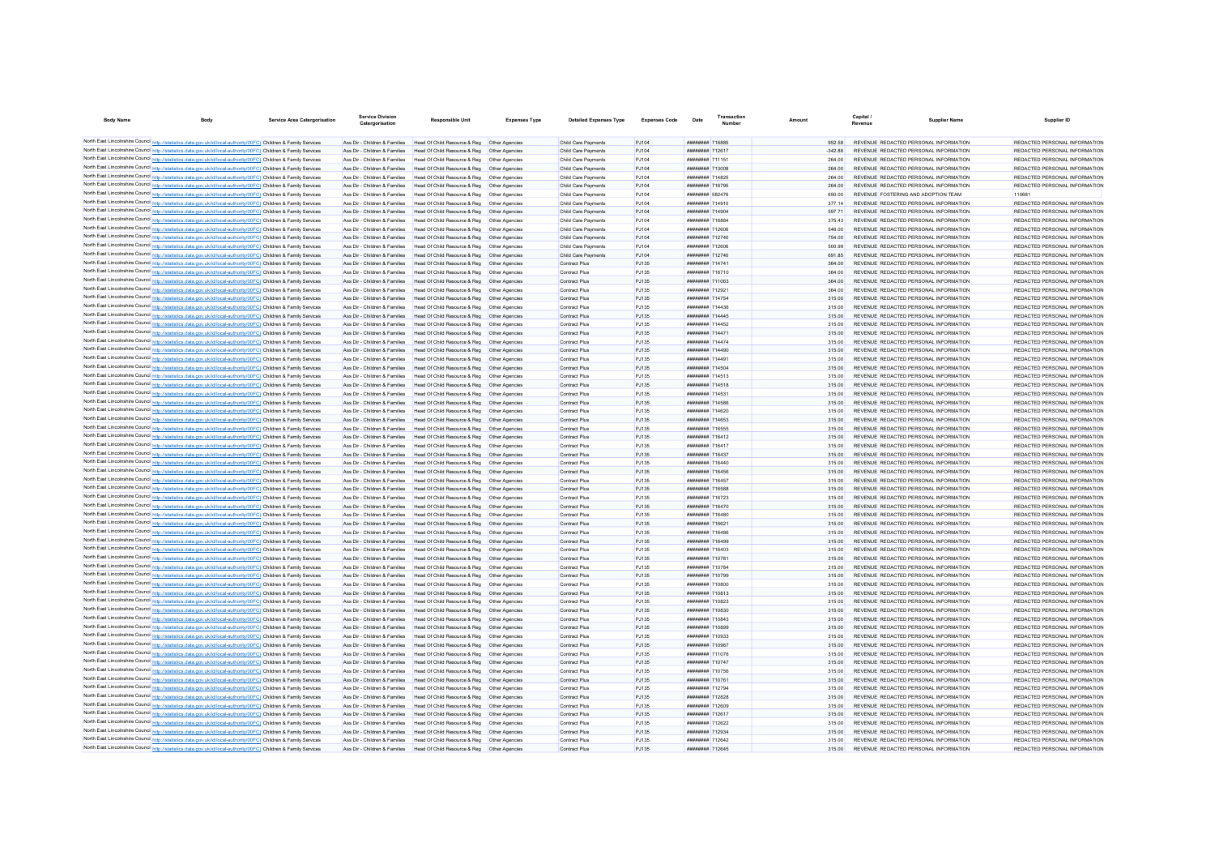| <b>Body Name</b><br><b>Body</b>                                                                                                                                                                                                        | <b>Service Area Catergorisation</b> | <b>Service Division</b><br>Catergorisation                     | <b>Responsible Unit</b>                                                                        | <b>Expenses Type</b> | <b>Detailed Expenses Type</b>              | <b>Expenses Code</b>  | Date                                             | Transactio | Amoun            | Capital /<br>Revenue | Supplier Name                                                                  | Supplier ID                                                    |
|----------------------------------------------------------------------------------------------------------------------------------------------------------------------------------------------------------------------------------------|-------------------------------------|----------------------------------------------------------------|------------------------------------------------------------------------------------------------|----------------------|--------------------------------------------|-----------------------|--------------------------------------------------|------------|------------------|----------------------|--------------------------------------------------------------------------------|----------------------------------------------------------------|
| North East Lincolnshire Council http://statistics.data.gov.uk/id/local-authority/00FC) Children & Family Services                                                                                                                      |                                     |                                                                | Ass Dir - Children & Families Head Of Child Resource & Reg Other Agencies                      |                      | Child Care Payments                        | P.1104                | <b>########</b> 716885                           |            | 952.58           |                      | REVENUE REDACTED PERSONAL INFORMATION                                          | REDACTED PERSONAL INFORMATION                                  |
| North East Lincolnshire Council http://statistics.data.gov.uk/id/local-authority/00FC) Children & Family Services                                                                                                                      |                                     | Ass Dir - Children & Families                                  | Head Of Child Resource & Reg. Other Agencies                                                   |                      | Child Care Payments                        | PJ104                 | <b>########</b> 712617                           |            | $-34286$         |                      | REVENUE REDACTED PERSONAL INFORMATION                                          | REDACTED PERSONAL INFORMATION                                  |
| North East Lincolnshire Council http://statistics.data.gov.uk/id/local-authority/00FC) Children & Family Services                                                                                                                      |                                     | Ass Dir - Children & Families                                  | Head Of Child Resource & Reg   Other Agencies                                                  |                      | Child Care Payments                        | PJ104                 | <b><i>BRENHHHH</i></b> 711151                    |            | 264.00           |                      | REVENUE REDACTED PERSONAL INFORMATION                                          | REDACTED PERSONAL INFORMATION                                  |
| North East Lincolnshire Council http://statistics.data.gov.uk/id/local-authority/00FC) Children & Family Services                                                                                                                      |                                     | Ass Dir - Children & Families                                  | Head Of Child Resource & Reg   Other Agencies                                                  |                      | Child Care Payments                        | PJ104                 | ######## 713008                                  |            | 264.00           |                      | REVENUE REDACTED PERSONAL INFORMATION                                          | REDACTED PERSONAL INFORMATION                                  |
| North East Lincolnshire Council http://statistics.data.gov.uk/id/local-authority/00FC) Children & Family Services                                                                                                                      |                                     | Ass Dir - Children & Families                                  | Head Of Child Resource & Reg   Other Agencies                                                  |                      | Child Care Payments                        | PJ104                 | <b>########</b> 714825                           |            | 264.00           |                      | REVENUE REDACTED PERSONAL INFORMATION                                          | REDACTED PERSONAL INFORMATION                                  |
| North East Lincolnshire Council http://statistics.data.gov.uk/id/local-authority/00FC) Children & Family Services                                                                                                                      |                                     | Ass Dir - Children & Families                                  | Head Of Child Resource & Reg   Other Agencies                                                  |                      | Child Care Payments                        | PJ104                 | ######## 716795                                  |            | 264.00           |                      | REVENUE REDACTED PERSONAL INFORMATION                                          | REDACTED PERSONAL INFORMATION                                  |
| North East Lincolnshire Council http://statistics.data.gov.uk/id/local-authority/00FC) Children & Family Services                                                                                                                      |                                     | Ass Dir - Children & Families                                  | Head Of Child Resource & Reg   Other Agencies                                                  |                      | Child Care Payments                        | PJ104                 | ######## 582476                                  |            | 650.00           |                      | REVENUE FOSTERING AND ADOPTION TEAM                                            |                                                                |
| North East Lincolnshire Council http://statistics.data.gov.uk/id/local-authority/00FC) Children & Family Services                                                                                                                      |                                     | Ass Dir - Children & Families                                  | Head Of Child Resource & Reg   Other Agencies                                                  |                      | Child Care Payments                        | PJ104                 | ######## 714910                                  |            | 377.14           |                      | REVENUE REDACTED PERSONAL INFORMATION                                          | REDACTED PERSONAL INFORMATION                                  |
| North East Lincolnshire Council http://statistics.data.gov.uk/id/local-authority/00FC) Children & Family Services                                                                                                                      |                                     | Ass Dir - Children & Families                                  | Head Of Child Resource & Reg   Other Agencies                                                  |                      | Child Care Payments                        | PJ104                 | <b>########</b> 714904                           |            | 597 71           |                      | REVENUE REDACTED PERSONAL INFORMATION                                          | REDACTED PERSONAL INFORMATION                                  |
| North East Lincolnshire Council http://statistics.data.gov.uk/id/local-authority/00FC) Children & Family Services                                                                                                                      |                                     | Ass Dir - Children & Families                                  | Head Of Child Resource & Reg   Other Agencies                                                  |                      | Child Care Payments                        | PJ104                 | ######## 716884                                  |            | 375.43           |                      | REVENUE REDACTED PERSONAL INFORMATION                                          | REDACTED PERSONAL INFORMATION                                  |
| North East Lincolnshire Council http://statistics.data.gov.uk/id/local-authority/00FC) Children & Family Services<br>North East Lincolnshire Council http://statistics.data.gov.uk/id/local-authority/00FC) Children & Family Services |                                     | Ass Dir - Children & Families<br>Ass Dir - Children & Families | Head Of Child Resource & Reg   Other Agencies<br>Head Of Child Resource & Reg   Other Agencies |                      | Child Care Payments<br>Child Care Payments | PJ104<br>PJ104        | ######## 712606<br>######## 712740               |            | 546.00           |                      | REVENUE REDACTED PERSONAL INFORMATION<br>REVENUE REDACTED PERSONAL INFORMATION | REDACTED PERSONAL INFORMATION<br>REDACTED PERSONAL INFORMATION |
| North East Lincolnshire Council http://statistics.data.gov.uk/id/local-authority/00FC) Children & Family Services                                                                                                                      |                                     | Ass Dir - Children & Families                                  | Head Of Child Resource & Reg. Other Agencies                                                   |                      | Child Care Payments                        | P.1104                | ######## 712606                                  |            | 754.00<br>500.99 |                      | REVENUE REDACTED PERSONAL INFORMATION                                          | REDACTED PERSONAL INFORMATION                                  |
| North East Lincolnshire Council http://statistics.data.gov.uk/id/local-authority/00FC) Children & Family Services                                                                                                                      |                                     | Ass Dir - Children & Families                                  | Head Of Child Resource & Reg. Other Agencies                                                   |                      | Child Care Payments                        | P.1104                | <b><i>BRESHHHH</i></b> 712740                    |            | 69185            |                      | REVENUE REDACTED PERSONAL INFORMATION                                          | REDACTED PERSONAL INFORMATION                                  |
| North East Lincolnshire Council http://statistics.data.gov.uk/id/local-authority/00FC) Children & Family Services                                                                                                                      |                                     | Ass Dir - Children & Families                                  | Head Of Child Resource & Reg   Other Agencies                                                  |                      | <b>Contract Plus</b>                       | PJ135                 | <b><i><u>BRESHHHH</u></i></b> 714741             |            | 364.00           |                      | REVENUE REDACTED PERSONAL INFORMATION                                          | REDACTED PERSONAL INFORMATION                                  |
| North East Lincolnshire Council http://statistics.data.gov.uk/id/local-authority/00FC) Children & Family Services                                                                                                                      |                                     | Ass Dir - Children & Families                                  | Head Of Child Resource & Reg   Other Agencies                                                  |                      | <b>Contract Plus</b>                       | P.1135                | <b><i><u>HHHHHHHH</u></i></b> 716710             |            | 364.00           |                      | REVENUE REDACTED PERSONAL INFORMATION                                          | REDACTED PERSONAL INFORMATION                                  |
| North East Lincolnshire Council http://statistics.data.gov.uk/id/local-authority/00FC) Children & Family Services                                                                                                                      |                                     | Ass Dir - Children & Families                                  | Head Of Child Resource & Reg   Other Agencies                                                  |                      | Contract Plus                              | PJ135                 | ######## 711063                                  |            | 364.00           |                      | REVENUE REDACTED PERSONAL INFORMATION                                          | REDACTED PERSONAL INFORMATION                                  |
| North East Lincolnshire Council http://statistics.data.gov.uk/id/local-authority/00FC) Children & Family Services                                                                                                                      |                                     | Ass Dir - Children & Families                                  | Head Of Child Resource & Reg   Other Agencies                                                  |                      | Contract Plus                              | PJ135                 | <b><i>BREEZEEE 712921</i></b>                    |            | 364.00           |                      | REVENUE REDACTED PERSONAL INFORMATION                                          | REDACTED PERSONAL INFORMATION                                  |
| North East Lincolnshire Council http://statistics.data.gov.uk/id/local-authority/00FC) Children & Family Services                                                                                                                      |                                     | Ass Dir - Children & Families                                  | Head Of Child Resource & Reg   Other Agencies                                                  |                      | <b>Contract Plus</b>                       | PJ135                 | ######## 714754                                  |            | 315.00           |                      | REVENUE REDACTED PERSONAL INFORMATION                                          | REDACTED PERSONAL INFORMATION                                  |
| North East Lincolnshire Council http://statistics.data.gov.uk/id/local-authority/00FC) Children & Family Services                                                                                                                      |                                     | Ass Dir - Children & Families                                  | Head Of Child Resource & Reg   Other Agencies                                                  |                      | <b>Contract Plus</b>                       | PJ135                 | <b><i><u>BRESHHERE</u></i></b> 714436            |            | 315.00           |                      | REVENUE REDACTED PERSONAL INFORMATION                                          | REDACTED PERSONAL INFORMATION                                  |
| North East Lincolnshire Council http://statistics.data.gov.uk/id/local-authority/00FC) Children & Family Services                                                                                                                      |                                     | Ass Dir - Children & Families                                  | Head Of Child Resource & Reg   Other Agencies                                                  |                      | <b>Contract Plus</b>                       | PJ135                 | ######## 714445                                  |            | 315.00           |                      | REVENUE REDACTED PERSONAL INFORMATION                                          | REDACTED PERSONAL INFORMATION                                  |
| North East Lincolnshire Council http://statistics.data.gov.uk/id/local-authority/00FC) Children & Family Services                                                                                                                      |                                     | Ass Dir - Children & Families                                  | Head Of Child Resource & Reg   Other Agencies                                                  |                      | <b>Contract Plus</b>                       | <b>PJ135</b>          | ######## 714452                                  |            | 315.00           |                      | REVENUE REDACTED PERSONAL INFORMATION                                          | REDACTED PERSONAL INFORMATION                                  |
| North East Lincolnshire Council http://statistics.data.gov.uk/id/local-authority/00FC) Children & Family Services                                                                                                                      |                                     | Ass Dir - Children & Families                                  | Head Of Child Resource & Reg   Other Agencies                                                  |                      | Contract Plus                              | PJ135                 | ######## 714471                                  |            | 315.00           |                      | REVENUE REDACTED PERSONAL INFORMATION                                          | REDACTED PERSONAL INFORMATION                                  |
| North East Lincolnshire Council http://statistics.data.gov.uk/id/local-authority/00FC) Children & Family Services                                                                                                                      |                                     | Ass Dir - Children & Families                                  | Head Of Child Resource & Reg   Other Agencies                                                  |                      | Contract Plus                              | PJ135                 | <b><i>BREEZERH 714474</i></b><br>######## 714490 |            | 315.00           |                      | REVENUE REDACTED PERSONAL INFORMATION                                          | REDACTED PERSONAL INFORMATION                                  |
| North East Lincolnshire Council http://statistics.data.gov.uk/id/local-authority/00FC) Children & Family Services<br>North East Lincolnshire Council http://statistics.data.gov.uk/id/local-authority/00FC) Children & Family Services |                                     | Ass Dir - Children & Families<br>Ass Dir - Children & Families | Head Of Child Resource & Reg   Other Agencies<br>Head Of Child Resource & Reg   Other Agencies |                      | Contract Plus<br><b>Contract Plus</b>      | PJ135<br>PJ135        | ######## 714491                                  |            | 315.00<br>315.00 |                      | REVENUE REDACTED PERSONAL INFORMATION<br>REVENUE REDACTED PERSONAL INFORMATION | REDACTED PERSONAL INFORMATION<br>REDACTED PERSONAL INFORMATION |
| North East Lincolnshire Council http://statistics.data.gov.uk/id/local-authority/00FC) Children & Family Services                                                                                                                      |                                     | Ass Dir - Children & Families                                  | Head Of Child Resource & Reg. Other Agencies                                                   |                      | Contract Plus                              | P.1135                | ######## 714504                                  |            | 315.00           |                      | REVENUE REDACTED PERSONAL INFORMATION                                          | REDACTED PERSONAL INFORMATION                                  |
| North East Lincolnshire Council http://statistics.data.gov.uk/id/local-authority/00FC) Children & Family Services                                                                                                                      |                                     | Ass Dir - Children & Families                                  | Head Of Child Resource & Reg. Other Agencies                                                   |                      | Contract Plus                              | P.1135                | ######## 714513                                  |            | 315.00           |                      | REVENUE REDACTED PERSONAL INFORMATION                                          | REDACTED PERSONAL INFORMATION                                  |
| North East Lincolnshire Council http://statistics.data.gov.uk/id/local-authority/00FC) Children & Family Services                                                                                                                      |                                     | Ass Dir - Children & Families                                  | Head Of Child Resource & Reg   Other Agencies                                                  |                      | <b>Contract Plus</b>                       | PJ135                 | ######## 714518                                  |            | 315.00           |                      | REVENUE REDACTED PERSONAL INFORMATION                                          | REDACTED PERSONAL INFORMATION                                  |
| North East Lincolnshire Council http://statistics.data.gov.uk/id/local-authority/00FC) Children & Family Services                                                                                                                      |                                     | Ass Dir - Children & Families                                  | Head Of Child Resource & Reg   Other Agencies                                                  |                      | <b>Contract Plus</b>                       | PJ135                 | ######## 714531                                  |            | 315.00           |                      | REVENUE REDACTED PERSONAL INFORMATION                                          | REDACTED PERSONAL INFORMATION                                  |
| North East Lincolnshire Council http://statistics.data.gov.uk/id/local-authority/00FC) Children & Family Services                                                                                                                      |                                     | Ass Dir - Children & Families                                  | Head Of Child Resource & Reg  Other Agencies                                                   |                      | <b>Contract Plus</b>                       | PJ135                 | <b><i>HHHHHHHH 714586</i></b>                    |            | 315.00           |                      | REVENUE REDACTED PERSONAL INFORMATION                                          | REDACTED PERSONAL INFORMATION                                  |
| North East Lincolnshire Council http://statistics.data.gov.uk/id/local-authority/00FC) Children & Family Services                                                                                                                      |                                     | Ass Dir - Children & Families                                  | Head Of Child Resource & Reg   Other Agencies                                                  |                      | <b>Contract Plus</b>                       | PJ135                 | <b><i>BREST BREEZER</i></b>                      |            | 315.00           |                      | REVENUE REDACTED PERSONAL INFORMATION                                          | REDACTED PERSONAL INFORMATION                                  |
| North East Lincolnshire Council http://statistics.data.gov.uk/id/local-authority/00FC) Children & Family Services                                                                                                                      |                                     | Ass Dir - Children & Families                                  | Head Of Child Resource & Reg   Other Agencies                                                  |                      | Contract Plus                              | PJ135                 | ######## 714653                                  |            | 315.00           |                      | REVENUE REDACTED PERSONAL INFORMATION                                          | REDACTED PERSONAL INFORMATION                                  |
| North East Lincolnshire Council http://statistics.data.gov.uk/id/local-authority/00FC) Children & Family Services                                                                                                                      |                                     | Ass Dir - Children & Families                                  | Head Of Child Resource & Reg   Other Agencies                                                  |                      | Contract Plus                              | PJ135                 | <b>########</b> 716555                           |            | 315.00           |                      | REVENUE REDACTED PERSONAL INFORMATION                                          | REDACTED PERSONAL INFORMATION                                  |
| North East Lincolnshire Council http://statistics.data.gov.uk/id/local-authority/00FC) Children & Family Services                                                                                                                      |                                     | Ass Dir - Children & Families                                  | Head Of Child Resource & Reg   Other Agencies                                                  |                      | Contract Plus                              | PJ135                 | <b>иннинии 716412</b>                            |            | 315.00           |                      | REVENUE REDACTED PERSONAL INFORMATION                                          | REDACTED PERSONAL INFORMATION                                  |
| North East Lincolnshire Council http://statistics.data.gov.uk/id/local-authority/00FC) Children & Family Services                                                                                                                      |                                     | Ass Dir - Children & Families                                  | Head Of Child Resource & Reg   Other Agencies                                                  |                      | Contract Plus                              | PJ135                 | ######## 716417                                  |            | 315.00           |                      | REVENUE REDACTED PERSONAL INFORMATION                                          | REDACTED PERSONAL INFORMATION                                  |
| North East Lincolnshire Council http://statistics.data.gov.uk/id/local-authority/00FC) Children & Family Services                                                                                                                      |                                     | Ass Dir - Children & Families                                  | Head Of Child Resource & Reg   Other Agencies                                                  |                      | <b>Contract Plus</b>                       | PJ135                 | ######## 716437                                  |            | 315.00           |                      | REVENUE REDACTED PERSONAL INFORMATION                                          | REDACTED PERSONAL INFORMATION                                  |
| North East Lincolnshire Council http://statistics.data.gov.uk/id/local-authority/00FC) Children & Family Services<br>North East Lincolnshire Council http://statistics.data.gov.uk/id/local-authority/00FC) Children & Family Services |                                     | Ass Dir - Children & Families<br>Ass Dir - Children & Families | Head Of Child Resource & Reg. Other Agencies<br>Head Of Child Resource & Reg   Other Agencies  |                      | Contract Plus<br>Contract Plus             | <b>PJ135</b><br>PJ135 | ######## 716440<br>######## 716456               |            | 315.00<br>315.00 |                      | REVENUE REDACTED PERSONAL INFORMATION<br>REVENUE REDACTED PERSONAL INFORMATION | REDACTED PERSONAL INFORMATION<br>REDACTED PERSONAL INFORMATION |
| North East Lincolnshire Council http://statistics.data.gov.uk/id/local-authority/00FC) Children & Family Services                                                                                                                      |                                     | Ass Dir - Children & Families                                  | Head Of Child Resource & Reg   Other Agencies                                                  |                      | Contract Plus                              | PJ135                 | ######## 716457                                  |            | 315.00           |                      | REVENUE REDACTED PERSONAL INFORMATION                                          | REDACTED PERSONAL INFORMATION                                  |
| North East Lincolnshire Council http://statistics.data.gov.uk/id/local-authority/00FC) Children & Family Services                                                                                                                      |                                     | Ass Dir - Children & Families                                  | Head Of Child Resource & Reg   Other Agencies                                                  |                      | <b>Contract Plus</b>                       | PJ135                 | ######## 716588                                  |            | 315.00           |                      | REVENUE REDACTED PERSONAL INFORMATION                                          | REDACTED PERSONAL INFORMATION                                  |
| North East Lincolnshire Council http://statistics.data.gov.uk/id/local-authority/00FC) Children & Family Services                                                                                                                      |                                     | Ass Dir - Children & Families                                  | Head Of Child Resource & Reg   Other Agencies                                                  |                      | Contract Plus                              | P.1135                | <b>######## 716723</b>                           |            | 315.00           |                      | REVENUE REDACTED PERSONAL INFORMATION                                          | REDACTED PERSONAL INFORMATION                                  |
| North East Lincolnshire Council http://statistics.data.gov.uk/id/local-authority/00FC) Children & Family Services                                                                                                                      |                                     | Ass Dir - Children & Families                                  | Head Of Child Resource & Reg. Other Agencies                                                   |                      | Contract Plus                              | P.1135                | ######## 716470                                  |            | 315.00           |                      | REVENUE REDACTED PERSONAL INFORMATION                                          | REDACTED PERSONAL INFORMATION                                  |
| North East Lincolnshire Council http://statistics.data.gov.uk/id/local-authority/00FC) Children & Family Services                                                                                                                      |                                     | Ass Dir - Children & Families                                  | Head Of Child Resource & Reg   Other Agencies                                                  |                      | <b>Contract Plus</b>                       | P.1135                | ######## 716480                                  |            | 315.00           |                      | REVENUE REDACTED PERSONAL INFORMATION                                          | REDACTED PERSONAL INFORMATION                                  |
| North East Lincolnshire Council http://statistics.data.gov.uk/id/local-authority/00FC) Children & Family Services                                                                                                                      |                                     | Ass Dir - Children & Families                                  | Head Of Child Resource & Reg   Other Agencies                                                  |                      | <b>Contract Plus</b>                       | PJ135                 | <b><i>BREEZEEE</i></b> 716621                    |            | 315.00           |                      | REVENUE REDACTED PERSONAL INFORMATION                                          | REDACTED PERSONAL INFORMATION                                  |
| North East Lincolnshire Council http://statistics.data.gov.uk/id/local-authority/00FC) Children & Family Services                                                                                                                      |                                     | Ass Dir - Children & Families                                  | Head Of Child Resource & Reg   Other Agencies                                                  |                      | <b>Contract Plus</b>                       | P.1135                | <b><i><u>HHHHHHH</u></i></b> 716486              |            | 315.00           |                      | REVENUE REDACTED PERSONAL INFORMATION                                          | REDACTED PERSONAL INFORMATION                                  |
| North East Lincolnshire Council http://statistics.data.gov.uk/id/local-authority/00FC) Children & Family Services                                                                                                                      |                                     | Ass Dir - Children & Families                                  | Head Of Child Resource & Reg   Other Agencies                                                  |                      | <b>Contract Plus</b>                       | PJ135                 | <b><i>BRESHERE 716499</i></b>                    |            | 315.00           |                      | REVENUE REDACTED PERSONAL INFORMATION                                          | REDACTED PERSONAL INFORMATION                                  |
| North East Lincolnshire Council http://statistics.data.gov.uk/id/local-authority/00FC) Children & Family Services                                                                                                                      |                                     | Ass Dir - Children & Families                                  | Head Of Child Resource & Reg   Other Agencies                                                  |                      | <b>Contract Plus</b>                       | PJ135                 | ######## 716403                                  |            | 315.00           |                      | REVENUE REDACTED PERSONAL INFORMATION                                          | REDACTED PERSONAL INFORMATION                                  |
| North East Lincolnshire Council http://statistics.data.gov.uk/id/local-authority/00FC) Children & Family Services                                                                                                                      |                                     | Ass Dir - Children & Families                                  | Head Of Child Resource & Reg   Other Agencies                                                  |                      | <b>Contract Plus</b>                       | PJ135                 | ######## 710781                                  |            | 315.00           |                      | REVENUE REDACTED PERSONAL INFORMATION                                          | REDACTED PERSONAL INFORMATION                                  |
| North East Lincolnshire Council http://statistics.data.gov.uk/id/local-authority/00FC) Children & Family Services                                                                                                                      |                                     | Ass Dir - Children & Families                                  | Head Of Child Resource & Reg   Other Agencies                                                  |                      | Contract Plus                              | PJ135                 | ######## 710784                                  |            | 315.00           |                      | REVENUE REDACTED PERSONAL INFORMATION                                          | REDACTED PERSONAL INFORMATION                                  |
| North East Lincolnshire Council http://statistics.data.gov.uk/id/local-authority/00FC) Children & Family Services                                                                                                                      |                                     | Ass Dir - Children & Families                                  | Head Of Child Resource & Reg   Other Agencies                                                  |                      | <b>Contract Plus</b>                       | PJ135                 | ######## 710799                                  |            | 315.00           |                      | REVENUE REDACTED PERSONAL INFORMATION                                          | REDACTED PERSONAL INFORMATION                                  |
| North East Lincolnshire Council http://statistics.data.gov.uk/id/local-authority/00FC) Children & Family Services<br>North East Lincolnshire Council http://statistics.data.gov.uk/id/local-authority/00FC) Children & Family Services |                                     | Ass Dir - Children & Families<br>Ass Dir - Children & Families | Head Of Child Resource & Reg   Other Agencies<br>Head Of Child Resource & Reg   Other Agencies |                      | <b>Contract Plus</b><br>Contract Plus      | <b>PJ135</b><br>PJ135 | ######## 710800<br>######## 710813               |            | 315.00<br>315.00 |                      | REVENUE REDACTED PERSONAL INFORMATION<br>REVENUE REDACTED PERSONAL INFORMATION | REDACTED PERSONAL INFORMATION<br>REDACTED PERSONAL INFORMATION |
| North East Lincolnshire Council http://statistics.data.gov.uk/id/local-authority/00FC) Children & Family Services                                                                                                                      |                                     | Ass Dir - Children & Families                                  | Head Of Child Resource & Reg   Other Agencies                                                  |                      | <b>Contract Plus</b>                       | PJ135                 | ######## 710823                                  |            | 315.00           |                      | REVENUE REDACTED PERSONAL INFORMATION                                          | REDACTED PERSONAL INFORMATION                                  |
| North East Lincolnshire Council http://statistics.data.gov.uk/id/local-authority/00FC) Children & Family Services                                                                                                                      |                                     | Ass Dir - Children & Families                                  | Head Of Child Resource & Reg   Other Agencies                                                  |                      | Contract Plus                              | PJ135                 | ######## 710830                                  |            | 315.00           |                      | REVENUE REDACTED PERSONAL INFORMATION                                          | REDACTED PERSONAL INFORMATION                                  |
| North East Lincolnshire Council http://statistics.data.gov.uk/id/local-authority/00FC) Children & Family Services                                                                                                                      |                                     | Ass Dir - Children & Families                                  | Head Of Child Resource & Reg   Other Agencies                                                  |                      | <b>Contract Plus</b>                       | PJ135                 | ######## 710843                                  |            | 315.00           |                      | REVENUE REDACTED PERSONAL INFORMATION                                          | REDACTED PERSONAL INFORMATION                                  |
| North East Lincolnshire Council http://statistics.data.gov.uk/id/local-authority/00FC) Children & Family Services                                                                                                                      |                                     | Ass Dir - Children & Families                                  | Head Of Child Resource & Reg. Other Agencies                                                   |                      | Contract Plus                              | P.1135                | ######## 710899                                  |            | 315.00           |                      | REVENUE REDACTED PERSONAL INFORMATION                                          | REDACTED PERSONAL INFORMATION                                  |
| North East Lincolnshire Council http://statistics.data.gov.uk/id/local-authority/00FC) Children & Family Services                                                                                                                      |                                     | Ass Dir - Children & Families                                  | Head Of Child Resource & Reg. Other Agencies                                                   |                      | Contract Plus                              | P.1135                | ######## 710933                                  |            | 315.00           |                      | REVENUE REDACTED PERSONAL INFORMATION                                          | REDACTED PERSONAL INFORMATION                                  |
| North East Lincolnshire Council http://statistics.data.gov.uk/id/local-authority/00FC) Children & Family Services                                                                                                                      |                                     | Ass Dir - Children & Families                                  | Head Of Child Resource & Reg   Other Agencies                                                  |                      | <b>Contract Plus</b>                       | PJ135                 | ######## 710967                                  |            | 315.00           |                      | REVENUE REDACTED PERSONAL INFORMATION                                          | REDACTED PERSONAL INFORMATION                                  |
| North East Lincolnshire Council http://statistics.data.gov.uk/id/local-authority/00FC) Children & Family Services                                                                                                                      |                                     | Ass Dir - Children & Families                                  | Head Of Child Resource & Reg   Other Agencies                                                  |                      | <b>Contract Plus</b>                       | PJ135                 | <b><i>BREEZEEE 711076</i></b>                    |            | 315.00           |                      | REVENUE REDACTED PERSONAL INFORMATION                                          | REDACTED PERSONAL INFORMATION                                  |
| North East Lincolnshire Council http://statistics.data.gov.uk/id/local-authority/00FC) Children & Family Services                                                                                                                      |                                     | Ass Dir - Children & Families                                  | Head Of Child Resource & Reg   Other Agencies                                                  |                      | <b>Contract Plus</b>                       | PJ135                 | <b><i><u>HHHHHHHH</u></i></b> 710747             |            | 315.00           |                      | REVENUE REDACTED PERSONAL INFORMATION                                          | REDACTED PERSONAL INFORMATION                                  |
| North East Lincolnshire Council http://statistics.data.gov.uk/id/local-authority/00FC) Children & Family Services                                                                                                                      |                                     | Ass Dir - Children & Families                                  | Head Of Child Resource & Reg   Other Agencies                                                  |                      | <b>Contract Plus</b>                       | PJ135                 | <b><i>HRRHHHHH 710756</i></b>                    |            | 315.00           |                      | REVENUE REDACTED PERSONAL INFORMATION                                          | REDACTED PERSONAL INFORMATION                                  |
| North East Lincolnshire Council http://statistics.data.gov.uk/id/local-authority/00FC) Children & Family Services                                                                                                                      |                                     | Ass Dir - Children & Families                                  | Head Of Child Resource & Reg   Other Agencies                                                  |                      | Contract Plus                              | PJ135                 | <b><i>BREEZEEE 710761</i></b>                    |            | 315.00           |                      | REVENUE REDACTED PERSONAL INFORMATION                                          | REDACTED PERSONAL INFORMATION                                  |
| North East Lincolnshire Council http://statistics.data.gov.uk/id/local-authority/00FC) Children & Family Services                                                                                                                      |                                     | Ass Dir - Children & Families                                  | Head Of Child Resource & Reg   Other Agencies                                                  |                      | <b>Contract Plus</b>                       | PJ135                 | <b><i>BRESHBBB</i></b> 712794                    |            | 315.00           |                      | REVENUE REDACTED PERSONAL INFORMATION                                          | REDACTED PERSONAL INFORMATION                                  |
| North East Lincolnshire Council http://statistics.data.gov.uk/id/local-authority/00FC) Children & Family Services                                                                                                                      |                                     | Ass Dir - Children & Families                                  | Head Of Child Resource & Reg   Other Agencies                                                  |                      | <b>Contract Plus</b>                       | PJ135                 | ######## 712828                                  |            | 315.00           |                      | REVENUE REDACTED PERSONAL INFORMATION                                          | REDACTED PERSONAL INFORMATION                                  |
| North East Lincolnshire Council http://statistics.data.gov.uk/id/local-authority/00FC) Children & Family Services<br>North East Lincolnshire Council http://statistics.data.gov.uk/id/local-authority/00FC) Children & Family Services |                                     | Ass Dir - Children & Families<br>Ass Dir - Children & Families | Head Of Child Resource & Reg   Other Agencies<br>Head Of Child Resource & Reg   Other Agencies |                      | <b>Contract Plus</b>                       | <b>PJ135</b><br>PJ135 | ######## 712609<br>######## 712617               |            | 315.00<br>315.00 |                      | REVENUE REDACTED PERSONAL INFORMATION<br>REVENUE REDACTED PERSONAL INFORMATION | REDACTED PERSONAL INFORMATION<br>REDACTED PERSONAL INFORMATION |
| North East Lincolnshire Council http://statistics.data.gov.uk/id/local-authority/00FC) Children & Family Services                                                                                                                      |                                     | Ass Dir - Children & Families                                  | Head Of Child Resource & Reg   Other Agencies                                                  |                      | Contract Plus<br>Contract Plus             | P.1135                | <b>НЕНИМИН 712622</b>                            |            | 315.00           |                      | REVENUE REDACTED PERSONAL INFORMATION                                          | REDACTED PERSONAL INFORMATION                                  |
| North East Lincolnshire Council http://statistics.data.gov.uk/id/local-authority/00FC) Children & Family Services                                                                                                                      |                                     | Ass Dir - Children & Families                                  | Head Of Child Resource & Reg   Other Agencies                                                  |                      | <b>Contract Plus</b>                       | PJ135                 | ######## 712934                                  |            | 315.00           |                      | REVENUE REDACTED PERSONAL INFORMATION                                          | REDACTED PERSONAL INFORMATION                                  |
| North East Lincolnshire Council http://statistics.data.gov.uk/id/local-authority/00FC) Children & Family Services                                                                                                                      |                                     |                                                                | Ass Dir - Children & Families Head Of Child Resource & Reg Other Agencies                      |                      | <b>Contract Plus</b>                       | PJ135                 | <b>иннинин 712642</b>                            |            | 315.00           |                      | REVENUE REDACTED PERSONAL INFORMATION                                          | REDACTED PERSONAL INFORMATION                                  |
| North East Lincolnshire Council http://statistics.data.gov.uk/id/local-authority/00FC) Children & Family Services                                                                                                                      |                                     |                                                                | Ass Dir - Children & Families Head Of Child Resource & Reg Other Agencies                      |                      | <b>Contract Plus</b>                       | PJ135                 | ######## 712645                                  |            | 315.00           |                      | REVENUE REDACTED PERSONAL INFORMATION                                          | REDACTED PERSONAL INFORMATION                                  |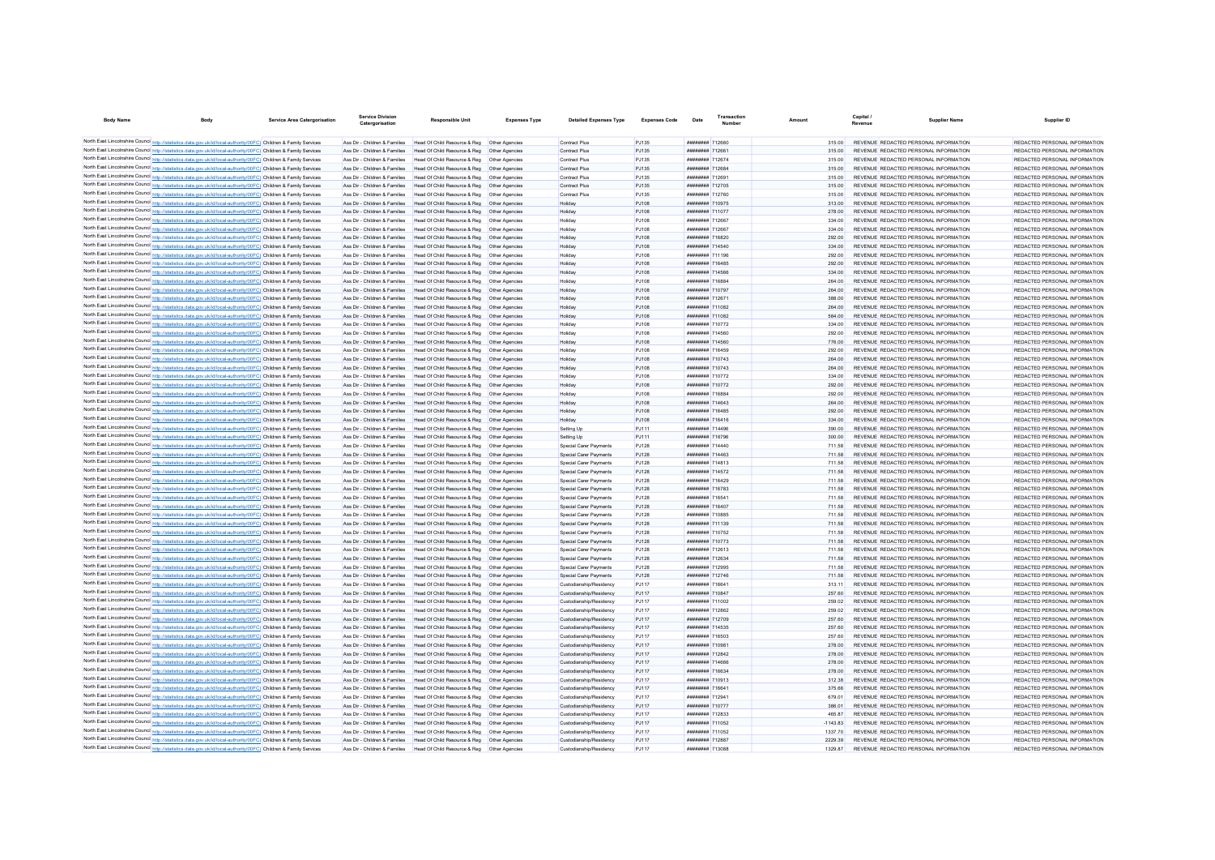| <b>Body Name</b><br><b>Body</b>                                                                                                                                                                                                        | <b>Service Area Catergorisation</b> | <b>Service Division</b><br>Catergorisation                     | <b>Responsible Unit</b>                                                                        | <b>Expenses Type</b> | <b>Detailed Expenses Type</b>                      | <b>Expenses Code</b>         | Date                                 | Transactio | Amoun            | Capital /<br>Revenue | Supplier Name                                                                  | Supplier ID                                                    |
|----------------------------------------------------------------------------------------------------------------------------------------------------------------------------------------------------------------------------------------|-------------------------------------|----------------------------------------------------------------|------------------------------------------------------------------------------------------------|----------------------|----------------------------------------------------|------------------------------|--------------------------------------|------------|------------------|----------------------|--------------------------------------------------------------------------------|----------------------------------------------------------------|
| North East Lincolnshire Council http://statistics.data.gov.uk/id/local-authority/00FC) Children & Family Services                                                                                                                      |                                     |                                                                | Ass Dir - Children & Families Head Of Child Resource & Reg Other Agencies                      |                      | <b>Contract Plus</b>                               | P.1135                       | ######## 712660                      |            | 315.00           |                      | REVENUE REDACTED PERSONAL INFORMATION                                          | REDACTED PERSONAL INFORMATION                                  |
| North East Lincolnshire Council http://statistics.data.gov.uk/id/local-authority/00FC) Children & Family Services                                                                                                                      |                                     | Ass Dir - Children & Families                                  | Head Of Child Resource & Reg. Other Agencies                                                   |                      | <b>Contract Plus</b>                               | PJ135                        | <b><i>HRRHHHHH 712661</i></b>        |            | 315.00           |                      | REVENUE REDACTED PERSONAL INFORMATION                                          | REDACTED PERSONAL INFORMATION                                  |
| North East Lincolnshire Council http://statistics.data.gov.uk/id/local-authority/00FC) Children & Family Services                                                                                                                      |                                     | Ass Dir - Children & Families                                  | Head Of Child Resource & Reg   Other Agencies                                                  |                      | <b>Contract Plus</b>                               | PJ135                        | <b>НЕНИМИН</b> 712674                |            | 315.00           |                      | REVENUE REDACTED PERSONAL INFORMATION                                          | REDACTED PERSONAL INFORMATION                                  |
| North East Lincolnshire Council http://statistics.data.gov.uk/id/local-authority/00FC) Children & Family Services                                                                                                                      |                                     | Ass Dir - Children & Families                                  | Head Of Child Resource & Reg   Other Agencies                                                  |                      | Contract Plus                                      | PJ135                        | <b>НЕНИМИН</b> 712684                |            | 315.00           |                      | REVENUE REDACTED PERSONAL INFORMATION                                          | REDACTED PERSONAL INFORMATION                                  |
| North East Lincolnshire Council http://statistics.data.gov.uk/id/local-authority/00FC) Children & Family Services                                                                                                                      |                                     | Ass Dir - Children & Families                                  | Head Of Child Resource & Reg   Other Agencies                                                  |                      | Contract Plus                                      | PJ135                        | <b>########</b> 712691               |            | 315.00           |                      | REVENUE REDACTED PERSONAL INFORMATION                                          | REDACTED PERSONAL INFORMATION                                  |
| North East Lincolnshire Council http://statistics.data.gov.uk/id/local-authority/00FC) Children & Family Services                                                                                                                      |                                     | Ass Dir - Children & Families                                  | Head Of Child Resource & Reg   Other Agencies                                                  |                      | <b>Contract Plus</b>                               | PJ135                        | ######## 712705                      |            | 315.00           |                      | REVENUE REDACTED PERSONAL INFORMATION                                          | REDACTED PERSONAL INFORMATION                                  |
| North East Lincolnshire Council http://statistics.data.gov.uk/id/local-authority/00FC) Children & Family Services                                                                                                                      |                                     | Ass Dir - Children & Families                                  | Head Of Child Resource & Reg   Other Agencies                                                  |                      | Contract Plus                                      | <b>PJ135</b>                 | ######## 712760                      |            | 315.00           |                      | REVENUE REDACTED PERSONAL INFORMATION                                          | REDACTED PERSONAL INFORMATION                                  |
| North East Lincolnshire Council http://statistics.data.gov.uk/id/local-authority/00FC) Children & Family Services                                                                                                                      |                                     | Ass Dir - Children & Families                                  | Head Of Child Resource & Reg   Other Agencies                                                  |                      | Holiday                                            | PJ108                        | ######## 710975                      |            | 313.00           |                      | REVENUE REDACTED PERSONAL INFORMATION                                          | REDACTED PERSONAL INFORMATION                                  |
| North East Lincolnshire Council http://statistics.data.gov.uk/id/local-authority/00FC) Children & Family Services                                                                                                                      |                                     | Ass Dir - Children & Families                                  | Head Of Child Resource & Reg   Other Agencies                                                  |                      | Holiday                                            | P.1108                       | ######## 711077                      |            | 278.00           |                      | REVENUE REDACTED PERSONAL INFORMATION                                          | REDACTED PERSONAL INFORMATION                                  |
| North East Lincolnshire Council http://statistics.data.gov.uk/id/local-authority/00FC) Children & Family Services                                                                                                                      |                                     | Ass Dir - Children & Families                                  | Head Of Child Resource & Reg   Other Agencies                                                  |                      | Holidav                                            | PJ108                        | <b>иннинини</b> 712667               |            | 334.00           |                      | REVENUE REDACTED PERSONAL INFORMATION                                          | REDACTED PERSONAL INFORMATION                                  |
| North East Lincolnshire Council http://statistics.data.gov.uk/id/local-authority/00FC) Children & Family Services                                                                                                                      |                                     | Ass Dir - Children & Families                                  | Head Of Child Resource & Reg   Other Agencies                                                  |                      | Holiday                                            | PJ108                        | ######## 712667                      |            | 334.00           |                      | REVENUE REDACTED PERSONAL INFORMATION                                          | REDACTED PERSONAL INFORMATION                                  |
| North East Lincolnshire Council http://statistics.data.gov.uk/id/local-authority/00FC) Children & Family Services                                                                                                                      |                                     | Ass Dir - Children & Families<br>Ass Dir - Children & Families | Head Of Child Resource & Reg   Other Agencies<br>Head Of Child Resource & Reg. Other Agencies  |                      | Holidav                                            | PJ108                        | ######## 716820<br>######## 714540   |            | 292.00           |                      | REVENUE REDACTED PERSONAL INFORMATION<br>REVENUE REDACTED PERSONAL INFORMATION | REDACTED PERSONAL INFORMATION<br>REDACTED PERSONAL INFORMATION |
| North East Lincolnshire Council http://statistics.data.gov.uk/id/local-authority/00FC) Children & Family Services<br>North East Lincolnshire Council http://statistics.data.gov.uk/id/local-authority/00FC) Children & Family Services |                                     | Ass Dir - Children & Families                                  | Head Of Child Resource & Reg. Other Agencies                                                   |                      | Holiday<br>Holiday                                 | P.1108<br>P.1108             | <b>########</b> 711196               |            | 334.00<br>292.00 |                      | REVENUE REDACTED PERSONAL INFORMATION                                          | REDACTED PERSONAL INFORMATION                                  |
| North East Lincolnshire Council http://statistics.data.gov.uk/id/local-authority/00FC) Children & Family Services                                                                                                                      |                                     | Ass Dir - Children & Families                                  | Head Of Child Resource & Reg   Other Agencies                                                  |                      | Holiday                                            | PJ108                        | <b>########</b> 716485               |            | 292.00           |                      | REVENUE REDACTED PERSONAL INFORMATION                                          | REDACTED PERSONAL INFORMATION                                  |
| North East Lincolnshire Council http://statistics.data.gov.uk/id/local-authority/00FC) Children & Family Services                                                                                                                      |                                     | Ass Dir - Children & Families                                  | Head Of Child Resource & Reg   Other Agencies                                                  |                      | Holiday                                            | P.1108                       | <b><i><u>HHHHHHHH</u> 714566</i></b> |            | 334.00           |                      | REVENUE REDACTED PERSONAL INFORMATION                                          | REDACTED PERSONAL INFORMATION                                  |
| North East Lincolnshire Council http://statistics.data.gov.uk/id/local-authority/00FC) Children & Family Services                                                                                                                      |                                     | Ass Dir - Children & Families                                  | Head Of Child Resource & Reg   Other Agencies                                                  |                      | Holiday                                            | PJ108                        | <b><i>HRRHHHHH 716884</i></b>        |            | 264.00           |                      | REVENUE REDACTED PERSONAL INFORMATION                                          | REDACTED PERSONAL INFORMATION                                  |
| North East Lincolnshire Council http://statistics.data.gov.uk/id/local-authority/00FC) Children & Family Services                                                                                                                      |                                     | Ass Dir - Children & Families                                  | Head Of Child Resource & Reg   Other Agencies                                                  |                      | Holiday                                            | PJ108                        | <b><i>BREEZEEE 710797</i></b>        |            | 264.00           |                      | REVENUE REDACTED PERSONAL INFORMATION                                          | REDACTED PERSONAL INFORMATION                                  |
| North East Lincolnshire Council http://statistics.data.gov.uk/id/local-authority/00FC) Children & Family Services                                                                                                                      |                                     | Ass Dir - Children & Families                                  | Head Of Child Resource & Reg   Other Agencies                                                  |                      | Holiday                                            | PJ108                        | ######## 712671                      |            | 388.00           |                      | REVENUE REDACTED PERSONAL INFORMATION                                          | REDACTED PERSONAL INFORMATION                                  |
| North East Lincolnshire Council http://statistics.data.gov.uk/id/local-authority/00FC) Children & Family Services                                                                                                                      |                                     | Ass Dir - Children & Families                                  | Head Of Child Resource & Reg   Other Agencies                                                  |                      | Holiday                                            | PJ108                        | ######## 711082                      |            | 264.00           |                      | REVENUE REDACTED PERSONAL INFORMATION                                          | REDACTED PERSONAL INFORMATION                                  |
| North East Lincolnshire Council http://statistics.data.gov.uk/id/local-authority/00FC) Children & Family Services                                                                                                                      |                                     | Ass Dir - Children & Families                                  | Head Of Child Resource & Reg   Other Agencies                                                  |                      | Holiday                                            | PJ108                        | ######## 711082                      |            | 584.00           |                      | REVENUE REDACTED PERSONAL INFORMATION                                          | REDACTED PERSONAL INFORMATION                                  |
| North East Lincolnshire Council http://statistics.data.gov.uk/id/local-authority/00FC) Children & Family Services                                                                                                                      |                                     | Ass Dir - Children & Families                                  | Head Of Child Resource & Reg   Other Agencies                                                  |                      | Holiday                                            | PJ108                        | ######## 710772                      |            | 334.00           |                      | REVENUE REDACTED PERSONAL INFORMATION                                          | REDACTED PERSONAL INFORMATION                                  |
| North East Lincolnshire Council http://statistics.data.gov.uk/id/local-authority/00FC) Children & Family Services                                                                                                                      |                                     | Ass Dir - Children & Families                                  | Head Of Child Resource & Reg   Other Agencies                                                  |                      | Holiday                                            | PJ108                        | ######## 714560                      |            | 292.00           |                      | REVENUE REDACTED PERSONAL INFORMATION                                          | REDACTED PERSONAL INFORMATION                                  |
| North East Lincolnshire Council http://statistics.data.gov.uk/id/local-authority/00FC) Children & Family Services                                                                                                                      |                                     | Ass Dir - Children & Families                                  | Head Of Child Resource & Reg   Other Agencies                                                  |                      | Holiday                                            | PJ108                        | ######## 714560                      |            | 776.00           |                      | REVENUE REDACTED PERSONAL INFORMATION                                          | REDACTED PERSONAL INFORMATION                                  |
| North East Lincolnshire Council http://statistics.data.gov.uk/id/local-authority/00FC) Children & Family Services                                                                                                                      |                                     | Ass Dir - Children & Families                                  | Head Of Child Resource & Reg   Other Agencies                                                  |                      | Holiday                                            | PJ108                        | ######## 716459                      |            | 292.00           |                      | REVENUE REDACTED PERSONAL INFORMATION                                          | REDACTED PERSONAL INFORMATION                                  |
| North East Lincolnshire Council http://statistics.data.gov.uk/id/local-authority/00FC) Children & Family Services                                                                                                                      |                                     | Ass Dir - Children & Families<br>Ass Dir - Children & Families | Head Of Child Resource & Reg   Other Agencies<br>Head Of Child Resource & Reg. Other Agencies  |                      | Holiday                                            | PJ108                        | ######## 710743<br>######## 710743   |            | 264.00           |                      | REVENUE REDACTED PERSONAL INFORMATION<br>REVENUE REDACTED PERSONAL INFORMATION | REDACTED PERSONAL INFORMATION<br>REDACTED PERSONAL INFORMATION |
| North East Lincolnshire Council http://statistics.data.gov.uk/id/local-authority/00FC) Children & Family Services<br>North East Lincolnshire Council http://statistics.data.gov.uk/id/local-authority/00FC) Children & Family Services |                                     | Ass Dir - Children & Families                                  | Head Of Child Resource & Reg. Other Agencies                                                   |                      | Holiday<br>Holiday                                 | P.1108<br>P.1108             | <b><i>BREEZERH 710772</i></b>        |            | 264.00<br>334.00 |                      | REVENUE REDACTED PERSONAL INFORMATION                                          | REDACTED PERSONAL INFORMATION                                  |
| North East Lincolnshire Council http://statistics.data.gov.uk/id/local-authority/00FC) Children & Family Services                                                                                                                      |                                     | Ass Dir - Children & Families                                  | Head Of Child Resource & Reg   Other Agencies                                                  |                      | Holiday                                            | PJ108                        | <b><i>BREEZERH 710772</i></b>        |            | 292.00           |                      | REVENUE REDACTED PERSONAL INFORMATION                                          | REDACTED PERSONAL INFORMATION                                  |
| North East Lincolnshire Council http://statistics.data.gov.uk/id/local-authority/00FC) Children & Family Services                                                                                                                      |                                     | Ass Dir - Children & Families                                  | Head Of Child Resource & Reg   Other Agencies                                                  |                      | Holiday                                            | PJ108                        | ######## 716884                      |            | 292.00           |                      | REVENUE REDACTED PERSONAL INFORMATION                                          | REDACTED PERSONAL INFORMATION                                  |
| North East Lincolnshire Council http://statistics.data.gov.uk/id/local-authority/00FC) Children & Family Services                                                                                                                      |                                     | Ass Dir - Children & Families                                  | Head Of Child Resource & Reg. Other Agencies                                                   |                      | Holiday                                            | PJ108                        | <b><i>BRRHHHHH 714643</i></b>        |            | 264.00           |                      | REVENUE REDACTED PERSONAL INFORMATION                                          | REDACTED PERSONAL INFORMATION                                  |
| North East Lincolnshire Council http://statistics.data.gov.uk/id/local-authority/00FC) Children & Family Services                                                                                                                      |                                     | Ass Dir - Children & Families                                  | Head Of Child Resource & Reg   Other Agencies                                                  |                      | Holiday                                            | PJ108                        | <b><i>HHHHHHHH 716485</i></b>        |            | 292.00           |                      | REVENUE REDACTED PERSONAL INFORMATION                                          | REDACTED PERSONAL INFORMATION                                  |
| North East Lincolnshire Council http://statistics.data.gov.uk/id/local-authority/00FC) Children & Family Services                                                                                                                      |                                     | Ass Dir - Children & Families                                  | Head Of Child Resource & Reg   Other Agencies                                                  |                      | Holiday                                            | PJ108                        | <b><i>BREEZER 716416</i></b>         |            | 334.00           |                      | REVENUE REDACTED PERSONAL INFORMATION                                          | REDACTED PERSONAL INFORMATION                                  |
| North East Lincolnshire Council http://statistics.data.gov.uk/id/local-authority/00FC) Children & Family Services                                                                                                                      |                                     | Ass Dir - Children & Families                                  | Head Of Child Resource & Reg   Other Agencies                                                  |                      | Setting Up                                         | PJ111                        | <b><i>BRESHERE 714496</i></b>        |            | 390.00           |                      | REVENUE REDACTED PERSONAL INFORMATION                                          | REDACTED PERSONAL INFORMATION                                  |
| North East Lincolnshire Council http://statistics.data.gov.uk/id/local-authority/00FC) Children & Family Services                                                                                                                      |                                     | Ass Dir - Children & Families                                  | Head Of Child Resource & Reg   Other Agencies                                                  |                      | Setting Up                                         | PJ111                        | ######## 716796                      |            | 300.00           |                      | REVENUE REDACTED PERSONAL INFORMATION                                          | REDACTED PERSONAL INFORMATION                                  |
| North East Lincolnshire Council http://statistics.data.gov.uk/id/local-authority/00FC) Children & Family Services                                                                                                                      |                                     | Ass Dir - Children & Families                                  | Head Of Child Resource & Reg   Other Agencies                                                  |                      | Special Carer Payments                             | <b>PJ128</b>                 | ######## 714440                      |            | 711.58           |                      | REVENUE REDACTED PERSONAL INFORMATION                                          | REDACTED PERSONAL INFORMATION                                  |
| North East Lincolnshire Council http://statistics.data.gov.uk/id/local-authority/00FC) Children & Family Services                                                                                                                      |                                     | Ass Dir - Children & Families                                  | Head Of Child Resource & Reg   Other Agencies                                                  |                      | Special Carer Payments                             | <b>PJ128</b>                 | ######## 714463                      |            | 711.58           |                      | REVENUE REDACTED PERSONAL INFORMATION                                          | REDACTED PERSONAL INFORMATION                                  |
| North East Lincolnshire Council http://statistics.data.gov.uk/id/local-authority/00FC) Children & Family Services                                                                                                                      |                                     | Ass Dir - Children & Families<br>Ass Dir - Children & Families | Head Of Child Resource & Reg. Other Agencies                                                   |                      | Special Carer Payments                             | <b>PJ128</b>                 | ######## 714813<br>######## 714572   |            | 711.58           |                      | REVENUE REDACTED PERSONAL INFORMATION<br>REVENUE REDACTED PERSONAL INFORMATION | REDACTED PERSONAL INFORMATION<br>REDACTED PERSONAL INFORMATION |
| North East Lincolnshire Council http://statistics.data.gov.uk/id/local-authority/00FC) Children & Family Services<br>North East Lincolnshire Council http://statistics.data.gov.uk/id/local-authority/00FC) Children & Family Services |                                     | Ass Dir - Children & Families                                  | Head Of Child Resource & Reg   Other Agencies<br>Head Of Child Resource & Reg   Other Agencies |                      | Special Carer Payments<br>Special Carer Payments   | <b>PJ128</b><br><b>PJ128</b> | ######## 716429                      |            | 711.58<br>711.58 |                      | REVENUE REDACTED PERSONAL INFORMATION                                          | REDACTED PERSONAL INFORMATION                                  |
| North East Lincolnshire Council http://statistics.data.gov.uk/id/local-authority/00FC) Children & Family Services                                                                                                                      |                                     | Ass Dir - Children & Families                                  | Head Of Child Resource & Reg   Other Agencies                                                  |                      | Special Carer Payments                             | <b>PJ128</b>                 | ######## 716783                      |            | 711.58           |                      | REVENUE REDACTED PERSONAL INFORMATION                                          | REDACTED PERSONAL INFORMATION                                  |
| North East Lincolnshire Council http://statistics.data.gov.uk/id/local-authority/00FC) Children & Family Services                                                                                                                      |                                     | Ass Dir - Children & Families                                  | Head Of Child Resource & Reg   Other Agencies                                                  |                      | Special Carer Payments                             | P.1128                       | ######## 716541                      |            | 711.58           |                      | REVENUE REDACTED PERSONAL INFORMATION                                          | REDACTED PERSONAL INFORMATION                                  |
| North East Lincolnshire Council http://statistics.data.gov.uk/id/local-authority/00FC) Children & Family Services                                                                                                                      |                                     | Ass Dir - Children & Families                                  | Head Of Child Resource & Reg. Other Agencies                                                   |                      | Special Carer Payments                             | P.1128                       | ######## 716407                      |            | 711.58           |                      | REVENUE REDACTED PERSONAL INFORMATION                                          | REDACTED PERSONAL INFORMATION                                  |
| North East Lincolnshire Council http://statistics.data.gov.uk/id/local-authority/00FC) Children & Family Services                                                                                                                      |                                     | Ass Dir - Children & Families                                  | Head Of Child Resource & Reg   Other Agencies                                                  |                      | Special Carer Payments                             | P.1128                       | ######## 710885                      |            | 711.58           |                      | REVENUE REDACTED PERSONAL INFORMATION                                          | REDACTED PERSONAL INFORMATION                                  |
| North East Lincolnshire Council http://statistics.data.gov.uk/id/local-authority/00FC) Children & Family Services                                                                                                                      |                                     | Ass Dir - Children & Families                                  | Head Of Child Resource & Reg   Other Agencies                                                  |                      | Special Carer Payments                             | <b>PJ128</b>                 | <b><i>BREEZEEE</i></b> 711139        |            | 711.58           |                      | REVENUE REDACTED PERSONAL INFORMATION                                          | REDACTED PERSONAL INFORMATION                                  |
| North East Lincolnshire Council http://statistics.data.gov.uk/id/local-authority/00FC) Children & Family Services                                                                                                                      |                                     | Ass Dir - Children & Families                                  | Head Of Child Resource & Reg   Other Agencies                                                  |                      | Special Carer Payments                             | P.1128                       | <b><i>HRRHHHHH 710752</i></b>        |            | 711.58           |                      | REVENUE REDACTED PERSONAL INFORMATION                                          | REDACTED PERSONAL INFORMATION                                  |
| North East Lincolnshire Council http://statistics.data.gov.uk/id/local-authority/00FC) Children & Family Services                                                                                                                      |                                     | Ass Dir - Children & Families                                  | Head Of Child Resource & Reg   Other Agencies                                                  |                      | Special Carer Payments                             | <b>PJ128</b>                 | <b><i>BREEZERH 710773</i></b>        |            | 711.58           |                      | REVENUE REDACTED PERSONAL INFORMATION                                          | REDACTED PERSONAL INFORMATION                                  |
| North East Lincolnshire Council http://statistics.data.gov.uk/id/local-authority/00FC) Children & Family Services                                                                                                                      |                                     | Ass Dir - Children & Families                                  | Head Of Child Resource & Reg   Other Agencies                                                  |                      | Special Carer Payments                             | <b>PJ128</b>                 | ######## 712613                      |            | 711.58           |                      | REVENUE REDACTED PERSONAL INFORMATION                                          | REDACTED PERSONAL INFORMATION                                  |
| North East Lincolnshire Council http://statistics.data.gov.uk/id/local-authority/00FC) Children & Family Services                                                                                                                      |                                     | Ass Dir - Children & Families                                  | Head Of Child Resource & Reg   Other Agencies                                                  |                      | Special Carer Payments                             | <b>PJ128</b>                 | ######## 712634                      |            | 711.58           |                      | REVENUE REDACTED PERSONAL INFORMATION                                          | REDACTED PERSONAL INFORMATION                                  |
| North East Lincolnshire Council http://statistics.data.gov.uk/id/local-authority/00FC) Children & Family Services                                                                                                                      |                                     | Ass Dir - Children & Families                                  | Head Of Child Resource & Reg   Other Agencies                                                  |                      | Special Carer Payments                             | <b>PJ128</b>                 | ######## 712995                      |            | 711.58           |                      | REVENUE REDACTED PERSONAL INFORMATION                                          | REDACTED PERSONAL INFORMATION                                  |
| North East Lincolnshire Council http://statistics.data.gov.uk/id/local-authority/00FC) Children & Family Services                                                                                                                      |                                     | Ass Dir - Children & Families                                  | Head Of Child Resource & Reg   Other Agencies                                                  |                      | Special Carer Payments                             | <b>PJ128</b>                 | ######## 712746                      |            | 711.58           |                      | REVENUE REDACTED PERSONAL INFORMATION                                          | REDACTED PERSONAL INFORMATION                                  |
| North East Lincolnshire Council http://statistics.data.gov.uk/id/local-authority/00FC) Children & Family Services                                                                                                                      |                                     | Ass Dir - Children & Families<br>Ass Dir - Children & Families | Head Of Child Resource & Reg   Other Agencies                                                  |                      | Custodianship/Residency                            | PJ117                        | ######## 716641<br>######## 710847   |            | 313.11<br>257.60 |                      | REVENUE REDACTED PERSONAL INFORMATION<br>REVENUE REDACTED PERSONAL INFORMATION | REDACTED PERSONAL INFORMATION<br>REDACTED PERSONAL INFORMATION |
| North East Lincolnshire Council http://statistics.data.gov.uk/id/local-authority/00FC) Children & Family Services<br>North East Lincolnshire Council http://statistics.data.gov.uk/id/local-authority/00FC) Children & Family Services |                                     | Ass Dir - Children & Families                                  | Head Of Child Resource & Reg   Other Agencies<br>Head Of Child Resource & Reg   Other Agencies |                      | Custodianship/Residency<br>Custodianship/Residency | PJ117<br>PJ117               | ######## 711002                      |            | 259.02           |                      | REVENUE REDACTED PERSONAL INFORMATION                                          | REDACTED PERSONAL INFORMATION                                  |
| North East Lincolnshire Council http://statistics.data.gov.uk/id/local-authority/00FC) Children & Family Services                                                                                                                      |                                     | Ass Dir - Children & Families                                  | Head Of Child Resource & Reg   Other Agencies                                                  |                      | Custodianship/Residency                            | PJ117                        | <b>иннинии 712862</b>                |            | 259.02           |                      | REVENUE REDACTED PERSONAL INFORMATION                                          | REDACTED PERSONAL INFORMATION                                  |
| North East Lincolnshire Council http://statistics.data.gov.uk/id/local-authority/00FC) Children & Family Services                                                                                                                      |                                     | Ass Dir - Children & Families                                  | Head Of Child Resource & Reg   Other Agencies                                                  |                      | Custodianship/Residency                            | <b>PJ117</b>                 | ######## 712709                      |            | 257.60           |                      | REVENUE REDACTED PERSONAL INFORMATION                                          | REDACTED PERSONAL INFORMATION                                  |
| North East Lincolnshire Council http://statistics.data.gov.uk/id/local-authority/00FC) Children & Family Services                                                                                                                      |                                     | Ass Dir - Children & Families                                  | Head Of Child Resource & Reg. Other Agencies                                                   |                      | Custodianship/Residency                            | P.1117                       | ######## 714535                      |            | 257.60           |                      | REVENUE REDACTED PERSONAL INFORMATION                                          | REDACTED PERSONAL INFORMATION                                  |
| North East Lincolnshire Council http://statistics.data.gov.uk/id/local-authority/00FC) Children & Family Services                                                                                                                      |                                     | Ass Dir - Children & Families                                  | Head Of Child Resource & Reg. Other Agencies                                                   |                      | Custodianship/Residency                            | P.1117                       | ######## 716503                      |            | 257.60           |                      | REVENUE REDACTED PERSONAL INFORMATION                                          | REDACTED PERSONAL INFORMATION                                  |
| North East Lincolnshire Council http://statistics.data.gov.uk/id/local-authority/00FC) Children & Family Services                                                                                                                      |                                     | Ass Dir - Children & Families                                  | Head Of Child Resource & Reg. Other Agencies                                                   |                      | Custodianship/Residency                            | P.1117                       | ######## 710981                      |            | 278.00           |                      | REVENUE REDACTED PERSONAL INFORMATION                                          | REDACTED PERSONAL INFORMATION                                  |
| North East Lincolnshire Council http://statistics.data.gov.uk/id/local-authority/00FC) Children & Family Services                                                                                                                      |                                     | Ass Dir - Children & Families                                  | Head Of Child Resource & Reg   Other Agencies                                                  |                      | Custodianship/Residency                            | <b>PJ117</b>                 | <b>иппинин 712842</b>                |            | 278.00           |                      | REVENUE REDACTED PERSONAL INFORMATION                                          | REDACTED PERSONAL INFORMATION                                  |
| North East Lincolnshire Council http://statistics.data.gov.uk/id/local-authority/00FC) Children & Family Services                                                                                                                      |                                     | Ass Dir - Children & Families                                  | Head Of Child Resource & Reg   Other Agencies                                                  |                      | Custodianship/Residency                            | <b>PJ117</b>                 | <b><i><u>HHHHHHH</u></i></b> 714666  |            | 278.00           |                      | REVENUE REDACTED PERSONAL INFORMATION                                          | REDACTED PERSONAL INFORMATION                                  |
| North East Lincolnshire Council http://statistics.data.gov.uk/id/local-authority/00FC) Children & Family Services                                                                                                                      |                                     | Ass Dir - Children & Families                                  | Head Of Child Resource & Reg   Other Agencies                                                  |                      | Custodianship/Residency                            | <b>PJ117</b>                 | ######## 716634                      |            | 278.00           |                      | REVENUE REDACTED PERSONAL INFORMATION                                          | REDACTED PERSONAL INFORMATION                                  |
| North East Lincolnshire Council http://statistics.data.gov.uk/id/local-authority/00FC) Children & Family Services                                                                                                                      |                                     | Ass Dir - Children & Families                                  | Head Of Child Resource & Reg   Other Agencies                                                  |                      | Custodianship/Residency                            | <b>PJ117</b>                 | <b>########</b> 710913               |            | 312.38           |                      | REVENUE REDACTED PERSONAL INFORMATION                                          | REDACTED PERSONAL INFORMATION                                  |
| North East Lincolnshire Council http://statistics.data.gov.uk/id/local-authority/00FC) Children & Family Services                                                                                                                      |                                     | Ass Dir - Children & Families                                  | Head Of Child Resource & Reg   Other Agencies                                                  |                      | Custodianship/Residency                            | <b>PJ117</b>                 | ######## 716641                      |            | 375.66           |                      | REVENUE REDACTED PERSONAL INFORMATION                                          | REDACTED PERSONAL INFORMATION                                  |
| North East Lincolnshire Council http://statistics.data.gov.uk/id/local-authority/00FC) Children & Family Services                                                                                                                      |                                     | Ass Dir - Children & Families                                  | Head Of Child Resource & Reg   Other Agencies                                                  |                      | Custodianship/Residency                            | <b>PJ117</b>                 | <b><i>BREEZERH</i></b> 712941        |            | 679.01           |                      | REVENUE REDACTED PERSONAL INFORMATION                                          | REDACTED PERSONAL INFORMATION                                  |
| North East Lincolnshire Council http://statistics.data.gov.uk/id/local-authority/00FC) Children & Family Services<br>North East Lincolnshire Council http://statistics.data.gov.uk/id/local-authority/00FC) Children & Family Services |                                     | Ass Dir - Children & Families<br>Ass Dir - Children & Families | Head Of Child Resource & Reg   Other Agencies<br>Head Of Child Resource & Reg   Other Agencies |                      | Custodianship/Residency<br>Custodianship/Residency | <b>PJ117</b><br><b>PJ117</b> | ######## 710777<br>######## 712833   |            | 386.01<br>465.87 |                      | REVENUE REDACTED PERSONAL INFORMATION<br>REVENUE REDACTED PERSONAL INFORMATION | REDACTED PERSONAL INFORMATION<br>REDACTED PERSONAL INFORMATION |
| North East Lincolnshire Council http://statistics.data.gov.uk/id/local-authority/00FC) Children & Family Services                                                                                                                      |                                     | Ass Dir - Children & Families                                  | Head Of Child Resource & Reg   Other Agencies                                                  |                      | Custodianship/Residency                            | P.1117                       | ######## 711052                      |            | $-1143.83$       |                      | REVENUE REDACTED PERSONAL INFORMATION                                          | REDACTED PERSONAL INFORMATION                                  |
| North East Lincolnshire Council http://statistics.data.gov.uk/id/local-authority/00FC) Children & Family Services                                                                                                                      |                                     | Ass Dir - Children & Families                                  | Head Of Child Resource & Reg   Other Agencies                                                  |                      | Custodianship/Residency                            | P.1117                       | ######## 711052                      |            | 1337 70          |                      | REVENUE REDACTED PERSONAL INFORMATION                                          | REDACTED PERSONAL INFORMATION                                  |
| North East Lincolnshire Council http://statistics.data.gov.uk/id/local-authority/00FC) Children & Family Services                                                                                                                      |                                     |                                                                | Ass Dir - Children & Families Head Of Child Resource & Reg Other Agencies                      |                      | Custodianship/Residency                            | PJ117                        | ######## 712887                      |            | 2229.39          |                      | REVENUE REDACTED PERSONAL INFORMATION                                          | REDACTED PERSONAL INFORMATION                                  |
| North East Lincolnshire Council http://statistics.data.gov.uk/id/local-authority/00FC) Children & Family Services                                                                                                                      |                                     |                                                                | Ass Dir - Children & Families Head Of Child Resource & Reg Other Agencies                      |                      | Custodianship/Residency                            | <b>PJ117</b>                 | ######## 713088                      |            | 1329 87          |                      | REVENUE REDACTED PERSONAL INFORMATION                                          | REDACTED PERSONAL INFORMATION                                  |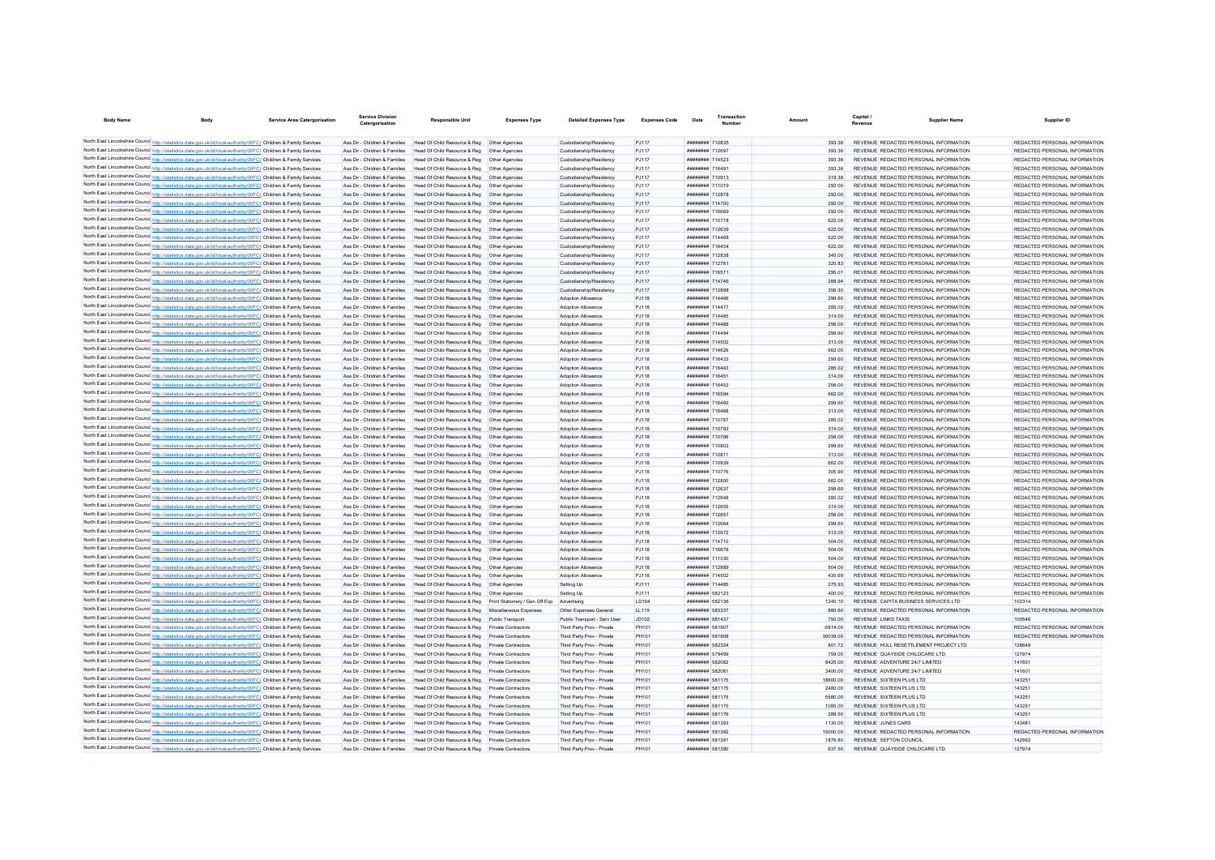| <b>Body Name</b> | <b>Body</b>                                                                                                       | Service Area Catergorisation | <b>Service Division</b><br>Catergorisation | Responsible Unit                                                               | <b>Expenses Type</b> | <b>Detailed Expenses Type</b> | <b>Expenses Code</b> | Date                                 | Transaction | Amount           | Capital i                      | <b>Supplier Name</b>                  | Supplier ID                   |
|------------------|-------------------------------------------------------------------------------------------------------------------|------------------------------|--------------------------------------------|--------------------------------------------------------------------------------|----------------------|-------------------------------|----------------------|--------------------------------------|-------------|------------------|--------------------------------|---------------------------------------|-------------------------------|
|                  | North East Lincolnshire Council http://statistics.data.gov.uk/id/local-authority/00FC) Children & Family Services |                              | Ass Dir - Children & Families              | Head Of Child Resource & Reg  Other Agencies                                   |                      | Custodianship/Residency       | <b>PJ117</b>         | ######## 710835                      |             |                  |                                | REVENUE REDACTED PERSONAL INFORMATION | REDACTED PERSONAL INFORMATION |
|                  | North East Lincolnshire Council http://statistics.data.gov.uk/id/local-authority/00FC) Children & Family Services |                              | Ass Dir - Children & Families              | Head Of Child Resource & Reg. Other Agencies                                   |                      | Custodianship/Residency       | <b>PJ117</b>         | ######## 712697                      |             | 393.36<br>393.36 |                                | REVENUE REDACTED PERSONAL INFORMATION | REDACTED PERSONAL INFORMATION |
|                  | North East Lincolnshire Council http://statistics.data.gov.uk/id/local-authority/00FC) Children & Family Services |                              |                                            |                                                                                |                      |                               |                      |                                      |             |                  |                                |                                       |                               |
|                  | North East Lincolnshire Council http://statistics.data.gov.uk/id/local-authority/00FC) Children & Family Services |                              | Ass Dir - Children & Families              | Head Of Child Resource & Reg   Other Agencies                                  |                      | Custodianship/Residency       | <b>PJ117</b>         | ######## 714523                      |             | 393.36           |                                | REVENUE REDACTED PERSONAL INFORMATION | REDACTED PERSONAL INFORMATION |
|                  |                                                                                                                   |                              | Ass Dir - Children & Families              | Head Of Child Resource & Reg   Other Agencies                                  |                      | Custodianship/Residency       | <b>PJ117</b>         | ######## 716491                      |             | 393.36           |                                | REVENUE REDACTED PERSONAL INFORMATION | REDACTED PERSONAL INFORMATION |
|                  | North East Lincolnshire Council http://statistics.data.gov.uk/id/local-authority/00FC) Children & Family Services |                              | Ass Dir - Children & Families              | Head Of Child Resource & Reg   Other Agencies                                  |                      | Custodianship/Residency       | <b>PJ117</b>         | ######## 710913                      |             | 319.38           |                                | REVENUE REDACTED PERSONAL INFORMATION | REDACTED PERSONAL INFORMATION |
|                  | North East Lincolnshire Council http://statistics.data.gov.uk/id/local-authority/00FC) Children & Family Services |                              | Ass Dir - Children & Families              | Head Of Child Resource & Reg                                                   | Other Anencies       | Custodianship/Residency       | P.1117               | ######## 711019                      |             | 292.00           |                                | REVENUE REDACTED PERSONAL INFORMATION | REDACTED PERSONAL INFORMATION |
|                  | North East Lincolnshire Council http://statistics.data.gov.uk/id/local-authority/00FC) Children & Family Services |                              | Ass Dir - Children & Families              | Head Of Child Resource & Reg                                                   | Other Agencies       | Custodianship/Residency       | <b>PJ117</b>         | ######## 712878                      |             | 292.00           |                                | REVENUE REDACTED PERSONAL INFORMATION | REDACTED PERSONAL INFORMATION |
|                  | North East Lincolnshire Council http://statistics.data.gov.uk/id/local-authority/00FC) Children & Family Services |                              | Ass Dir - Children & Families              | Head Of Child Resource & Reg                                                   | Other Agencies       | Custodianship/Residency       | PJ117                | ######## 714700                      |             | 292.00           |                                | REVENUE REDACTED PERSONAL INFORMATION | REDACTED PERSONAL INFORMATION |
|                  | North East Lincolnshire Council http://statistics.data.gov.uk/id/local-authority/00FC) Children & Family Services |                              | Ass Dir - Children & Families              | Head Of Child Resource & Reg                                                   | Other Agencies       | Custodianship/Residency       | PJ117                | ######## 716669                      |             | 292.00           |                                | REVENUE REDACTED PERSONAL INFORMATION | REDACTED PERSONAL INFORMATION |
|                  | North East Lincolnshire Council http://statistics.data.gov.uk/id/local-authority/00FC) Children & Family Services |                              | Ass Dir - Children & Families              | Head Of Child Resource & Reg                                                   | Other Anencies       | Custodianship/Residency       | P.1117               | ######## 710778                      |             | 622.00           |                                | REVENUE REDACTED PERSONAL INFORMATION | REDACTED PERSONAL INFORMATION |
|                  | North East Lincolnshire Council http://statistics.data.gov.uk/id/local-authority/00FC) Children & Family Services |                              | Ass Dir - Children & Families              | Head Of Child Resource & Reg                                                   | Other Anencies       | Custodianship/Residency       | <b>PJ117</b>         | ######## 712639                      |             | 622.00           |                                | REVENUE REDACTED PERSONAL INFORMATION | REDACTED PERSONAL INFORMATION |
|                  | North East Lincolnshire Council http://statistics.data.gov.uk/id/local-authority/00FC) Children & Family Services |                              | Ass Dir - Children & Families              | Head Of Child Resource & Reg                                                   | Other Agencies       | Custodianship/Residency       | PJ117                | ######## 714468                      |             | 622.00           |                                | REVENUE REDACTED PERSONAL INFORMATION | REDACTED PERSONAL INFORMATION |
|                  | North East Lincolnshire Council http://statistics.data.gov.uk/id/local-authority/00FC) Children & Family Services |                              | Ass Dir - Children & Families              | Head Of Child Resource & Reg. Other Agencies                                   |                      | Custodianship/Residency       | <b>PJ117</b>         | <b><i><u>HHHHHHH</u></i></b> 716434  |             | 622.00           |                                | REVENUE REDACTED PERSONAL INFORMATION | REDACTED PERSONAL INFORMATION |
|                  | North East Lincolnshire Council http://statistics.data.gov.uk/id/local-authority/00FC) Children & Family Services |                              | Ass Dir - Children & Families              | Head Of Child Resource & Reg   Other Agencies                                  |                      | Custodianship/Residency       | <b>PJ117</b>         | <b><i><u>HHHHHHH</u></i></b> 712835  |             | 340.00           |                                | REVENUE REDACTED PERSONAL INFORMATION | REDACTED PERSONAL INFORMATION |
|                  | North East Lincolnshire Council http://statistics.data.gov.uk/id/local-authority/00FC) Children & Family Services |                              | Ass Dir - Children & Families              | Head Of Child Resource & Reg   Other Agencies                                  |                      | Custodianship/Residency       | <b>PJ117</b>         | <b>########</b> 712761               |             | 320.83           |                                | REVENUE REDACTED PERSONAL INFORMATION | REDACTED PERSONAL INFORMATION |
|                  | North East Lincolnshire Council http://statistics.data.gov.uk/id/local-authority/00FC) Children & Family Services |                              | Ass Dir - Children & Families              | Head Of Child Resource & Reg   Other Agencies                                  |                      | Custodianship/Residency       | <b>PJ117</b>         | ######## 716571                      |             | 295.01           |                                | REVENUE REDACTED PERSONAL INFORMATION | REDACTED PERSONAL INFORMATION |
|                  | North East Lincolnshire Council http://statistics.data.gov.uk/id/local-authority/00FC) Children & Family Services |                              | Ass Dir - Children & Families              | Head Of Child Resource & Reg                                                   | Other Agencies       | Custodianship/Residency       | <b>PJ117</b>         | <b><i>иннинини</i></b> 714746        |             | 288.94           |                                | REVENUE REDACTED PERSONAL INFORMATION | REDACTED PERSONAL INFORMATION |
|                  | North East Lincolnshire Council http://statistics.data.gov.uk/id/local-authority/00FC) Children & Family Services |                              | Ass Dir - Children & Families              | Head Of Child Resource & Reg                                                   | Other Agencies       | Custodianship/Residency       | <b>PJ117</b>         | ######## 712898                      |             | 356.30           |                                | REVENUE REDACTED PERSONAL INFORMATION | REDACTED PERSONAL INFORMATION |
|                  | North East Lincolnshire Council http://statistics.data.gov.uk/id/local-authority/00FC) Children & Family Services |                              | Ass Dir - Children & Families              | Head Of Child Resource & Reg                                                   | Other Agencies       | Adoption Allowance            | <b>PJ118</b>         | ######## 714466                      |             | 299.60           |                                | REVENUE REDACTED PERSONAL INFORMATION | REDACTED PERSONAL INFORMATION |
|                  | North East Lincolnshire Council http://statistics.data.gov.uk/id/local-authority/00FC) Children & Family Services |                              | Ass Dir - Children & Families              | Head Of Child Resource & Reg                                                   | Other Agencies       | Adoption Allowance            | <b>PJ118</b>         | ######## 714477                      |             | 285.02           |                                | REVENUE REDACTED PERSONAL INFORMATION | REDACTED PERSONAL INFORMATION |
|                  | North East Lincolnshire Council http://statistics.data.gov.uk/id/local-authority/00FC) Children & Family Services |                              | Ass Dir - Children & Families              | Head Of Child Resource & Reg                                                   | Other Agencies       | Adoption Allowance            | PJ118                | <b><i>BREADHAM 714485</i></b>        |             | 314.00           |                                | REVENUE REDACTED PERSONAL INFORMATION | REDACTED PERSONAL INFORMATION |
|                  | North East Lincolnshire Council http://statistics.data.gov.uk/id/local-authority/00FC) Children & Family Services |                              | Ass Dir - Children & Families              | Head Of Child Resource & Reg                                                   | Other Agencies       | Adoption Allowance            | PJ118                | <b><i>BREEHERE</i></b> 714488        |             | 256.00           |                                | REVENUE REDACTED PERSONAL INFORMATION | REDACTED PERSONAL INFORMATION |
|                  | North East Lincolnshire Council http://statistics.data.gov.uk/id/local-authority/00FC) Children & Family Services |                              | Ass Dir - Children & Families              | Head Of Child Resource & Reg                                                   | Other Agencies       | Adoption Allowance            | <b>PJ118</b>         | <b><i>BREEHERE</i></b> 714494        |             | 299.60           |                                | REVENUE REDACTED PERSONAL INFORMATION | REDACTED PERSONAL INFORMATION |
|                  | North East Lincolnshire Council http://statistics.data.gov.uk/id/local-authority/00FC) Children & Family Services |                              | Ass Dir - Children & Families              | Head Of Child Resource & Reg                                                   |                      | Adoption Allowance            | <b>PJ118</b>         | ######## 714502                      |             |                  |                                | REVENUE REDACTED PERSONAL INFORMATION | REDACTED PERSONAL INFORMATION |
|                  |                                                                                                                   |                              | Ass Dir - Children & Families              | Head Of Child Resource & Reg                                                   | Other Agencies       |                               |                      | ######## 714626                      |             | 313.00           |                                | REVENUE REDACTED PERSONAL INFORMATION | REDACTED PERSONAL INFORMATION |
|                  | North East Lincolnshire Council http://statistics.data.gov.uk/id/local-authority/00FC) Children & Family Services |                              |                                            |                                                                                | Other Anencies       | Adoption Allowance            | PJ118                |                                      |             | 662.00           |                                |                                       |                               |
|                  | North East Lincolnshire Council http://statistics.data.gov.uk/id/local-authority/00FC) Children & Family Services |                              | Ass Dir - Children & Families              | Head Of Child Resource & Reg                                                   | Other Anencies       | Adoption Allowance            | PJ118                | ######## 716433                      |             | 299.60           |                                | REVENUE REDACTED PERSONAL INFORMATION | REDACTED PERSONAL INFORMATION |
|                  | North East Lincolnshire Council http://statistics.data.gov.uk/id/local-authority/00FC) Children & Family Services |                              | Ass Dir - Children & Families              | Head Of Child Resource & Reg                                                   | Other Anencies       | Adoption Allowance            | PJ118                | ######## 716443                      |             | 285.02           |                                | REVENUE REDACTED PERSONAL INFORMATION | REDACTED PERSONAL INFORMATION |
|                  | North East Lincolnshire Council http://statistics.data.gov.uk/id/local-authority/00FC) Children & Family Services |                              | Ass Dir - Children & Families              | Head Of Child Resource & Reg                                                   | Other Anencies       | Adoption Allowance            | PJ118                | ######## 716451                      |             | 314.00           |                                | REVENUE REDACTED PERSONAL INFORMATION | REDACTED PERSONAL INFORMATION |
|                  | North East Lincolnshire Council http://statistics.data.gov.uk/id/local-authority/00FC) Children & Family Services |                              | Ass Dir - Children & Families              | Head Of Child Resource & Reg                                                   | Other Agencies       | Adoption Allowance            | <b>PJ118</b>         | <b><i>BRENHHHH 716453</i></b>        |             | 256.00           |                                | REVENUE REDACTED PERSONAL INFORMATION | REDACTED PERSONAL INFORMATION |
|                  | North East Lincolnshire Council http://statistics.data.gov.uk/id/local-authority/00FC) Children & Family Services |                              | Ass Dir - Children & Families              | Head Of Child Resource & Reg  Other Agencies                                   |                      | Adoption Allowance            | <b>PJ118</b>         | <b><i><u>HRRHHHHH</u></i></b> 716504 |             | 662.00           |                                | REVENUE REDACTED PERSONAL INFORMATION | REDACTED PERSONAL INFORMATION |
|                  | North East Lincolnshire Council http://statistics.data.gov.uk/id/local-authority/00FC) Children & Family Services |                              | Ass Dir - Children & Families              | Head Of Child Resource & Reg   Other Agencies                                  |                      | Adoption Allowance            | <b>PJ118</b>         | <b>########</b> 716460               |             | 299.60           |                                | REVENUE REDACTED PERSONAL INFORMATION | REDACTED PERSONAL INFORMATION |
|                  | North East Lincolnshire Council http://statistics.data.gov.uk/id/local-authority/00FC) Children & Family Services |                              | Ass Dir - Children & Families              | Head Of Child Resource & Reg   Other Agencies                                  |                      | Adoption Allowance            | <b>PJ118</b>         | ######## 716468                      |             | 313.00           |                                | REVENUE REDACTED PERSONAL INFORMATION | REDACTED PERSONAL INFORMATION |
|                  | North East Lincolnshire Council http://statistics.data.gov.uk/id/local-authority/00FC) Children & Family Services |                              | Ass Dir - Children & Families              | Head Of Child Resource & Reg   Other Agencies                                  |                      | Adoption Allowance            | <b>PJ118</b>         | ######## 710787                      |             | 285.02           |                                | REVENUE REDACTED PERSONAL INFORMATION | REDACTED PERSONAL INFORMATION |
|                  | North East Lincolnshire Council http://statistics.data.gov.uk/id/local-authority/00FC) Children & Family Services |                              | Ass Dir - Children & Families              | Head Of Child Resource & Reg   Other Agencies                                  |                      | Adoption Allowance            | <b>PJ118</b>         | ######## 710793                      |             | 314.00           |                                | REVENUE REDACTED PERSONAL INFORMATION | REDACTED PERSONAL INFORMATION |
|                  | North East Lincolnshire Council http://statistics.data.gov.uk/id/local-authority/00FC) Children & Family Services |                              | Ass Dir - Children & Families              | Head Of Child Resource & Reg   Other Agencies                                  |                      | Adoption Allowance            | <b>PJ118</b>         | ######## 710796                      |             | 256.00           |                                | REVENUE REDACTED PERSONAL INFORMATION | REDACTED PERSONAL INFORMATION |
|                  | North East Lincolnshire Council http://statistics.data.gov.uk/id/local-authority/00FC) Children & Family Services |                              | Ass Dir - Children & Families              | Head Of Child Resource & Reg                                                   | Other Agencies       | Adoption Allowance            | <b>PJ118</b>         | ######## 710803                      |             | 299.60           |                                | REVENUE REDACTED PERSONAL INFORMATION | REDACTED PERSONAL INFORMATION |
|                  | North East Lincolnshire Council http://statistics.data.gov.uk/id/local-authority/00FC) Children & Family Services |                              | Ass Dir - Children & Families              | Head Of Child Resource & Reg                                                   | Other Agencies       | Adoption Allowance            | P.1118               | ######## 710811                      |             | 313.00           |                                | REVENUE REDACTED PERSONAL INFORMATION | REDACTED PERSONAL INFORMATION |
|                  | North East Lincolnshire Council http://statistics.data.gov.uk/id/local-authority/00FC) Children & Family Services |                              | Ass Dir - Children & Families              | Head Of Child Resource & Reg                                                   | Other Anencies       | Adoption Allowance            | <b>PJ118</b>         | ######## 710939                      |             | 662.00           |                                | REVENUE REDACTED PERSONAL INFORMATION | REDACTED PERSONAL INFORMATION |
|                  | North East Lincolnshire Council http://statistics.data.gov.uk/id/local-authority/00FC) Children & Family Services |                              | Ass Dir - Children & Families              | Head Of Child Resource & Reg   Other Agencies                                  |                      | Adoption Allowance            | <b>PJ118</b>         | <b>ининнин</b> 710776                |             | 305.90           |                                | REVENUE REDACTED PERSONAL INFORMATION | REDACTED PERSONAL INFORMATION |
|                  | North East Lincolnshire Council http://statistics.data.gov.uk/id/local-authority/00FC) Children & Family Services |                              | Ass Dir - Children & Families              | Head Of Child Resource & Reg   Other Agencies                                  |                      | Adoption Allowance            | <b>PJ118</b>         | ######## 712800                      |             | 662.00           |                                | REVENUE REDACTED PERSONAL INFORMATION | REDACTED PERSONAL INFORMATION |
|                  | North East Lincolnshire Council http://statistics.data.gov.uk/id/local-authority/00FC) Children & Family Services |                              | Ass Dir - Children & Families              | Head Of Child Resource & Reg   Other Agencies                                  |                      | Adoption Allowance            | P.1118               | ######## 712637                      |             | 299.60           |                                | REVENUE REDACTED PERSONAL INFORMATION | REDACTED PERSONAL INFORMATION |
|                  | North East Lincolnshire Council http://statistics.data.gov.uk/id/local-authority/00FC) Children & Family Services |                              | Ass Dir - Children & Families              | Head Of Child Resource & Reg. Other Agencies                                   |                      | Adoption Allowance            | P.1118               | <b>ининнин</b> 712648                |             | 285.02           |                                | REVENUE REDACTED PERSONAL INFORMATION | REDACTED PERSONAL INFORMATION |
|                  | North East Lincolnshire Council http://statistics.data.gov.uk/id/local-authority/00FC) Children & Family Services |                              | Ass Dir - Children & Families              | Head Of Child Resource & Reg   Other Agencies                                  |                      | Adoption Allowance            | P.1118               | <b>########</b> 712655               |             | 314.00           |                                | REVENUE REDACTED PERSONAL INFORMATION | REDACTED PERSONAL INFORMATION |
|                  | North East Lincolnshire Council http://statistics.data.gov.uk/id/local-authority/00FC) Children & Family Services |                              | Ass Dir - Children & Families              | Head Of Child Resource & Reg   Other Agencies                                  |                      | Adoption Allowance            | P.1118               | <b>######## 712657</b>               |             | 256.00           |                                | REVENUE REDACTED PERSONAL INFORMATION | REDACTED PERSONAL INFORMATION |
|                  | North East Lincolnshire Council http://statistics.data.gov.uk/id/local-authority/00FC) Children & Family Services |                              | Ass Dir - Children & Families              | Head Of Child Resource & Reg   Other Agencies                                  |                      | Adoption Allowance            | <b>PJ118</b>         | <b><i><u>HRRHHHH</u></i></b> 712664  |             | 299.60           |                                | REVENUE REDACTED PERSONAL INFORMATION | REDACTED PERSONAL INFORMATION |
|                  |                                                                                                                   |                              |                                            |                                                                                |                      |                               |                      | <b>######## 712672</b>               |             |                  |                                |                                       |                               |
|                  | North East Lincolnshire Council http://statistics.data.gov.uk/id/local-authority/00FC) Children & Family Services |                              | Ass Dir - Children & Families              | Head Of Child Resource & Reg   Other Agencies                                  |                      | Adoption Allowance            | PJ118                |                                      |             | 313.00           |                                | REVENUE REDACTED PERSONAL INFORMATION | REDACTED PERSONAL INFORMATION |
|                  | North East Lincolnshire Council http://statistics.data.gov.uk/id/local-authority/00FC) Children & Family Services |                              | Ass Dir - Children & Families              | Head Of Child Resource & Reg   Other Agencies                                  |                      | Adoption Allowance            | PJ118                | ######## 714710                      |             | 504.00           |                                | REVENUE REDACTED PERSONAL INFORMATION | REDACTED PERSONAL INFORMATION |
|                  | North East Lincolnshire Council http://statistics.data.gov.uk/id/local-authority/00FC) Children & Family Services |                              | Ass Dir - Children & Families              | Head Of Child Resource & Reg   Other Agencies                                  |                      | Adoption Allowance            | PJ118                | ######## 716679                      |             | 504.00           |                                | REVENUE REDACTED PERSONAL INFORMATION | REDACTED PERSONAL INFORMATION |
|                  | North East Lincolnshire Council http://statistics.data.gov.uk/id/local-authority/00FC) Children & Family Services |                              | Ass Dir - Children & Families              | Head Of Child Resource & Reg   Other Agencies                                  |                      | Adoption Allowance            | <b>PJ118</b>         | ######## 711030                      |             | 504.00           |                                | REVENUE REDACTED PERSONAL INFORMATION | REDACTED PERSONAL INFORMATION |
|                  | North East Lincolnshire Council http://statistics.data.gov.uk/id/local-authority/00FC) Children & Family Services |                              | Ass Dir - Children & Families              | Head Of Child Resource & Reg   Other Agencies                                  |                      | Adoption Allowance            | <b>PJ118</b>         | ######## 712889                      |             | 504.00           |                                | REVENUE REDACTED PERSONAL INFORMATION | REDACTED PERSONAL INFORMATION |
|                  | North East Lincolnshire Council http://statistics.data.gov.uk/id/local-authority/00FC) Children & Family Services |                              | Ass Dir - Children & Families              | Head Of Child Resource & Reg  Other Agencies                                   |                      | Adoption Allowance            | <b>PJ118</b>         | ######## 714502                      |             | 435.69           |                                | REVENUE REDACTED PERSONAL INFORMATION | REDACTED PERSONAL INFORMATION |
|                  | North East Lincolnshire Council http://statistics.data.gov.uk/id/local-authority/00FC) Children & Family Services |                              | Ass Dir - Children & Families              | Head Of Child Resource & Reg   Other Agencies                                  |                      | Setting Up                    | P.1111               | <b><i>BREEZER 714485</i></b>         |             | 275 93           |                                | REVENUE REDACTED PERSONAL INFORMATION | REDACTED PERSONAL INFORMATION |
|                  | North East Lincolnshire Council http://statistics.data.gov.uk/id/local-authority/00FC) Children & Family Services |                              | Ass Dir - Children & Families              | Head Of Child Resource & Reg   Other Agencies                                  |                      | Setting Up                    | P.1111               | ######## 582123                      |             | 400.00           |                                | REVENUE REDACTED PERSONAL INFORMATION | REDACTED PERSONAL INFORMATION |
|                  | North East Lincolnshire Council http://statistics.data.gov.uk/id/local-authority/00FC) Children & Family Services |                              | Ass Dir - Children & Families              | Head Of Child Resource & Reg Print Stationery / Gen Off Exp Advertising        |                      |                               | LD104                | ######## 582136                      |             | 1240.10          |                                | REVENUE CAPITA BUSINESS SERVICES LTD  | 102314                        |
|                  | North East Lincolnshire Council http://statistics.data.gov.uk/id/local-authority/00FC) Children & Family Services |                              | Ass Dir - Children & Families              | Head Of Child Resource & Reg Miscellaneous Expenses                            |                      | Other Expenses General        | <b>LL119</b>         | ######## 583337                      |             | 880.60           |                                | REVENUE REDACTED PERSONAL INFORMATION | REDACTED PERSONAL INFORMATION |
|                  | North East Lincolnshire Council http://statistics.data.gov.uk/id/local-authority/00FC) Children & Family Services |                              | Ass Dir - Children & Families              | Head Of Child Resource & Reg. Public Transport                                 |                      | Public Transport - Serv User  | JD102                | ######## 581437                      |             | 750.00           | <b>REVENUE LINKS TAXIS</b>     |                                       | 100546                        |
|                  | North East Lincolnshire Council http://statistics.data.gov.uk/id/local-authority/00FC) Children & Family Services |                              | Ass Dir - Children & Families              | Head Of Child Resource & Reg. Private Contractors                              |                      | Third Party Prov - Private    | PH101                | ######## 581907                      |             | $-581400$        |                                | REVENUE REDACTED PERSONAL INFORMATION | REDACTED PERSONAL INFORMATION |
|                  | North East Lincolnshire Council http://statistics.data.gov.uk/id/local-authority/00FC) Children & Family Services |                              | Ass Dir - Children & Families              | Head Of Child Resource & Reg Private Contractors                               |                      | Third Party Prov - Private    | PH101                | ######## 581908                      |             | 30039.00         |                                | REVENUE REDACTED PERSONAL INFORMATION | REDACTED PERSONAL INFORMATION |
|                  | North East Lincolnshire Council http://statistics.data.gov.uk/id/local-authority/00FC) Children & Family Services |                              | Ass Dir - Children & Families              | Head Of Child Resource & Reg Private Contractors                               |                      | Third Party Prov - Private    | PH101                | <b>######## 582324</b>               |             | 80172            |                                | REVENUE HULL RESETTLEMENT PROJECT LTD | 128649                        |
|                  | North East Lincolnshire Council http://statistics.data.gov.uk/id/local-authority/00FC) Children & Family Services |                              | Ass Dir - Children & Families              | Head Of Child Resource & Reg. Private Contractors                              |                      | Third Party Prov - Private    | PH101                | <b><i><u>HHHHHHH</u></i></b> 570400  |             | 759.00           |                                | REVENUE QUAYSIDE CHILDCARE LTD        | 127974                        |
|                  | North East Lincolnshire Council http://statistics.data.gov.uk/id/local-authority/00FC) Children & Family Services |                              | Ass Dir - Children & Families              | Head Of Child Resource & Reg Private Contractors                               |                      | Third Party Prov - Private    | PH101                | ######## 582082                      |             | 8425.00          | REVENUE ADVENTURE 24/7 LIMITED |                                       | 141601                        |
|                  | North East Lincolnshire Council http://statistics.data.gov.uk/id/local-authority/00FC) Children & Family Services |                              | Ass Dir - Children & Families              | Head Of Child Resource & Reg Private Contractors                               |                      | Third Party Prov - Private    | PH101                | <b>######## 582081</b>               |             | 3400.00          | REVENUE ADVENTURE 24/7 LIMITED |                                       | 141601                        |
|                  | North East Lincolnshire Council http://statistics.data.gov.uk/id/local-authority/00FC) Children & Family Services |                              | Ass Dir - Children & Families              | Head Of Child Resource & Reg Private Contractors                               |                      | Third Party Prov - Private    | PH101                | ######## 581175                      |             | 18600.00         | REVENUE SIXTEEN PLUS LTD       |                                       | 143251                        |
|                  | North East Lincolnshire Council http://statistics.data.gov.uk/id/local-authority/00FC) Children & Family Services |                              | Ass Dir - Children & Families              | Head Of Child Resource & Reg                                                   | Private Contractors  | Third Party Prov - Private    | PH101                | ######## 581175                      |             | 2480.00          | REVENUE SIXTEEN PLUS LTD       |                                       | 143251                        |
|                  |                                                                                                                   |                              |                                            |                                                                                |                      |                               |                      |                                      |             |                  |                                |                                       |                               |
|                  | North East Lincolnshire Council http://statistics.data.gov.uk/id/local-authority/00FC) Children & Family Services |                              | Ass Dir - Children & Families              | Head Of Child Resource & Reg                                                   | Private Contractors  | Third Party Prov - Private    | PH101                | ######## 581175                      |             | 5580.00          | REVENUE SIXTEEN PLUS LTD       |                                       | 143251                        |
|                  | North East Lincolnshire Council http://statistics.data.gov.uk/id/local-authority/00FC) Children & Family Services |                              | Ass Dir - Children & Families              | Head Of Child Resource & Reg                                                   | Private Contractors  | Third Party Prov - Private    | PH101                | ######## 581175                      |             | 1085.00          | REVENUE SIXTEEN PLUS LTD       |                                       | 143251                        |
|                  | North East Lincolnshire Council http://statistics.data.gov.uk/id/local-authority/00FC) Children & Family Services |                              | Ass Dir - Children & Families              | Head Of Child Resource & Reg                                                   | Private Contractors  | Third Party Prov - Private    | PH101                | ######## 581176                      |             | 289.50           | REVENUE SIXTEEN PLUS LTD       |                                       | 143251                        |
|                  | North East Lincolnshire Council http://statistics.data.gov.uk/id/local-authority/00FC) Children & Family Services |                              | Ass Dir - Children & Families              | Head Of Child Resource & Reg                                                   | Private Contractors  | Third Party Prov - Private    | <b>PH101</b>         | ######## 581393                      |             | 1130.00          | <b>REVENUE JUNES CARS</b>      |                                       | 143481                        |
|                  | North East Lincolnshire Council http://statistics.data.gov.uk/id/local-authority/00FC) Children & Family Services |                              | Ass Dir - Children & Families              | Head Of Child Resource & Reg Private Contractors                               |                      | Third Party Prov - Private    | PH101                | ######## 581392                      |             | 15000.00         |                                | REVENUE REDACTED PERSONAL INFORMATION | REDACTED PERSONAL INFORMATION |
|                  | North East Lincolnshire Council http://statistics.data.gov.uk/id/local-authority/00FC) Children & Family Services |                              |                                            | Ass Dir - Children & Families Head Of Child Resource & Reg Private Contractors |                      | Third Party Prov - Private    | PH101                | ######## 581391                      |             | 1876.80          | REVENUE SEFTON COUNCIL         |                                       | 142662                        |
|                  | North East Lincolnshire Council http://statistics.data.gov.uk/id/local-authority/00FC) Children & Family Services |                              |                                            | Ass Dir - Children & Families Head Of Child Resource & Reg Private Contractors |                      | Third Party Prov - Private    | PH101                | ######## 581390                      |             | 637.50           |                                | REVENUE QUAYSIDE CHILDCARE LTD.       | 127974                        |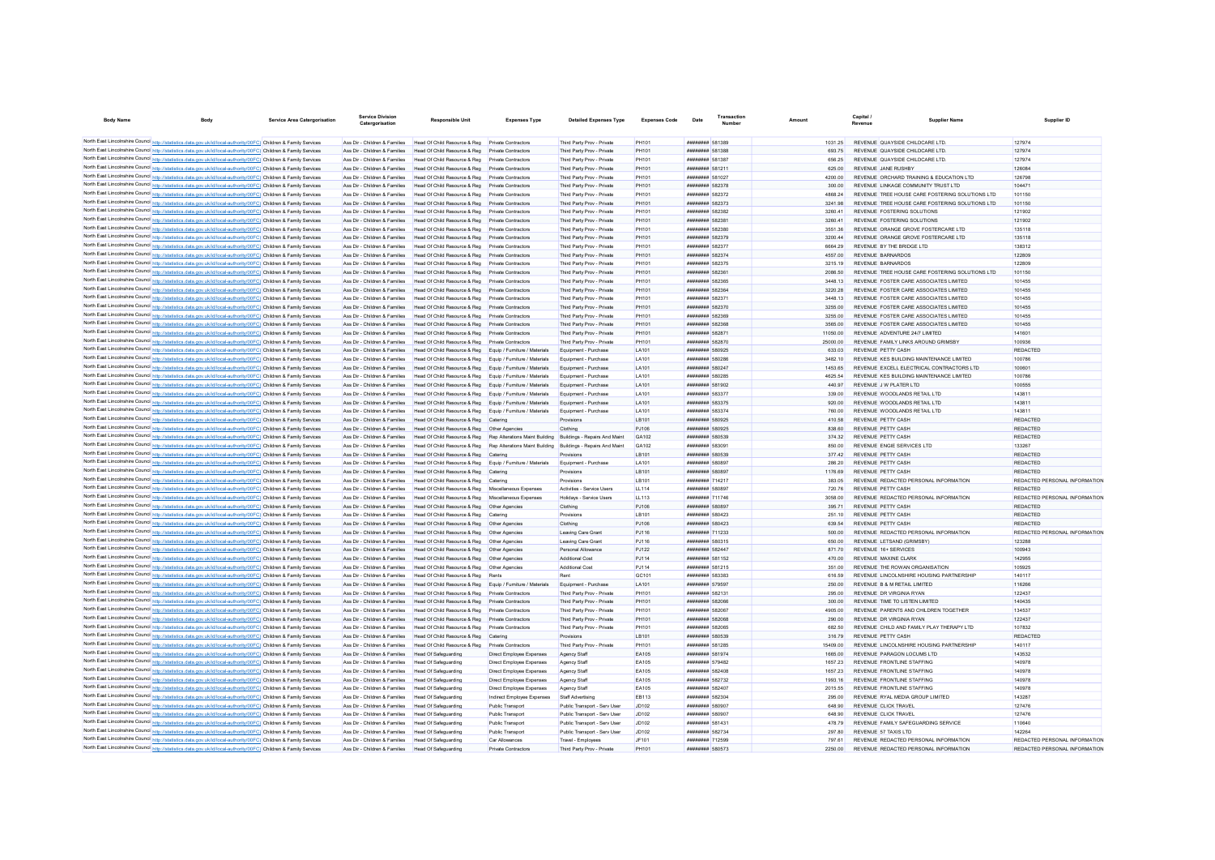| <b>Body Name</b>                                                                                                                                                                                                                       | Bod <sup>®</sup>                                                             | <b>Service Area Catergorisation</b> | <b>Service Division</b><br>Catergorisatio                      | <b>Responsible Unit</b>                                      | <b>Expenses Typ</b>           | <b>Detailed Expenses Type</b> | <b>Expenses Code</b> | Date | Transaction                          | Amoun |                   | Capital | Supplier Name                                                          | Supplier ID                   |
|----------------------------------------------------------------------------------------------------------------------------------------------------------------------------------------------------------------------------------------|------------------------------------------------------------------------------|-------------------------------------|----------------------------------------------------------------|--------------------------------------------------------------|-------------------------------|-------------------------------|----------------------|------|--------------------------------------|-------|-------------------|---------|------------------------------------------------------------------------|-------------------------------|
| North East Lincolnshire Council http://statistics.data.gov.uk/id/local-authority/00FC) Children & Family Services                                                                                                                      |                                                                              |                                     | Ass Dir - Children & Families                                  | Head Of Child Resource & Reg Private Contractors             |                               | Third Party Prov - Private    | PH101                |      | ######## 581389                      |       | 1031.25           |         | REVENUE QUAYSIDE CHILDCARE LTD                                         | 127974                        |
| North East Lincolnshire Council http://statistics.data.gov.uk/id/local-authority/00FC) Children & Family Services                                                                                                                      |                                                                              |                                     | Ass Dir - Children & Families                                  | Head Of Child Resource & Reg                                 | Private Contractors           | Third Party Prov - Private    | PH101                |      | <b><i>BREERER 581388</i></b>         |       | 693.75            |         | REVENUE QUAYSIDE CHILDCARE LTD                                         | 127974                        |
| North East Lincolnshire Council http://statistics.data.gov.uk/id/local-authority/00FC) Children & Family Services                                                                                                                      |                                                                              |                                     |                                                                | Head Of Child Resource & Reg                                 | Private Contractors           | Third Party Prov - Private    | PH101                |      | <b><i>BREERER 581387</i></b>         |       | 656.25            |         | REVENUE QUAYSIDE CHILDCARE LTD.                                        | 127974                        |
|                                                                                                                                                                                                                                        |                                                                              |                                     | Ass Dir - Children & Families                                  |                                                              |                               |                               |                      |      |                                      |       |                   |         |                                                                        |                               |
| North East Lincolnshire Council http://statistics.data.gov.uk/id/local-authority/00FC) Children & Family Services<br>North East Lincolnshire Council http://statistics.data.gov.uk/id/local-authority/00FC) Children & Family Services |                                                                              |                                     | Ass Dir - Children & Families<br>Ass Dir - Children & Families | Head Of Child Resource & Reg<br>Head Of Child Resource & Reg | Private Contractors           | Third Party Prov - Private    | PH101<br>PH101       |      | ######## 581211<br>######## 581027   |       | 625.00<br>4200.00 |         | <b>REVENUE JANE RUSHBY</b><br>REVENUE ORCHARD TRAINING & EDUCATION LTD | 126084<br>126798              |
|                                                                                                                                                                                                                                        |                                                                              |                                     | Ass Dir - Children & Families                                  |                                                              | <b>Private Contractors</b>    | Third Party Prov - Private    |                      |      |                                      |       |                   |         | REVENUE I INKAGE COMMUNITY TRUST I TD                                  |                               |
| North East Lincolnshire Council http://statistics.data.gov.uk/id/local-authority/00FC) Children & Family Services                                                                                                                      |                                                                              |                                     | Ass Dir - Children & Families                                  | Head Of Child Resource & Reg.                                | Private Contractors           | Third Party Prov - Private    | PH101                |      | <b><i>BREERHAM 582378</i></b>        |       | 300.00            |         | REVENUE TREE HOUSE CARE FOSTERING SOLUTIONS LTD                        | 104471                        |
| North East Lincolnshire Council http://statistics.data.gov.uk/id/local-authority/00FC) Children & Family Services                                                                                                                      |                                                                              |                                     |                                                                | Head Of Child Resource & Reg                                 | Private Contractors           | Third Party Prov - Private    | PH101                |      | <b><i>BREEZER 582372</i></b>         |       | 4868.24           |         |                                                                        | 101150                        |
| North East Lincolnshire Council http://statistics.data.gov.uk/id/local-authority/00FC) Children & Family Services                                                                                                                      |                                                                              |                                     | Ass Dir - Children & Families                                  | Head Of Child Resource & Reg                                 | Private Contractors           | Third Party Prov - Private    | PH101                |      | <b><i>BREEZERE 582373</i></b>        |       | 3241.98           |         | REVENUE TREE HOUSE CARE FOSTERING SOLUTIONS LTD                        | 101150                        |
| North East Lincolnshire Council http://statistics.data.gov.uk/id/local-authority/00FC) Children & Family Services                                                                                                                      |                                                                              |                                     | Ass Dir - Children & Families                                  | Head Of Child Resource & Reg                                 | Private Contractors           | Third Party Prov - Private    | PH101                |      | <b><i>BREEZERE 582382</i></b>        |       | 3260.41           |         | REVENUE FOSTERING SOLUTIONS                                            | 121902                        |
| North East Lincolnshire Council http://statistics.data.gov.uk/id/local-authority/00FC) Children & Family Services                                                                                                                      |                                                                              |                                     | Ass Dir - Children & Families                                  | Head Of Child Resource & Reg                                 | Private Contractors           | Third Party Prov - Private    | <b>PH101</b>         |      | <b><i>BREEZER 582381</i></b>         |       | 3260.41           |         | REVENUE FOSTERING SOLUTIONS                                            | 121902                        |
| North East Lincolnshire Council http://statistics.data.gov.uk/id/local-authority/00FC) Children & Family Services                                                                                                                      |                                                                              |                                     | Ass Dir - Children & Families                                  | Head Of Child Resource & Reg                                 | Private Contractors           | Third Party Prov - Private    | <b>PH101</b>         |      | ######## 582380                      |       | 3551.36           |         | REVENUE ORANGE GROVE FOSTERCARE LTD                                    | 135118                        |
| North East Lincolnshire Council http://statistics.data.gov.uk/id/local-authority/00FC) Children & Family Services                                                                                                                      |                                                                              |                                     | Ass Dir - Children & Families                                  | Head Of Child Resource & Reg                                 | <b>Private Contractors</b>    | Third Party Prov - Private    | PH101                |      | ######## 582379                      |       | 3200.44           |         | REVENUE ORANGE GROVE FOSTERCARE LTD                                    | 135118                        |
| North East Lincolnshire Council http://statistics.data.gov.uk/id/local-authority/00FC) Children & Family Services                                                                                                                      |                                                                              |                                     | Ass Dir - Children & Families                                  | Head Of Child Resource & Reg                                 | <b>Private Contractors</b>    | Third Party Prov - Private    | PH101                |      | ######## 582377                      |       | 6664.29           |         | REVENUE BY THE BRIDGE LTD                                              | 138312                        |
| North East Lincolnshire Council http://statistics.data.gov.uk/id/local-authority/00FC) Children & Family Services                                                                                                                      |                                                                              |                                     | Ass Dir - Children & Families                                  | Head Of Child Resource & Reg                                 | Private Contractors           | Third Party Prov - Private    | PH101                |      | ######## 582374                      |       | 4557.00           |         | REVENUE BARNARDOS                                                      | 122809                        |
| North East Lincolnshire Council http://statistics.data.gov.uk/id/local-authority/00FC) Children & Family Services                                                                                                                      |                                                                              |                                     | Ass Dir - Children & Families                                  | Head Of Child Resource & Reg                                 | Private Contractors           | Third Party Prov - Private    | PH101                |      | ######## 582375                      |       | 3215.19           |         | REVENUE BARNARDOS                                                      | 122809                        |
| North East Lincolnshire Council http://statistics.data.gov.uk/id/local-authority/00FC) Children & Family Services                                                                                                                      |                                                                              |                                     | Ass Dir - Children & Families                                  | Head Of Child Resource & Reg                                 | Private Contractors           | Third Party Prov - Private    | PH101                |      | ######## 582361                      |       | 2086.50           |         | REVENUE TREE HOUSE CARE FOSTERING SOLUTIONS LTD                        | 101150                        |
| North East Lincolnshire Council http://statistics.data.gov.uk/id/local-authority/00FC) Children & Family Services                                                                                                                      |                                                                              |                                     | Ass Dir - Children & Families                                  | Head Of Child Resource & Reg                                 | Private Contractors           | Third Party Prov - Private    | PH101                |      | ######## 582365                      |       | 3448.13           |         | REVENUE FOSTER CARE ASSOCIATES LIMITED                                 | 101455                        |
| North East Lincolnshire Council http://statistics.data.gov.uk/id/local-authority/00FC) Children & Family Services                                                                                                                      |                                                                              |                                     | Ass Dir - Children & Families                                  | Head Of Child Resource & Reg                                 | Private Contractors           | Third Party Prov - Private    | PH101                |      | <b><i>BREEZER 582364</i></b>         |       | 3220.28           |         | REVENUE FOSTER CARE ASSOCIATES LIMITED                                 | 101455                        |
| North East Lincolnshire Council http://statistics.data.gov.uk/id/local-authority/00FC) Children & Family Services                                                                                                                      |                                                                              |                                     | Ass Dir - Children & Families                                  | Head Of Child Resource & Reg                                 | Private Contractors           | Third Party Prov - Private    | PH101                |      | <b>иннинин</b> 58237                 |       | 3448 13           |         | REVENUE FOSTER CARE ASSOCIATES LIMITED                                 | 101455                        |
| North East Lincolnshire Council http://statistics.data.gov.uk/id/local-authority/00FC) Children & Family Services                                                                                                                      |                                                                              |                                     | Ass Dir - Children & Families                                  | Head Of Child Resource & Reg                                 | Private Contractors           | Third Party Prov - Private    | <b>PH101</b>         |      | ######## 582370                      |       | 3255.00           |         | REVENUE FOSTER CARE ASSOCIATES LIMITED                                 | 101455                        |
| North East Lincolnshire Council http://statistics.data.gov.uk/id/local-authority/00FC) Children & Family Services                                                                                                                      |                                                                              |                                     | Ass Dir - Children & Families                                  | Head Of Child Resource & Reg                                 | Private Contractors           | Third Party Prov - Private    | PH101                |      | ######## 582369                      |       | 3255.00           |         | REVENUE FOSTER CARE ASSOCIATES LIMITED                                 | 101455                        |
| North East Lincolnshire Council http://statistics.data.gov.uk/id/local-authority/00FC) Children & Family Services                                                                                                                      |                                                                              |                                     | Ass Dir - Children & Families                                  | Head Of Child Resource & Reg                                 | Private Contractors           | Third Party Prov - Private    | PH101                |      | <b>####### 582368</b>                |       | 3565.00           |         | REVENUE FOSTER CARE ASSOCIATES LIMITED                                 | 101455                        |
| North East Lincolnshire Council http://statistics.data.gov.uk/id/local-authority/00FC) Children & Family Services                                                                                                                      |                                                                              |                                     | Ass Dir - Children & Families                                  | Head Of Child Resource & Reg                                 | Private Contractors           | Third Party Prov - Private    | PH101                |      | <b><i>BREEZER 582871</i></b>         |       | 11050.00          |         | REVENUE ADVENTURE 24/7 LIMITED                                         | 141601                        |
| North East Lincolnshire Council http://statistics.data.gov.uk/id/local-authority/00FC) Children & Family Services                                                                                                                      |                                                                              |                                     | Ass Dir - Children & Families                                  | Head Of Child Resource & Reg                                 | Private Contractors           | Third Party Prov - Private    | PH101                |      | <b><i>BREEZER 582870</i></b>         |       | 25000.00          |         | REVENUE FAMILY LINKS AROUND GRIMSBY                                    | 100936                        |
| North East Lincolnshire Council http://statistics.data.gov.uk/id/local-authority/00FC) Children & Family Services                                                                                                                      |                                                                              |                                     | Ass Dir - Children & Families                                  | Head Of Child Resource & Reg                                 | Equip / Furniture / Materials | Equipment - Purchase          | LA101                |      | ######## 580925                      |       | 633.03            |         | REVENUE PETTY CASH                                                     | <b>REDACTED</b>               |
| North East Lincolnshire Council http://statistics.data.gov.uk/id/local-authority/00FC) Children & Family Services                                                                                                                      |                                                                              |                                     | Ass Dir - Children & Families                                  | Head Of Child Resource & Reg                                 | Equip / Furniture / Materials | Equipment - Purchase          | LA101                |      | <b><i>BREARNAH</i></b> 580286        |       | 3482.10           |         | REVENUE KES BUILDING MAINTENANCE LIMITED                               | 100786                        |
| North East Lincolnshire Council http://statistics.data.gov.uk/id/local-authority/00FC) Children & Family Services                                                                                                                      |                                                                              |                                     | Ass Dir - Children & Families                                  | Head Of Child Resource & Reg                                 | Equip / Fumiture / Materials  | Equipment - Purchase          | LA101                |      | <b><i>BRRHHHHH 580247</i></b>        |       | 1453.65           |         | REVENUE EXCELL ELECTRICAL CONTRACTORS LTD                              | 100601                        |
| North East Lincolnshire Council http://statistics.data.gov.uk/id/local-authority/00FC) Children & Family Services                                                                                                                      |                                                                              |                                     | Ass Dir - Children & Families                                  | Head Of Child Resource & Reg                                 | Equip / Furniture / Materials | Equipment - Purchase          | LA101                |      | <b><i>BREEZER 580285</i></b>         |       | 4625.54           |         | REVENUE KES BUILDING MAINTENANCE LIMITED                               | 100786                        |
| North East Lincolnshire Council http://statistics.data.gov.uk/id/local-authority/00FC) Children & Family Services                                                                                                                      |                                                                              |                                     | Ass Dir - Children & Families                                  | Head Of Child Resource & Reg                                 | Equip / Furniture / Materials | Equipment - Purchase          |                      |      | ######## 581902                      |       | 440.97            |         | REVENUE J W PLATER LTD                                                 | 100555                        |
| North East Lincolnshire Council http://statistics.data.gov.uk/id/local-authority/00FC) Children & Family Services                                                                                                                      |                                                                              |                                     |                                                                |                                                              |                               |                               | LA101                |      | ######## 583377                      |       |                   |         |                                                                        |                               |
|                                                                                                                                                                                                                                        |                                                                              |                                     | Ass Dir - Children & Families                                  | Head Of Child Resource & Reg                                 | Equip / Furniture / Material  | Equipment - Purchase          | LA101                |      |                                      |       | 339.00            |         | REVENUE WOODLANDS RETAIL LTD                                           | 143811                        |
| North East Lincolnshire Council http://statistics.data.gov.uk/id/local-authority/00FC) Children & Family Services                                                                                                                      |                                                                              |                                     | Ass Dir - Children & Families                                  | Head Of Child Resource & Reg                                 | Equip / Furniture / Materials | Equipment - Purchase          | LA101                |      | ######## 583375                      |       | 920.00            |         | REVENUE WOODLANDS RETAIL LTD                                           | 143811                        |
| North East Lincolnshire Council http://statistics.data.gov.uk/id/local-authority/00FC) Children & Family Services                                                                                                                      |                                                                              |                                     | Ass Dir - Children & Families                                  | Head Of Child Resource & Reg                                 | Equip / Furniture / Materials | Equipment - Purchase          | LA101                |      | ######## 583374                      |       | 760.00            |         | REVENUE WOODLANDS RETAIL LTD                                           | 143811                        |
| North East Lincolnshire Council http://statistics.data.gov.uk/id/local-authority/00FC) Children & Family Services                                                                                                                      |                                                                              |                                     | Ass Dir - Children & Families                                  | Head Of Child Resource & Reg                                 | Catering                      |                               | LB101                |      | ######## 580925                      |       | 410.58            |         | REVENUE PETTY CASH                                                     | <b>REDACTED</b>               |
| North East Lincolnshire Council http://statistics.data.gov.uk/id/local-authority/00FC) Children & Family Services                                                                                                                      |                                                                              |                                     | Ass Dir - Children & Families                                  | Head Of Child Resource & Reg                                 | Other Agencies                | Clothing                      | PJ106                |      | ######## 580925                      |       | 838.60            |         | REVENUE PETTY CASH                                                     | <b>REDACTED</b>               |
| North East Lincolnshire Council http://statistics.data.gov.uk/id/local-authority/00FC) Children & Family Services                                                                                                                      |                                                                              |                                     | Ass Dir - Children & Families                                  | Head Of Child Resource & Reg Rep Alterations Maint Building  |                               | Buildings - Repairs And Maint | GA102                |      | <b><i>BREEZER 580539</i></b>         |       | 374 32            |         | REVENUE PETTY CASH                                                     | <b>REDACTED</b>               |
| North East Lincolnshire Council http://statistics.data.gov.uk/id/local-authority/00FC) Children & Family Services                                                                                                                      |                                                                              |                                     | Ass Dir - Children & Families                                  | Head Of Child Resource & Reg Rep Alterations Maint Building  |                               | Buildings - Repairs And Maint | GA102                |      | <b>########</b> 583091               |       | 850.00            |         | REVENUE ENGIE SERVICES I TD                                            | 133267                        |
| North East Lincolnshire Council http://statistics.data.gov.uk/id/local-authority/00FC) Children & Family Services                                                                                                                      |                                                                              |                                     | Ass Dir - Children & Families                                  | Head Of Child Resource & Reg                                 | Catering                      | Provisions                    | I B101               |      | ######## 580539                      |       | 377.42            |         | REVENUE PETTY CASH                                                     | <b>REDACTED</b>               |
| North East Lincolnshire Council http://statistics.data.gov.uk/id/local-authority/00FC) Children & Family Services                                                                                                                      |                                                                              |                                     | Ass Dir - Children & Families                                  | Head Of Child Resource & Reg                                 | Equip / Furniture / Materials | Equipment - Purchase          | LA101                |      | ######## 580897                      |       | 286.20            |         | REVENUE PETTY CASH                                                     | <b>REDACTED</b>               |
| North East Lincolnshire Council http://statistics.data.gov.uk/id/local-authority/00FC) Children & Family Services                                                                                                                      |                                                                              |                                     | Ass Dir - Children & Families                                  | Head Of Child Resource & Reg                                 | Caterino                      | Provisions                    | <b>IB101</b>         |      | <b>########</b> 580897               |       | 1176.69           |         | REVENUE PETTY CASH                                                     | REDACTED                      |
| North East Lincolnshire Council http://statistics.data.gov.uk/id/local-authority/00FC) Children & Family Services                                                                                                                      |                                                                              |                                     | Ass Dir - Children & Families                                  | Head Of Child Resource & Reg Catering                        |                               | Provisions                    | I B101               |      | <b><i><u>BRAHHHHH</u> 714217</i></b> |       | 383.05            |         | REVENUE REDACTED PERSONAL INFORMATION                                  | REDACTED PERSONAL INFORMATION |
| North East Lincolnshire Council http://statistics.data.gov.uk/id/local-authority/00FC) Children & Family Services                                                                                                                      |                                                                              |                                     | Ass Dir - Children & Families                                  | Head Of Child Resource & Reg Miscellaneous Expenses          |                               | Activities - Service Users    | <b>LL114</b>         |      | <b>########</b> 580897               |       | 720.76            |         | REVENUE PETTY CASH                                                     | REDACTED                      |
| North East Lincolnshire Council http://statistics.data.gov.uk/id/local-authority/00FC) Children & Family Services                                                                                                                      |                                                                              |                                     | Ass Dir - Children & Families                                  | Head Of Child Resource & Reg   Miscellaneous Expenses        |                               | Holidays - Service Users      | LL113                |      | <b><i>BRESHHHH</i></b> 711746        |       | 3058.00           |         | REVENUE REDACTED PERSONAL INFORMATION                                  | REDACTED PERSONAL INFORMATION |
| North East Lincolnshire Council http://statistics.data.gov.uk/id/local-authority/00FC) Children & Family Services                                                                                                                      |                                                                              |                                     | Ass Dir - Children & Families                                  | Head Of Child Resource & Reg  Other Agencies                 |                               | Clothing                      | P.1106               |      | <b><i>BRENHHHH</i></b> 580897        |       | 395 71            |         | REVENUE PETTY CASH                                                     | <b>REDACTED</b>               |
| North East Lincolnshire Council http://statistics.data.gov.uk/id/local-authority/00FC) Children & Family Services                                                                                                                      |                                                                              |                                     | Ass Dir - Children & Families                                  | Head Of Child Resource & Reg                                 | Catering                      | Provisions                    | <b>IB101</b>         |      | ######## 580423                      |       | 251.10            |         | REVENUE PETTY CASH                                                     | REDACTED                      |
| North East Lincolnshire Council http://statistics.data.gov.uk/id/local-authority/00FC) Children & Family Services                                                                                                                      |                                                                              |                                     | Ass Dir - Children & Families                                  | Head Of Child Resource & Reg   Other Agencies                |                               | Clothing                      | PJ106                |      | ######## 580423                      |       | 639.54            |         | <b>REVENUE PETTY CASH</b>                                              | REDACTED                      |
| North East Lincolnshire Council http://statistics.data.gov.uk/id/local-authority/00FC) Children & Family Services                                                                                                                      |                                                                              |                                     | Ass Dir - Children & Families                                  | Head Of Child Resource & Reg                                 | Other Agencies                | Leaving Care Grant            | PJ116                |      | ######## 711233                      |       | 500.00            |         | REVENUE REDACTED PERSONAL INFORMATION                                  | REDACTED PERSONAL INFORMATION |
| North East Lincolnshire Council http://statistics.data.gov.uk/id/local-authority/00FC) Children & Family Services                                                                                                                      |                                                                              |                                     | Ass Dir - Children & Families                                  | Head Of Child Resource & Reg                                 | Other Agencies                | Leaving Care Gran             | PJ116                |      | ######## 580315                      |       | 650.00            |         | REVENUE LETSAND (GRIMSBY)                                              | 123288                        |
| North East Lincolnshire Council http://statistics.data.gov.uk/id/local-authority/00FC) Children & Family Services                                                                                                                      |                                                                              |                                     | Ass Dir - Children & Families                                  | Head Of Child Resource & Reg                                 | Other Agencies                | Personal Allowance            | PJ122                |      | ######## 582447                      |       | 871.70            |         | REVENUE 16+ SERVICES                                                   | 100943                        |
| North East Lincolnshire Council http://statistics.data.gov.uk/id/local-authority/00FC) Children & Family Services                                                                                                                      |                                                                              |                                     | Ass Dir - Children & Families                                  | Head Of Child Resource & Reg                                 | Other Agencies                | Additional Cost               | PJ114                |      | ######## 581152                      |       | 470.00            |         | <b>REVENUE MAXINE CLARK</b>                                            | 142955                        |
| North East Lincolnshire Council http://statistics.data.gov.uk/id/local-authority/00FC) Children & Family Services                                                                                                                      |                                                                              |                                     | Ass Dir - Children & Families                                  | Head Of Child Resource & Reg                                 | Other Agencies                | <b>Additional Cost</b>        | PJ114                |      | ######## 581215                      |       | 351.00            |         | REVENUE THE ROWAN ORGANISATION                                         | 105925                        |
| North East Lincolnshire Council http://statistics.data.gov.uk/id/local-authority/00FC) Children & Family Services                                                                                                                      |                                                                              |                                     | Ass Dir - Children & Families                                  | Head Of Child Resource & Reg                                 | Rents                         | Rent                          | GC101                |      | <b><i>BREEZER 583383</i></b>         |       | 616.59            |         | REVENUE LINCOLNSHIRE HOUSING PARTNERSHIP                               | 140117                        |
| North East Lincolnshire Council http://statistics.data.gov.uk/id/local-authority/00FC) Children & Family Services                                                                                                                      |                                                                              |                                     | Ass Dir - Children & Families                                  | Head Of Child Resource & Reg                                 | Foujo / Fumiture / Materials  | Equipment - Purchase          | LA101                |      | ######## 579597                      |       | 250.00            |         | REVENUE B & M RETAIL LIMITED                                           | 116266                        |
| North East Lincolnshire Council http://statistics.data.gov.uk/id/local-authority/00FC) Children & Family Services                                                                                                                      |                                                                              |                                     | Ass Dir - Children & Families                                  | Head Of Child Resource & Reg                                 | Private Contractors           | Third Party Prov - Private    | PH101                |      | ####### 582131                       |       | 295.00            |         | REVENUE DR VIRGINIA RYAN                                               | 122437                        |
|                                                                                                                                                                                                                                        |                                                                              |                                     |                                                                |                                                              |                               |                               |                      |      |                                      |       |                   |         |                                                                        |                               |
| North East Lincolnshire Council http://statistics.data.gov.uk/id/local-authority/00FC) Children & Family Services                                                                                                                      |                                                                              |                                     | Ass Dir - Children & Families                                  | Head Of Child Resource & Reg                                 | <b>Private Contractors</b>    | Third Party Prov - Private    | PH101                |      | ######## 582066                      |       | 300.00            |         | REVENUE TIME TO LISTEN LIMITED                                         | 140435                        |
| North East Lincolnshire Council http://statistics.data.gov.uk/id/local-authority/00FC) Children & Family Services                                                                                                                      |                                                                              |                                     | Ass Dir - Children & Families                                  | Head Of Child Resource & Reg                                 | Private Contractors           | Third Party Prov - Private    | PH101                |      | <b>######## 582067</b>               |       | 4905.00           |         | REVENUE PARENTS AND CHILDREN TOGETHER                                  | 134537                        |
| North East Lincolnshire Council http://statistics.data.gov.uk/id/local-authority/00FC) Children & Family Services                                                                                                                      |                                                                              |                                     | Ass Dir - Children & Families                                  | Head Of Child Resource & Reg                                 | Private Contractors           | Third Party Prov - Private    | PH101                |      | <b>########</b> 582068               |       | 290.00            |         | REVENUE DR VIRGINIA RYAN                                               | 122437                        |
| North East Lincolnshire Council http://statistics.data.gov.uk/id/local-authority/00FC) Children & Family Services                                                                                                                      |                                                                              |                                     | Ass Dir - Children & Families                                  | Head Of Child Resource & Reg.                                | Private Contractors           | Third Party Prov - Private    | PH101                |      | <b>####### 582065</b>                |       | 682.50            |         | REVENUE CHILD AND FAMILY PLAY THERAPY LTD                              | 107832                        |
| North East Lincolnshire Council http://statistics.data.gov.uk/id/local-authority/00FC) Children & Family Services                                                                                                                      |                                                                              |                                     | Ass Dir - Children & Families                                  | Head Of Child Resource & Reg                                 | Caterino                      | Provisions                    | <b>IB101</b>         |      | ######## 580539                      |       | 316.79            |         | REVENUE PETTY CASH                                                     | <b>REDACTED</b>               |
| North East Lincolnshire Council http://statistics.data.gov.uk/id/local-authority/00FC) Children & Family Services                                                                                                                      |                                                                              |                                     | Acc Dir - Children & Fomilies                                  | Head Of Child Resource & Reg.                                | Private Contractors           | Third Party Prov - Private    | <b>PH101</b>         |      | <b><i><u>HHHHHHH</u></i></b> 581285  |       | 15409.00          |         | REVENUE LINCOLNSHIRE HOUSING PARTNERSHIP                               | 140117                        |
| North East Lincolnshire Council http://statistics.data.gov.uk/id/local-authority/00FC) Children & Family Services                                                                                                                      |                                                                              |                                     | Ass Dir - Children & Families                                  | Head Of Safeguarding                                         | Direct Employee Expenses      | Agency Staff                  | EA105                |      | <b><i>BREEZER 581974</i></b>         |       | 1665.00           |         | REVENUE PARAGON LOCUMS LTD                                             | 143532                        |
| North East Lincolnshire Council http://statistics.data.gov.uk/id/local-authority/00FC) Children & Family Services                                                                                                                      |                                                                              |                                     | Ass Dir - Children & Families                                  | Head Of Safeguarding                                         | Direct Employee Expenses      | Agency Staff                  | EA105                |      | <b><i>BREEZER 579482</i></b>         |       | 1657 23           |         | REVENUE FRONTLINE STAFFING                                             | 140978                        |
| North East Lincolnshire Council http://statistics.data.gov.uk/id/local-authority/00FC) Children & Family Services                                                                                                                      |                                                                              |                                     | Ass Dir - Children & Families                                  | Head Of Safeguarding                                         | Direct Employee Expenses      | Agency Staff                  | EA105                |      | ######## 582408                      |       | 1657.23           |         | REVENUE FRONTLINE STAFFING                                             | 140978                        |
| North East Lincolnshire Council http://statistics.data.gov.uk/id/local-authority/00FC) Children & Family Services                                                                                                                      |                                                                              |                                     | Ass Dir - Children & Families                                  | <b>Head Of Safeguarding</b>                                  | Direct Employee Expenses      | Agency Staff                  | EA105                |      | <b><i>BRENHHHH 582732</i></b>        |       | 1993 16           |         | REVENUE FRONTLINE STAFFING                                             | 140978                        |
| North East Lincolnshire Council http://statistics.data.gov.uk/id/local-authority/00FC) Children & Family Services                                                                                                                      |                                                                              |                                     | Ass Dir - Children & Families                                  | Head Of Safeguarding                                         | Direct Employee Expenses      | Agency Staff                  | EA105                |      | ######## 582407                      |       | 2015.55           |         | REVENUE FRONTLINE STAFFING                                             | 140978                        |
| North East Lincolnshire Council http://statistics.data.gov.uk/id/local-authority/00FC) Children & Family Services                                                                                                                      |                                                                              |                                     | Ass Dir - Children & Families                                  | Head Of Safeguarding                                         | Indirect Employee Expenses    | Staff Advertising             | EB113                |      | ######## 582304                      |       | 295.00            |         | REVENUE RYAL MEDIA GROUP LIMITED                                       | 143287                        |
| North East Lincolnshire Council http://statistics.data.gov.uk/id/local-authority/00FC) Children & Family Services                                                                                                                      |                                                                              |                                     | Ass Dir - Children & Families                                  | Head Of Safeguarding                                         | <b>Public Transport</b>       | Public Transport - Serv User  | JD102                |      | ######## 580907                      |       | 648.90            |         | REVENUE CLICK TRAVEL                                                   | 127476                        |
| North East Lincolnshire Council http://statistics.data.gov.uk/id/local-authority/00FC) Children & Family Services                                                                                                                      |                                                                              |                                     | Ass Dir - Children & Families                                  | Head Of Safeguarding                                         | <b>Public Transport</b>       | Public Transport - Serv User  | JD102                |      | ######## 580907                      |       | 648.90            |         | REVENUE CLICK TRAVEL                                                   | 127476                        |
| North East Lincolnshire Council http://statistics.data.gov.uk/id/local-authority/00FC) Children & Family Services                                                                                                                      |                                                                              |                                     | Ass Dir - Children & Families                                  | Head Of Safeguarding                                         | Public Transport              | Public Transport - Serv Use   | <b>JD102</b>         |      | <b><i>BRENHHHH 581431</i></b>        |       | 478.79            |         | REVENUE FAMILY SAFEGUARDING SERVICE                                    | 110640                        |
| North East Lincolnshire Council http://statistics.data.gov.uk/id/local-authority/00FC) Children & Family Services                                                                                                                      |                                                                              |                                     | Ass Dir - Children & Families                                  | <b>Head Of Safeguarding</b>                                  | Public Transport              | Public Transport - Serv User  | JD102                |      | <b><i>BREEZER 582734</i></b>         |       | 297 80            |         | REVENUE 57 TAXIS I TD                                                  | 142264                        |
| North East Lincolnshire Council http://statistics.data.gov.uk/id/local-authority/00FC) Children & Family Services                                                                                                                      |                                                                              |                                     | Ass Dir - Children & Families                                  | Head Of Safeguarding                                         | Car Allowances                | Travel - Employees            | JF101                |      | ######## 712599                      |       | 797 61            |         | REVENUE REDACTED PERSONAL INFORMATION                                  | REDACTED PERSONAL INFORMATION |
| North East Lincolnshire Council Re                                                                                                                                                                                                     | //statistics.data.gov.uk/id/local-authority/00FC) Children & Family Services |                                     | Ass Dir - Children & Families                                  | Head Of Safeguarding                                         | Private Contractors           | Third Party Prov - Private    | PH101                |      | ######## 580573                      |       | 2250.00           |         | REVENUE REDACTED PERSONAL INFORMATION                                  | REDACTED PERSONAL INFORMATION |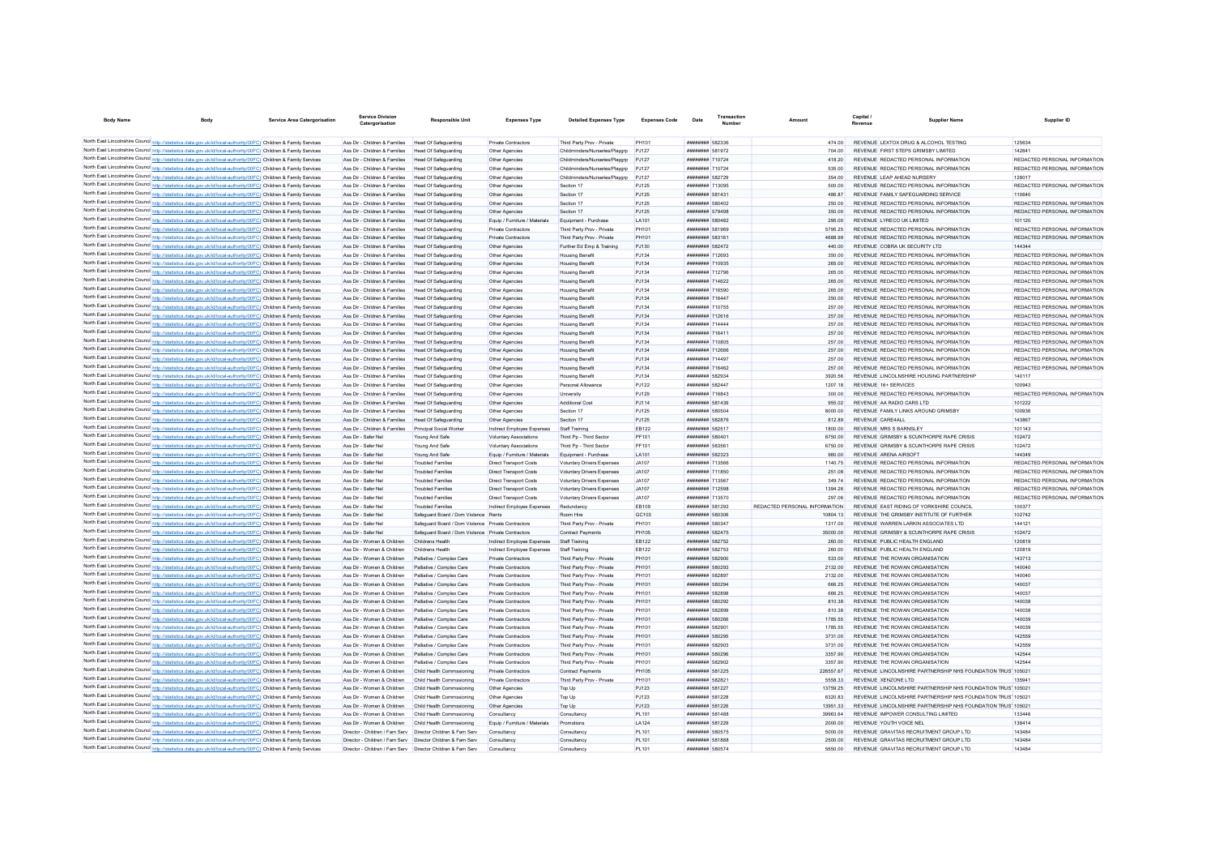| <b>Body Name</b>                                                                                                  | <b>Body</b> | <b>Service Area Catergorisation</b> | <b>Service Division</b><br>Catergorisation                   | <b>Responsible Unit</b>                             | <b>Expenses Type</b>             | <b>Detailed Expenses Type</b>                                    | <b>Expenses Code</b> | Date                                 | Transactio<br><b>Number</b> | Amoun                         | Capital<br>Revenue          | Supplier Name                                                | Supplier ID                   |
|-------------------------------------------------------------------------------------------------------------------|-------------|-------------------------------------|--------------------------------------------------------------|-----------------------------------------------------|----------------------------------|------------------------------------------------------------------|----------------------|--------------------------------------|-----------------------------|-------------------------------|-----------------------------|--------------------------------------------------------------|-------------------------------|
| North East Lincolnshire Council http://statistics.data.gov.uk/id/local-authority/00FC) Children & Family Services |             |                                     | Ass Dir - Children & Families Head Of Safeguarding           |                                                     | Private Contractors              | Third Party Prov - Private                                       | PH101                | <b>####### 582336</b>                |                             | 474.00                        |                             | REVENUE LEXTOX DRUG & ALCOHOL TESTING                        | 125634                        |
| North East Lincolnshire Council http://statistics.data.gov.uk/id/local-authority/00FC) Children & Family Services |             |                                     | Ass Dir - Children & Families                                | Head Of Safeguarding                                | Other Agencies                   | Childminders/Nurseries/Playgrp                                   | P.1127               | <b><i>HRRHHHHH</i></b> 581972        |                             | 704.00                        |                             | REVENUE FIRST STEPS CRIMSRY LIMITED                          | 142841                        |
| North East Lincolnshire Council http://statistics.data.gov.uk/id/local-authority/00FC) Children & Family Services |             |                                     | Ass Dir - Children & Families                                | Head Of Safeguarding                                |                                  |                                                                  | P.1127               | <b><i>BREEZER 710724</i></b>         |                             | 418.20                        |                             | REVENUE REDACTED PERSONAL INFORMATION                        | REDACTED PERSONAL INFORMATION |
| North East Lincolnshire Council http://statistics.data.gov.uk/id/local-authority/00FC) Children & Family Services |             |                                     | Ass Dir - Children & Families                                |                                                     | Other Agencies                   | Childminders/Nurseries/Playgrp                                   | PJ127                | <b><i>BREEZER 710724</i></b>         |                             | 535.00                        |                             | REVENUE REDACTED PERSONAL INFORMATION                        | REDACTED PERSONAL INFORMATION |
| North East Lincolnshire Council http://statistics.data.gov.uk/id/local-authority/00FC) Children & Family Services |             |                                     | Ass Dir - Children & Families                                | <b>Head Of Safeguarding</b><br>Head Of Safeguarding | Other Agencies<br>Other Agencies | Childminders/Nurseries/Playgrp<br>Childminders/Nurseries/Playarp | PJ127                | <b>######## 582729</b>               |                             | 354.00                        |                             | REVENUE LEAP AHEAD NURSERY                                   | 128017                        |
| North East Lincolnshire Council http://statistics.data.gov.uk/id/local-authority/00FC) Children & Family Services |             |                                     | Ass Dir - Children & Families                                | <b>Head Of Safeguarding</b>                         | Other Agencies                   | Section 17                                                       | <b>PJ125</b>         | ######## 713095                      |                             | 500.00                        |                             | REVENUE REDACTED PERSONAL INFORMATION                        | REDACTED PERSONAL INFORMATION |
| North East Lincolnshire Council http://statistics.data.gov.uk/id/local-authority/00FC) Children & Family Services |             |                                     | Ass Dir - Children & Families                                | <b>Head Of Safeguarding</b>                         | Other Agencies                   | Section 17                                                       | <b>PJ125</b>         | ######## 581431                      |                             | 486.87                        |                             | REVENUE FAMILY SAFEGUARDING SERVICE                          | 110640                        |
| North East Lincolnshire Council http://statistics.data.gov.uk/id/local-authority/00FC) Children & Family Services |             |                                     | Ass Dir - Children & Families                                | <b>Head Of Safeguarding</b>                         | Other Agencies                   | Section 17                                                       | <b>PJ125</b>         | ######## 580402                      |                             | 250.00                        |                             | REVENUE REDACTED PERSONAL INFORMATION                        | REDACTED PERSONAL INFORMATION |
| North East Lincolnshire Council http://statistics.data.gov.uk/id/local-authority/00FC) Children & Family Services |             |                                     | Ass Dir - Children & Families                                | Head Of Safeguarding                                | Other Agencies                   | Section 17                                                       | P.1125               | <b><i>BREEZEEE 579498</i></b>        |                             | 350.00                        |                             | REVENUE REDACTED PERSONAL INFORMATION                        | REDACTED PERSONAL INFORMATION |
| North East Lincolnshire Council http://statistics.data.gov.uk/id/local-authority/00FC) Children & Family Services |             |                                     | Ass Dir - Children & Families                                | Head Of Safeguarding                                | Equip / Furniture / Materials    | Equipment - Purchase                                             | I A101               | ######## 580482                      |                             | 295.00                        | REVENUE I YRECO UK I IMITED |                                                              | 101120                        |
| North East Lincolnshire Council http://statistics.data.gov.uk/id/local-authority/00FC) Children & Family Services |             |                                     | Ass Dir - Children & Families                                | <b>Head Of Safeguarding</b>                         | Private Contractors              | Third Party Prov - Private                                       | PH101                | ######## 581969                      |                             | 5795 25                       |                             | REVENUE REDACTED PERSONAL INFORMATION                        | REDACTED PERSONAL INFORMATION |
| North East Lincolnshire Council http://statistics.data.gov.uk/id/local-authority/00FC) Children & Family Services |             |                                     | Ass Dir - Children & Families                                | <b>Head Of Safeguarding</b>                         | Private Contractors              | Third Party Prov - Private                                       | PH101                | ######## 583161                      |                             | 4688.99                       |                             | REVENUE REDACTED PERSONAL INFORMATION                        | REDACTED PERSONAL INFORMATION |
| North East Lincolnshire Council http://statistics.data.gov.uk/id/local-authority/00FC) Children & Family Services |             |                                     | Ass Dir - Children & Families                                | Head Of Safeguarding                                | Other Agencies                   | Further Ed Emp & Training                                        | P.1130               | <b><i>BREEZER 582472</i></b>         |                             | 440.00                        |                             | REVENUE COBRA UK SECURITY I TD                               | 144344                        |
| North East Lincolnshire Council http://statistics.data.gov.uk/id/local-authority/00FC) Children & Family Services |             |                                     | Ass Dir - Children & Families                                | Head Of Safeguarding                                | Other Agencies                   | <b>Housing Benefit</b>                                           | P.1134               | <b>########</b> 712693               |                             | 350.00                        |                             | REVENUE REDACTED PERSONAL INFORMATION                        | REDACTED PERSONAL INFORMATION |
| North East Lincolnshire Council http://statistics.data.gov.uk/id/local-authority/00FC) Children & Family Services |             |                                     | Ass Dir - Children & Families                                | <b>Head Of Safeguarding</b>                         | Other Agencies                   | <b>Housing Benefit</b>                                           | PJ134                | ######## 710935                      |                             | 265.00                        |                             | REVENUE REDACTED PERSONAL INFORMATION                        | REDACTED PERSONAL INFORMATION |
| North East Lincolnshire Council http://statistics.data.gov.uk/id/local-authority/00FC) Children & Family Services |             |                                     | Ass Dir - Children & Families                                | Head Of Safeguarding                                | Other Agencies                   | <b>Housing Benefit</b>                                           | P.1134               | <b><i><u>HHHHHHHH</u></i></b> 712706 |                             | 265.00                        |                             | REVENUE REDACTED PERSONAL INFORMATION                        | REDACTED PERSONAL INFORMATION |
| North East Lincolnshire Council http://statistics.data.gov.uk/id/local-authority/00FC) Children & Family Services |             |                                     | Ass Dir - Children & Families                                | <b>Head Of Safeguarding</b>                         | Other Agencies                   | <b>Housing Benefit</b>                                           | <b>PJ134</b>         | <b><i><u>HHHHHHH</u></i></b> 714622  |                             | 265.00                        |                             | REVENUE REDACTED PERSONAL INFORMATION                        | REDACTED PERSONAL INFORMATION |
| North East Lincolnshire Council http://statistics.data.gov.uk/id/local-authority/00FC) Children & Family Services |             |                                     | Ass Dir - Children & Families                                | <b>Head Of Safeguarding</b>                         | Other Agencies                   | <b>Housing Benefit</b>                                           | PJ134                | ######## 716590                      |                             | 265.00                        |                             | REVENUE REDACTED PERSONAL INFORMATION                        | REDACTED PERSONAL INFORMATION |
| North East Lincolnshire Council http://statistics.data.gov.uk/id/local-authority/00FC) Children & Family Services |             |                                     | Ass Dir - Children & Families                                | <b>Head Of Safeguarding</b>                         | Other Agencies                   | <b>Housing Benefit</b>                                           | PJ134                | ######## 716447                      |                             | 250.00                        |                             | REVENUE REDACTED PERSONAL INFORMATION                        | REDACTED PERSONAL INFORMATION |
| North East Lincolnshire Council http://statistics.data.gov.uk/id/local-authority/00FC) Children & Family Services |             |                                     | Ass Dir - Children & Families                                | <b>Head Of Safeguarding</b>                         | Other Agencies                   | <b>Housing Benefit</b>                                           | PJ134                | <b><i>BREEZER 710755</i></b>         |                             | 257.00                        |                             | REVENUE REDACTED PERSONAL INFORMATION                        | REDACTED PERSONAL INFORMATION |
| North East Lincolnshire Council http://statistics.data.gov.uk/id/local-authority/00FC) Children & Family Services |             |                                     | Ass Dir - Children & Families                                | Head Of Safeguarding                                | Other Agencies                   | <b>Housing Benefit</b>                                           | <b>PJ134</b>         | ######## 712616                      |                             | 257.00                        |                             | REVENUE REDACTED PERSONAL INFORMATION                        | REDACTED PERSONAL INFORMATION |
| North East Lincolnshire Council http://statistics.data.gov.uk/id/local-authority/00FC) Children & Family Services |             |                                     | Ass Dir - Children & Families                                | Head Of Safeguarding                                | Other Agencies                   | <b>Housing Benefit</b>                                           | PJ134                | ######## 714444                      |                             | 257.00                        |                             | REVENUE REDACTED PERSONAL INFORMATION                        | REDACTED PERSONAL INFORMATION |
| North East Lincolnshire Council http://statistics.data.gov.uk/id/local-authority/00FC) Children & Family Services |             |                                     | Ass Dir - Children & Families                                | <b>Head Of Safeguarding</b>                         | Other Agencies                   | <b>Housing Benefit</b>                                           | <b>PJ134</b>         | ######## 716411                      |                             | 257.00                        |                             | REVENUE REDACTED PERSONAL INFORMATION                        | REDACTED PERSONAL INFORMATION |
| North East Lincolnshire Council http://statistics.data.gov.uk/id/local-authority/00FC) Children & Family Services |             |                                     | Ass Dir - Children & Families                                | Head Of Safeguarding                                | Other Agencies                   | <b>Housing Benefit</b>                                           | PJ134                | ######## 710805                      |                             | 257.00                        |                             | REVENUE REDACTED PERSONAL INFORMATION                        | REDACTED PERSONAL INFORMATION |
| North East Lincolnshire Council http://statistics.data.gov.uk/id/local-authority/00FC) Children & Family Services |             |                                     | Ass Dir - Children & Families                                | <b>Head Of Safeguarding</b>                         | Other Agencies                   | <b>Housing Benefit</b>                                           | <b>PJ134</b>         | <b>иннинии 712666</b>                |                             | 257.00                        |                             | REVENUE REDACTED PERSONAL INFORMATION                        | REDACTED PERSONAL INFORMATION |
| North East Lincolnshire Council http://statistics.data.gov.uk/id/local-authority/00FC) Children & Family Services |             |                                     | Ass Dir - Children & Families                                | <b>Head Of Safeguarding</b>                         | Other Agencies                   |                                                                  | PJ134                | <b><i>BREEZER 714497</i></b>         |                             |                               |                             | REVENUE REDACTED PERSONAL INFORMATION                        | REDACTED PERSONAL INFORMATION |
| North East Lincolnshire Council http://statistics.data.gov.uk/id/local-authority/00FC) Children & Family Services |             |                                     | Ass Dir - Children & Families                                |                                                     | Other Anencies                   | <b>Housing Benefit</b>                                           |                      | ######## 716462                      |                             | 257.00                        |                             | REVENUE REDACTED PERSONAL INFORMATION                        | REDACTED PERSONAL INFORMATION |
|                                                                                                                   |             |                                     | Ass Dir - Children & Families                                | Head Of Safeguarding                                |                                  | <b>Housing Benefit</b>                                           | P.1134               | <b><i>BREEZER 582934</i></b>         |                             | 257.00                        |                             | REVENUE LINCOLNSHIRE HOUSING PARTNERSHIP                     |                               |
| North East Lincolnshire Council http://statistics.data.gov.uk/id/local-authority/00FC) Children & Family Services |             |                                     |                                                              | Head Of Safeguarding                                | Other Anencies                   | <b>Housing Benefit</b>                                           | P.1134               |                                      |                             | 3920.56                       |                             |                                                              | 140117                        |
| North East Lincolnshire Council http://statistics.data.gov.uk/id/local-authority/00FC) Children & Family Services |             |                                     | Ass Dir - Children & Families                                | Head Of Safeguarding                                | Other Anencies                   | Personal Allowance                                               | P.1122               | <b><i>BREEZERH 582447</i></b>        |                             | 1207 18                       | REVENUE 16+ SERVICES        |                                                              | 100943                        |
| North East Lincolnshire Council http://statistics.data.gov.uk/id/local-authority/00FC) Children & Family Services |             |                                     | Ass Dir - Children & Families                                | Head Of Safeguarding                                | Other Agencies                   | University                                                       | <b>PJ129</b>         | <b><i>BREEZER 716843</i></b>         |                             | 300.00                        |                             | REVENUE REDACTED PERSONAL INFORMATION                        | REDACTED PERSONAL INFORMATION |
| North East Lincolnshire Council http://statistics.data.gov.uk/id/local-authority/00FC) Children & Family Services |             |                                     | Ass Dir - Children & Families                                | Head Of Safeguarding                                | Other Agencies                   | Additional Cost                                                  | PJ114                | ######## 581439                      |                             | 955.02                        | REVENUE AA RADIO CARS LTD.  |                                                              | 101222                        |
| North East Lincolnshire Council http://statistics.data.gov.uk/id/local-authority/00FC) Children & Family Services |             |                                     | Ass Dir - Children & Families                                | <b>Head Of Safeguarding</b>                         | Other Agencies                   | Section 17                                                       | <b>PJ125</b>         | ######## 580504                      |                             | 8000.00                       |                             | REVENUE FAMILY LINKS AROUND GRIMSBY                          | 100936                        |
| North East Lincolnshire Council http://statistics.data.gov.uk/id/local-authority/00FC) Children & Family Services |             |                                     | Ass Dir - Children & Families                                | Head Of Safeguarding                                | Other Agencies                   | Section 17                                                       | <b>PJ125</b>         | ######## 582876                      |                             | 812.89                        | REVENUE CARE4AU             |                                                              | 143867                        |
| North East Lincolnshire Council http://statistics.data.gov.uk/id/local-authority/00FC) Children & Family Services |             |                                     | Ass Dir - Children & Families                                | Principal Social Worker                             | Indirect Employee Expenses       | Staff Training                                                   | EB122                | ######## 582517                      |                             | 1800.00                       | REVENUE MRS S BARNSLEY      |                                                              | 101143                        |
| North East Lincolnshire Council http://statistics.data.gov.uk/id/local-authority/00FC) Children & Family Services |             |                                     | Ass Dir - Safer Nel                                          | Young And Safe                                      | Voluntary Associations           | Third Pp - Third Sector                                          | PF101                | ######## 580401                      |                             | 6750.00                       |                             | REVENUE GRIMSBY & SCUNTHORPE RAPE CRISIS                     | 102472                        |
| North East Lincolnshire Council http://statistics.data.gov.uk/id/local-authority/00FC) Children & Family Services |             |                                     | Ass Dir - Safer Ne                                           | Young And Safe                                      | Voluntary Associations           | Third Pp - Third Sector                                          | PF101                | ######## 583561                      |                             | 6750.00                       |                             | REVENUE GRIMSBY & SCUNTHORPE RAPE CRISIS                     | 102472                        |
| North East Lincolnshire Council http://statistics.data.gov.uk/id/local-authority/00FC) Children & Family Services |             |                                     | Ass Dir - Safer Ne                                           | Young And Safe                                      | Equip / Furniture / Materials    | Equipment - Purchase                                             | LA101                | ######## 582323                      |                             | 960.00                        | REVENUE ARENA AIRSOFT       |                                                              | 144349                        |
| North East Lincolnshire Council http://statistics.data.gov.uk/id/local-authority/00FC) Children & Family Services |             |                                     | Ass Dir - Safer Ne                                           | <b>Troubled Families</b>                            | <b>Direct Transport Costs</b>    | Voluntary Drivers Expenses                                       | JA107                | ######## 713566                      |                             | 1140.75                       |                             | REVENUE REDACTED PERSONAL INFORMATION                        | REDACTED PERSONAL INFORMATION |
| North East Lincolnshire Council http://statistics.data.gov.uk/id/local-authority/00FC) Children & Family Services |             |                                     | Ass Dir - Safer Ne                                           | <b>Troubled Families</b>                            | <b>Direct Transport Costs</b>    | Voluntary Drivers Expenses                                       | JA107                | ######## 711850                      |                             | 251.08                        |                             | REVENUE REDACTED PERSONAL INFORMATION                        | REDACTED PERSONAL INFORMATION |
| North East Lincolnshire Council http://statistics.data.gov.uk/id/local-authority/00FC) Children & Family Services |             |                                     | Ass Dir - Safer Ne                                           | <b>Troubled Families</b>                            | <b>Direct Transport Costs</b>    | Voluntary Drivers Expenses                                       | JA107                | ######## 713567                      |                             | 34974                         |                             | REVENUE REDACTED PERSONAL INFORMATION                        | REDACTED PERSONAL INFORMATION |
| North East Lincolnshire Council http://statistics.data.gov.uk/id/local-authority/00FC) Children & Family Services |             |                                     | Ass Dir - Safer Nel                                          | <b>Troubled Families</b>                            | <b>Direct Transport Costs</b>    | Voluntary Drivers Expenses                                       | JA107                | ######## 712598                      |                             | 1394.26                       |                             | REVENUE REDACTED PERSONAL INFORMATION                        | REDACTED PERSONAL INFORMATION |
| North East Lincolnshire Council http://statistics.data.gov.uk/id/local-authority/00FC) Children & Family Services |             |                                     | Ass Dir - Safer Ne                                           | <b>Troubled Families</b>                            | <b>Direct Transport Costs</b>    | <b>Voluntary Drivers Expenses</b>                                | JA107                | ######## 713570                      |                             | 297.06                        |                             | REVENUE REDACTED PERSONAL INFORMATION                        | REDACTED PERSONAL INFORMATION |
| North East Lincolnshire Council http://statistics.data.gov.uk/id/local-authority/00FC) Children & Family Services |             |                                     | Ass Dir - Safer Ne                                           | <b>Troubled Families</b>                            | Indirect Employee Expenses       | Redundancy                                                       | <b>FR109</b>         | <b>######## 581292</b>               |                             | REDACTED PERSONAL INFORMATION |                             | REVENUE FAST RIDING OF YORKSHIRE COUNCIL                     | 100377                        |
| North East Lincolnshire Council http://statistics.data.gov.uk/id/local-authority/00FC) Children & Family Services |             |                                     | Ass Dir - Safer Ne                                           | Safeguard Board / Dom Violence Rents                |                                  | Room Hire                                                        | GC103                | ######## 580306                      |                             | 10804 13                      |                             | REVENUE THE GRIMSBY INSTITUTE OF FURTHER                     | 102742                        |
| North East Lincolnshire Council http://statistics.data.gov.uk/id/local-authority/00FC) Children & Family Services |             |                                     | Ass Dir - Safer Ne                                           | Safeguard Board / Dom Violence Private Contractors  |                                  | Third Party Prov - Private                                       | PH101                | <b><i>BREEZEEE</i></b> 580347        |                             | 1317 00                       |                             | REVENUE WARREN LARKIN ASSOCIATES LTD                         | 144121                        |
| North East Lincolnshire Council http://statistics.data.gov.uk/id/local-authority/00FC) Children & Family Services |             |                                     | Ass Dir - Safer Nel                                          | Safeguard Board / Dom Violence Private Contractors  |                                  | Contract Payments                                                | <b>PH105</b>         | <b>######## 582475</b>               |                             | 35000.00                      |                             | REVENUE GRIMSBY & SCUNTHORPE RAPE CRISIS                     | 102472                        |
| North East Lincolnshire Council http://statistics.data.gov.uk/id/local-authority/00FC) Children & Family Services |             |                                     | Ass Dir - Women & Children                                   | Childrens Health                                    | Indirect Employee Expenses       | Staff Training                                                   | FR122                | <b><i>BREEZER 582752</i></b>         |                             | 260.00                        |                             | REVENUE PUBLIC HEALTH ENGLAND                                | 120819                        |
| North East Lincolnshire Council http://statistics.data.gov.uk/id/local-authority/00FC) Children & Family Services |             |                                     | Ass Dir - Women & Children                                   | Childrens Health                                    | Indirect Employee Expenses       | Staff Training                                                   | <b>EB122</b>         | <b>######## 582753</b>               |                             | 260.00                        |                             | REVENUE PUBLIC HEALTH ENGLAND                                | 120819                        |
| North East Lincolnshire Council http://statistics.data.gov.uk/id/local-authority/00FC) Children & Family Services |             |                                     | Ass Dir - Women & Children                                   | Palliative / Complex Care                           | Private Contractors              | Third Party Prov - Private                                       | PH101                | ######## 582900                      |                             | 533.00                        |                             | REVENUE THE ROWAN ORGANISATION                               | 143713                        |
| North East Lincolnshire Council http://statistics.data.gov.uk/id/local-authority/00FC) Children & Family Services |             |                                     | Ass Dir - Women & Children                                   | Palliative / Complex Care                           | Private Contractors              | Third Party Prov - Private                                       | PH101                | ######## 580293                      |                             | 2132.00                       |                             | REVENUE THE ROWAN ORGANISATION                               | 140040                        |
| North East Lincolnshire Council http://statistics.data.gov.uk/id/local-authority/00FC) Children & Family Services |             |                                     | Ass Dir - Women & Children                                   | Palliative / Complex Care                           | Private Contractors              | Third Party Prov - Private                                       | PH101                | ######## 582897                      |                             | 2132.00                       |                             | REVENUE THE ROWAN ORGANISATION                               | 140040                        |
| North East Lincolnshire Council http://statistics.data.gov.uk/id/local-authority/00FC) Children & Family Services |             |                                     | Ass Dir - Women & Children                                   | Palliative / Complex Care                           | Private Contractors              | Third Party Prov - Private                                       | PH101                | ######## 580294                      |                             | 666.25                        |                             | REVENUE THE ROWAN ORGANISATION                               | 140037                        |
| North East Lincolnshire Council http://statistics.data.gov.uk/id/local-authority/00FC) Children & Family Services |             |                                     | Ass Dir - Women & Children                                   | Palliative / Complex Care                           | Private Contractors              | Third Party Prov - Private                                       | PH101                | ######## 582898                      |                             | 666.25                        |                             | REVENUE THE ROWAN ORGANISATION                               | 140037                        |
| North East Lincolnshire Council http://statistics.data.gov.uk/id/local-authority/00FC) Children & Family Services |             |                                     | Ass Dir - Women & Children                                   | Palliative / Complex Care                           | Private Contractors              | Third Party Prov - Private                                       | PH101                | ######## 580292                      |                             | 810.38                        |                             | REVENUE THE ROWAN ORGANISATION                               | 140038                        |
| North East Lincolnshire Council http://statistics.data.gov.uk/id/local-authority/00FC) Children & Family Services |             |                                     | Ass Dir - Women & Children                                   | Palliative / Complex Care                           | Private Contractors              | Third Party Prov - Private                                       | PH101                | <b><i>BREEZER 582899</i></b>         |                             | 810.38                        |                             | REVENUE THE ROWAN ORGANISATION                               | 140038                        |
| North East Lincolnshire Council http://statistics.data.gov.uk/id/local-authority/00FC) Children & Family Services |             |                                     | Ass Dir - Women & Children                                   | Palliative / Complex Care                           | Private Contractors              | Third Party Prov - Private                                       | PH101                | ######## 580266                      |                             | 1785.55                       |                             | REVENUE THE ROWAN ORGANISATION                               | 140039                        |
| North East Lincolnshire Council http://statistics.data.gov.uk/id/local-authority/00FC) Children & Family Services |             |                                     | Ass Dir - Women & Children                                   | Palliative / Complex Care                           | Private Contractors              | Third Party Prov - Private                                       | PH101                | <b><i>BREEZER 582901</i></b>         |                             | 1785 55                       |                             | REVENUE THE ROWAN ORGANISATION                               | 140039                        |
| North East Lincolnshire Council http://statistics.data.gov.uk/id/local-authority/00FC) Children & Family Services |             |                                     | Ass Dir - Women & Children                                   | Palliative / Complex Care                           | Private Contractors              | Third Party Prov - Private                                       | PH101                | ######## 580295                      |                             | 3731.00                       |                             | REVENUE THE ROWAN ORGANISATION                               | 142559                        |
| North East Lincolnshire Council http://statistics.data.gov.uk/id/local-authority/00FC) Children & Family Services |             |                                     | Ass Dir - Women & Children                                   | Palliative / Complex Care                           | Private Contractors              | Third Party Prov - Private                                       | PH101                | ######## 582903                      |                             | 3731.00                       |                             | REVENUE THE ROWAN ORGANISATION                               | 142559                        |
| North East Lincolnshire Council http://statistics.data.gov.uk/id/local-authority/00FC) Children & Family Services |             |                                     | Ass Dir - Women & Children                                   | Palliative / Complex Care                           | Private Contractors              | Third Party Prov - Private                                       | PH101                | ######## 580296                      |                             | 3357 90                       |                             | REVENUE THE ROWAN ORGANISATION                               | 142544                        |
| North East Lincolnshire Council http://statistics.data.gov.uk/id/local-authority/00FC) Children & Family Services |             |                                     | Ass Dir - Women & Children                                   | Palliative / Complex Care                           | Private Contractors              | Third Party Prov - Private                                       | PH101                | <b><i>HRRHHHHH</i></b> 582902        |                             | 3357.90                       |                             | REVENUE THE ROWAN ORGANISATION                               | 142544                        |
| North East Lincolnshire Council http://statistics.data.gov.uk/id/local-authority/00FC) Children & Family Services |             |                                     | Ass Dir - Women & Children                                   | Child Health Commssioning                           | Private Contractors              | <b>Contract Payments</b>                                         | <b>PH105</b>         | <b>######## 581225</b>               |                             | 226557.67                     |                             | REVENUE LINCOLNSHIRE PARTNERSHIP NHS FOUNDATION TRUS' 105021 |                               |
| North East Lincolnshire Council http://statistics.data.gov.uk/id/local-authority/00FC) Children & Family Services |             |                                     | Ass Dir - Women & Children                                   | Child Health Commssioning                           | Private Contractors              | Third Party Prov - Private                                       | PH101                | <b>НЕНИНИИ 582821</b>                |                             | 5558.33                       | REVENUE XENZONE I TD        |                                                              | 135941                        |
| North East Lincolnshire Council http://statistics.data.gov.uk/id/local-authority/00FC) Children & Family Services |             |                                     | Ass Dir - Women & Children                                   | Child Health Commssioning                           | Other Agencies                   | Top Up                                                           | PJ123                | <b><i>BREEZER 581227</i></b>         |                             | 13759.25                      |                             | REVENUE LINCOLNSHIRE PARTNERSHIP NHS FOUNDATION TRUS' 105021 |                               |
| North East Lincolnshire Council http://statistics.data.gov.uk/id/local-authority/00FC) Children & Family Services |             |                                     | Ass Dir - Women & Children                                   | Child Health Commssioning                           | Other Agencies                   | Top Up                                                           | PJ123                | <b>########</b> 581228               |                             | 6320.83                       |                             | REVENUE LINCOLNSHIRE PARTNERSHIP NHS FOUNDATION TRUS' 105021 |                               |
| North East Lincolnshire Council http://statistics.data.gov.uk/id/local-authority/00FC) Children & Family Services |             |                                     | Ass Dir - Women & Children                                   | Child Health Commssioning                           | Other Agencies                   | Top Up                                                           | PJ123                | ######## 581226                      |                             | 13951.33                      |                             | REVENUE LINCOLNSHIRE PARTNERSHIP NHS FOUNDATION TRUS' 105021 |                               |
| North East Lincolnshire Council http://statistics.data.gov.uk/id/local-authority/00FC) Children & Family Services |             |                                     | Ass Dir - Women & Children                                   | Child Health Commssioning                           | Consultancy                      | Consultancy                                                      | <b>PL101</b>         | ######## 581488                      |                             | 39963.64                      |                             | REVENUE IMPOWER CONSULTING LIMITED                           | 133446                        |
| North East Lincolnshire Council http://statistics.data.gov.uk/id/local-authority/00FC) Children & Family Services |             |                                     | Ass Dir - Women & Children                                   | Child Health Commssioning                           | Fouin / Furniture / Materials    | Promotions                                                       | I A124               | <b>######## 581229</b>               |                             | 2000.00                       | REVENUE YOUTH VOICE NEL     |                                                              | 138414                        |
| North East Lincolnshire Council http://statistics.data.gov.uk/id/local-authority/00FC) Children & Family Services |             |                                     | Director - Children / Fam Serv Director Children & Fam Serv  |                                                     | Consultancy                      | Consultancy                                                      | PI 101               | ######## 580575                      |                             | 5000.00                       |                             | REVENUE GRAVITAS RECRUITMENT GROUP I TD                      | 143484                        |
| North East Lincolnshire Council http://statistics.data.gov.uk/id/local-authority/00FC) Children & Family Services |             |                                     | Director - Children / Fam Serv Director Children & Fam Serv  |                                                     | Consultancy                      | Consultancy                                                      | <b>PL101</b>         | ######## 581888                      |                             | 2500.00                       |                             | REVENUE GRAVITAS RECRUITMENT GROUP I TD                      | 143484                        |
| North East Lincolnshire Council http://statistics.data.gov.uk/id/local-authority/00FC) Children & Family Services |             |                                     | Director - Children / Fam Serv  Director Children & Fam Serv |                                                     | Consultancy                      | Consultancy                                                      | PI 101               | <b>########</b> 580574               |                             | 5650.00                       |                             | REVENUE GRAVITAS RECRUITMENT GROUP I TD                      | 143484                        |
|                                                                                                                   |             |                                     |                                                              |                                                     |                                  |                                                                  |                      |                                      |                             |                               |                             |                                                              |                               |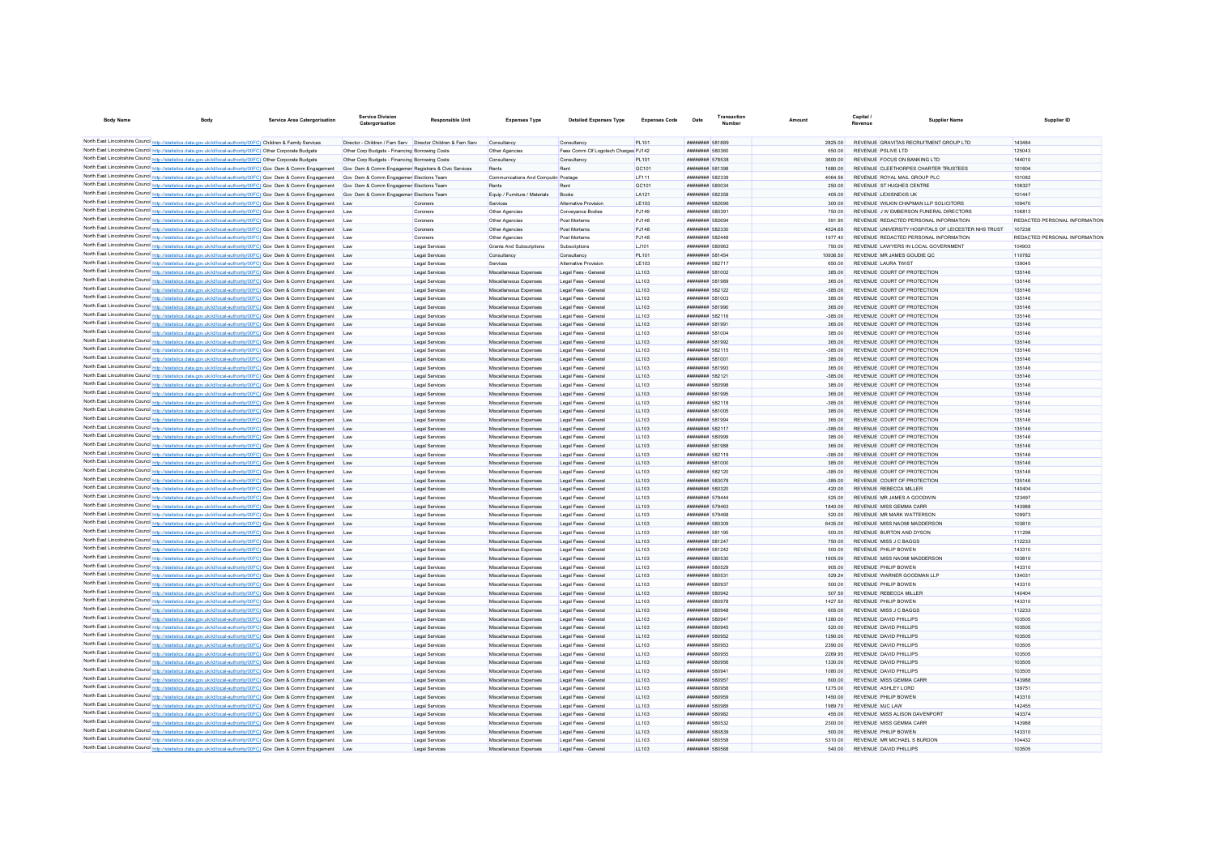| <b>Body Name</b>                     | <b>Body</b>                                                                                                                                                                                                                          | Service Area Catergorisation | Service Division<br>Catergorisation                         | <b>Responsible Unit</b>          | <b>Expenses Type</b>                             | <b>Detailed Expenses Type</b>                | <b>Expenses Code</b> | Date                                                                  | Transactio | Amoun               | Capital<br>Revenue |                                                            | <b>Supplier Nam</b>                                 | Supplier ID                   |
|--------------------------------------|--------------------------------------------------------------------------------------------------------------------------------------------------------------------------------------------------------------------------------------|------------------------------|-------------------------------------------------------------|----------------------------------|--------------------------------------------------|----------------------------------------------|----------------------|-----------------------------------------------------------------------|------------|---------------------|--------------------|------------------------------------------------------------|-----------------------------------------------------|-------------------------------|
|                                      | North East Lincolnshire Council http://statistics.data.gov.uk/id/local-authority/00FC) Children & Family Services                                                                                                                    |                              | Director - Children / Fam Serv Director Children & Fam Serv |                                  | Consultancy                                      | Consultancy                                  | PL101                | ######## 581889                                                       |            | 2825.00             |                    | REVENUE GRAVITAS RECRUITMENT GROUP LTD                     |                                                     | 143484                        |
|                                      | North East Lincolnshire Council http://statistics.data.gov.uk/id/local-authority/00FC) Other Corporate Budgets                                                                                                                       |                              | Other Corp Budgets - Financing Borrowing Costs              |                                  | Other Agencies                                   | Fees Comm Clf Logotech Charges PJ142         |                      | <b>BENSA BREEFERE</b>                                                 |            | 650.00              |                    | REVENUE PSUVE LTD                                          |                                                     | 125043                        |
|                                      | North East Lincolnshire Council http://statistics.data.gov.uk/id/local-authority/00FC) Other Corporate Budgets                                                                                                                       |                              | Other Corp Budgets - Financing Borrowing Costs              |                                  | Consultancy                                      | Consultano                                   | PL101                | ######## 578538                                                       |            | 3600.00             |                    | REVENUE FOCUS ON BANKING LTD                               |                                                     | 144010                        |
|                                      | North East Lincolnshire Council http://statistics.data.gov.uk/id/local-authority/00FC) Gov Dem & Comm Engagement                                                                                                                     |                              | Gov Dem & Comm Engagemer Registrars & Civic Services        |                                  | Rents                                            | Rent                                         | GC101                | ######## 581398                                                       |            | 1680.00             |                    | REVENUE CLEETHORPES CHARTER TRUSTEES                       |                                                     | 101604                        |
|                                      | North East Lincolnshire Council http://statistics.data.gov.uk/id/local-authority/00FC) Gov Dem & Comm Engagement                                                                                                                     |                              | Gov Dem & Comm Engagemer Elections Team                     |                                  | Communications And Computin Postage              |                                              | LF111                | ######## 582339                                                       |            | 4064.56             |                    | REVENUE ROYAL MAIL GROUP PLC                               |                                                     | 101082                        |
|                                      | North East Lincolnshire Council http://statistics.data.gov.uk/id/local-authority/00FC) Gov Dem & Comm Engagement                                                                                                                     |                              | Gov Dem & Comm Engagemer Elections Team                     |                                  | Rents                                            | Rent                                         | GC101                | ######## 580034                                                       |            | 250.00              |                    | REVENUE ST HUGHES CENTRE                                   |                                                     | 108327                        |
|                                      | North East Lincolnshire Council http://statistics.data.gov.uk/id/local-authority/00FC) Gov Dem & Comm Engagement                                                                                                                     |                              | Gov Dem & Comm Engagemer Elections Team                     |                                  | Equip / Furniture / Materials                    | Books                                        | LA121                | ######## 582358                                                       |            | 405.00              |                    | REVENUE LEXISNEXIS UK                                      |                                                     | 101447                        |
|                                      | North East Lincolnshire Council http://statistics.data.gov.uk/id/local-authority/00FC) Gov Dem & Comm Engagement                                                                                                                     |                              | Lav                                                         | Coroners                         | Services                                         | Alternative Provision                        | LE103                | ######## 582696                                                       |            | 300.00              |                    | REVENUE WILKIN CHAPMAN LLP SOLICITORS                      |                                                     | 109470                        |
|                                      | North East Lincolnshire Council http://statistics.data.gov.uk/id/local-authority/00FC) Gov Dem & Comm Engagement                                                                                                                     |                              | <b>Law</b>                                                  | Coroners                         | Other Agencies                                   | Convevance Bodie                             | P.1149               | ######## 58039                                                        |            | 750.00              |                    | REVENUE J W EMBERSON FUNERAL DIRECTORS                     |                                                     | 106813                        |
|                                      | North East Lincolnshire Council http://statistics.data.gov.uk/id/local-authority/00FC) Gov Dem & Comm Engagement                                                                                                                     |                              | Lav                                                         | Coroners                         | Other Agencies                                   | Post Mortems                                 | <b>PJ148</b>         | <b>######## 582694</b>                                                |            | 591.90              |                    | REVENUE REDACTED PERSONAL INFORMATION                      |                                                     | REDACTED PERSONAL INFORMATION |
|                                      | North East Lincolnshire Council http://statistics.data.gov.uk/id/local-authority/00FC) Gov Dem & Comm Engagement                                                                                                                     |                              | Law                                                         | Coroners                         | Other Agencies                                   | Post Mortems                                 | <b>PJ148</b>         | ######## 582330                                                       |            | 4524.65             |                    |                                                            | REVENUE UNIVERSITY HOSPITALS OF LEICESTER NHS TRUST | 107238                        |
|                                      | North East Lincolnshire Council http://statistics.data.gov.uk/id/local-authority/00FC) Gov Dem & Comm Engagement                                                                                                                     |                              | Lay                                                         | Coroners                         | Other Agencies                                   | Post Mortems                                 | PJ148                | ######## 582448                                                       |            | 1977.40             |                    | REVENUE REDACTED PERSONAL INFORMATION                      |                                                     | REDACTED PERSONAL INFORMATION |
|                                      | North East Lincolnshire Council http://statistics.data.gov.uk/id/local-authority/00FC) Gov Dem & Comm Engagement                                                                                                                     |                              | <b>Lav</b>                                                  | Legal Services                   | Grants And Subscriptions                         | Subscriptions                                | 1.1101               | ######## 580962                                                       |            | 750.00              |                    | REVENUE LAWYERS IN LOCAL GOVERNMENT                        |                                                     | 104903                        |
|                                      | North East Lincolnshire Council http://statistics.data.gov.uk/id/local-authority/00FC) Gov Dem & Comm Engagement                                                                                                                     |                              | Lav                                                         | Legal Services                   | Consultancy                                      | Consultancy                                  | PI 101               | <b><i>BREEZERE 581454</i></b>                                         |            | 10936.50            |                    | REVENUE MR JAMES GOUDIE OC                                 |                                                     | 110782                        |
|                                      | North East Lincolnshire Council http://statistics.data.gov.uk/id/local-authority/00FC) Gov Dem & Comm Engagement                                                                                                                     |                              | Lav                                                         | Legal Services                   | Services                                         | <b>Alternative Provision</b>                 | LE103                | <b><i>BREEZEEE</i></b> 582717                                         |            | 650.00              |                    | REVENUE LAURA TWIST                                        |                                                     | 139045                        |
|                                      | North East Lincolnshire Council http://statistics.data.gov.uk/id/local-authority/00FC) Gov Dem & Comm Engagement                                                                                                                     |                              | Lav                                                         | Legal Services                   | Miscellaneous Expenses                           | Legal Fees - General                         | LL103                | ######## 581002                                                       |            | 385.00              |                    | REVENUE COURT OF PROTECTION                                |                                                     | 135146                        |
|                                      | North East Lincolnshire Council http://statistics.data.gov.uk/id/local-authority/00FC) Gov Dem & Comm Engagement                                                                                                                     |                              | Lav                                                         | Legal Services                   | Miscellaneous Expenses                           | Legal Fees - General                         | LL103                | ######## 581989                                                       |            | 365.00              |                    | REVENUE COURT OF PROTECTION                                |                                                     | 135146                        |
|                                      | North East Lincolnshire Council http://statistics.data.gov.uk/id/local-authority/00FC) Gov Dem & Comm Engagement                                                                                                                     |                              | Lav                                                         | Legal Services                   | Miscellaneous Expenses                           | Legal Fees - General                         | LL103                | ######## 582122                                                       |            | $-385.00$           |                    | REVENUE COURT OF PROTECTION                                |                                                     | 135146                        |
|                                      | North East Lincolnshire Council http://statistics.data.gov.uk/id/local-authority/00FC) Gov Dem & Comm Engagement                                                                                                                     |                              | Lav                                                         | Legal Services                   | Miscellaneous Expenses                           | Legal Fees - Genera                          | LL103                | ######## 581003                                                       |            | 385.00              |                    | REVENUE COURT OF PROTECTION                                |                                                     | 135146                        |
|                                      | North East Lincolnshire Council http://statistics.data.gov.uk/id/local-authority/00FC) Gov Dem & Comm Engagement<br>North East Lincolnshire Council http://statistics.data.gov.uk/id/local-authority/00FC) Gov Dem & Comm Engagement |                              | Lav<br>Lav                                                  | Legal Services                   | Miscellaneous Expenses<br>Miscellaneous Expenses | Legal Fees - Genera<br>Legal Fees - Genera   | LL103<br>LL103       | ######## 581990<br>######## 582116                                    |            | 365.00<br>$-385.00$ |                    | REVENUE COURT OF PROTECTION<br>REVENUE COURT OF PROTECTION |                                                     | 135146<br>135146              |
|                                      | North East Lincolnshire Council http://statistics.data.gov.uk/id/local-authority/00FC) Gov Dem & Comm Engagement                                                                                                                     |                              | Lav                                                         | Legal Services<br>Legal Services | Miscellaneous Expenses                           | Legal Fees - General                         | LL103                | ######## 581991                                                       |            | 365.00              |                    | REVENUE COURT OF PROTECTION                                |                                                     | 135146                        |
|                                      | North East Lincolnshire Council http://statistics.data.gov.uk/id/local-authority/00FC) Gov Dem & Comm Engagement                                                                                                                     |                              | Lav                                                         | Legal Services                   | Miscellaneous Expenses                           | Legal Fees - General                         | LL103                | ######## 581004                                                       |            | 385.00              |                    | REVENUE COURT OF PROTECTION                                |                                                     | 135146                        |
|                                      | North East Lincolnshire Council http://statistics.data.gov.uk/id/local-authority/00FC) Gov Dem & Comm Engagement                                                                                                                     |                              | Lav                                                         | Legal Services                   | Miscellaneous Expenses                           | Legal Fees - General                         | LL103                | ######## 581992                                                       |            | 365.00              |                    | REVENUE COURT OF PROTECTION                                |                                                     | 135146                        |
|                                      | North East Lincolnshire Council http://statistics.data.gov.uk/id/local-authority/00FC) Gov Dem & Comm Engagement                                                                                                                     |                              | Lav                                                         | Legal Services                   | Miscellaneous Expenses                           | Legal Fees - General                         | LL103                | ######## 582115                                                       |            | $-385.00$           |                    | REVENUE COURT OF PROTECTION                                |                                                     | 135146                        |
|                                      | North East Lincolnshire Council http://statistics.data.gov.uk/id/local-authority/00FC) Gov Dem & Comm Engagement                                                                                                                     |                              | Lay                                                         | Legal Services                   | Miscellaneous Expenses                           | Legal Fees - General                         | LL103                | ######## 581001                                                       |            | 385.00              |                    | REVENUE COURT OF PROTECTION                                |                                                     | 135146                        |
|                                      | North East Lincolnshire Council http://statistics.data.gov.uk/id/local-authority/00FC) Gov Dem & Comm Engagement                                                                                                                     |                              | <b>I</b> av                                                 | Legal Services                   | Miscellaneous Expenses                           | Legal Fees - General                         | 11103                | ######## 581993                                                       |            | 365.00              |                    | REVENUE COURT OF PROTECTION                                |                                                     | 135146                        |
|                                      | North East Lincolnshire Council http://statistics.data.gov.uk/id/local-authority/00FC) Gov Dem & Comm Engagement                                                                                                                     |                              | Lav                                                         | Legal Services                   | Miscellaneous Expenses                           | Legal Fees - General                         | 11103                | <b>########</b> 582121                                                |            | $-385.00$           |                    | REVENUE COURT OF PROTECTION                                |                                                     | 135146                        |
|                                      | North East Lincolnshire Council http://statistics.data.gov.uk/id/local-authority/00FC) Gov Dem & Comm Engagement                                                                                                                     |                              | Lav                                                         | Legal Services                   | Miscellaneous Expenses                           | Legal Fees - General                         | 11103                | ######## 580998                                                       |            | 385.00              |                    | REVENUE COURT OF PROTECTION                                |                                                     | 135146                        |
|                                      | North East Lincolnshire Council http://statistics.data.gov.uk/id/local-authority/00FC) Gov Dem & Comm Engagement                                                                                                                     |                              | Lav                                                         | Legal Services                   | Miscellaneous Expenses                           | Legal Fees - General                         | LL103                | ######## 581995                                                       |            | 365.00              |                    | REVENUE COURT OF PROTECTION                                |                                                     | 135146                        |
|                                      | North East Lincolnshire Council http://statistics.data.gov.uk/id/local-authority/00FC) Gov Dem & Comm Engagement                                                                                                                     |                              | Lay                                                         | Legal Services                   | Miscellaneous Expenses                           | Legal Fees - General                         | LL103                | ######## 582118                                                       |            | $-385.00$           |                    | REVENUE COURT OF PROTECTION                                |                                                     | 135146                        |
|                                      | North East Lincolnshire Council http://statistics.data.gov.uk/id/local-authority/00FC) Gov Dem & Comm Engagement                                                                                                                     |                              | Lav                                                         | Legal Service                    | Miscellaneous Expenses                           | Legal Fees - General                         | LL103                | ######## 581005                                                       |            | 385.00              |                    | REVENUE COURT OF PROTECTION                                |                                                     | 135146                        |
|                                      | North East Lincolnshire Council http://statistics.data.gov.uk/id/local-authority/00FC) Gov Dem & Comm Engagement                                                                                                                     |                              | Lav                                                         | Legal Service                    | Miscellaneous Expenses                           | Legal Fees - General                         | LL103                | ######## 581994                                                       |            | 365.00              |                    | REVENUE COURT OF PROTECTION                                |                                                     | 135146                        |
|                                      | North East Lincolnshire Council http://statistics.data.gov.uk/id/local-authority/00FC) Gov Dem & Comm Engagement                                                                                                                     |                              | Lav                                                         | <b>Legal Services</b>            | Miscellaneous Expenses                           | Legal Fees - General                         | LL103                | ######## 582117                                                       |            | $-385.00$           |                    | REVENUE COURT OF PROTECTION                                |                                                     | 135146                        |
|                                      | North East Lincolnshire Council http://statistics.data.gov.uk/id/local-authority/00FC) Gov Dem & Comm Engagement                                                                                                                     |                              | Lav                                                         | Legal Services                   | Miscellaneous Expenses                           | Legal Fees - General                         | LL103                | ######## 580999                                                       |            | 385.00              |                    | REVENUE COURT OF PROTECTION                                |                                                     | 135146                        |
|                                      | North East Lincolnshire Council http://statistics.data.gov.uk/id/local-authority/00FC) Gov Dem & Comm Engagement                                                                                                                     |                              | Lav                                                         | Legal Services                   | Miscellaneous Expenses                           | Legal Fees - General                         | LL103                | ######## 581988                                                       |            | 365.00              |                    | REVENUE COURT OF PROTECTION                                |                                                     | 135146                        |
|                                      | North East Lincolnshire Council http://statistics.data.gov.uk/id/local-authority/00FC) Gov Dem & Comm Engagement                                                                                                                     |                              | Lav                                                         | Legal Services                   | Miscellaneous Expenses                           | Legal Fees - General                         | LL103                | ######## 582119                                                       |            | $-385.00$           |                    | REVENUE COURT OF PROTECTION                                |                                                     | 135146                        |
|                                      | North East Lincolnshire Council http://statistics.data.gov.uk/id/local-authority/00FC) Gov Dem & Comm Engagement                                                                                                                     |                              | Lav                                                         | Legal Services                   | Miscellaneous Expenses                           | Legal Fees - General                         | LL103                | ######## 581000                                                       |            | 385.00              |                    | REVENUE COURT OF PROTECTION                                |                                                     | 135146                        |
|                                      | North East Lincolnshire Council http://statistics.data.gov.uk/id/local-authority/00FC) Gov Dem & Comm Engagement                                                                                                                     |                              | <b>I</b> av                                                 | Legal Services                   | Miscellaneous Expenses                           | Legal Fees - General                         | 11103                | ######## 582120                                                       |            | $-385.00$           |                    | REVENUE COURT OF PROTECTION                                |                                                     | 135146                        |
|                                      | North East Lincolnshire Council http://statistics.data.gov.uk/id/local-authority/00FC) Gov Dem & Comm Engagement                                                                                                                     |                              | Lav                                                         | Legal Services                   | Miscellaneous Expenses                           | Legal Fees - General                         | LL103                | ######## 583078                                                       |            | $-385.00$           |                    | REVENUE COURT OF PROTECTION                                |                                                     | 135146                        |
|                                      | North East Lincolnshire Council http://statistics.data.gov.uk/id/local-authority/00FC) Gov Dem & Comm Engagement                                                                                                                     |                              | Lay                                                         | Legal Services                   | Miscellaneous Expenses                           | Legal Fees - General                         | LL103                | ######## 580320                                                       |            | 420.00              |                    | REVENUE REBECCA MILLER                                     |                                                     | 140404                        |
|                                      | North East Lincolnshire Council http://statistics.data.gov.uk/id/local-authority/00FC) Gov Dem & Comm Engagement                                                                                                                     |                              | <b>I</b> av                                                 | Legal Services                   | Miscellaneous Expenses                           | Legal Fees - General                         | 11103                | <b><i>BREEZEEE 579444</i></b>                                         |            | 525.00              |                    | REVENUE MR JAMES A GOODWIN                                 |                                                     | 123497                        |
|                                      | North East Lincolnshire Council http://statistics.data.gov.uk/id/local-authority/00FC) Gov Dem & Comm Engagement                                                                                                                     |                              | <b>Lav</b>                                                  | Legal Services                   | Miscellaneous Expenses                           | Legal Fees - General                         | 11103<br>11103       | <b><i>BREEZEEE</i></b> 579463<br><b><i><u>BREERESS</u></i></b> 579468 |            | 1840.00<br>520.00   |                    | REVENUE MISS GEMMA CARR<br>REVENUE MR MARK WATTERSON       |                                                     | 143988<br>109973              |
|                                      | North East Lincolnshire Council http://statistics.data.gov.uk/id/local-authority/00FC) Gov Dem & Comm Engagement<br>North East Lincolnshire Council http://statistics.data.gov.uk/id/local-authority/00FC) Gov Dem & Comm Engagement |                              | Lav                                                         | Legal Services                   | Miscellaneous Expenses                           | Legal Fees - General                         | LL103                | ######## 580309                                                       |            | 6435.00             |                    | REVENUE MISS NAOMI MADDERSON                               |                                                     | 103810                        |
|                                      | North East Lincolnshire Council http://statistics.data.gov.uk/id/local-authority/00FC) Gov Dem & Comm Engagement                                                                                                                     |                              | Lav<br>Lav                                                  | Legal Services<br>Legal Services | Miscellaneous Expenses<br>Miscellaneous Expenses | Legal Fees - General<br>Legal Fees - General | LL103                | ######## 581195                                                       |            | 500.00              |                    | REVENUE BURTON AND DYSON                                   |                                                     | 111298                        |
|                                      | North East Lincolnshire Council http://statistics.data.gov.uk/id/local-authority/00FC) Gov Dem & Comm Engagement                                                                                                                     |                              | Lav                                                         | Legal Services                   | Miscellaneous Expenses                           | Legal Fees - General                         | LL103                | ######## 581247                                                       |            | 750.00              |                    | <b>REVENUE MISS J C BAGGS</b>                              |                                                     | 112233                        |
|                                      | North East Lincolnshire Council http://statistics.data.gov.uk/id/local-authority/00FC) Gov Dem & Comm Engagement                                                                                                                     |                              | Lav                                                         | Legal Services                   | Miscellaneous Expenses                           | Legal Fees - General                         | LL103                | ######## 581242                                                       |            | 500.00              |                    | REVENUE PHILIP BOWEN                                       |                                                     | 143310                        |
|                                      | North East Lincolnshire Council http://statistics.data.gov.uk/id/local-authority/00FC) Gov Dem & Comm Engagement                                                                                                                     |                              | Lav                                                         | Legal Services                   | Miscellaneous Expenses                           | Legal Fees - General                         | LL103                | ######## 580530                                                       |            | 1605.00             |                    | REVENUE MISS NAOMI MADDERSON                               |                                                     | 103810                        |
|                                      | North East Lincolnshire Council http://statistics.data.gov.uk/id/local-authority/00FC) Gov Dem & Comm Engagement                                                                                                                     |                              | Lav                                                         | Legal Services                   | Miscellaneous Expenses                           | Legal Fees - General                         | LL103                | ######## 580529                                                       |            | 905.00              |                    | REVENUE PHILIP BOWEN                                       |                                                     | 143310                        |
|                                      | North East Lincolnshire Council http://statistics.data.gov.uk/id/local-authority/00FC) Gov Dem & Comm Engagement                                                                                                                     |                              | Lav                                                         | Legal Services                   | Miscellaneous Expenses                           | Legal Fees - General                         | LL103                | ######## 580531                                                       |            | 529.24              |                    | REVENUE WARNER GOODMAN LLI                                 |                                                     | 134031                        |
|                                      | North East Lincolnshire Council http://statistics.data.gov.uk/id/local-authority/00FC) Gov Dem & Comm Engagement                                                                                                                     |                              | Law                                                         | Legal Services                   | Miscellaneous Expenses                           | Legal Fees - General                         | LL103                | ######## 580937                                                       |            | 500.00              |                    | REVENUE PHILIP BOWEN                                       |                                                     | 143310                        |
|                                      | North East Lincolnshire Council http://statistics.data.gov.uk/id/local-authority/00FC) Gov Dem & Comm Engagement                                                                                                                     |                              | <b>Lav</b>                                                  | Legal Services                   | Miscellaneous Expenses                           | Legal Fees - General                         | 11103                | ######## 580942                                                       |            | 507.50              |                    | REVENUE REBECCA MILLER                                     |                                                     | 140404                        |
|                                      | North East Lincolnshire Council http://statistics.data.gov.uk/id/local-authority/00FC) Gov Dem & Comm Engagement                                                                                                                     |                              | <b>Law</b>                                                  | Legal Services                   | Miscellaneous Expenses                           | Legal Fees - General                         | LL103                | ######## 580978                                                       |            | 1427.50             |                    | REVENUE PHILIP BOWEN                                       |                                                     | 143310                        |
|                                      | North East Lincolnshire Council http://statistics.data.gov.uk/id/local-authority/00FC) Gov Dem & Comm Engagement                                                                                                                     |                              | Lav                                                         | Legal Services                   | Miscellaneous Expenses                           | Legal Fees - General                         | LL103                | ######## 580948                                                       |            | 605.00              |                    | REVENUE MISS J C BAGGS                                     |                                                     | 112233                        |
|                                      | North East Lincolnshire Council http://statistics.data.gov.uk/id/local-authority/00FC) Gov Dem & Comm Engagement                                                                                                                     |                              | Lay                                                         | Legal Services                   | Miscellaneous Expenses                           | Legal Fees - General                         | LL103                | ######## 580947                                                       |            | 1280.00             |                    | REVENUE DAVID PHILLIPS                                     |                                                     | 103505                        |
|                                      | North East Lincolnshire Council http://statistics.data.gov.uk/id/local-authority/00FC) Gov Dem & Comm Engagement                                                                                                                     |                              | <b>Lav</b>                                                  | Legal Services                   | Miscellaneous Expenses                           | Legal Fees - General                         | 11103                | <b>########</b> 580945                                                |            | 520.00              |                    | REVENUE DAVID PHILLIPS                                     |                                                     | 103505                        |
|                                      | North East Lincolnshire Council http://statistics.data.gov.uk/id/local-authority/00FC) Gov Dem & Comm Engagement                                                                                                                     |                              | <b>Lav</b>                                                  | Legal Services                   | Miscellaneous Expenses                           | Legal Fees - General                         | 11103                | ######## 580952                                                       |            | 1290.00             |                    | REVENUE DAVID PHILLIPS                                     |                                                     | 103505                        |
|                                      | North East Lincolnshire Council http://statistics.data.gov.uk/id/local-authority/00FC) Gov Dem & Comm Engagement                                                                                                                     |                              | <b>Lav</b>                                                  | Legal Services                   | Miscellaneous Expenses                           | Legal Fees - General                         | 11103                | ######## 580953                                                       |            | 2390.00             |                    | REVENUE DAVID PHILLIPS                                     |                                                     | 103505                        |
|                                      | North East Lincolnshire Council http://statistics.data.gov.uk/id/local-authority/00FC) Gov Dem & Comm Engagement                                                                                                                     |                              | Lav                                                         | Legal Services                   | Miscellaneous Expenses                           | Legal Fees - General                         | LL103                | ######## 580955                                                       |            | 2269.95             |                    | REVENUE DAVID PHILLIPS                                     |                                                     | 103505                        |
|                                      | North East Lincolnshire Council http://statistics.data.gov.uk/id/local-authority/00FC) Gov Dem & Comm Engagement                                                                                                                     |                              | Lav                                                         | Legal Services                   | Miscellaneous Expenses                           | Legal Fees - General                         | LL103                | <b><i>HRRHHHHH 580956</i></b>                                         |            | 1330.00             |                    | REVENUE DAVID PHILLIPS                                     |                                                     | 103505                        |
|                                      | North East Lincolnshire Council http://statistics.data.gov.uk/id/local-authority/00FC) Gov Dem & Comm Engagement                                                                                                                     |                              | Lav                                                         | Legal Services                   | Miscellaneous Expenses                           | Legal Fees - General                         | LL103                | <b>########</b> 580941                                                |            | 1080.00             |                    | REVENUE DAVID PHILLIPS                                     |                                                     | 103505                        |
|                                      | North East Lincolnshire Council http://statistics.data.gov.uk/id/local-authority/00FC) Gov Dem & Comm Engagement                                                                                                                     |                              | Lav                                                         | Legal Service                    | Miscellaneous Expenses                           | Legal Fees - General                         | LL103                | ######## 580957                                                       |            | 600.00              |                    | REVENUE MISS GEMMA CARF                                    |                                                     | 143988                        |
|                                      | North East Lincolnshire Council http://statistics.data.gov.uk/id/local-authority/00FC) Gov Dem & Comm Engagement                                                                                                                     |                              | Lav                                                         | Legal Service                    | Miscellaneous Expenses                           | Legal Fees - Genera                          | LL103                | ######## 580958                                                       |            | 1275.00             |                    | REVENUE ASHLEY LORD                                        |                                                     | 139751                        |
|                                      | North East Lincolnshire Council http://statistics.data.gov.uk/id/local-authority/00FC) Gov Dem & Comm Engagement                                                                                                                     |                              | Lav                                                         | Legal Services                   | Miscellaneous Expenses                           | Legal Fees - Genera                          | LL103                | ######## 580959                                                       |            | 1450.00             |                    | REVENUE PHILIP BOWEN                                       |                                                     | 143310                        |
|                                      | North East Lincolnshire Council http://statistics.data.gov.uk/id/local-authority/00FC) Gov Dem & Comm Engagement                                                                                                                     |                              | Lav                                                         | Legal Services                   | Miscellaneous Expenses                           | Legal Fees - General                         | LL103                | ######## 580989                                                       |            | 1989.70             |                    | REVENUE MJC LAW                                            |                                                     | 142455                        |
|                                      | North East Lincolnshire Council http://statistics.data.gov.uk/id/local-authority/00FC) Gov Dem & Comm Engagement                                                                                                                     |                              | Lav                                                         | Legal Services                   | Miscellaneous Expenses                           | Legal Fees - General                         | LL103                | ######## 580982                                                       |            | 455.00              |                    | REVENUE MISS ALISON DAVENPOR                               |                                                     | 143374                        |
|                                      | North East Lincolnshire Council http://statistics.data.gov.uk/id/local-authority/00FC) Gov Dem & Comm Engagement                                                                                                                     |                              | <b>I</b> av                                                 | Legal Service                    | Miscellaneous Expenses                           | Legal Fees - Genera                          | 11103                | ######## 580532                                                       |            | 2300.00             |                    | REVENUE MISS GEMMA CARE                                    |                                                     | 143988<br>143310              |
|                                      | North East Lincolnshire Council http://statistics.data.gov.uk/id/local-authority/00FC) Gov Dem & Comm Engagement                                                                                                                     |                              | Law                                                         | Legal Services<br>Legal Services | Miscellaneous Expenses<br>Miscellaneous Expenses | Legal Fees - General                         | 11103<br>11103       | ######## 580839<br>######## 580558                                    |            | 500.00<br>5310.00   |                    | REVENUE PHILIP BOWEN<br>REVENUE MR MICHAEL S BURDON        |                                                     | 104432                        |
| North East Lincolnshire Council http | North East Lincolnshire Council http://statistics.data.gov.uk/id/local-authority/00FC) Gov Dem & Comm Engagement<br>//statistics.data.gov.uk/id/local-authority/00FC) Gov Dem & Comm Engagement                                      |                              | Law<br>Law                                                  | Legal Services                   | Miscellaneous Expenses                           | Legal Fees - General<br>Legal Fees - General | 11103                | ######## 580568                                                       |            | 540.00              |                    | REVENUE DAVID PHILLIPS                                     |                                                     | 103505                        |
|                                      |                                                                                                                                                                                                                                      |                              |                                                             |                                  |                                                  |                                              |                      |                                                                       |            |                     |                    |                                                            |                                                     |                               |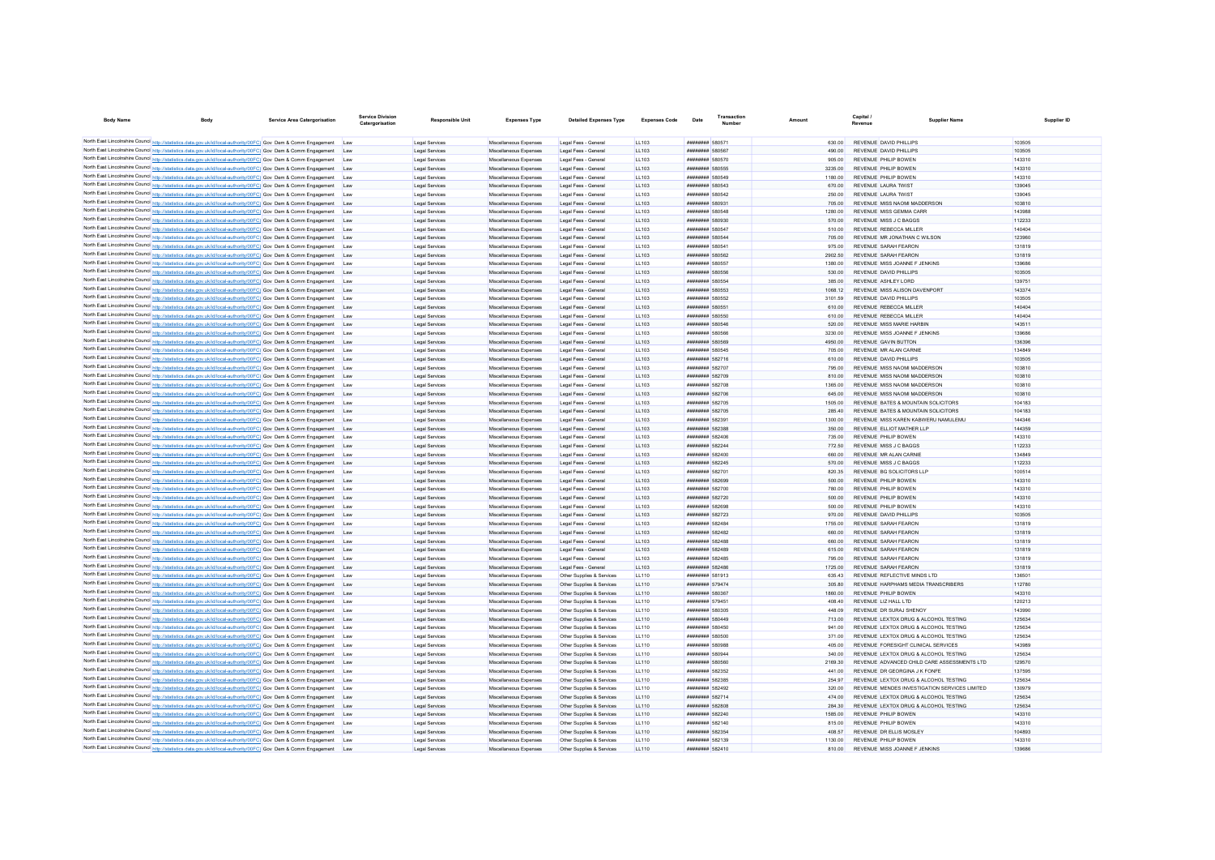| <b>Body Name</b>                                                                                                                                                                                                                     | Body                                                                                                                                                                                                                                 | <b>Service Area Catergorisation</b> | Service Division<br>Catergorisation | <b>Responsible Unit</b>          | <b>Expenses Type</b>                             | <b>Detailed Expenses Type</b>                          | <b>Expenses Code</b>         | Date                                      |                               | Amoun             | Capital.<br>Revenue | <b>Supplier Name</b>                                                       | Supplier ID      |
|--------------------------------------------------------------------------------------------------------------------------------------------------------------------------------------------------------------------------------------|--------------------------------------------------------------------------------------------------------------------------------------------------------------------------------------------------------------------------------------|-------------------------------------|-------------------------------------|----------------------------------|--------------------------------------------------|--------------------------------------------------------|------------------------------|-------------------------------------------|-------------------------------|-------------------|---------------------|----------------------------------------------------------------------------|------------------|
|                                                                                                                                                                                                                                      |                                                                                                                                                                                                                                      |                                     |                                     |                                  |                                                  |                                                        |                              |                                           |                               |                   |                     |                                                                            |                  |
|                                                                                                                                                                                                                                      | North East Lincolnshire Council http://statistics.data.gov.uk/id/local-authority/00FC) Gov Dem & Comm Engagement Law                                                                                                                 |                                     |                                     | <b>Legal Services</b>            | Miscellaneous Expenses                           | Legal Fees - General                                   | LL103                        | ######## 580571                           |                               | 630.00            |                     | REVENUE DAVID PHILLIPS                                                     | 103505           |
|                                                                                                                                                                                                                                      | North East Lincolnshire Council http://statistics.data.gov.uk/id/local-authority/00FC) Gov Dem & Comm Engagement                                                                                                                     |                                     | I guy                               | Legal Services                   | Miscellaneous Expenses                           | Legal Fees - General                                   | LL103                        |                                           | <b><i>HRRHHHHH 580567</i></b> | 490.00            |                     | REVENUE DAVID PHILLIPS                                                     | 103505           |
|                                                                                                                                                                                                                                      | North East Lincolnshire Council http://statistics.data.gov.uk/id/local-authority/00FC) Gov Dem & Comm Engagement                                                                                                                     |                                     | I aw                                | Legal Services                   | Miscellaneous Expenses                           | Legal Fees - General                                   | LL103                        | ######## 580570                           |                               | 905.00            |                     | <b>REVENUE PHILIP BOWEN</b>                                                | 143310           |
|                                                                                                                                                                                                                                      | North East Lincolnshire Council http://statistics.data.gov.uk/id/local-authority/00FC) Gov Dem & Comm Engagement                                                                                                                     |                                     | Law                                 | Legal Services                   | Miscellaneous Expenses                           | Legal Fees - General                                   | LL103                        | ######## 580555                           |                               | 3235.00           |                     | REVENUE PHILIP BOWEN                                                       | 143310           |
|                                                                                                                                                                                                                                      | North East Lincolnshire Council http://statistics.data.gov.uk/id/local-authority/00FC) Gov Dem & Comm Engagement                                                                                                                     |                                     | <b>Law</b>                          | Legal Services                   | Miscellaneous Expenses                           | Legal Fees - Genera                                    | LL103                        | ######## 580549                           |                               | 1180.00           |                     | REVENUE PHILIP BOWEN                                                       | 143310           |
|                                                                                                                                                                                                                                      | North East Lincolnshire Council http://statistics.data.gov.uk/id/local-authority/00FC) Gov Dem & Comm Engagement                                                                                                                     |                                     |                                     | Legal Services                   | Miscellaneous Expenses                           | Legal Fees - Genera                                    | LL103                        | ######## 580543                           |                               | 670.00            |                     | REVENUE LAURA TWIST                                                        | 139045           |
|                                                                                                                                                                                                                                      | North East Lincolnshire Council http://statistics.data.gov.uk/id/local-authority/00FC) Gov Dem & Comm Engagement                                                                                                                     |                                     |                                     | Legal Services                   | Miscellaneous Expenses                           | Legal Fees - Genera                                    | <b>LL103</b>                 |                                           | ######## 580542               | 250.00            |                     | <b>REVENUE LAURA TWIST</b>                                                 | 139045           |
| North East Lincolnshire Council http://statistics.data.gov.uk/id/local-authority/00FC) Gov Dem & Comm Engagement                                                                                                                     |                                                                                                                                                                                                                                      |                                     | Law                                 | Legal Services                   | Miscellaneous Expenses                           | Legal Fees - General                                   | LL103                        | ######## 580931<br><b>########</b> 580548 |                               | 705.00<br>1280.00 |                     | REVENUE MISS NAOMI MADDERSON<br>REVENUE MISS GEMMA CARE                    | 103810<br>143988 |
| North East Lincolnshire Council http://statistics.data.gov.uk/id/local-authority/00FC) Gov Dem & Comm Engagement<br>North East Lincolnshire Council http://statistics.data.gov.uk/id/local-authority/00FC) Gov Dem & Comm Engagement |                                                                                                                                                                                                                                      |                                     | <b>Law</b><br>Law                   | Legal Services<br>Legal Services | Miscellaneous Expenses<br>Miscellaneous Expenses | Legal Fees - General<br>Legal Fees - Genera            | 11 103<br>LL103              | ######## 580930                           |                               | 570.00            |                     | REVENUE MISS J C BAGGS                                                     | 112233           |
|                                                                                                                                                                                                                                      | North East Lincolnshire Council http://statistics.data.gov.uk/id/local-authority/00FC) Gov Dem & Comm Engagement                                                                                                                     |                                     | Law                                 | Legal Services                   | Miscellaneous Expenses                           | Legal Fees - Genera                                    | <b>LL103</b>                 | ######## 580547                           |                               | 510.00            |                     | REVENUE REBECCA MILLER                                                     | 140404           |
|                                                                                                                                                                                                                                      | North East Lincolnshire Council http://statistics.data.gov.uk/id/local-authority/00FC) Gov Dem & Comm Engagement                                                                                                                     |                                     | Law                                 | <b>Legal Services</b>            | Miscellaneous Expenses                           | Legal Fees - Genera                                    | LL103                        | ######## 580544                           |                               | 705.00            |                     | REVENUE MR JONATHAN C WILSON                                               | 123960           |
|                                                                                                                                                                                                                                      | North East Lincolnshire Council http://statistics.data.gov.uk/id/local-authority/00FC) Gov Dem & Comm Engagement                                                                                                                     |                                     | Law                                 | Legal Services                   | Miscellaneous Expenses                           | Legal Fees - General                                   | 11103                        | ######## 580541                           |                               | 975.00            |                     | REVENUE SARAH FEARON                                                       | 131819           |
|                                                                                                                                                                                                                                      | North East Lincolnshire Council http://statistics.data.gov.uk/id/local-authority/00FC) Gov Dem & Comm Engagement                                                                                                                     |                                     | Law                                 | <b>Legal Services</b>            | Miscellaneous Expenses                           | Legal Fees - Genera                                    | 111103                       | ######## 580562                           |                               | 2902.50           |                     | REVENUE SARAH FEARON                                                       | 131819           |
|                                                                                                                                                                                                                                      | North East Lincolnshire Council http://statistics.data.gov.uk/id/local-authority/00FC) Gov Dem & Comm Engagement                                                                                                                     |                                     | Law                                 | <b>Legal Services</b>            | Miscellaneous Expenses                           | Legal Fees - General                                   | LL103                        | ######## 580557                           |                               | 1380.00           |                     | REVENUE MISS JOANNE E JENKINS                                              | 139686           |
|                                                                                                                                                                                                                                      | North East Lincolnshire Council http://statistics.data.gov.uk/id/local-authority/00FC) Gov Dem & Comm Engagement                                                                                                                     |                                     | Law                                 | Legal Services                   | Miscellaneous Expenses                           | Legal Fees - Genera                                    | LL103                        | <b><i>HRRHHHHH 580556</i></b>             |                               | 530.00            |                     | REVENUE DAVID PHILLIPS                                                     | 103505           |
|                                                                                                                                                                                                                                      | North East Lincolnshire Council http://statistics.data.gov.uk/id/local-authority/00FC) Gov Dem & Comm Engagement                                                                                                                     |                                     | Law                                 | Legal Services                   | Miscellaneous Expenses                           | Legal Fees - General                                   | <b>LL103</b>                 | ######## 580554                           |                               | 385.00            |                     | REVENUE ASHLEY LORD                                                        | 139751           |
|                                                                                                                                                                                                                                      | North East Lincolnshire Council http://statistics.data.gov.uk/id/local-authority/00FC) Gov Dem & Comm Engagement                                                                                                                     |                                     | Lav                                 | Legal Services                   | Miscellaneous Expenses                           | Legal Fees - General                                   | LL103                        | ######## 580553                           |                               | 1068.12           |                     | REVENUE MISS ALISON DAVENPORT                                              | 143374           |
|                                                                                                                                                                                                                                      | North East Lincolnshire Council http://statistics.data.gov.uk/id/local-authority/00FC) Gov Dem & Comm Engagement                                                                                                                     |                                     | Lav                                 | Legal Services                   | Miscellaneous Expenses                           | Legal Fees - General                                   | <b>LL103</b>                 | ######## 580552                           |                               | 3101.59           |                     | REVENUE DAVID PHILLIPS                                                     | 103505           |
|                                                                                                                                                                                                                                      | North East Lincolnshire Council http://statistics.data.gov.uk/id/local-authority/00FC) Gov Dem & Comm Engagement                                                                                                                     |                                     | Law                                 | Legal Services                   | Miscellaneous Expenses                           | Legal Fees - General                                   | LL103                        | ######## 580551                           |                               | 610.00            |                     | REVENUE REBECCA MILLER                                                     | 140404           |
|                                                                                                                                                                                                                                      | North East Lincolnshire Council http://statistics.data.gov.uk/id/local-authority/00FC) Gov Dem & Comm Engagement                                                                                                                     |                                     | Law                                 | Legal Services                   | Miscellaneous Expenses                           | Legal Fees - Genera                                    | <b>LL103</b>                 | ######## 580550                           |                               | 610.00            |                     | REVENUE REBECCA MILLER                                                     | 140404           |
|                                                                                                                                                                                                                                      | North East Lincolnshire Council http://statistics.data.gov.uk/id/local-authority/00FC) Gov Dem & Comm Engagement                                                                                                                     |                                     | Law                                 | Legal Services                   | Miscellaneous Expenses                           | Legal Fees - General                                   | <b>LL103</b>                 | ######## 580546                           |                               | 520.00            |                     | REVENUE MISS MARIE HARBIN                                                  | 14351            |
|                                                                                                                                                                                                                                      | North East Lincolnshire Council http://statistics.data.gov.uk/id/local-authority/00FC) Gov Dem & Comm Engagement                                                                                                                     |                                     | Law                                 | Legal Services                   | Miscellaneous Expenses                           | Legal Fees - General                                   | <b>LL103</b>                 | ######## 580566                           |                               | 3230.00           |                     | REVENUE MISS JOANNE F JENKINS                                              | 139686           |
|                                                                                                                                                                                                                                      | North East Lincolnshire Council http://statistics.data.gov.uk/id/local-authority/00FC) Gov Dem & Comm Engagement                                                                                                                     |                                     | Law                                 | Legal Services                   | Miscellaneous Expenses                           | Legal Fees - General                                   | LL103                        | ######## 580569                           |                               | 4950.00           |                     | REVENUE GAVIN BUTTON                                                       | 136396           |
|                                                                                                                                                                                                                                      | North East Lincolnshire Council http://statistics.data.gov.uk/id/local-authority/00FC) Gov Dem & Comm Engagement                                                                                                                     |                                     | Law                                 | Legal Services                   | Miscellaneous Expenses                           | Legal Fees - General                                   | LL103                        | ######## 580545                           |                               | 705.00            |                     | REVENUE MR ALAN CARNIE                                                     | 134849           |
|                                                                                                                                                                                                                                      | North East Lincolnshire Council http://statistics.data.gov.uk/id/local-authority/00FC) Gov Dem & Comm Engagement                                                                                                                     |                                     | Law                                 | Legal Services                   | Miscellaneous Expenses                           | Legal Fees - General                                   | LL103                        |                                           | ######## 582716               | 610.00            |                     | REVENUE DAVID PHILLIPS                                                     | 103505           |
|                                                                                                                                                                                                                                      | North East Lincolnshire Council http://statistics.data.gov.uk/id/local-authority/00FC) Gov Dem & Comm Engagement                                                                                                                     |                                     | l aw                                | <b>Legal Services</b>            | Miscellaneous Expenses                           | Legal Fees - General                                   | 111103                       | ######## 582707                           |                               | 795.00            |                     | REVENUE MISS NAOMI MADDERSON                                               | 103810           |
|                                                                                                                                                                                                                                      | North East Lincolnshire Council http://statistics.data.gov.uk/id/local-authority/00FC) Gov Dem & Comm Engagement                                                                                                                     |                                     | Law                                 | Legal Services                   | Miscellaneous Expenses                           | Legal Fees - General                                   | 11103                        | ######## 582709                           |                               | 810.00            |                     | REVENUE MISS NAOMI MADDERSON                                               | 103810           |
|                                                                                                                                                                                                                                      | North East Lincolnshire Council http://statistics.data.gov.uk/id/local-authority/00FC) Gov Dem & Comm Engagement                                                                                                                     |                                     | Law                                 | Legal Services                   | Miscellaneous Expenses                           | Legal Fees - General                                   | LL103                        | <b><i>BREEZER 582708</i></b>              |                               | 1365.00           |                     | REVENUE MISS NAOMI MADDERSON                                               | 103810           |
|                                                                                                                                                                                                                                      | North East Lincolnshire Council http://statistics.data.gov.uk/id/local-authority/00FC) Gov Dem & Comm Engagement                                                                                                                     |                                     | Law                                 | Legal Services                   | Miscellaneous Expenses                           | Legal Fees - General                                   | LL103                        | <b>######## 582706</b>                    |                               | 645.00<br>1505.00 |                     | REVENUE MISS NAOMI MADDERSON                                               | 103810<br>104183 |
|                                                                                                                                                                                                                                      | North East Lincolnshire Council http://statistics.data.gov.uk/id/local-authority/00FC) Gov Dem & Comm Engagement<br>North East Lincolnshire Council http://statistics.data.gov.uk/id/local-authority/00FC) Gov Dem & Comm Engagement |                                     | Law<br>Law                          | Legal Services                   | Miscellaneous Expenses                           | Legal Fees - General                                   | LL103                        | ######## 582705<br><b>######## 582705</b> |                               | 285.40            |                     | REVENUE BATES & MOUNTAIN SOLICITORS<br>REVENUE BATES & MOUNTAIN SOLICITORS | 104183           |
|                                                                                                                                                                                                                                      | North East Lincolnshire Council http://statistics.data.gov.uk/id/local-authority/00FC) Gov Dem & Comm Engagement                                                                                                                     |                                     | Lav                                 | Legal Services<br>Legal Services | Miscellaneous Expenses<br>Miscellaneous Expenses | Legal Fees - General<br>Legal Fees - General           | LL103<br><b>LL103</b>        | ######## 582391                           |                               | 1300.00           |                     | REVENUE MISS KAREN KABWERU NAMULEMU                                        | 144346           |
|                                                                                                                                                                                                                                      | North East Lincolnshire Council http://statistics.data.gov.uk/id/local-authority/00FC) Gov Dem & Comm Engagement                                                                                                                     |                                     |                                     | Legal Services                   | Miscellaneous Expenses                           | Legal Fees - General                                   | LL103                        | ######## 582388                           |                               | 350.00            |                     | REVENUE ELLIOT MATHER LLP                                                  | 144359           |
|                                                                                                                                                                                                                                      | North East Lincolnshire Council http://statistics.data.gov.uk/id/local-authority/00FC) Gov Dem & Comm Engagement                                                                                                                     |                                     |                                     | Legal Services                   | Miscellaneous Expenses                           | Legal Fees - General                                   | <b>LL103</b>                 | ######## 582406                           |                               | 735.00            |                     | <b>REVENUE PHILIP BOWEN</b>                                                | 143310           |
|                                                                                                                                                                                                                                      | North East Lincolnshire Council http://statistics.data.gov.uk/id/local-authority/00FC) Gov Dem & Comm Engagement                                                                                                                     |                                     | Law                                 | Legal Services                   | Miscellaneous Expenses                           | Legal Fees - General                                   | LL103                        | ######## 582244                           |                               | 772.50            |                     | <b>REVENUE MISS J C BAGGS</b>                                              | 112233           |
|                                                                                                                                                                                                                                      | North East Lincolnshire Council http://statistics.data.gov.uk/id/local-authority/00FC) Gov Dem & Comm Engagement                                                                                                                     |                                     | Law                                 | Legal Services                   | Miscellaneous Expenses                           | Legal Fees - General                                   | <b>LL103</b>                 | ######## 582400                           |                               | 660.00            |                     | REVENUE MR ALAN CARNIE                                                     | 134849           |
|                                                                                                                                                                                                                                      | North East Lincolnshire Council http://statistics.data.gov.uk/id/local-authority/00FC) Gov Dem & Comm Engagement                                                                                                                     |                                     | Law                                 | Legal Services                   | Miscellaneous Expenses                           | Legal Fees - General                                   | LL103                        | ######## 582245                           |                               | 570.00            |                     | <b>REVENUE MISS J C BAGGS</b>                                              | 112233           |
|                                                                                                                                                                                                                                      | North East Lincolnshire Council http://statistics.data.gov.uk/id/local-authority/00FC) Gov Dem & Comm Engagement                                                                                                                     |                                     | <b>Law</b>                          | Legal Services                   | Miscellaneous Expenses                           | Legal Fees - General                                   | <b>LL103</b>                 | <b><i>BREEZER 582701</i></b>              |                               | 820.35            |                     | REVENUE BG SOLICITORS LLP                                                  | 100514           |
|                                                                                                                                                                                                                                      | North East Lincolnshire Council http://statistics.data.gov.uk/id/local-authority/00FC) Gov Dem & Comm Engagement                                                                                                                     |                                     | Law                                 | Legal Services                   | Miscellaneous Expenses                           | Legal Fees - General                                   | LL103                        | ######## 582699                           |                               | 500.00            |                     | REVENUE PHILIP BOWEN                                                       | 143310           |
|                                                                                                                                                                                                                                      | North East Lincolnshire Council http://statistics.data.gov.uk/id/local-authority/00FC) Gov Dem & Comm Engagement                                                                                                                     |                                     | Law                                 | <b>Legal Services</b>            | Miscellaneous Expenses                           | Legal Fees - General                                   | LL103                        |                                           | ######## 582700               | 780.00            |                     | REVENUE PHILIP BOWEN                                                       | 143310           |
|                                                                                                                                                                                                                                      | North East Lincolnshire Council http://statistics.data.gov.uk/id/local-authority/00FC) Gov Dem & Comm Engagement                                                                                                                     |                                     | <b>Law</b>                          | <b>Legal Services</b>            | Miscellaneous Expenses                           | Legal Fees - General                                   | 11103                        | <b>ИНИНИИН 582720</b>                     |                               | 500.00            |                     | REVENUE PHILIP BOWEN                                                       | 143310           |
|                                                                                                                                                                                                                                      | North East Lincolnshire Council http://statistics.data.gov.uk/id/local-authority/00FC) Gov Dem & Comm Engagement                                                                                                                     |                                     | <b>Law</b>                          | Legal Services                   | Miscellaneous Expenses                           | Legal Fees - General                                   | 11103                        | ######## 582698                           |                               | 500.00            |                     | REVENUE PHILIP ROWEN                                                       | 143310           |
|                                                                                                                                                                                                                                      | North East Lincolnshire Council http://statistics.data.gov.uk/id/local-authority/00FC) Gov Dem & Comm Engagement                                                                                                                     |                                     | Law                                 | Legal Services                   | Miscellaneous Expenses                           | Legal Fees - General                                   | LL103                        | ######## 582723                           |                               | 970.00            |                     | REVENUE DAVID PHILLIPS                                                     | 103505           |
|                                                                                                                                                                                                                                      | North East Lincolnshire Council http://statistics.data.gov.uk/id/local-authority/00FC) Gov Dem & Comm Engagement                                                                                                                     |                                     | Law                                 | Legal Services                   | Miscellaneous Expenses                           | Legal Fees - General                                   | LL103                        | <b><i>BREEZEEE 582484</i></b>             |                               | 1755.00           |                     | <b>REVENUE SARAH FEARON</b>                                                | 131819           |
|                                                                                                                                                                                                                                      | North East Lincolnshire Council http://statistics.data.gov.uk/id/local-authority/00FC) Gov Dem & Comm Engagement                                                                                                                     |                                     | Law                                 | Legal Services                   | Miscellaneous Expenses                           | Legal Fees - General                                   | LL103                        | ######## 582482                           |                               | 660.00            |                     | REVENUE SARAH FEARON                                                       | 131819           |
|                                                                                                                                                                                                                                      | North East Lincolnshire Council http://statistics.data.gov.uk/id/local-authority/00FC) Gov Dem & Comm Engagement                                                                                                                     |                                     | Law                                 | Legal Services                   | Miscellaneous Expenses                           | Legal Fees - General                                   | LL103                        | <b><i>BREEZER SR2488</i></b>              |                               | 660.00            |                     | REVENUE SARAH FEARON                                                       | 131819           |
|                                                                                                                                                                                                                                      | North East Lincolnshire Council http://statistics.data.gov.uk/id/local-authority/00FC) Gov Dem & Comm Engagement                                                                                                                     |                                     | Law                                 | Legal Services                   | Miscellaneous Expenses                           | Legal Fees - General                                   | LL103                        | ######## 582489                           |                               | 615.00            |                     | REVENUE SARAH FEARON                                                       | 131819           |
|                                                                                                                                                                                                                                      | North East Lincolnshire Council http://statistics.data.gov.uk/id/local-authority/00FC) Gov Dem & Comm Engagement<br>North East Lincolnshire Council http://statistics.data.gov.uk/id/local-authority/00FC) Gov Dem & Comm Engagement |                                     | Law<br>Law                          | Legal Services<br>Legal Services | Miscellaneous Expenses<br>Miscellaneous Expenses | Legal Fees - General<br>Legal Fees - General           | <b>LL103</b><br><b>LL103</b> | ######## 582485<br>######## 582486        |                               | 795.00<br>1725.00 |                     | REVENUE SARAH FEARON<br>REVENUE SARAH FEARON                               | 131819<br>131819 |
|                                                                                                                                                                                                                                      | North East Lincolnshire Council http://statistics.data.gov.uk/id/local-authority/00FC) Gov Dem & Comm Engagement                                                                                                                     |                                     | Law                                 | Legal Services                   | Miscellaneous Expenses                           | Other Supplies & Services                              | <b>LL110</b>                 | ######## 581913                           |                               | 635.43            |                     | REVENUE REFLECTIVE MINDS LTD                                               | 13650            |
|                                                                                                                                                                                                                                      | North East Lincolnshire Council http://statistics.data.gov.uk/id/local-authority/00FC) Gov Dem & Comm Engagement                                                                                                                     |                                     | Law                                 | Legal Services                   | Miscellaneous Expenses                           | Other Supplies & Services                              | LL110                        | ######## 579474                           |                               | 305.80            |                     | REVENUE HARPHAMS MEDIA TRANSCRIBERS                                        | 112780           |
|                                                                                                                                                                                                                                      | North East Lincolnshire Council http://statistics.data.gov.uk/id/local-authority/00FC) Gov Dem & Comm Engagement                                                                                                                     |                                     | <b>Law</b>                          | Legal Services                   | Miscellaneous Expenses                           | Other Supplies & Services                              | 11 110                       | ######## 580367                           |                               | 1860.00           |                     | REVENUE PHILIP BOWEN                                                       | 143310           |
|                                                                                                                                                                                                                                      | North East Lincolnshire Council http://statistics.data.gov.uk/id/local-authority/00FC) Gov Dem & Comm Engagement                                                                                                                     |                                     | <b>Law</b>                          | Legal Services                   | Miscellaneous Expenses                           | Other Supplies & Services                              | LL110                        | ######## 57945                            |                               | 408.40            |                     | REVENUE LIZ HALL LTD                                                       | 120213           |
|                                                                                                                                                                                                                                      | North East Lincolnshire Council http://statistics.data.gov.uk/id/local-authority/00FC) Gov Dem & Comm Engagement                                                                                                                     |                                     | <b>Law</b>                          | Legal Services                   | Miscellaneous Expenses                           | Other Supplies & Services                              | LL110                        | ######## 580305                           |                               | 448.09            |                     | REVENUE DR SURAJ SHENOY                                                    | 143990           |
|                                                                                                                                                                                                                                      | North East Lincolnshire Council http://statistics.data.gov.uk/id/local-authority/00FC) Gov Dem & Comm Engagement                                                                                                                     |                                     | Law                                 | Legal Services                   | Miscellaneous Expenses                           | Other Supplies & Services                              | LL110                        | ######## 580449                           |                               | 713.00            |                     | REVENUE LEXTOX DRUG & ALCOHOL TESTING                                      | 125634           |
|                                                                                                                                                                                                                                      | North East Lincolnshire Council http://statistics.data.gov.uk/id/local-authority/00FC) Gov Dem & Comm Engagement                                                                                                                     |                                     | <b>Law</b>                          | Legal Services                   | Miscellaneous Expenses                           | Other Sunnlies & Services                              | 11 110                       | <b>########</b> 580450                    |                               | 941.00            |                     | REVENUE LEXTOX DRUG & ALCOHOL TESTING                                      | 125634           |
|                                                                                                                                                                                                                                      | North East Lincolnshire Council http://statistics.data.gov.uk/id/local-authority/00FC) Gov Dem & Comm Engagement                                                                                                                     |                                     | <b>Law</b>                          | Legal Services                   | Miscellaneous Expenses                           | Other Supplies & Services                              | LL110                        | ######## 580500                           |                               | 371.00            |                     | REVENUE LEXTOX DRUG & ALCOHOL TESTING                                      | 125634           |
|                                                                                                                                                                                                                                      | North East Lincolnshire Council http://statistics.data.gov.uk/id/local-authority/00FC) Gov Dem & Comm Engagement                                                                                                                     |                                     | <b>Law</b>                          | Legal Services                   | Miscellaneous Expenses                           | Other Supplies & Services                              | LL110                        | <b><i>BREEZER SROARS</i></b>              |                               | 405.00            |                     | REVENUE FORESIGHT CUNICAL SERVICES                                         | 143989           |
|                                                                                                                                                                                                                                      | North East Lincolnshire Council http://statistics.data.gov.uk/id/local-authority/00FC) Gov Dem & Comm Engagement                                                                                                                     |                                     | <b>Law</b>                          | Legal Services                   | Miscellaneous Expenses                           | Other Supplies & Services                              | LL110                        | ######## 580944                           |                               | 340.00            |                     | REVENUE LEXTOX DRUG & ALCOHOL TESTING                                      | 125634           |
|                                                                                                                                                                                                                                      | North East Lincolnshire Council http://statistics.data.gov.uk/id/local-authority/00FC) Gov Dem & Comm Engagement                                                                                                                     |                                     | <b>Law</b>                          | Legal Services                   | Miscellaneous Expenses                           | Other Supplies & Services                              | LL110                        | <b><i>HREBHHH</i></b> 580560              |                               | 2169.30           |                     | REVENUE ADVANCED CHILD CARE ASSESSMENTS LTD.                               | 129570           |
|                                                                                                                                                                                                                                      | North East Lincolnshire Council http://statistics.data.gov.uk/id/local-authority/00FC) Gov Dem & Comm Engagement                                                                                                                     |                                     | <b>Law</b>                          | Legal Services                   | Miscellaneous Expenses                           | Other Supplies & Services                              | LL110                        |                                           | ######## 582352               | 441.00            |                     | REVENUE DR GEORGINA J K FONFE                                              | 137595           |
|                                                                                                                                                                                                                                      | North East Lincolnshire Council http://statistics.data.gov.uk/id/local-authority/00FC) Gov Dem & Comm Engagement                                                                                                                     |                                     | Law                                 | Legal Services                   | Miscellaneous Expenses                           | Other Supplies & Services                              | LL110                        |                                           | ######## 582385               | 254.97            |                     | REVENUE LEXTOX DRUG & ALCOHOL TESTING                                      | 125634           |
|                                                                                                                                                                                                                                      | North East Lincolnshire Council http://statistics.data.gov.uk/id/local-authority/00FC) Gov Dem & Comm Engagement                                                                                                                     |                                     | $\overline{\phantom{a}}$ l av       | Legal Services                   | Miscellaneous Expenses                           | Other Supplies & Services                              | LL110                        | ######## 582492                           |                               | 320.00            |                     | REVENUE MENDES INVESTIGATION SERVICES LIMITED                              | 130979           |
|                                                                                                                                                                                                                                      | North East Lincolnshire Council http://statistics.data.gov.uk/id/local-authority/00FC) Gov Dem & Comm Engagement                                                                                                                     |                                     |                                     | Legal Services                   | Miscellaneous Expenses                           | Other Supplies & Services                              | LL110                        | ######## 582714                           |                               | 474.00            |                     | REVENUE LEXTOX DRUG & ALCOHOL TESTING                                      | 125634           |
| North East Lincolnshire Council http://statistics.data.gov.uk/id/local-authority/00FC) Gov Dem & Comm Engagement                                                                                                                     |                                                                                                                                                                                                                                      |                                     | Law                                 | Legal Services                   | Miscellaneous Expenses                           | Other Supplies & Services                              | <b>LL110</b>                 | ######## 582808                           |                               | 284.30            |                     | REVENUE LEXTOX DRUG & ALCOHOL TESTING                                      | 125634           |
| North East Lincolnshire Council http://statistics.data.gov.uk/id/local-authority/00FC) Gov Dem & Comm Engagement                                                                                                                     |                                                                                                                                                                                                                                      |                                     | Law                                 | Legal Services                   | Miscellaneous Expenses                           | Other Supplies & Services                              | <b>LL110</b>                 | ######## 582240                           |                               | 1585.00           |                     | <b>REVENUE PHILIP BOWEN</b>                                                | 143310           |
| North East Lincolnshire Council http://statistics.data.gov.uk/id/local-authority/00FC) Gov Dem & Comm Engagement                                                                                                                     |                                                                                                                                                                                                                                      |                                     | <b>Law</b>                          | Legal Services                   | Miscellaneous Expenses                           | Other Supplies & Services                              | 11 110                       |                                           | <b><i>BRESHHUH</i></b> 582140 | 815.00            |                     | REVENUE PHILIP BOWEN                                                       | 143310           |
| North East Lincolnshire Council http://statistics.data.gov.uk/id/local-authority/00FC) Gov Dem & Comm Engagement                                                                                                                     |                                                                                                                                                                                                                                      |                                     | <b>Law</b>                          | Legal Services                   | Miscellaneous Expenses                           | Other Supplies & Services                              | 11 110                       | ######## 582354                           | <b><i>BREEZER 582139</i></b>  | 408.57            |                     | REVENUE DR ELLIS MOSLEY<br>REVENUE PHILIP ROWEN                            | 104893<br>143310 |
| North East Lincolnshire Council http://statistics.data.gov.uk/id/local-authority/00FC) Gov Dem & Comm Engagement<br>North East Lincolnshire Council http://statistics.data.gov.uk/id/local-authority/00FC) Gov Dem & Comm Engagement |                                                                                                                                                                                                                                      |                                     | I aw                                | Legal Services                   | Miscellaneous Expenses<br>Miscellaneous Expenses | Other Supplies & Services<br>Other Supplies & Services | <b>LL110</b><br><b>LL110</b> |                                           | <b><i>BREEZER 582410</i></b>  | 1130.00<br>810.00 |                     | REVENUE MISS JOANNE E JENKINS                                              | 139686           |
|                                                                                                                                                                                                                                      |                                                                                                                                                                                                                                      |                                     | Law                                 | <b>Legal Services</b>            |                                                  |                                                        |                              |                                           |                               |                   |                     |                                                                            |                  |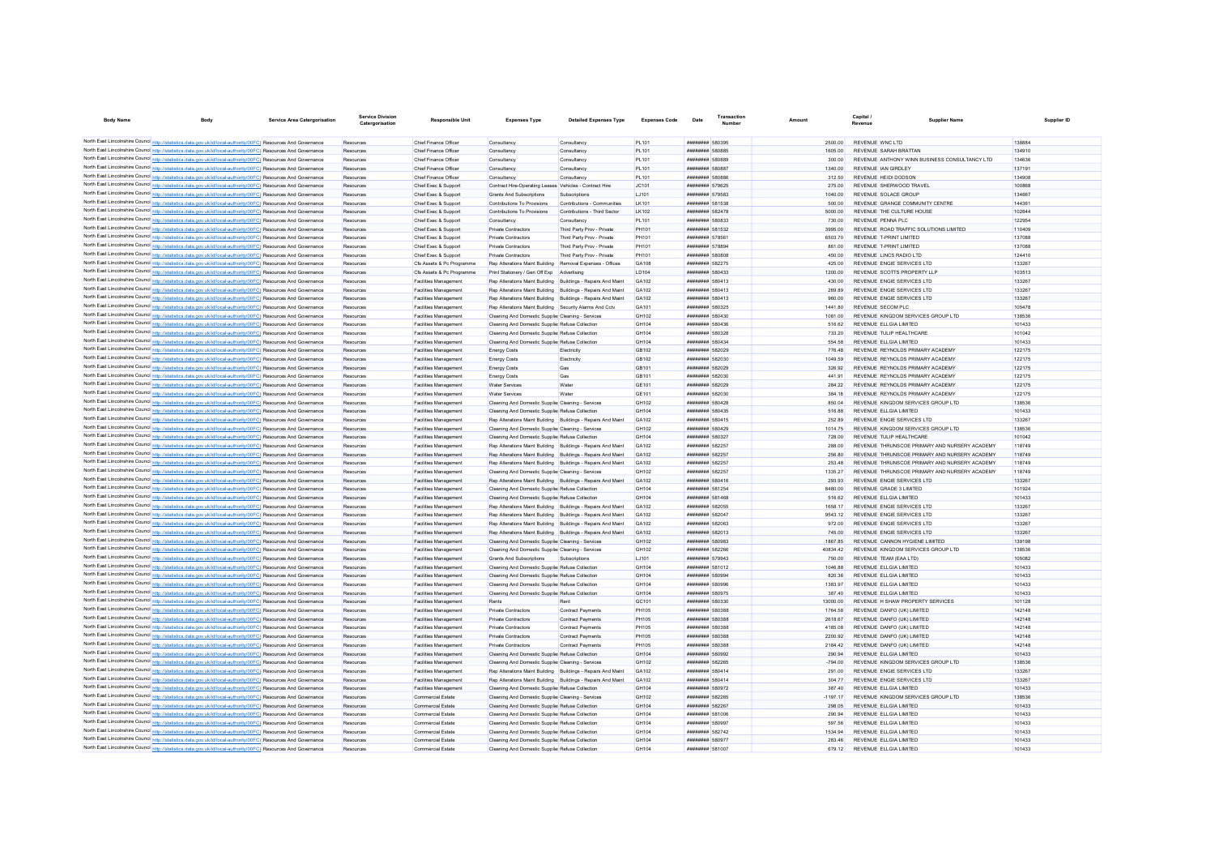| <b>Body Name</b> | <b>Body</b>                                                                                                                                                                                                                        | <b>Service Area Catergorisation</b> | <b>Service Division</b><br>Catergorisation | Responsible Unit                                      | <b>Expenses Type</b>                                                                                               | <b>Detailed Expenses Type</b>                                | <b>Expenses Code</b> | Date                                                           | Transactio<br><b>Number</b> | Amoun             | Capital.<br>Revenue                                                  | <b>Supplier Name</b>                          | Supplier ID      |
|------------------|------------------------------------------------------------------------------------------------------------------------------------------------------------------------------------------------------------------------------------|-------------------------------------|--------------------------------------------|-------------------------------------------------------|--------------------------------------------------------------------------------------------------------------------|--------------------------------------------------------------|----------------------|----------------------------------------------------------------|-----------------------------|-------------------|----------------------------------------------------------------------|-----------------------------------------------|------------------|
|                  |                                                                                                                                                                                                                                    |                                     |                                            |                                                       |                                                                                                                    |                                                              |                      |                                                                |                             |                   |                                                                      |                                               |                  |
|                  | North East Lincolnshire Council http://statistics.data.gov.uk/id/local-authority/00FC) Resources And Governance                                                                                                                    |                                     | Resources                                  | Chief Finance Officer                                 | Consultancy                                                                                                        | Consultancy                                                  | <b>PL101</b>         | ######## 580395                                                |                             | 2500.00           | REVENUE WNCLTD                                                       |                                               | 138884           |
|                  | North East Lincolnshire Council http://statistics.data.gov.uk/id/local-authority/00FC) Resources And Governance                                                                                                                    |                                     | Resources                                  | Chief Finance Officer                                 | Consultancy                                                                                                        | Consultancy                                                  | PL101                | <b><i><u>HHHHHHH</u></i></b> 580885                            |                             | 1605.00           | REVENUE SARAH BRATTAN                                                |                                               | 134910           |
|                  | North East Lincolnshire Council http://statistics.data.gov.uk/id/local-authority/00FC) Resources And Governance                                                                                                                    |                                     | Resources                                  | Chief Finance Officer                                 | Consultancy                                                                                                        | Consultancy                                                  | <b>PL101</b>         | <b><i>HRRHHHHH</i></b> 580889                                  |                             | 300.00            |                                                                      | REVENUE ANTHONY WINN BUSINESS CONSULTANCY LTD | 134636           |
|                  | North East Lincolnshire Council http://statistics.data.gov.uk/id/local-authority/00FC) Resources And Governance                                                                                                                    |                                     | Resources                                  | Chief Finance Officer                                 | Consultancy                                                                                                        | Consultancy                                                  | <b>PL101</b>         | ######## 580887                                                |                             | 1340.00           | REVENUE IAN GIRDI EY                                                 |                                               | 137191           |
|                  | North East Lincolnshire Council http://statistics.data.gov.uk/id/local-authority/00FC) Resources And Governance<br>North East Lincolnshire Council http://statistics.data.gov.uk/id/local-authority/00FC) Resources And Governance |                                     | Resources                                  | Chief Finance Officer                                 | Consultancy                                                                                                        | Consultancy                                                  | PL101                | <b>########</b> 580886<br><b><i><u>BREERHAM</u></i></b> 579625 |                             | 312.50            | <b>REVENUE HEIDI DODSON</b><br>REVENUE SHERWOOD TRAVEL               |                                               | 134908           |
|                  | North East Lincolnshire Council http://statistics.data.gov.uk/id/local-authority/00FC) Resources And Governance                                                                                                                    |                                     | Resources<br>Resources                     | Chief Exec & Suppor<br>Chief Exec & Suppor            | Contract Hire-Operating Leases Vehicles - Contract Hire<br>Grants And Subscriptions                                | Subscription                                                 | JC101<br>LJ101       | ######## 579583                                                |                             | 275.00<br>1040.00 | <b>REVENUE SOLACE GROUP</b>                                          |                                               | 100868<br>134667 |
|                  | North East Lincolnshire Council http://statistics.data.gov.uk/id/local-authority/00FC) Resources And Governance                                                                                                                    |                                     | Resources                                  | Chief Exec & Suppor                                   | Contributions To Provisions                                                                                        | Contributions - Communities                                  | <b>LK101</b>         | ######## 58153                                                 |                             | 500.00            | REVENUE GRANGE COMMUNITY CENTRE                                      |                                               | 144361           |
|                  | North East Lincolnshire Council http://statistics.data.gov.uk/id/local-authority/00FC) Resources And Governance                                                                                                                    |                                     | Resources                                  | Chief Exec & Suppor                                   | Contributions To Provisions                                                                                        | Contributions - Third Sector                                 | <b>LK102</b>         | ######## 582478                                                |                             | 5000.00           | REVENUE THE CULTURE HOUSE                                            |                                               | 102644           |
|                  | North East Lincolnshire Council http://statistics.data.gov.uk/id/local-authority/00FC) Resources And Governance                                                                                                                    |                                     | Resources                                  | Chief Exec & Support                                  | Consultancy                                                                                                        | Consultancy                                                  | PI 101               | <b>########</b> 580833                                         |                             | 730.00            | REVENUE PENNA PLC                                                    |                                               | 122954           |
|                  | North East Lincolnshire Council http://statistics.data.gov.uk/id/local-authority/00FC) Resources And Governance                                                                                                                    |                                     | Resources                                  | Chief Exec & Support                                  | Private Contractors                                                                                                | Third Party Prov - Private                                   | PH101                | ######## 581532                                                |                             | 3995.00           | REVENUE ROAD TRAFFIC SOLUTIONS LIMITED                               |                                               | 110409           |
|                  | North East Lincolnshire Council http://statistics.data.gov.uk/id/local-authority/00FC) Resources And Governance                                                                                                                    |                                     | Resources                                  | Chief Exec & Support                                  | Private Contractors                                                                                                | Third Party Prov - Private                                   | <b>PH101</b>         | ######## 578561                                                |                             | 6503.70           | REVENUE T-PRINT LIMITED                                              |                                               | 137088           |
|                  | North East Lincolnshire Council http://statistics.data.gov.uk/id/local-authority/00FC) Resources And Governance                                                                                                                    |                                     | Resources                                  | Chief Exec & Suppor                                   | Private Contractors                                                                                                | Third Party Prov - Private                                   | PH101                | ######## 578894                                                |                             | 861.00            | REVENUE T-PRINT LIMITED                                              |                                               | 137088           |
|                  | North East Lincolnshire Council http://statistics.data.gov.uk/id/local-authority/00FC) Resources And Governance                                                                                                                    |                                     | Resources                                  | Chief Exec & Sunnort                                  | Private Contractors                                                                                                | Third Party Prov - Private                                   | <b>PH101</b>         | ######## 580808                                                |                             | 450.00            | REVENUE LINCS RADIO LTD                                              |                                               | 124410           |
|                  | North East Lincolnshire Council http://statistics.data.gov.uk/id/local-authority/00FC) Resources And Governance                                                                                                                    |                                     | Resources                                  | Cfs Assets & Pc Programme                             | Ren Alterations Maint Building Removal Expenses - Officer                                                          |                                                              | GA108                | <b><i>BRENHHHH</i></b> 582275                                  |                             | 425.00            | REVENUE ENGIE SERVICES I TD                                          |                                               | 133267           |
|                  | North East Lincolnshire Council http://statistics.data.gov.uk/id/local-authority/00FC) Resources And Governance                                                                                                                    |                                     | Resources                                  | Cfs Assets & Pc Programme                             | Print Stationery / Gen Off Exp Advertising                                                                         |                                                              | <b>ID104</b>         | ######## 580433                                                |                             | 1200.00           | REVENUE SCOTTS PROPERTY LLP                                          |                                               | 103513           |
|                  | North East Lincolnshire Council http://statistics.data.gov.uk/id/local-authority/00FC) Resources And Governance                                                                                                                    |                                     | Resources                                  | Facilities Management                                 | Rep Alterations Maint Building Buildings - Repairs And Maint                                                       |                                                              | GA102                | ######## 580413                                                |                             | 430.00            | REVENUE ENGIE SERVICES I TD                                          |                                               | 133267           |
|                  | North East Lincolnshire Council http://statistics.data.gov.uk/id/local-authority/00FC) Resources And Governance                                                                                                                    |                                     | Resources                                  | Facilities Management                                 | Rep Alterations Maint Building Buildings - Repairs And Maint                                                       |                                                              | GA102                | ######## 580413                                                |                             | 269.89            | REVENUE ENGIE SERVICES I TD                                          |                                               | 133267           |
|                  | North East Lincolnshire Council http://statistics.data.gov.uk/id/local-authority/00FC) Resources And Governance                                                                                                                    |                                     | Resources                                  | Facilities Management                                 | Rep Alterations Maint Building Buildings - Repairs And Maint                                                       |                                                              | GA102                | ######## 580413                                                |                             | 960.00            | REVENUE ENGIE SERVICES LTD                                           |                                               | 133267           |
|                  | North East Lincolnshire Council http://statistics.data.gov.uk/id/local-authority/00FC) Resources And Governance                                                                                                                    |                                     | Resources                                  | Facilities Management                                 | Rep Alterations Maint Building Security Alarms And Cctv                                                            |                                                              | GA101                | ######## 580325                                                |                             | 1441.80           | <b>REVENUE SECOM PLC</b>                                             |                                               | 105478           |
|                  | North East Lincolnshire Council http://statistics.data.gov.uk/id/local-authority/00FC) Resources And Governance                                                                                                                    |                                     | Resources                                  | Facilities Management                                 | Cleaning And Domestic Supplier Cleaning - Services                                                                 |                                                              | GH102                | ######## 580430                                                |                             | 1081.00           | REVENUE KINGDOM SERVICES GROUP LTD                                   |                                               | 138536           |
|                  | North East Lincolnshire Council http://statistics.data.gov.uk/id/local-authority/00FC) Resources And Governance                                                                                                                    |                                     | Resources                                  | Facilities Management                                 | Cleaning And Domestic Supplier Refuse Collection                                                                   |                                                              | GH104                | ######## 580436                                                |                             | 516.62            | REVENUE ELLGIA LIMITED                                               |                                               | 101433           |
|                  | North East Lincolnshire Council http://statistics.data.gov.uk/id/local-authority/00FC) Resources And Governance                                                                                                                    |                                     | Resources                                  | Facilities Management                                 | Cleaning And Domestic Supplier Refuse Collection                                                                   |                                                              | GH104                | ######## 580328                                                |                             | 733.20            | REVENUE TULIP HEALTHCARE                                             |                                               | 101042           |
|                  | North East Lincolnshire Council http://statistics.data.gov.uk/id/local-authority/00FC) Resources And Governance                                                                                                                    |                                     | Resources                                  | Facilities Management                                 | Cleaning And Domestic Supplier Refuse Collectio                                                                    |                                                              | GH104                | ######## 580434                                                |                             | 554.58            | REVENUE ELLGIA LIMITED                                               |                                               | 101433           |
|                  | North East Lincolnshire Council http://statistics.data.gov.uk/id/local-authority/00FC) Resources And Governance                                                                                                                    |                                     | Resources                                  | Facilities Management                                 | <b>Energy Costs</b>                                                                                                | Electricity                                                  | GB102                | ######## 582029                                                |                             | 776.48            | REVENUE REYNOLDS PRIMARY ACADEMY                                     |                                               | 122175           |
|                  | North East Lincolnshire Council http://statistics.data.gov.uk/id/local-authority/00FC) Resources And Governance                                                                                                                    |                                     | Resources                                  | Facilities Management                                 | <b>Energy Costs</b>                                                                                                | Electricity                                                  | GB102<br>GR101       | ######## 582030<br><b><i>BREEZER 582029</i></b>                |                             | 1049.59<br>326.92 | REVENUE REYNOLDS PRIMARY ACADEMY<br>REVENUE REYNOLDS PRIMARY ACADEMY |                                               | 122175<br>122175 |
|                  | North East Lincolnshire Council http://statistics.data.gov.uk/id/local-authority/00FC) Resources And Governance<br>North East Lincolnshire Council http://statistics.data.gov.uk/id/local-authority/00FC) Resources And Governance |                                     | Resources<br>Resources                     | Facilities Management<br><b>Facilities Management</b> | <b>Energy Costs</b><br><b>Energy Costs</b>                                                                         | Gas<br>Gas                                                   | GR101                | ######## 582030                                                |                             | 441.91            | REVENUE REYNOLDS PRIMARY ACADEMY                                     |                                               | 122175           |
|                  | North East Lincolnshire Council http://statistics.data.gov.uk/id/local-authority/00FC) Resources And Governance                                                                                                                    |                                     | Resources                                  | <b>Facilities Management</b>                          | <b>Water Services</b>                                                                                              | Water                                                        | GE101                | ######## 582029                                                |                             | 284.22            | REVENUE REYNOLDS PRIMARY ACADEMY                                     |                                               | 122175           |
|                  | North East Lincolnshire Council http://statistics.data.gov.uk/id/local-authority/00FC) Resources And Governance                                                                                                                    |                                     | Resources                                  | <b>Facilities Management</b>                          | <b>Water Services</b>                                                                                              | Water                                                        | <b>GE101</b>         | ######## 582030                                                |                             | 384.18            | REVENUE REYNOLDS PRIMARY ACADEMY                                     |                                               | 122175           |
|                  | North East Lincolnshire Council http://statistics.data.gov.uk/id/local-authority/00FC) Resources And Governance                                                                                                                    |                                     | Resources                                  | <b>Facilities Management</b>                          | Cleaning And Domestic Supplier Cleaning - Services                                                                 |                                                              | GH102                | <b><i>BREEZER 580428</i></b>                                   |                             | 850.04            | REVENUE KINGDOM SERVICES GROUP I TD                                  |                                               | 138536           |
|                  | North East Lincolnshire Council http://statistics.data.gov.uk/id/local-authority/00FC) Resources And Governance                                                                                                                    |                                     | Resources                                  | <b>Facilities Management</b>                          | Cleaning And Domestic Supplier Refuse Collection                                                                   |                                                              | GH104                | ######## 580435                                                |                             | 516.88            | REVENUE FLLGIA LIMITED                                               |                                               | 101433           |
|                  | North East Lincolnshire Council http://statistics.data.gov.uk/id/local-authority/00FC) Resources And Governance                                                                                                                    |                                     | Resources                                  | Facilities Management                                 | Reo Alterations Maint Building Buildings - Repairs And Maint                                                       |                                                              | GA102                | ######## 580415                                                |                             | 252.89            | REVENUE ENGIE SERVICES LTD                                           |                                               | 133267           |
|                  | North East Lincolnshire Council http://statistics.data.gov.uk/id/local-authority/00FC) Resources And Governance                                                                                                                    |                                     | Resources                                  | Facilities Management                                 | Cleaning And Domestic Supplier Cleaning - Services                                                                 |                                                              | GH102                | <b><i>BREEZER 580429</i></b>                                   |                             | 1014 75           | REVENUE KINGDOM SERVICES GROUP LTD                                   |                                               | 138536           |
|                  | North East Lincolnshire Council http://statistics.data.gov.uk/id/local-authority/00FC) Resources And Governance                                                                                                                    |                                     | Resources                                  | Facilities Management                                 | Cleaning And Domestic Supplier Refuse Collection                                                                   |                                                              | GH104                | <b><i>BRRHHHHH</i></b> 580327                                  |                             | 728.00            | REVENUE TULIP HEALTHCARE                                             |                                               | 101042           |
|                  | North East Lincolnshire Council http://statistics.data.gov.uk/id/local-authority/00FC) Resources And Governance                                                                                                                    |                                     | Resources                                  | Facilities Management                                 | Rep Alterations Maint Building Buildings - Repairs And Maint                                                       |                                                              | GA102                | <b><i>BREEZER 582257</i></b>                                   |                             | 288.00            |                                                                      | REVENUE THRUNSCOF PRIMARY AND NURSERY ACADEMY | 118749           |
|                  | North East Lincolnshire Council http://statistics.data.gov.uk/id/local-authority/00FC) Resources And Governance                                                                                                                    |                                     | Resources                                  | Facilities Management                                 | Rep Alterations Maint Building Buildings - Repairs And Maint                                                       |                                                              | GA102                | ######## 582257                                                |                             | 256.80            |                                                                      | REVENUE THRUNSCOE PRIMARY AND NURSERY ACADEMY | 118749           |
|                  | North East Lincolnshire Council http://statistics.data.gov.uk/id/local-authority/00FC) Resources And Governance                                                                                                                    |                                     | Resources                                  | Facilities Management                                 | Rep Alterations Maint Building Buildings - Repairs And Maint                                                       |                                                              | GA102                | ######## 582257                                                |                             | 253.48            |                                                                      | REVENUE THRUNSCOE PRIMARY AND NURSERY ACADEMY | 118749           |
|                  | North East Lincolnshire Council http://statistics.data.gov.uk/id/local-authority/00FC) Resources And Governance                                                                                                                    |                                     | Resource                                   | Facilities Management                                 | Cleaning And Domestic Supplier Cleaning - Services                                                                 |                                                              | GH102                | <b><i>BREEZER 582257</i></b>                                   |                             | 1335.27           |                                                                      | REVENUE THRUNSCOF PRIMARY AND NURSERY ACADEMY | 118749           |
|                  | North East Lincolnshire Council http://statistics.data.gov.uk/id/local-authority/00FC) Resources And Governance                                                                                                                    |                                     | Resources                                  | Facilities Management                                 | Rep Alterations Maint Building Buildings - Repairs And Maint                                                       |                                                              | GA102                | ######## 580416                                                |                             | 293.93            | REVENUE ENGIE SERVICES LTD                                           |                                               | 133267           |
|                  | North East Lincolnshire Council http://statistics.data.gov.uk/id/local-authority/00FC) Resources And Governance                                                                                                                    |                                     | Resources                                  | Facilities Management                                 | Cleaning And Domestic Supplier Refuse Collection                                                                   |                                                              | GH104                | ######## 581254                                                |                             | 8480.00           | REVENUE GRADE 3 LIMITED                                              |                                               | 101924           |
|                  | North East Lincolnshire Council http://statistics.data.gov.uk/id/local-authority/00FC) Resources And Governance                                                                                                                    |                                     | Resources                                  | Facilities Management                                 | Cleaning And Domestic Supplier Refuse Collection                                                                   |                                                              | GH104                | ######## 581468                                                |                             | 516.62            | REVENUE ELLGIA LIMITED                                               |                                               | 101433           |
|                  | North East Lincolnshire Council http://statistics.data.gov.uk/id/local-authority/00FC) Resources And Governance                                                                                                                    |                                     | Resources                                  | <b>Facilities Management</b>                          |                                                                                                                    | Rep Alterations Maint Building Buildings - Repairs And Maint | GA102                | <b>######## 582055</b>                                         |                             | 1658.1            | REVENUE ENGIE SERVICES LTD                                           |                                               | 133267           |
|                  | North East Lincolnshire Council http://statistics.data.gov.uk/id/local-authority/00FC) Resources And Governance                                                                                                                    |                                     | Resources                                  | Facilities Management                                 | Rep Alterations Maint Building Buildings - Repairs And Maint                                                       |                                                              | GA102                | ######## 582047                                                |                             | 9543.12           | REVENUE ENGIE SERVICES I TD                                          |                                               | 133267           |
|                  | North East Lincolnshire Council http://statistics.data.gov.uk/id/local-authority/00FC) Resources And Governance                                                                                                                    |                                     | Resources                                  | Facilities Management                                 | Rep Alterations Maint Building Buildings - Repairs And Maint                                                       |                                                              | GA102                | <b>########</b> 582063                                         |                             | 972.00            | REVENUE ENGIE SERVICES LTD                                           |                                               | 133267           |
|                  | North East Lincolnshire Council http://statistics.data.gov.uk/id/local-authority/00FC) Resources And Governance<br>North East Lincolnshire Council http://statistics.data.gov.uk/id/local-authority/00FC) Resources And Governance |                                     | Resources<br>Resources                     | Facilities Management                                 | Rep Alterations Maint Building Buildings - Repairs And Maint<br>Cleaning And Domestic Supplier Cleaning - Services |                                                              | GA102<br>GH102       | ####### 582013<br>######## 580983                              |                             | 745.00<br>186785  | REVENUE ENGIE SERVICES LTD<br>REVENUE CANNON HYGIENE LIMITED         |                                               | 133267<br>139198 |
|                  | North East Lincolnshire Council http://statistics.data.gov.uk/id/local-authority/00FC) Resources And Governance                                                                                                                    |                                     | Resources                                  | Facilities Management<br>Facilities Management        | Cleaning And Domestic Supplier Cleaning - Services                                                                 |                                                              | GH102                | <b>########</b> 582266                                         |                             | 40834.42          | REVENUE KINGDOM SERVICES GROUP I TD                                  |                                               | 138536           |
|                  | North East Lincolnshire Council http://statistics.data.gov.uk/id/local-authority/00FC) Resources And Governance                                                                                                                    |                                     | Resources                                  | Facilities Management                                 | Grants And Subscriptions                                                                                           | Subscriptions                                                | LJ101                | ######## 579943                                                |                             | 750.00            | REVENUE TEAM (FAA LTD)                                               |                                               | 105082           |
|                  | North East Lincolnshire Council http://statistics.data.gov.uk/id/local-authority/00FC) Resources And Governance                                                                                                                    |                                     | Resources                                  | Facilities Management                                 | Cleaning And Domestic Supplier Refuse Collection                                                                   |                                                              | GH104                | <b>########</b> 581012                                         |                             | 104688            | REVENUE ELLGIA LIMITED                                               |                                               | 101433           |
|                  | North East Lincolnshire Council http://statistics.data.gov.uk/id/local-authority/00FC) Resources And Governance                                                                                                                    |                                     | Resources                                  | Facilities Management                                 | Cleaning And Domestic Supplier Refuse Collection                                                                   |                                                              | GH10d                | <b><i><u><i><b>HRRNHHH 58000</b></i></u></i></b>               |                             | 820.36            | REVENUE FLI GIA LIMITED                                              |                                               | 101433           |
|                  | North East Lincolnshire Council http://statistics.data.gov.uk/id/local-authority/00FC) Resources And Governance                                                                                                                    |                                     | Resources                                  | Facilities Management                                 | Cleaning And Domestic Supplier Refuse Collection                                                                   |                                                              | GH104                | <b>########</b> 580996                                         |                             | 1383 97           | REVENUE FLLGIA LIMITED                                               |                                               | 101433           |
|                  | North East Lincolnshire Council http://statistics.data.gov.uk/id/local-authority/00FC) Resources And Governance                                                                                                                    |                                     | Resources                                  | Facilities Management                                 | Cleaning And Domestic Supplier Refuse Collection                                                                   |                                                              | GH104                | ######## 580975                                                |                             | 387.40            | REVENUE ELLGIA LIMITED                                               |                                               | 101433           |
|                  | North East Lincolnshire Council http://statistics.data.gov.uk/id/local-authority/00FC) Resources And Governance                                                                                                                    |                                     | Resources                                  | Facilities Management                                 | Rents                                                                                                              | Rent                                                         | GC101                | ######## 580330                                                |                             | 13000.00          | REVENUE H SHAW PROPERTY SERVICES                                     |                                               | 101128           |
|                  | North East Lincolnshire Council http://statistics.data.gov.uk/id/local-authority/00FC) Resources And Governance                                                                                                                    |                                     | Resources                                  | Facilities Management                                 | Private Contractors                                                                                                | Contract Payments                                            | <b>PH105</b>         | <b>########</b> 580388                                         |                             | 1764.58           | REVENUE DANFO (UK) LIMITED                                           |                                               | 142148           |
|                  | North East Lincolnshire Council http://statistics.data.gov.uk/id/local-authority/00FC) Resources And Governance                                                                                                                    |                                     | Resources                                  | Facilities Management                                 | Private Contractors                                                                                                | Contract Payments                                            | <b>PH105</b>         | ######## 580388                                                |                             | 2618.67           | REVENUE DANFO (UK) LIMITED                                           |                                               | 142148           |
|                  | North East Lincolnshire Council http://statistics.data.gov.uk/id/local-authority/00FC) Resources And Governance                                                                                                                    |                                     | Resources                                  | Facilities Management                                 | Private Contractors                                                                                                | Contract Payments                                            | <b>PH105</b>         | ######## 580388                                                |                             | 4185.08           | REVENUE DANFO (UK) LIMITED                                           |                                               | 142148           |
|                  | North East Lincolnshire Council http://statistics.data.gov.uk/id/local-authority/00FC) Resources And Governance                                                                                                                    |                                     | Resources                                  | Facilities Management                                 | Private Contractors                                                                                                | Contract Payments                                            | <b>PH105</b>         | ######## 580388                                                |                             | 2200.92           | REVENUE DANFO (UK) LIMITED                                           |                                               | 142148           |
|                  | North East Lincolnshire Council http://statistics.data.gov.uk/id/local-authority/00FC) Resources And Governance                                                                                                                    |                                     | Resources                                  | <b>Facilities Management</b>                          | Private Contractors                                                                                                | <b>Contract Payments</b>                                     | <b>PH105</b>         | ######## 580388                                                |                             | 2184.42           | REVENUE DANFO (UK) LIMITED                                           |                                               | 142148           |
|                  | North East Lincolnshire Council http://statistics.data.gov.uk/id/local-authority/00FC) Resources And Governance                                                                                                                    |                                     | Resources                                  | <b>Facilities Management</b>                          | Cleaning And Domestic Supplier Refuse Collection                                                                   |                                                              | GH104                | ######## 580992                                                |                             | 290.94            | REVENUE FLLGIA LIMITED                                               |                                               | 101433           |
|                  | North East Lincolnshire Council http://statistics.data.gov.uk/id/local-authority/00FC) Resources And Governance                                                                                                                    |                                     | Resources                                  | <b>Facilities Management</b>                          | Cleaning And Domestic Supplier Cleaning - Services                                                                 |                                                              | GH102                | <b>########</b> 582265                                         |                             | $-794.00$         | REVENUE KINGDOM SERVICES GROUP LTD                                   |                                               | 138536           |
|                  | North East Lincolnshire Council http://statistics.data.gov.uk/id/local-authority/00FC) Resources And Governance                                                                                                                    |                                     | Resources                                  | <b>Facilities Management</b>                          | Rep Alterations Maint Building Buildings - Repairs And Maint                                                       |                                                              | GA102                | ######## 580414                                                |                             | 291.00            | REVENUE ENGIE SERVICES LTD                                           |                                               | 133267           |
|                  | North East Lincolnshire Council http://statistics.data.gov.uk/id/local-authority/00FC) Resources And Governance                                                                                                                    |                                     | Resources                                  | Facilities Management                                 | Rep Alterations Maint Building Buildings - Repairs And Maint                                                       |                                                              | GA102                | ######## 580414                                                |                             | 304.77            | REVENUE ENGIE SERVICES LTD                                           |                                               | 133267           |
|                  | North East Lincolnshire Council http://statistics.data.gov.uk/id/local-authority/00FC) Resources And Governance                                                                                                                    |                                     | Resources                                  | <b>Facilities Management</b>                          | Cleaning And Domestic Supplier Refuse Collection                                                                   |                                                              | <b>GH104</b>         | ######## 580972                                                |                             | 387.40            | REVENUE FLLGIA LIMITED                                               |                                               | 101433           |
|                  | North East Lincolnshire Council http://statistics.data.gov.uk/id/local-authority/00FC) Resources And Governance                                                                                                                    |                                     | Resources                                  | Commercial Estate                                     | Cleaning And Domestic Supplier Cleaning - Services                                                                 |                                                              | GH102                | <b>########</b> 582265                                         |                             | $-1197.17$        | REVENUE KINGDOM SERVICES GROUP I TD                                  |                                               | 138536           |
|                  | North East Lincolnshire Council http://statistics.data.gov.uk/id/local-authority/00FC) Resources And Governance<br>North East Lincolnshire Council http://statistics.data.gov.uk/id/local-authority/00FC) Resources And Governance |                                     | Resources                                  | Commercial Estate<br>Commercial Estate                | Cleaning And Domestic Supplier Refuse Collection                                                                   |                                                              | GH104<br>GH104       | <b><i>BREEZER 582267</i></b><br>######## 581006                |                             | 298.05<br>290.94  | REVENUE FLLGIA LIMITED<br>REVENUE ELLGIA LIMITED                     |                                               | 101433           |
|                  | North East Lincolnshire Council http://statistics.data.gov.uk/id/local-authority/00FC) Resources And Governance                                                                                                                    |                                     | Resources<br>Resources                     | Commercial Estate                                     | Cleaning And Domestic Supplier Refuse Collection<br>Cleaning And Domestic Supplier Refuse Collection               |                                                              | GH104                | <b><i>HRRHHHHH</i></b> 580997                                  |                             | 597.56            | REVENUE FLLGIA LIMITED                                               |                                               | 101433<br>101433 |
|                  | North East Lincolnshire Council http://statistics.data.gov.uk/id/local-authority/00FC) Resources And Governance                                                                                                                    |                                     | Resources                                  | Commercial Estate                                     | Cleaning And Domestic Supplier Refuse Collection                                                                   |                                                              | GH104                | <b><i>BREEZER 582742</i></b>                                   |                             | 1534 94           | REVENUE FLLGIA LIMITED                                               |                                               | 101433           |
|                  | North East Lincolnshire Council http://statistics.data.gov.uk/id/local-authority/00FC) Resources And Governance                                                                                                                    |                                     | Resources                                  | Commercial Estate                                     | Cleaning And Domestic Supplier Refuse Collection                                                                   |                                                              | GH104                | <b><i>BREEZER 580977</i></b>                                   |                             | 283.46            | REVENUE ELLGIA LIMITED                                               |                                               | 101433           |
|                  | North East Lincolnshire Council http://statistics.data.gov.uk/id/local-authority/00FC) Resources And Governance                                                                                                                    |                                     | Resources                                  | <b>Commercial Estate</b>                              | Cleaning And Domestic Supplier Refuse Collection                                                                   |                                                              | GH104                | <b>########</b> 581007                                         |                             | 679.12            | REVENUE ELIGIA LIMITED                                               |                                               | 101433           |
|                  |                                                                                                                                                                                                                                    |                                     |                                            |                                                       |                                                                                                                    |                                                              |                      |                                                                |                             |                   |                                                                      |                                               |                  |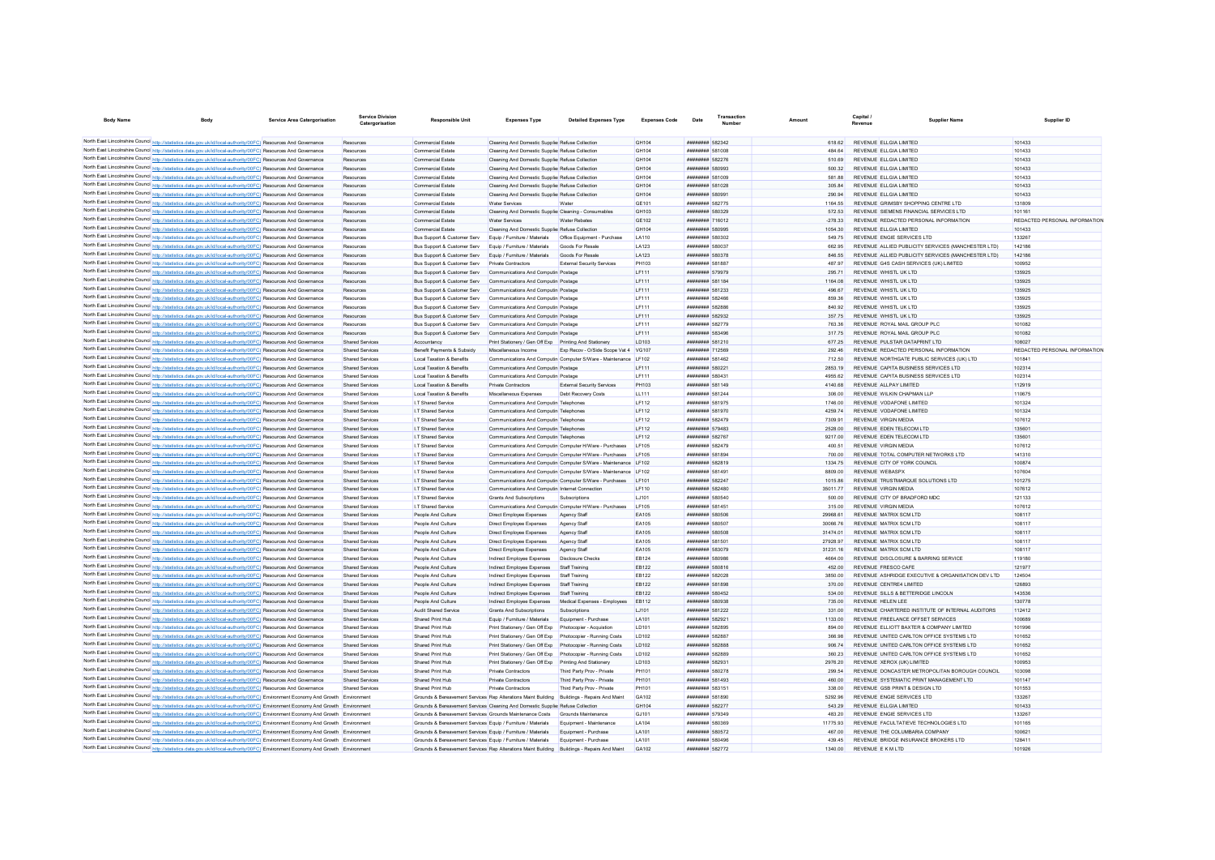| <b>Body Name</b>                                                                                                                                                                                                                                                       | <b>Service Area Catergorisation</b> | <b>Service Division</b><br>Catergorisation | <b>Responsible Unit</b>                                                                     | <b>Expenses Type</b>                                       | <b>Detailed Expenses Type</b>                                   | <b>Expenses Code</b> | Date                          | Transactio<br><b>Number</b> | Amount    | Capital<br>Supplier Name<br>Revenue                | Supplier ID                   |
|------------------------------------------------------------------------------------------------------------------------------------------------------------------------------------------------------------------------------------------------------------------------|-------------------------------------|--------------------------------------------|---------------------------------------------------------------------------------------------|------------------------------------------------------------|-----------------------------------------------------------------|----------------------|-------------------------------|-----------------------------|-----------|----------------------------------------------------|-------------------------------|
|                                                                                                                                                                                                                                                                        |                                     |                                            |                                                                                             |                                                            |                                                                 |                      |                               |                             |           |                                                    |                               |
| North East Lincolnshire Council http://statistics.data.gov.uk/id/local-authority/00FC) Resources And Governance                                                                                                                                                        |                                     | Resources                                  | <b>Commercial Estate</b>                                                                    | Cleaning And Domestic Supplie: Refuse Collection           |                                                                 | GH104                | <b><i>иннинин</i></b> 582342  |                             | 618.62    | REVENUE ELLGIA LIMITED                             | 101433                        |
| North East Lincolnshire Council http://statistics.data.gov.uk/id/local-authority/00FC) Resources And Governance                                                                                                                                                        |                                     | Resources                                  | Commercial Estate                                                                           | Cleaning And Domestic Supplier Refuse Collection           |                                                                 | GH <sub>104</sub>    | <b>########</b> 581008        |                             | 484 64    | REVENUE ELLGIA LIMITED                             | 101433                        |
| North East Lincolnshire Council http://statistics.data.gov.uk/id/local-authority/00FC) Resources And Governance                                                                                                                                                        |                                     | Resources                                  | Commercial Estate                                                                           | Cleaning And Domestic Supplier Refuse Collection           |                                                                 | GH104                | ######## 582276               |                             | 510.69    | REVENUE ELLGIA LIMITED                             | 101433                        |
| North East Lincolnshire Council http://statistics.data.gov.uk/id/local-authority/00FC) Resources And Governance                                                                                                                                                        |                                     | Resources                                  | Commercial Estate                                                                           | Cleaning And Domestic Supplier Refuse Collection           |                                                                 | GH104                | ######## 580993               |                             | 500.32    | REVENUE ELLGIA LIMITED                             | 101433                        |
| North East Lincolnshire Council http://statistics.data.gov.uk/id/local-authority/00FC) Resources And Governance                                                                                                                                                        |                                     | Resources                                  | Commercial Estat                                                                            | Cleaning And Domestic Supplier Refuse Collection           |                                                                 | GH104                | ######## 581009               |                             | 581.88    | REVENUE ELLGIA LIMITED                             | 101433                        |
| North East Lincolnshire Council http://statistics.data.gov.uk/id/local-authority/00FC) Resources And Governance                                                                                                                                                        |                                     | Resources                                  | Commercial Estate                                                                           | Cleaning And Domestic Supplier Refuse Collection           |                                                                 | GH104                | ######## 581028               |                             | 305.84    | REVENUE ELLGIA LIMITED                             | 101433                        |
| North East Lincolnshire Council http://statistics.data.gov.uk/id/local-authority/00FC) Resources And Governance                                                                                                                                                        |                                     | Resources                                  | Commercial Estate                                                                           | Cleaning And Domestic Supplier Refuse Collection           |                                                                 | GH104                | ######## 580991               |                             | 290.94    | REVENUE ELLGIA LIMITED                             | 101433                        |
| North East Lincolnshire Council http://statistics.data.gov.uk/id/local-authority/00FC) Resources And Governance                                                                                                                                                        |                                     | Resources                                  | Commercial Estate                                                                           | <b>Water Services</b>                                      | Water                                                           | <b>GE101</b>         | ######## 582775               |                             | 1164.55   | REVENUE GRIMSBY SHOPPING CENTRE LTD                | 131809                        |
| North East Lincolnshire Council http://statistics.data.gov.uk/id/local-authority/00FC) Resources And Governance                                                                                                                                                        |                                     | Resources                                  | Commercial Estate                                                                           | Cleaning And Domestic Supplie: Cleaning - Consumables      |                                                                 | GH103                | ######## 580329               |                             | 572.53    | REVENUE SIEMENS FINANCIAL SERVICES LTD             | 101161                        |
| North East Lincolnshire Council http://statistics.data.gov.uk/id/local-authority/00FC) Resources And Governance                                                                                                                                                        |                                     | Resources                                  | Commercial Estate                                                                           | <b>Water Services</b>                                      | Water Rebates                                                   | GF102                | ######## 716012               |                             | $-278.33$ | REVENUE REDACTED PERSONAL INFORMATION              | REDACTED PERSONAL INFORMATION |
| North East Lincolnshire Council http://statistics.data.gov.uk/id/local-authority/00FC) Resources And Governance                                                                                                                                                        |                                     | Resources                                  | Commercial Estate                                                                           | Cleaning And Domestic Supplier Refuse Collection           |                                                                 | GH104                | ######## 580995               |                             | 1054.30   | REVENUE ELLGIA LIMITED                             | 101433                        |
| North East Lincolnshire Council http://statistics.data.gov.uk/id/local-authority/00FC) Resources And Governance                                                                                                                                                        |                                     | Resources                                  | Bus Support & Customer Serv                                                                 | Equip / Furniture / Materials                              | Office Equipment - Purchase                                     | LA110                | ######## 580302               |                             | 549.75    | REVENUE ENGIE SERVICES LTD                         | 133267                        |
| North East Lincolnshire Council http://statistics.data.gov.uk/id/local-authority/00FC) Resources And Governance                                                                                                                                                        |                                     | Resources                                  | <b>Bus Support &amp; Customer Serv</b>                                                      | Fouin / Furniture / Materials                              | Goods For Resale                                                | I A123               | ######## 580037               |                             | 662.95    | REVENUE ALLIED PUBLICITY SERVICES (MANCHESTER LTD) | 142186                        |
| North East Lincolnshire Council http://statistics.data.gov.uk/id/local-authority/00FC) Resources And Governance                                                                                                                                                        |                                     | Resources                                  | <b>Bus Support &amp; Customer Serv</b>                                                      | Fouin / Furniture / Materials                              | Goods For Resale                                                | I A123               | <b>########</b> 580378        |                             | 846.55    | REVENUE ALLIED PUBLICITY SERVICES (MANCHESTER LTD) | 142186                        |
| North East Lincolnshire Council http://statistics.data.gov.uk/id/local-authority/00FC) Resources And Governance                                                                                                                                                        |                                     | Resources                                  | Bus Support & Customer Serv                                                                 | <b>Private Contractors</b>                                 | <b>External Security Services</b>                               | PH103                | ######## 581887               |                             | 487 97    | REVENUE G4S CASH SERVICES (UK) LIMITED             | 100952                        |
| North East Lincolnshire Council http://statistics.data.gov.uk/id/local-authority/00FC) Resources And Governance                                                                                                                                                        |                                     | Resources                                  | Bus Support & Customer Serv                                                                 | Communications And Computin Postage                        |                                                                 | LF111                | ######## 579979               |                             | 295.71    | REVENUE WHISTL UK LTD                              | 135925                        |
| North East Lincolnshire Council http://statistics.data.gov.uk/id/local-authority/00FC) Resources And Governance                                                                                                                                                        |                                     | Resources                                  | Bus Support & Customer Serv                                                                 | Communications And Computin Postage                        |                                                                 | LF111                | ######## 581184               |                             | 1164.08   | REVENUE WHISTLUK ITD                               | 135925                        |
| North East Lincolnshire Council http://statistics.data.gov.uk/id/local-authority/00FC) Resources And Governance                                                                                                                                                        |                                     | Resources                                  | Bus Support & Customer Serv                                                                 | Communications And Computin Postage                        |                                                                 | LF111                | ######## 581233               |                             | 496.67    | REVENUE WHISTL UK LTD                              | 135925                        |
| North East Lincolnshire Council http://statistics.data.gov.uk/id/local-authority/00FC) Resources And Governance                                                                                                                                                        |                                     | Resources                                  | Bus Support & Customer Serv                                                                 | Communications And Computin Postage                        |                                                                 | LF111                | ######## 582466               |                             | 859.36    | REVENUE WHISTL UK LTD                              | 135925                        |
| North East Lincolnshire Council http://statistics.data.gov.uk/id/local-authority/00FC) Resources And Governance                                                                                                                                                        |                                     | Resources                                  | Bus Support & Customer Serv                                                                 | Communications And Computin Postage                        |                                                                 | LF111                | ######## 582886               |                             | 840.92    | REVENUE WHISTL UK LTD                              | 135925                        |
| North East Lincolnshire Council http://statistics.data.gov.uk/id/local-authority/00FC) Resources And Governance                                                                                                                                                        |                                     | Resources                                  | Bus Support & Customer Serv                                                                 | Communications And Computin Postage                        |                                                                 | LF111                | ######## 582932               |                             | 357.75    | REVENUE WHISTL UK LTD                              | 135925                        |
| North East Lincolnshire Council http://statistics.data.gov.uk/id/local-authority/00FC) Resources And Governance                                                                                                                                                        |                                     | Resources                                  | Bus Support & Customer Serv                                                                 | Communications And Computin Postage                        |                                                                 | LF11                 | ######## 582779               |                             | 763.36    | REVENUE ROYAL MAIL GROUP PLC                       | 101082                        |
| North East Lincolnshire Council http://statistics.data.gov.uk/id/local-authority/00FC) Resources And Governance                                                                                                                                                        |                                     | Resources                                  | Bus Support & Customer Serv                                                                 | Communications And Computin Postage                        |                                                                 | LF111                | ######## 583496               |                             | 317.75    | REVENUE ROYAL MAIL GROUP PLC                       | 101082                        |
| North East Lincolnshire Council http://statistics.data.gov.uk/id/local-authority/00FC) Resources And Governance                                                                                                                                                        |                                     | Shared Services                            | Accountancy                                                                                 | Print Stationery / Gen Off Exp Printing And Stationery     |                                                                 | LD103                | ######## 581210               |                             | 677.25    | REVENUE PULSTAR DATAPRINT LTD                      | 108027                        |
| North East Lincolnshire Council http://statistics.data.gov.uk/id/local-authority/00FC) Resources And Governance                                                                                                                                                        |                                     | <b>Shared Services</b>                     | Benefit Payments & Subsidy                                                                  | Miscellaneous Income                                       | Exp Recov - O/Side Scope Vat 4 VG107                            |                      | ######## 712569               |                             | 292.46    | REVENUE REDACTED PERSONAL INFORMATION              | REDACTED PERSONAL INFORMATION |
| North East Lincolnshire Council http://statistics.data.gov.uk/id/local-authority/00FC) Resources And Governance                                                                                                                                                        |                                     | <b>Shared Services</b>                     | <b>Local Taxation &amp; Benefits</b>                                                        |                                                            | Communications And Computin Computer S/Ware - Maintenance LF102 |                      | ######## 581462               |                             | 712.50    | REVENUE NORTHGATE PUBLIC SERVICES (UK) LTD         | 101841                        |
| North East Lincolnshire Council http://statistics.data.gov.uk/id/local-authority/00FC) Resources And Governance                                                                                                                                                        |                                     | <b>Shared Services</b>                     | Local Taxation & Benefits                                                                   | Communications And Computin Postage                        |                                                                 | LF111                | ######## 580221               |                             | 2853.19   | REVENUE CAPITA BUSINESS SERVICES LTD               | 102314                        |
| North East Lincolnshire Council http://statistics.data.gov.uk/id/local-authority/00FC) Resources And Governance                                                                                                                                                        |                                     | <b>Shared Services</b>                     | Local Taxation & Benefits                                                                   | Communications And Computin Postage                        |                                                                 | LF111                | ######## 58043*               |                             | 4955.62   | REVENUE CAPITA BUSINESS SERVICES LTD               | 102314                        |
| North East Lincolnshire Council http://statistics.data.gov.uk/id/local-authority/00FC) Resources And Governance                                                                                                                                                        |                                     | Shared Services                            | Local Taxation & Benefits                                                                   | Private Contractors                                        | <b>External Security Services</b>                               | PH103                | <b><i>BRENHHHH</i></b> 581149 |                             | 4140.68   | REVENUE ALLPAY LIMITED                             | 112919                        |
| North East Lincolnshire Council http://statistics.data.gov.uk/id/local-authority/00FC) Resources And Governance                                                                                                                                                        |                                     | Shared Services                            | Local Taxation & Benefits                                                                   | Miscellaneous Expenses                                     | Debt Recovery Costs                                             | <b>LL111</b>         | <b><i>BREEZEEE</i></b> 581244 |                             | 306.00    | REVENUE WILKIN CHAPMAN LLF                         | 110675                        |
| North East Lincolnshire Council http://statistics.data.gov.uk/id/local-authority/00FC) Resources And Governance                                                                                                                                                        |                                     | Shared Services                            | I.T Shared Service                                                                          | Communications And Computin Telephones                     |                                                                 | LF112                | <b><i>BREEZEEE</i></b> 581975 |                             | 1746.00   | REVENUE VODAEONE LIMITED                           | 101324                        |
| North East Lincolnshire Council http://statistics.data.gov.uk/id/local-authority/00FC) Resources And Governance                                                                                                                                                        |                                     | <b>Shared Services</b>                     | I.T Shared Service                                                                          | Communications And Computin Telephones                     |                                                                 | LF112                | ######## 581970               |                             | 4259.74   | REVENUE VODAFONE LIMITED                           | 101324                        |
| North East Lincolnshire Council http://statistics.data.gov.uk/id/local-authority/00FC) Resources And Governance                                                                                                                                                        |                                     | Shared Services                            | I.T Shared Service                                                                          | Communications And Computin Telephone                      |                                                                 | IF112                | <b><i>BREEZER 582479</i></b>  |                             | 7309.91   | <b>REVENUE VIRGIN MEDIA</b>                        | 107612                        |
| North East Lincolnshire Council http://statistics.data.gov.uk/id/local-authority/00FC) Resources And Governance                                                                                                                                                        |                                     | <b>Shared Services</b>                     |                                                                                             | Communications And Computin Telephones                     |                                                                 | LF112                | ######## 579483               |                             | 2528.00   |                                                    | 135601                        |
|                                                                                                                                                                                                                                                                        |                                     |                                            | I.T Shared Service                                                                          |                                                            |                                                                 | <b>LF112</b>         |                               |                             |           | REVENUE EDEN TELECOM LTD                           | 135601                        |
| North East Lincolnshire Council http://statistics.data.gov.uk/id/local-authority/00FC) Resources And Governance                                                                                                                                                        |                                     | <b>Shared Services</b>                     | I.T Shared Service                                                                          | Communications And Computin Telephones                     |                                                                 |                      | ######## 582767               |                             | 9217.00   | REVENUE EDEN TELECOM LTD                           |                               |
| North East Lincolnshire Council http://statistics.data.gov.uk/id/local-authority/00FC) Resources And Governance                                                                                                                                                        |                                     | <b>Shared Services</b>                     | I.T Shared Service                                                                          | Communications And Computin Computer H/Ware - Purchases    |                                                                 | LF105                | ######## 582479               |                             | 400.51    | <b>REVENUE VIRGIN MEDIA</b>                        | 107612                        |
| North East Lincolnshire Council http://statistics.data.gov.uk/id/local-authority/00FC) Resources And Governance                                                                                                                                                        |                                     | <b>Shared Services</b>                     | I.T Shared Service                                                                          | Communications And Computin Computer H/Ware - Purchases    |                                                                 | <b>LF105</b>         | ######## 581894               |                             | 700.00    | REVENUE TOTAL COMPUTER NETWORKS LTD                | 141310                        |
| North East Lincolnshire Council http://statistics.data.gov.uk/id/local-authority/00FC) Resources And Governance                                                                                                                                                        |                                     | <b>Shared Services</b>                     | I.T Shared Service                                                                          |                                                            | Communications And Computin Computer S/Ware - Maintenance LF102 |                      | ######## 582819               |                             | 1334.75   | REVENUE CITY OF YORK COUNCIL                       | 100874                        |
| North East Lincolnshire Council http://statistics.data.gov.uk/id/local-authority/00FC) Resources And Governance                                                                                                                                                        |                                     | <b>Shared Services</b>                     | I.T Shared Service                                                                          |                                                            | Communications And Computin Computer S/Ware - Maintenance LF102 |                      | ######## 58149*               |                             | 8809.00   | REVENUE WEBASPX                                    | 107604                        |
| North East Lincolnshire Council http://statistics.data.gov.uk/id/local-authority/00FC) Resources And Governance                                                                                                                                                        |                                     | <b>Shared Services</b>                     | I.T Shared Service                                                                          | Communications And Computin Computer S/Ware - Purchases    |                                                                 | LF101                | ######## 582247               |                             | 1015.86   | REVENUE TRUSTMARQUE SOLUTIONS LTD                  | 101275                        |
| North East Lincolnshire Council http://statistics.data.gov.uk/id/local-authority/00FC) Resources And Governance                                                                                                                                                        |                                     | Shared Services                            | I.T Shared Service                                                                          | Communications And Computin Internet Connection            |                                                                 | I F110               | ######## 582480               |                             | 35011.77  | <b>REVENUE VIRGIN MEDIA</b>                        | 107612                        |
| North East Lincolnshire Council http://statistics.data.gov.uk/id/local-authority/00FC) Resources And Governance                                                                                                                                                        |                                     | <b>Shared Services</b>                     | I.T Shared Service                                                                          | Grants And Subscriptions                                   | Subscriptions                                                   | LJ101                | ######## 580540               |                             | 500.00    | REVENUE CITY OF BRADFORD MDC                       | 121133                        |
| North East Lincolnshire Council http://statistics.data.gov.uk/id/local-authority/00FC) Resources And Governance                                                                                                                                                        |                                     | <b>Shared Services</b>                     | I.T Shared Service                                                                          | Communications And Computin Computer H/Ware - Purchases    |                                                                 | LF105                | ######## 58145*               |                             | 315.00    | <b>REVENUE VIRGIN MEDIA</b>                        | 107612                        |
| North East Lincolnshire Council http://statistics.data.gov.uk/id/local-authority/00FC) Resources And Governance                                                                                                                                                        |                                     | <b>Shared Services</b>                     | People And Culture                                                                          | <b>Direct Employee Expenses</b>                            | Agency Staf                                                     | EA105                | ######## 580506               |                             | 29968.61  | <b>REVENUE MATRIX SCM LTD</b>                      | 108117                        |
| North East Lincolnshire Council http://statistics.data.gov.uk/id/local-authority/00FC) Resources And Governance                                                                                                                                                        |                                     | Shared Services                            | People And Culture                                                                          | Direct Employee Expenses                                   | Agency Staf                                                     | FA105                | <b>########</b> 580507        |                             | 30066.76  | REVENUE MATRIX SCM LTD                             | 108117                        |
| North East Lincolnshire Council http://statistics.data.gov.uk/id/local-authority/00FC) Resources And Governance                                                                                                                                                        |                                     | Shared Services                            | People And Culture                                                                          | Direct Employee Expenses                                   | Agency Staf                                                     | FA105                | ######## 580508               |                             | 31474.01  | REVENUE MATRIX SCM LTD                             | 108117                        |
| North East Lincolnshire Council http://statistics.data.gov.uk/id/local-authority/00FC) Resources And Governance                                                                                                                                                        |                                     | <b>Shared Services</b>                     | People And Culture                                                                          | Direct Employee Expenses                                   | Agency Staf                                                     | EA105                | ######## 581501               |                             | 27928.97  | REVENUE MATRIX SCM LTD                             | 108117                        |
| North East Lincolnshire Council http://statistics.data.gov.uk/id/local-authority/00FC) Resources And Governance                                                                                                                                                        |                                     | Shared Services                            | People And Culture                                                                          | Direct Employee Expenses                                   | Agency Staf                                                     | FA105                | <b><i>BREERHAH</i></b> 583079 |                             | 31231.16  | REVENUE MATRIX SCM LTD                             | 108117                        |
| North East Lincolnshire Council http://statistics.data.gov.uk/id/local-authority/00FC) Resources And Governance                                                                                                                                                        |                                     | <b>Shared Services</b>                     | People And Culture                                                                          | Indirect Employee Expenses                                 | <b>Disclosure Checks</b>                                        | <b>EB124</b>         | ######## 580986               |                             | 4664.00   | REVENUE DISCLOSURE & BARRING SERVICE               | 119180                        |
| North East Lincolnshire Council http://statistics.data.gov.uk/id/local-authority/00FC) Resources And Governance                                                                                                                                                        |                                     | <b>Shared Services</b>                     | People And Culture                                                                          | Indirect Employee Expenses                                 | Staff Training                                                  | EB122                | ######## 580816               |                             | 452.00    | REVENUE FRESCO CAFE                                | 121977                        |
| North East Lincolnshire Council http://statistics.data.gov.uk/id/local-authority/00FC) Resources And Governance                                                                                                                                                        |                                     | <b>Shared Services</b>                     | People And Culture                                                                          | Indirect Employee Expenses                                 | Staff Training                                                  | EB122                | ######## 582028               |                             | 3850.00   | REVENUE ASHRIDGE EXECUTIVE & ORGANISATION DEV LTD  | 124504                        |
| North East Lincolnshire Council http://statistics.data.gov.uk/id/local-authority/00FC) Resources And Governance                                                                                                                                                        |                                     | <b>Shared Services</b>                     | People And Culture                                                                          | Indirect Employee Expenses                                 | Staff Training                                                  | <b>EB122</b>         | ######## 581898               |                             | 370.00    | REVENUE CENTRE4 LIMITED                            | 126893                        |
| North East Lincolnshire Council http://statistics.data.gov.uk/id/local-authority/00FC) Resources And Governance                                                                                                                                                        |                                     | <b>Shared Services</b>                     | People And Culture                                                                          | Indirect Employee Expenses                                 | Staff Training                                                  | <b>EB122</b>         | ######## 580452               |                             | 534.00    | REVENUE SILLS & BETTERIDGE LINCOLN                 | 143536                        |
| North East Lincolnshire Council http://statistics.data.gov.uk/id/local-authority/00FC) Resources And Governance                                                                                                                                                        |                                     | <b>Shared Services</b>                     | People And Culture                                                                          | Indirect Employee Expenses                                 | Medical Expenses - Employees                                    | EB112                | ######## 580938               |                             | 735.00    | <b>REVENUE HELEN LEE</b>                           | 130778                        |
| North East Lincolnshire Council http://statistics.data.gov.uk/id/local-authority/00FC) Resources And Governance                                                                                                                                                        |                                     | <b>Shared Services</b>                     | Audit Shared Service                                                                        | Grants And Subscriptions                                   | Subscriptions                                                   | LJ101                | ######## 581222               |                             | 331.00    | REVENUE CHARTERED INSTITUTE OF INTERNAL AUDITORS   | 112412                        |
| North East Lincolnshire Council http://statistics.data.gov.uk/id/local-authority/00FC) Resources And Governance                                                                                                                                                        |                                     | <b>Shared Services</b>                     | Shared Print Hub                                                                            | Equip / Furniture / Materials                              | Equipment - Purchase                                            | <b>I A101</b>        | <b><i>BREEZEEE 58292-</i></b> |                             | 1133.00   | REVENUE FREELANCE OFFSET SERVICES                  | 100689                        |
| North East Lincolnshire Council http://statistics.data.gov.uk/id/local-authority/00FC) Resources And Governance                                                                                                                                                        |                                     | <b>Shared Services</b>                     | Shared Print Hub                                                                            | Print Stationery / Gen Off Exp Photocopier - Acquistion    |                                                                 | <b>ID101</b>         | ######## 582895               |                             | 894.00    | REVENUE ELLIOTT BAXTER & COMPANY LIMITED           | 101996                        |
| North East Lincolnshire Council http://statistics.data.gov.uk/id/local-authority/00FC) Resources And Governance                                                                                                                                                        |                                     | <b>Shared Services</b>                     | Shared Print Hub                                                                            | Print Stationery / Gen Off Exp Photocopier - Running Costs |                                                                 | LD102                | ######## 582887               |                             | 366.98    | REVENUE UNITED CARLTON OFFICE SYSTEMS LTD          | 101652                        |
| North East Lincolnshire Council http://statistics.data.gov.uk/id/local-authority/00FC) Resources And Governance                                                                                                                                                        |                                     | <b>Shared Services</b>                     | Shared Print Hub                                                                            | Print Stationery / Gen Off Exp Photocopier - Running Costs |                                                                 | LD102                | ######## 582888               |                             | 906.74    | REVENUE UNITED CARLTON OFFICE SYSTEMS LTD          | 101652                        |
| North East Lincolnshire Council http://statistics.data.gov.uk/id/local-authority/00FC) Resources And Governance                                                                                                                                                        |                                     | Shared Services                            | Shared Print Hub                                                                            | Print Stationery / Gen Off Exp Photocopier - Running Costs |                                                                 | <b>ID102</b>         | <b><i>BREADHAN 582889</i></b> |                             | 360 23    | REVENUE UNITED CARLTON OFFICE SYSTEMS LTD          | 101652                        |
| North East Lincolnshire Council http://statistics.data.gov.uk/id/local-authority/00FC) Resources And Governance                                                                                                                                                        |                                     | Shared Services                            | Shared Print Hub                                                                            | Print Stationery / Gen Off Exp Printing And Stationery     |                                                                 | <b>ID103</b>         | ######## 58293                |                             | 2976.20   | REVENUE XEROX (UK) LIMITED                         | 100953                        |
| North East Lincolnshire Council http://statistics.data.gov.uk/id/local-authority/00FC) Resources And Governance                                                                                                                                                        |                                     | <b>Shared Services</b>                     | Shared Print Hub                                                                            | Private Contractors                                        | Third Party Prov - Private                                      | PH101                | <b><i>BREEZEEE</i></b> 580278 |                             | 299.54    | REVENUE DONCASTER METROPOLITAN BOROUGH COUNCIL     | 103098                        |
| North East Lincolnshire Council http://statistics.data.gov.uk/id/local-authority/00FC) Resources And Governance                                                                                                                                                        |                                     | <b>Shared Services</b>                     | Shared Print Hub                                                                            | Private Contractors                                        | Third Party Prov - Private                                      | PH101                | ######## 581493               |                             | 460.00    | REVENUE SYSTEMATIC PRINT MANAGEMENT LTD            | 101147                        |
| North East Lincolnshire Council http://statistics.data.gov.uk/id/local-authority/00FC) Resources And Governance                                                                                                                                                        |                                     | <b>Shared Services</b>                     | Shared Print Hub                                                                            | Private Contractors                                        | Third Party Prov - Private                                      | PH101                | ####### 583151                |                             | 338.00    | REVENUE GSB PRINT & DESIGN LTD                     | 101553                        |
| North East Lincolnshire Council http://statistics.data.gov.uk/id/local-authority/00FC) Environment Economy And Growth                                                                                                                                                  |                                     |                                            | Grounds & Bereavement Services Rep Alterations Maint Building Buildings - Repairs And Maint |                                                            |                                                                 | GA102                | ######## 581890               |                             | 5292.96   | REVENUE ENGIE SERVICES LTD                         | 133267                        |
| North East Lincolnshire Council http://statistics.data.gov.uk/id/local-authority/00FC) Environment Economy And Growth Environment                                                                                                                                      |                                     |                                            | Grounds & Bereavement Services Cleaning And Domestic Supplie: Refuse Collection             |                                                            |                                                                 | GH104                | ######## 582277               |                             | 543.29    | REVENUE ELLGIA LIMITED                             | 101433                        |
| North East Lincolnshire Council http://statistics.data.gov.uk/id/local-authority/00FC) Environment Economy And Growth Environment                                                                                                                                      |                                     |                                            | Grounds & Bereavement Services Grounds Maintenance Costs                                    |                                                            | Grounds Maintenance                                             | GJ101                | ######## 579349               |                             | 483.20    | REVENUE ENGIE SERVICES LTD                         | 133267                        |
| North East Lincolnshire Council http://statistics.data.gov.uk/id/local-authority/00FC) Environment Economy And Growth Environment                                                                                                                                      |                                     |                                            | Grounds & Bereavement Services Equip / Furniture / Materials                                |                                                            | Equipment - Maintenance                                         | LA104                | ######## 580369               |                             | 11775.93  | REVENUE FACULTATIEVE TECHNOLOGIES LTD              | 101165                        |
|                                                                                                                                                                                                                                                                        |                                     |                                            | Grounds & Bereavement Services Equip / Furniture / Materials                                |                                                            | Equipment - Purchase                                            | LA101                | ######## 580572               |                             | 467.00    | REVENUE THE COLUMBARIA COMPANY                     | 100621                        |
| North East Lincolnshire Council http://statistics.data.gov.uk/id/local-authority/00FC) Environment Economy And Growth Environment<br>North East Lincolnshire Council http://statistics.data.gov.uk/id/local-authority/00FC) Environment Economy And Growth Environment |                                     |                                            |                                                                                             |                                                            | Equipment - Purchase                                            | LA101                | ######## 580496               |                             | 439.45    | REVENUE BRIDGE INSURANCE BROKERS LTD               | 128411                        |
|                                                                                                                                                                                                                                                                        |                                     |                                            | Grounds & Bereavement Services Equip / Furniture / Materials                                |                                                            |                                                                 |                      |                               |                             |           |                                                    |                               |
| North East Lincolnshire Council http://statistics.data.gov.uk/id/local-authority/00FC) Environment Economy And Growth Environment                                                                                                                                      |                                     |                                            | Grounds & Bereavement Services Rep Alterations Maint Building Buildings - Repairs And Maint |                                                            |                                                                 | GA102                | ######## 582772               |                             | 1340.00   | REVENUE E K M LTD                                  | 101926                        |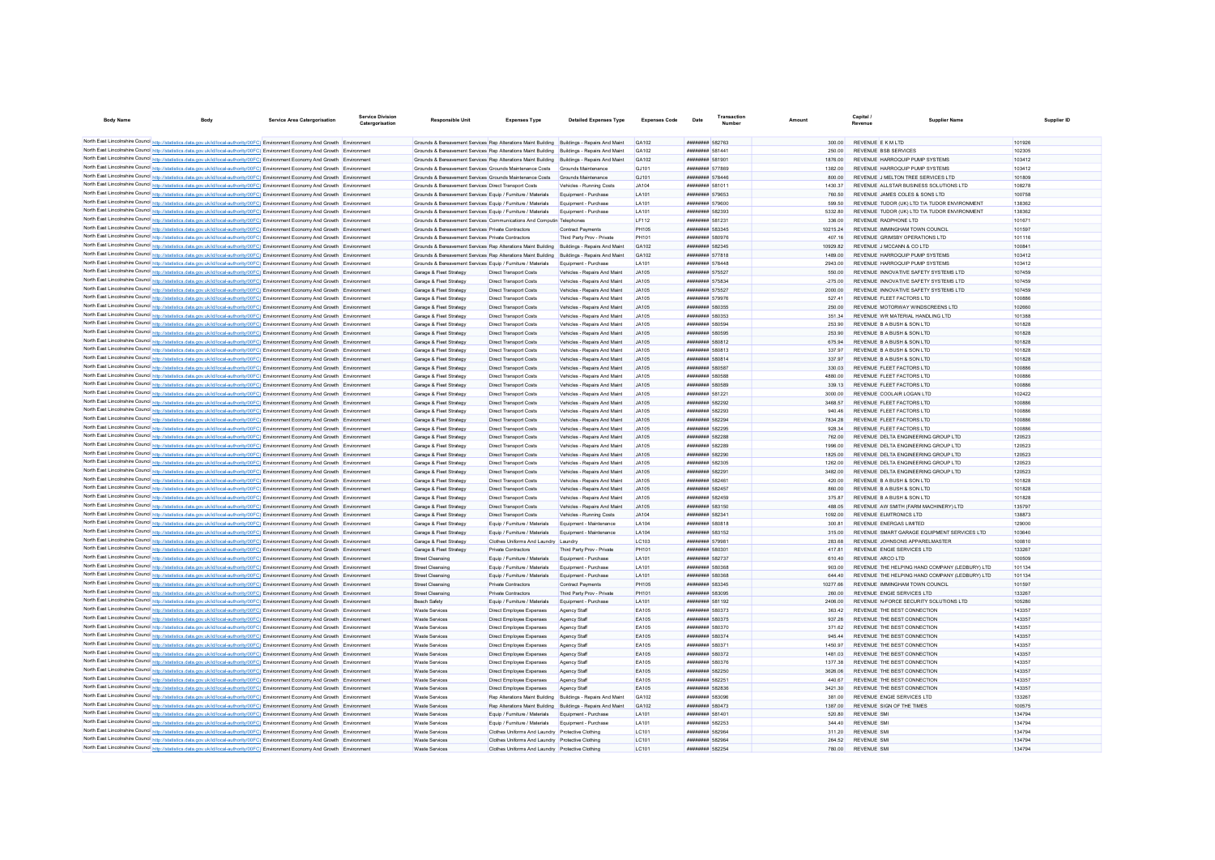| <b>Body Name</b> | <b>Body</b>                                                                                                                                                                                                                                                            | Service Area Catergorisation | <b>Service Division</b><br>Catergorisation | Responsible Unit                                                                                                     | <b>Expenses Type</b>                                           | <b>Detailed Expenses Type</b>                                | <b>Expenses Code</b>  | Date                                                         | Transaction | Amount             | Capital i                                                               | <b>Supplier Name</b>                           | Supplier ID      |
|------------------|------------------------------------------------------------------------------------------------------------------------------------------------------------------------------------------------------------------------------------------------------------------------|------------------------------|--------------------------------------------|----------------------------------------------------------------------------------------------------------------------|----------------------------------------------------------------|--------------------------------------------------------------|-----------------------|--------------------------------------------------------------|-------------|--------------------|-------------------------------------------------------------------------|------------------------------------------------|------------------|
|                  |                                                                                                                                                                                                                                                                        |                              |                                            |                                                                                                                      |                                                                |                                                              |                       |                                                              |             |                    |                                                                         |                                                |                  |
|                  | North East Lincolnshire Council http://statistics.data.gov.uk/id/local-authority/00FC) Environment Economy And Growth Environment                                                                                                                                      |                              |                                            | Grounds & Bereavement Services Rep Alterations Maint Building Buildings - Repairs And Maint                          |                                                                |                                                              | GA102                 | <b>######## 582763</b>                                       |             | 300.00             | REVENUE E K M I TD                                                      |                                                | 101926           |
|                  | North East Lincolnshire Council http://statistics.data.gov.uk/id/local-authority/00FC) Environment Economy And Growth Environment                                                                                                                                      |                              |                                            | Grounds & Bereavement Services Rep Alterations Maint Building Buildings - Repairs And Maint                          |                                                                |                                                              | GA102                 | ######## 581441                                              |             | 250.00             | REVENUE RSB SERVICES                                                    |                                                | 102305           |
|                  | North East Lincolnshire Council http://statistics.data.gov.uk/id/local-authority/00FC) Environment Economy And Growth Environment                                                                                                                                      |                              |                                            | Grounds & Bereavement Services Rep Alterations Maint Building Buildings - Repairs And Maint                          |                                                                |                                                              | GA102                 | ######## 581901                                              |             | 1876.00            | REVENUE HARROQUIP PUMP SYSTEMS                                          |                                                | 103412           |
|                  | North East Lincolnshire Council http://statistics.data.gov.uk/id/local-authority/00FC) Environment Economy And Growth Environment<br>North East Lincolnshire Council http://statistics.data.gov.uk/id/local-authority/00FC) Environment Economy And Growth Environment |                              |                                            | Grounds & Bereavement Services Grounds Maintenance Costs<br>Grounds & Bereavement Services Grounds Maintenance Costs |                                                                | Grounds Maintenance<br>Grounds Maintenance                   | GJ101<br>GJ101        | ######## 577869<br>######## 578446                           |             | 1382.00<br>800.00  | REVENUE HARROQUIP PUMP SYSTEMS<br>REVENUE J MELTON TREE SERVICES LTD    |                                                | 103412<br>101809 |
|                  | North East Lincolnshire Council http://statistics.data.gov.uk/id/local-authority/00FC) Environment Economy And Growth Environment                                                                                                                                      |                              |                                            | Grounds & Bereavement Services Direct Transport Costs                                                                |                                                                | Vehicles - Running Costs                                     | .1A104                | <b>########</b> 58101                                        |             | 1430.3             | REVENUE ALLSTAR BUSINESS SOLUTIONS LTD.                                 |                                                | 108278           |
|                  | North East Lincolnshire Council http://statistics.data.gov.uk/id/local-authority/00FC) Environment Economy And Growth Environment                                                                                                                                      |                              |                                            | Grounds & Bereavement Services Equip / Furniture / Materials                                                         |                                                                | Equipment - Purchase                                         | I A101                | <b>########</b> 579653                                       |             | 760.50             | REVENUE JAMES COLES & SONS LTD                                          |                                                | 100758           |
|                  | North East Lincolnshire Council http://statistics.data.gov.uk/id/local-authority/00FC) Environment Economy And Growth Environment                                                                                                                                      |                              |                                            | Grounds & Bereavement Services Equip / Furniture / Materials                                                         |                                                                | Equipment - Purchase                                         | I A101                | ######## 579600                                              |             | 599.50             | REVENUE TUDOR (UK) LTD T/A TUDOR ENVIRONMENT                            |                                                | 138362           |
|                  | North East Lincolnshire Council http://statistics.data.gov.uk/id/local-authority/00FC) Environment Economy And Growth Environment                                                                                                                                      |                              |                                            | Grounds & Bereavement Services Equip / Furniture / Materials                                                         |                                                                | Equipment - Purchase                                         | LA101                 | ######## 582393                                              |             | 5332.80            | REVENUE TUDOR (UK) LTD T/A TUDOR ENVIRONMENT                            |                                                | 138362           |
|                  | North East Lincolnshire Council http://statistics.data.gov.uk/id/local-authority/00FC) Environment Economy And Growth Environment                                                                                                                                      |                              |                                            | Grounds & Bereavement Services Communications And Computin Telephones                                                |                                                                |                                                              | IF112                 | <b><i>BREEZER 581231</i></b>                                 |             | 336.00             | REVENUE RADPHONE I TD                                                   |                                                | 101671           |
|                  | North East Lincolnshire Council http://statistics.data.gov.uk/id/local-authority/00FC) Environment Economy And Growth Environment                                                                                                                                      |                              |                                            | Grounds & Bereavement Services Private Contractors                                                                   |                                                                | <b>Contract Payments</b>                                     | <b>PH105</b>          | ######## 583345                                              |             | 10215.24           | REVENUE IMMINGHAM TOWN COUNCIL                                          |                                                | 101597           |
|                  | North East Lincolnshire Council http://statistics.data.gov.uk/id/local-authority/00FC) Environment Economy And Growth Environment                                                                                                                                      |                              |                                            | Grounds & Bereavement Services, Private Contractors                                                                  |                                                                | Third Party Prov - Private                                   | PH101                 | ######## 580976                                              |             | 407.16             | REVENUE GRIMSBY OPERATIONS LTD                                          |                                                | 101116           |
|                  | North East Lincolnshire Council http://statistics.data.gov.uk/id/local-authority/00FC) Environment Economy And Growth Environment                                                                                                                                      |                              |                                            | Grounds & Bereavement Services Rep Alterations Maint Building Buildings - Repairs And Maint                          |                                                                |                                                              | GA102                 | <b><i>BREEZERH 582345</i></b>                                |             | 10929 82           | REVENUE J MCCANN & CO LTD                                               |                                                | 100841           |
|                  | North East Lincolnshire Council http://statistics.data.gov.uk/id/local-authority/00FC) Environment Economy And Growth Environment                                                                                                                                      |                              |                                            | Grounds & Bereavement Services Rep Alterations Maint Building Buildings - Repairs And Maint                          |                                                                |                                                              | CA102                 | <b><i>BREEZERBE 577818</i></b>                               |             | 1489.00            | REVENUE HARROOUIP PUMP SYSTEMS                                          |                                                | 103412<br>103412 |
|                  | North East Lincolnshire Council http://statistics.data.gov.uk/id/local-authority/00FC) Environment Economy And Growth Environment<br>North East Lincolnshire Council http://statistics.data.gov.uk/id/local-authority/00FC) Environment Economy And Growth Environment |                              |                                            | Grounds & Bereavement Services Equip / Furniture / Materials<br>Garage & Fleet Strategy                              | <b>Direct Transport Costs</b>                                  | Equipment - Purchase                                         | LA101<br>JA105        | <b><i><u>BRESHHHH</u></i></b> 578448<br>######## 575527      |             | 2943.00<br>550.00  | REVENUE HARROOUIP PUMP SYSTEMS<br>REVENUE INNOVATIVE SAFETY SYSTEMS LTD |                                                | 107459           |
|                  | North East Lincolnshire Council http://statistics.data.gov.uk/id/local-authority/00FC) Environment Economy And Growth Environment                                                                                                                                      |                              |                                            | Garage & Fleet Strategy                                                                                              | <b>Direct Transport Costs</b>                                  | Vehicles - Repairs And Maint<br>Vehicles - Repairs And Maint | JA105                 | ######## 575834                                              |             | $-275.00$          | REVENUE INNOVATIVE SAFETY SYSTEMS LTD                                   |                                                | 107459           |
|                  | North East Lincolnshire Council http://statistics.data.gov.uk/id/local-authority/00FC) Environment Economy And Growth Environment                                                                                                                                      |                              |                                            | Garage & Fleet Strategy                                                                                              | <b>Direct Transport Costs</b>                                  | Vehicles - Repairs And Maint                                 | JA105                 | ######## 575527                                              |             | 2000.00            | REVENUE INNOVATIVE SAFETY SYSTEMS LTD                                   |                                                | 107459           |
|                  | North East Lincolnshire Council http://statistics.data.gov.uk/id/local-authority/00FC) Environment Economy And Growth Environment                                                                                                                                      |                              |                                            | Garage & Fleet Strategy                                                                                              | <b>Direct Transport Costs</b>                                  | Vehicles - Repairs And Maint                                 | JA105                 | ######## 579976                                              |             | 527.41             | REVENUE FLEET FACTORS LTD                                               |                                                | 100886           |
|                  | North East Lincolnshire Council http://statistics.data.gov.uk/id/local-authority/00FC) Environment Economy And Growth Environment                                                                                                                                      |                              |                                            | Garage & Fleet Strategy                                                                                              | <b>Direct Transport Costs</b>                                  | Vehicles - Repairs And Maint                                 | JA105                 | ######## 580355                                              |             | 250.00             | REVENUE MOTORWAY WINDSCREENS LTD                                        |                                                | 102660           |
|                  | North East Lincolnshire Council http://statistics.data.gov.uk/id/local-authority/00FC) Environment Economy And Growth Environment                                                                                                                                      |                              |                                            | Garage & Fleet Strategy                                                                                              | <b>Direct Transport Costs</b>                                  | Vehicles - Repairs And Maint                                 | JA105                 | ######## 580353                                              |             | 351.34             | REVENUE WR MATERIAL HANDLING LTD                                        |                                                | 101388           |
|                  | North East Lincolnshire Council http://statistics.data.gov.uk/id/local-authority/00FC) Environment Economy And Growth Environment                                                                                                                                      |                              |                                            | Garage & Fleet Strategy                                                                                              | <b>Direct Transport Costs</b>                                  | Vehicles - Repairs And Maint                                 | JA105                 | ######## 580594                                              |             | 253.90             | REVENUE B A BUSH & SON LTD                                              |                                                | 101828           |
|                  | North East Lincolnshire Council http://statistics.data.gov.uk/id/local-authority/00FC) Environment Economy And Growth Environment                                                                                                                                      |                              |                                            | Garage & Fleet Strategy                                                                                              | <b>Direct Transport Costs</b>                                  | Vehicles - Repairs And Maint                                 | .IA105                | ######## 580595                                              |             | 253.90             | REVENUE B A BUSH & SON LTD                                              |                                                | 101828           |
|                  | North East Lincolnshire Council http://statistics.data.gov.uk/id/local-authority/00FC) Environment Economy And Growth Environment                                                                                                                                      |                              |                                            | Garage & Fleet Strategy                                                                                              | <b>Direct Transport Costs</b>                                  | Vehicles - Repairs And Maint                                 | .IA105                | ######## 580812                                              |             | 675.94             | REVENUE B A BUSH & SON LTD                                              |                                                | 101828           |
|                  | North East Lincolnshire Council http://statistics.data.gov.uk/id/local-authority/00FC) Environment Economy And Growth Environment                                                                                                                                      |                              |                                            | Garage & Fleet Strategy                                                                                              | <b>Direct Transport Costs</b>                                  | Vehicles - Repairs And Maint                                 | .IA105                | ######## 580813                                              |             | 337.97             | REVENUE B A BUSH & SON LTD                                              |                                                | 101828           |
|                  | North East Lincolnshire Council http://statistics.data.gov.uk/id/local-authority/00FC) Environment Economy And Growth Environment                                                                                                                                      |                              |                                            | Garage & Fleet Strategy                                                                                              | <b>Direct Transport Costs</b>                                  | Vehicles - Repairs And Maint                                 | JA105                 | ######## 580814                                              |             | 337.97             | REVENUE B A BUSH & SON LTD                                              |                                                | 101828           |
|                  | North East Lincolnshire Council http://statistics.data.gov.uk/id/local-authority/00FC) Environment Economy And Growth Environment                                                                                                                                      |                              |                                            | Garage & Fleet Strategy                                                                                              | Direct Transport Costs                                         | Vehicles - Renairs And Maint                                 | .IA105                | ######## 580587                                              |             | 330.03             | REVENUE ELEET FACTORS LTD                                               |                                                | 100886           |
|                  | North East Lincolnshire Council http://statistics.data.gov.uk/id/local-authority/00FC) Environment Economy And Growth Environment<br>North East Lincolnshire Council http://statistics.data.gov.uk/id/local-authority/00FC) Environment Economy And Growth Environment |                              |                                            | Garage & Fleet Strategy                                                                                              | Direct Transport Costs                                         | Vehicles - Renairs And Maint                                 | .1A105<br>.1A105      | ######## 580588<br>######## 580589                           |             | 4880.00<br>339 13  | REVENUE ELEET FACTORS LTD<br>REVENUE ELEFT FACTORS LTD                  |                                                | 100886<br>100886 |
|                  | North East Lincolnshire Council http://statistics.data.gov.uk/id/local-authority/00FC) Environment Economy And Growth Environment                                                                                                                                      |                              |                                            | Garage & Fleet Strategy<br>Garage & Fleet Strategy                                                                   | <b>Direct Transport Costs</b><br><b>Direct Transport Costs</b> | Vehicles - Repairs And Maint<br>Vehicles - Repairs And Maint | .14105                | <b><i>BREEZERE 581221</i></b>                                |             | 3000.00            | REVENUE COOLAIR LOGAN LTD                                               |                                                | 102422           |
|                  | North East Lincolnshire Council http://statistics.data.gov.uk/id/local-authority/00FC) Environment Economy And Growth Environment                                                                                                                                      |                              |                                            | Garage & Fleet Strategy                                                                                              | <b>Direct Transport Costs</b>                                  | Vehicles - Repairs And Maint                                 | .IA105                | <b><i>BREEZER 582292</i></b>                                 |             | 3468.57            | REVENUE ELEET FACTORS LTD                                               |                                                | 100886           |
|                  | North East Lincolnshire Council http://statistics.data.gov.uk/id/local-authority/00FC) Environment Economy And Growth Environment                                                                                                                                      |                              |                                            | Garage & Fleet Strategy                                                                                              | <b>Direct Transport Costs</b>                                  | Vehicles - Repairs And Maint                                 | JA105                 | <b><i>BREEZER 582293</i></b>                                 |             | 940.46             | REVENUE ELEET FACTORS LTD                                               |                                                | 100886           |
|                  | North East Lincolnshire Council http://statistics.data.gov.uk/id/local-authority/00FC) Environment Economy And Growth Environment                                                                                                                                      |                              |                                            | Garage & Fleet Strategy                                                                                              | <b>Direct Transport Costs</b>                                  | Vehicles - Repairs And Maint                                 | JA105                 | ######## 582294                                              |             | 7834.28            | REVENUE FLEET FACTORS LTD                                               |                                                | 100886           |
|                  | North East Lincolnshire Council http://statistics.data.gov.uk/id/local-authority/00FC) Environment Economy And Growth Environment                                                                                                                                      |                              |                                            | Garage & Fleet Strategy                                                                                              | <b>Direct Transport Costs</b>                                  | Vehicles - Repairs And Maint                                 | JA105                 | ######## 582295                                              |             | 928.34             | REVENUE FLEET FACTORS LTD                                               |                                                | 100886           |
|                  | North East Lincolnshire Council http://statistics.data.gov.uk/id/local-authority/00FC) Environment Economy And Growth Environment                                                                                                                                      |                              |                                            | Garage & Fleet Strategy                                                                                              | <b>Direct Transport Costs</b>                                  | Vehicles - Repairs And Maint                                 | <b>JA105</b>          | <b>иннинин 582288</b>                                        |             | 762.00             | REVENUE DELTA ENGINEERING GROUP LTD                                     |                                                | 120523           |
|                  | North East Lincolnshire Council http://statistics.data.gov.uk/id/local-authority/00FC) Environment Economy And Growth Environment                                                                                                                                      |                              |                                            | Garage & Fleet Strategy                                                                                              | <b>Direct Transport Costs</b>                                  | Vehicles - Repairs And Maint                                 | <b>JA105</b>          | ######## 582289                                              |             | 1996.00            | REVENUE DELTA ENGINEERING GROUP LTD                                     |                                                | 120523           |
|                  | North East Lincolnshire Council http://statistics.data.gov.uk/id/local-authority/00FC) Environment Economy And Growth Environment                                                                                                                                      |                              |                                            | Garage & Fleet Strategy                                                                                              | <b>Direct Transport Costs</b>                                  | Vehicles - Repairs And Maint                                 | JA105                 | ######## 582290                                              |             | 1825.00            | REVENUE DELTA ENGINEERING GROUP LTD                                     |                                                | 120523           |
|                  | North East Lincolnshire Council http://statistics.data.gov.uk/id/local-authority/00FC) Environment Economy And Growth Environment                                                                                                                                      |                              |                                            | Garage & Fleet Strategy                                                                                              | <b>Direct Transport Costs</b>                                  | Vehicles - Repairs And Maint                                 | JA105                 | ######## 582305                                              |             | 1262.00            | REVENUE DELTA ENGINEERING GROUP LTD                                     |                                                | 120523           |
|                  | North East Lincolnshire Council http://statistics.data.gov.uk/id/local-authority/00FC) Environment Economy And Growth Environment                                                                                                                                      |                              |                                            | Garage & Fleet Strategy                                                                                              | Direct Transport Costs                                         | Vehicles - Repairs And Maint                                 | .IA105                | <b><i>BREERER 582291</i></b><br><b><i>BREERER 58246*</i></b> |             | 3482.00<br>420.00  | REVENUE DELTA ENGINEERING GROUP LTD<br>REVENUE B A BUSH & SON LTD       |                                                | 120523<br>101828 |
|                  | North East Lincolnshire Council http://statistics.data.gov.uk/id/local-authority/00FC) Environment Economy And Growth Environment<br>North East Lincolnshire Council http://statistics.data.gov.uk/id/local-authority/00FC) Environment Economy And Growth Environment |                              |                                            | Garage & Fleet Strategy<br>Garage & Fleet Strategy                                                                   | Direct Transport Costs<br><b>Direct Transport Costs</b>        | Vehicles - Repairs And Maint<br>Vehicles - Repairs And Maint | .IA105<br>.IA105      | <b><i>BREERER 582457</i></b>                                 |             | 860.00             | REVENUE B A BUSH & SON LTD                                              |                                                | 101828           |
|                  | North East Lincolnshire Council http://statistics.data.gov.uk/id/local-authority/00FC) Environment Economy And Growth Environment                                                                                                                                      |                              |                                            | Garage & Fleet Strategy                                                                                              | <b>Direct Transport Costs</b>                                  | Vehicles - Repairs And Maint                                 | JA105                 | ######## 582459                                              |             | 375.87             | REVENUE B A BUSH & SON LTD                                              |                                                | 101828           |
|                  | North East Lincolnshire Council http://statistics.data.gov.uk/id/local-authority/00FC) Environment Economy And Growth Environment                                                                                                                                      |                              |                                            | Garage & Fleet Strategy                                                                                              | Direct Transport Costs                                         | Vehicles - Renairs And Maint                                 | .14105                | ######## 583150                                              |             | 488.05             | REVENUE AW SMITH (FARM MACHINERY) I TD                                  |                                                | 135797           |
|                  | North East Lincolnshire Council http://statistics.data.gov.uk/id/local-authority/00FC) Environment Economy And Growth Environment                                                                                                                                      |                              |                                            | Garage & Fleet Strategy                                                                                              | Direct Transport Costs                                         | Vehicles - Running Costs                                     | .1A104                | <b><i><u>BRAHHHHH</u></i></b> 58234                          |             | 1092.00            | REVENUE ELMTRONICS LTD                                                  |                                                | 138873           |
|                  | North East Lincolnshire Council http://statistics.data.gov.uk/id/local-authority/00FC) Environment Economy And Growth Environment                                                                                                                                      |                              |                                            | Garage & Fleet Strategy                                                                                              | Equip / Furniture / Materials                                  | Equipment - Maintenance                                      | <b>1 A104</b>         | <b><i>BREEZEEE</i></b> 580818                                |             | 300.81             | REVENUE ENFRGAS LIMITED                                                 |                                                | 129000           |
|                  | North East Lincolnshire Council http://statistics.data.gov.uk/id/local-authority/00FC) Environment Economy And Growth Environment                                                                                                                                      |                              |                                            | Garage & Fleet Strategy                                                                                              | Equip / Furniture / Materials                                  | Equipment - Maintenance                                      | LA104                 | <b><i>BREEZEEE</i></b> 583152                                |             | 315.00             | REVENUE SMART GARAGE FOURMENT SERVICES LTD.                             |                                                | 103640           |
|                  | North East Lincolnshire Council http://statistics.data.gov.uk/id/local-authority/00FC) Environment Economy And Growth Environment                                                                                                                                      |                              |                                            | Garage & Fleet Strategy                                                                                              | Clothes Uniforms And Laundry   Laundry                         |                                                              | LC103                 | <b><i><u>HHHHHHHH</u></i></b> 57008-                         |             | 283 68             | REVENUE JOHNSONS APPARELMASTER                                          |                                                | 100810           |
|                  | North East Lincolnshire Council http://statistics.data.gov.uk/id/local-authority/00FC) Environment Economy And Growth Environment                                                                                                                                      |                              |                                            | Garage & Fleet Strategy                                                                                              | Private Contractors                                            | Third Party Prov - Private                                   | PH101                 | ######## 580301                                              |             | 41781              | REVENUE ENGIE SERVICES LTD                                              |                                                | 133267           |
|                  | North East Lincolnshire Council http://statistics.data.gov.uk/id/local-authority/00FC) Environment Economy And Growth Environment                                                                                                                                      |                              |                                            | <b>Street Cleansing</b>                                                                                              | Equip / Furniture / Materials                                  | Equipment - Purchase                                         | LA101                 | ######## 582737                                              |             | 610.40             | REVENUE ARCO LTD                                                        |                                                | 100509           |
|                  | North East Lincolnshire Council http://statistics.data.gov.uk/id/local-authority/00FC) Environment Economy And Growth                                                                                                                                                  |                              |                                            | <b>Street Cleansing</b>                                                                                              | Equip / Furniture / Materials                                  | Equipment - Purchase                                         | LA101                 | ######## 580368                                              |             | 903.00             |                                                                         | REVENUE THE HELPING HAND COMPANY (LEDBURY) LTD | 101134           |
|                  | North East Lincolnshire Council http://statistics.data.gov.uk/id/local-authority/00FC) Environment Economy And Growth Environment<br>North East Lincolnshire Council http://statistics.data.gov.uk/id/local-authority/00FC) Environment Economy And Growth Environment |                              |                                            | <b>Street Cleansing</b><br><b>Street Cleansing</b>                                                                   | Equip / Furniture / Materials<br>Private Contractors           | Equipment - Purchase<br>Contract Payments                    | LA101<br><b>PH105</b> | ######## 580368<br>######## 583345                           |             | 644.40<br>10277.66 | REVENUE IMMINGHAM TOWN COUNCIL                                          | REVENUE THE HELPING HAND COMPANY (LEDBURY) LTD | 101134<br>101597 |
|                  | North East Lincolnshire Council http://statistics.data.gov.uk/id/local-authority/00FC) Environment Economy And Growth Environment                                                                                                                                      |                              |                                            | <b>Street Cleansing</b>                                                                                              | Private Contractors                                            | Third Party Prov - Private                                   | PH101                 | ######## 583095                                              |             | 260.00             | REVENUE ENGIE SERVICES LTD                                              |                                                | 133267           |
|                  | North East Lincolnshire Council http://statistics.data.gov.uk/id/local-authority/00FC) Environment Economy And Growth Environment                                                                                                                                      |                              |                                            | <b>Beach Safety</b>                                                                                                  | Equip / Furniture / Materials                                  | Equipment - Purchase                                         | LA101                 | ######## 581192                                              |             | 2406.00            | REVENUE N-FORCE SECURITY SOLUTIONS LTD                                  |                                                | 105280           |
|                  | North East Lincolnshire Council http://statistics.data.gov.uk/id/local-authority/00FC) Environment Economy And Growth Environment                                                                                                                                      |                              |                                            | Waste Services                                                                                                       | Direct Employee Expenses                                       | Agency Staff                                                 | <b>FA105</b>          | <b>########</b> 580373                                       |             | 363.42             | REVENUE THE REST CONNECTION                                             |                                                | 143357           |
|                  | North East Lincolnshire Council http://statistics.data.gov.uk/id/local-authority/00FC) Environment Economy And Growth Environment                                                                                                                                      |                              |                                            | <b>Waste Services</b>                                                                                                | Direct Employee Expenses                                       | Agency Staff                                                 | <b>FA105</b>          | ######## 580375                                              |             | 937.26             | REVENUE THE REST CONNECTION                                             |                                                | 143357           |
|                  | North East Lincolnshire Council http://statistics.data.gov.uk/id/local-authority/00FC) Environment Economy And Growth Environment                                                                                                                                      |                              |                                            | <b>Waste Services</b>                                                                                                | Direct Employee Expenses                                       | Agency Staff                                                 | EA105                 | ######## 580370                                              |             | 371.62             | REVENUE THE BEST CONNECTION                                             |                                                | 143357           |
|                  | North East Lincolnshire Council http://statistics.data.gov.uk/id/local-authority/00FC) Environment Economy And Growth Environment                                                                                                                                      |                              |                                            | <b>Waste Services</b>                                                                                                | <b>Direct Employee Expenses</b>                                | Agency Staff                                                 | EA105                 | ######## 580374                                              |             | 945.44             | REVENUE THE BEST CONNECTION                                             |                                                | 143357           |
|                  | North East Lincolnshire Council http://statistics.data.gov.uk/id/local-authority/00FC) Environment Economy And Growth Environment                                                                                                                                      |                              |                                            | <b>Waste Services</b>                                                                                                | Direct Employee Expenses                                       | Anency Staff                                                 | FA105                 | ######## 580371                                              |             | 1450.97            | REVENUE THE BEST CONNECTION                                             |                                                | 143357           |
|                  | North East Lincolnshire Council http://statistics.data.gov.uk/id/local-authority/00FC) Environment Economy And Growth Environment                                                                                                                                      |                              |                                            | Waste Services                                                                                                       | Direct Employee Expenses                                       | Agency Staff                                                 | FA105                 | ######## 580372                                              |             | 1481.03            | REVENUE THE REST CONNECTION                                             |                                                | 143357           |
|                  | North East Lincolnshire Council http://statistics.data.gov.uk/id/local-authority/00FC) Environment Economy And Growth Environment                                                                                                                                      |                              |                                            | Waste Services                                                                                                       | <b>Direct Employee Expenses</b>                                | Agency Staff                                                 | FA105                 | ######## 580376                                              |             | 1377.38            | REVENUE THE REST CONNECTION                                             |                                                | 143357           |
|                  | North East Lincolnshire Council http://statistics.data.gov.uk/id/local-authority/00FC) Environment Economy And Growth Environment                                                                                                                                      |                              |                                            | <b>Waste Services</b>                                                                                                | <b>Direct Employee Expenses</b>                                | Agency Staff                                                 | FA105                 | ######## 582250                                              |             | 3626.06            | REVENUE THE REST CONNECTION                                             |                                                | 143357           |
|                  | North East Lincolnshire Council http://statistics.data.gov.uk/id/local-authority/00FC) Environment Economy And Growth Environment                                                                                                                                      |                              |                                            | <b>Waste Services</b>                                                                                                | Direct Employee Expenses                                       | Agency Staff                                                 | EA105                 | <b><i>BREEZER 582251</i></b>                                 |             | 440.67             | REVENUE THE BEST CONNECTION                                             |                                                | 143357           |
|                  | North East Lincolnshire Council http://statistics.data.gov.uk/id/local-authority/00FC) Environment Economy And Growth Environment                                                                                                                                      |                              |                                            | <b>Waste Services</b>                                                                                                | Direct Employee Expenses                                       | Agency Staff                                                 | <b>FA105</b><br>GA102 | <b><i>HHHHHHH 582836</i></b><br>######## 583096              |             | 3421.30            | REVENUE THE BEST CONNECTION<br>REVENUE ENGIE SERVICES LTD               |                                                | 143357<br>133267 |
|                  | North East Lincolnshire Council http://statistics.data.gov.uk/id/local-authority/00FC) Environment Economy And Growth Environment<br>North East Lincolnshire Council http://statistics.data.gov.uk/id/local-authority/00FC) Environment Economy And Growth Environment |                              |                                            | <b>Waste Services</b><br>Waste Services                                                                              | Rep Alterations Maint Building Buildings - Repairs And Maint   | Rep Alterations Maint Building Buildings - Repairs And Maint | GA102                 | <b><i>BREEZER 580473</i></b>                                 |             | 381.00<br>1387.00  | REVENUE SIGN OF THE TIMES                                               |                                                | 100575           |
|                  | North East Lincolnshire Council http://statistics.data.gov.uk/id/local-authority/00FC) Environment Economy And Growth Environment                                                                                                                                      |                              |                                            | <b>Waste Servicer</b>                                                                                                | Equip / Furniture / Materials                                  | Equipment - Purchas                                          | LA101                 | ######## 581401                                              |             | 520.80             | <b>REVENUE SMI</b>                                                      |                                                | 134794           |
|                  | North East Lincolnshire Council http://statistics.data.gov.uk/id/local-authority/00FC) Environment Economy And Growth Environment                                                                                                                                      |                              |                                            | <b>Waste Service</b>                                                                                                 | Equip / Furniture / Materials                                  | Equipment - Purchase                                         | LA101                 | <b><i>BREEZER 582253</i></b>                                 |             | 344.40             | <b>REVENUE SMI</b>                                                      |                                                | 134794           |
|                  | North East Lincolnshire Council http://statistics.data.gov.uk/id/local-authority/00FC) Environment Economy And Growth Environment                                                                                                                                      |                              |                                            | <b>Waste Service</b>                                                                                                 | Clothes Uniforms And Laundry Protective Clothine               |                                                              | LC101                 | <b>######## 582964</b>                                       |             | 311.20             | <b>REVENUE SM</b>                                                       |                                                | 134794           |
|                  | North East Lincolnshire Council http://statistics.data.gov.uk/id/local-authority/00FC) Environment Economy And Growth                                                                                                                                                  |                              |                                            | <b>Waste Services</b>                                                                                                | Clothes Uniforms And Laundry Protective Clothing               |                                                              | LC101                 | ######## 582964                                              |             | 264.52             | <b>REVENUE SMI</b>                                                      |                                                | 134794           |
|                  | North East Lincolnshire Council http://statistics.data.gov.uk/id/local-authority/00FC) Environment Economy And Growth Environment                                                                                                                                      |                              |                                            | Waste Services                                                                                                       | Clothes Uniforms And Laundry Protective Clothing               |                                                              | LC101                 | ######## 582254                                              |             | 780.00             | <b>REVENUE SM</b>                                                       |                                                | 134794           |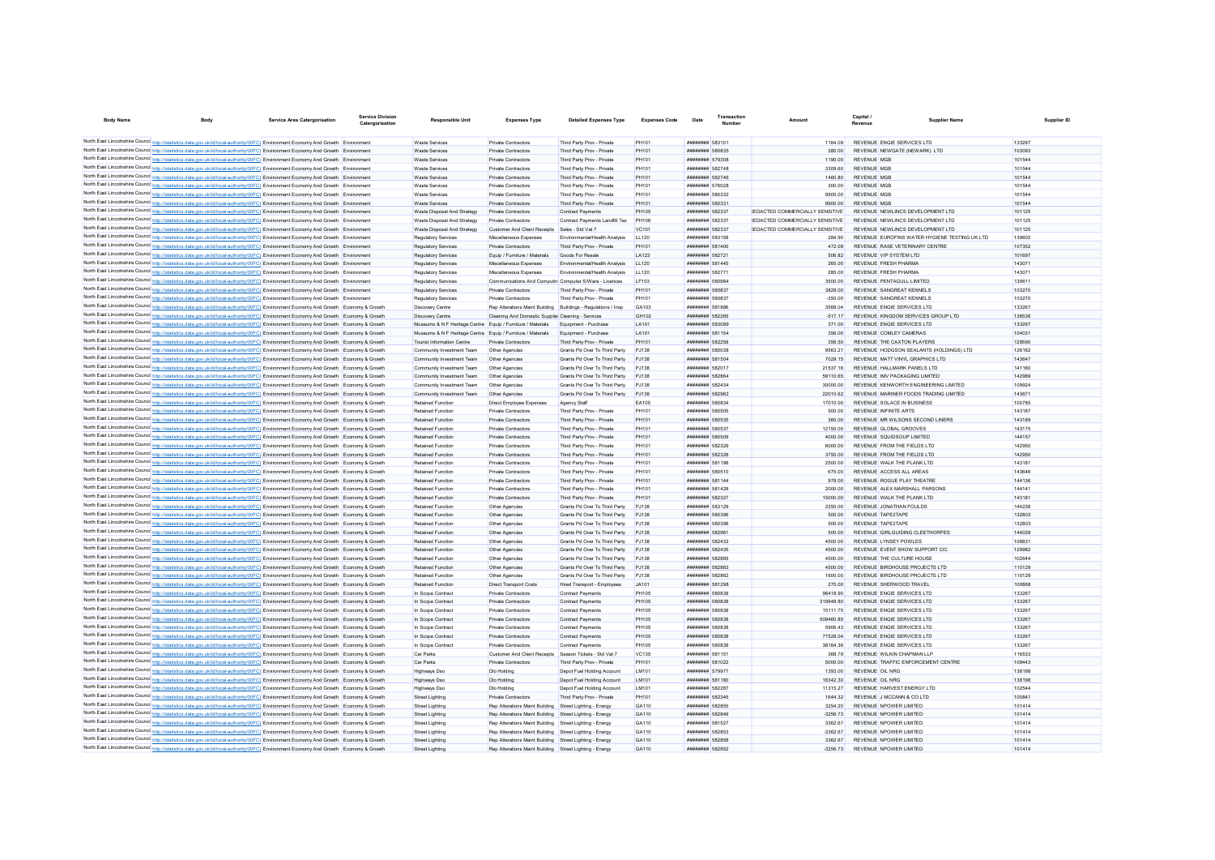| <b>Body Name</b>                                                                                                                                                                                                                                                       | Service Area Catergorisation | Service Division<br>Catergorisation | <b>Responsible Unit</b>                                     | <b>Expenses Type</b>                                          | <b>Detailed Expenses Type</b>                       | <b>Expenses Code</b> | Transaction<br>Date                              | Amount                                            | Capital.<br>Payenu                       | <b>Supplier Name</b>                           | Supplier ID      |  |
|------------------------------------------------------------------------------------------------------------------------------------------------------------------------------------------------------------------------------------------------------------------------|------------------------------|-------------------------------------|-------------------------------------------------------------|---------------------------------------------------------------|-----------------------------------------------------|----------------------|--------------------------------------------------|---------------------------------------------------|------------------------------------------|------------------------------------------------|------------------|--|
|                                                                                                                                                                                                                                                                        |                              |                                     |                                                             |                                                               |                                                     |                      |                                                  |                                                   |                                          |                                                |                  |  |
| North East Lincolnshire Council http://statistics.data.gov.uk/id/local-authority/00FC) Environment Economy And Growth Environment                                                                                                                                      |                              |                                     | <b>Waste Services</b>                                       | Private Contractors                                           | Third Party Prov - Private                          | PH101                | ######## 583101                                  | 1164.09                                           |                                          | REVENUE ENGIE SERVICES LTD                     | 133267           |  |
| North East Lincolnshire Council http://statistics.data.gov.uk/id/local-authority/00FC) Environment Economy And Growth Environment                                                                                                                                      |                              |                                     | <b>Waste Services</b>                                       | Private Contractors                                           | Third Party Prov - Private                          | PH101                | ######## 580835                                  | 280.00                                            |                                          | REVENUE NEWGATE (NEWARK) LTD                   | 103093           |  |
| North East Lincolnshire Council http://statistics.data.gov.uk/id/local-authority/00FC) Environment Economy And Growth Environment                                                                                                                                      |                              |                                     | <b>Waste Servicer</b>                                       | Private Contractors                                           | Third Party Prov - Private                          | PH101                | ######## 579308                                  | 1190.00                                           | <b>REVENUE MGI</b>                       |                                                | 101544           |  |
| North East Lincolnshire Council http://statistics.data.gov.uk/id/local-authority/00FC) Environment Economy And Growth Environment                                                                                                                                      |                              |                                     | Waste Service                                               | Private Contractors                                           | Third Party Prov - Private                          | PH101                | ######## 582748                                  | 3309.60                                           | <b>REVENUE MGI</b>                       |                                                | 101544           |  |
| North East Lincolnshire Council http://statistics.data.gov.uk/id/local-authority/00FC) Environment Economy And Growth Environment                                                                                                                                      |                              |                                     | <b>Waste Services</b>                                       | Private Contractors                                           | Third Party Prov - Private                          | PH101<br>PH101       | ######## 582746<br><b>######## 576028</b>        | 1460.80<br>300.00                                 | <b>REVENUE MGI</b><br><b>REVENUE MGI</b> |                                                | 101544<br>101544 |  |
| North East Lincolnshire Council http://statistics.data.gov.uk/id/local-authority/00FC) Environment Economy And Growth Environment                                                                                                                                      |                              |                                     | Waste Service                                               | Private Contractors                                           | Third Party Prov - Private                          | PH101                | ######## 580332                                  | 9900.00                                           | <b>REVENUE MGE</b>                       |                                                | 101544           |  |
| North East Lincolnshire Council http://statistics.data.gov.uk/id/local-authority/00FC) Environment Economy And Growth Environment                                                                                                                                      |                              |                                     | <b>Waste Services</b>                                       | Private Contractors                                           | Third Party Prov - Private                          | PH101                |                                                  |                                                   | <b>REVENUE MGE</b>                       |                                                |                  |  |
| North East Lincolnshire Council http://statistics.data.gov.uk/id/local-authority/00FC) Environment Economy And Growth Environment                                                                                                                                      |                              |                                     | <b>Waste Services</b>                                       | Private Contractors                                           | Third Party Prov - Private                          | <b>PH105</b>         | ######## 580331                                  | 9900.00<br><b>REDACTED COMMERCIALLY SENSITIVE</b> |                                          | REVENUE NEWLINCS DEVELOPMENT LTD               | 101544<br>101125 |  |
| North East Lincolnshire Council http://statistics.data.gov.uk/id/local-authority/00FC) Environment Economy And Growth Environment<br>North East Lincolnshire Council http://statistics.data.gov.uk/id/local-authority/00FC) Environment Economy And Growth Environment |                              |                                     | Waste Disposal And Strategy<br>Waste Disnosal And Strategy  | <b>Private Contractors</b><br>Private Contractors             | Contract Payments<br>Contract Payments Landfill Tax | <b>PH106</b>         | ######## 582337<br><b><i>BRENHHHH</i></b> 582337 | <b>IFDACTED COMMERCIALLY SENSITIVE</b>            |                                          | REVENUE NEWLINGS DEVELOPMENT LTD               | 101125           |  |
| North East Lincolnshire Council http://statistics.data.gov.uk/id/local-authority/00FC) Environment Economy And Growth Environment                                                                                                                                      |                              |                                     | Waste Disposal And Strategy                                 | Customer And Client Receipts                                  | Sales - Std Vat 7                                   | VC <sub>101</sub>    | ######## 582337                                  | <b>EDACTED COMMERCIALLY SENSITIVE</b>             |                                          | REVENUE NEWLINGS DEVELOPMENT LTD               | 101125           |  |
| North East Lincolnshire Council http://statistics.data.gov.uk/id/local-authority/00FC) Environment Economy And Growth Environment                                                                                                                                      |                              |                                     | Regulatory Services                                         | Miscellaneous Expenses                                        | Environmental/Health Analysis                       | 11120                | ######## 583158                                  | 284.90                                            |                                          | REVENUE FUROEINS WATER HYGIENE TESTING UK I TD | 139602           |  |
| North East Lincolnshire Council http://statistics.data.gov.uk/id/local-authority/00FC) Environment Economy And Growth Environment                                                                                                                                      |                              |                                     | Regulatory Services                                         | <b>Private Contractors</b>                                    | Third Party Prov - Private                          | PH101                | <b><i>BRREEZEE 581400</i></b>                    | 472.08                                            |                                          | REVENUE RASE VETERINARY CENTRE                 | 107352           |  |
| North East Lincolnshire Council http://statistics.data.gov.uk/id/local-authority/00FC) Environment Economy And Growth Environment                                                                                                                                      |                              |                                     | <b>Regulatory Services</b>                                  | Equip / Furniture / Materials                                 | Goods For Resale                                    | LA123                | <b><i>BREEZEEE</i></b> 582721                    | 506.82                                            |                                          | REVENUE VID SYSTEM LTD                         | 101697           |  |
| North East Lincolnshire Council http://statistics.data.gov.uk/id/local-authority/00FC) Environment Economy And Growth Environment                                                                                                                                      |                              |                                     | <b>Regulatory Services</b>                                  | Miscellaneous Expenses                                        | Environmental/Health Analysis                       | LL120                | ######## 581445                                  | 265.00                                            |                                          | <b>REVENUE FRESH PHARMA</b>                    | 14307            |  |
| North East Lincolnshire Council http://statistics.data.gov.uk/id/local-authority/00FC) Environment Economy And Growth Environment                                                                                                                                      |                              |                                     | Regulatory Service                                          | Miscellaneous Expenses                                        | Environmental/Health Analysis                       | LL120                | ######## 582771                                  | 285.00                                            |                                          | <b>REVENUE FRESH PHARMA</b>                    | 14307            |  |
| North East Lincolnshire Council http://statistics.data.gov.uk/id/local-authority/00FC) Environment Economy And Growth Environment                                                                                                                                      |                              |                                     | Regulatory Service                                          | Communications And Computin Computer S/Ware - Licences        |                                                     | LF103                | ######## 580984                                  | 3500.00                                           |                                          | REVENUE PENTAGULL LIMITED                      | 13961            |  |
| North East Lincolnshire Council http://statistics.data.gov.uk/id/local-authority/00FC) Environment Economy And Growth Environment                                                                                                                                      |                              |                                     | <b>Regulatory Services</b>                                  | <b>Private Contractors</b>                                    | Third Party Prov - Private                          | PH101                | ######## 580837                                  | 3829.00                                           |                                          | REVENUE SANGREAT KENNELS                       | 103270           |  |
| North East Lincolnshire Council http://statistics.data.gov.uk/id/local-authority/00FC) Environment Economy And Growth Environment                                                                                                                                      |                              |                                     | Regulatory Services                                         | Private Contractors                                           | Third Party Prov - Private                          | PH101                | ######## 580837                                  | $-350.00$                                         |                                          | REVENUE SANGREAT KENNELS                       | 103270           |  |
| North East Lincolnshire Council http://statistics.data.gov.uk/id/local-authority/00FC) Environment Economy And Growth Economy & Growth                                                                                                                                 |                              |                                     | Discovery Centre                                            | Rep Alterations Maint Building Buildings - Regulations / Insp |                                                     | GA103                | ######## 581886                                  | 3568.04                                           |                                          | REVENUE ENGIE SERVICES LTD                     | 133267           |  |
| North East Lincolnshire Council http://statistics.data.gov.uk/id/local-authority/00FC) Environment Economy And Growth Economy & Growth                                                                                                                                 |                              |                                     | <b>Discovery Centre</b>                                     | Cleaning And Domestic Supplier Cleaning - Services            |                                                     | GH102                | ######## 582265                                  | $-517.17$                                         |                                          | REVENUE KINGDOM SERVICES GROUP LTD             | 138536           |  |
| North East Lincolnshire Council http://statistics.data.gov.uk/id/local-authority/00FC) Environment Economy And Growth Economy & Growth                                                                                                                                 |                              |                                     | Museums & N F Heritage Centre Equip / Furniture / Materials |                                                               | Equipment - Purchase                                | LA101                | ######## 583099                                  | 371.00                                            |                                          | REVENUE ENGIE SERVICES LTD                     | 133267           |  |
| North East Lincolnshire Council http://statistics.data.gov.uk/id/local-authority/00FC) Environment Economy And Growth Economy & Growth                                                                                                                                 |                              |                                     | Museums & N F Heritage Centre Equip / Furniture / Materials |                                                               | Equipment - Purchase                                | <b>I</b> A101        | ######## 581154                                  | 356.00                                            |                                          | REVENUE COMEEY CAMERAS                         | 104031           |  |
| North East Lincolnshire Council http://statistics.data.gov.uk/id/local-authority/00FC) Environment Economy And Growth Economy & Growth                                                                                                                                 |                              |                                     | <b>Tourist Information Centre</b>                           | Private Contractors                                           | Third Party Prov - Private                          | PH101                | ######## 582258                                  | 356.50                                            |                                          | REVENUE THE CAXTON PLAYERS                     | 129590           |  |
| North East Lincolnshire Council http://statistics.data.gov.uk/id/local-authority/00FC) Environment Economy And Growth Economy & Growth                                                                                                                                 |                              |                                     | Community Investment Team                                   | Other Agencies                                                | Grants Pd Over To Third Party                       | PJ138                | ######## 580038                                  | 9563.21                                           |                                          | REVENUE HODGSON SEALANTS (HOLDINGS) LTD        | 126162           |  |
| North East Lincolnshire Council http://statistics.data.gov.uk/id/local-authority/00FC) Environment Economy And Growth Economy & Growth                                                                                                                                 |                              |                                     | Community Investment Team                                   | Other Agencies                                                | Grants Pd Over To Third Party                       | PJ138                | ######## 581504                                  | 7029.15                                           |                                          | REVENUE MATT VINYL GRAPHICS LTD                | 143647           |  |
| North East Lincolnshire Council http://statistics.data.gov.uk/id/local-authority/00FC) Environment Economy And Growth Economy & Growth                                                                                                                                 |                              |                                     | Community Investment Team                                   | Other Agencies                                                | Grants Pd Over To Third Party                       | P.1138               | ######## 582017                                  | 21537 16                                          |                                          | REVENUE HALLMARK PANELS LTD                    | 141160           |  |
| North East Lincolnshire Council http://statistics.data.gov.uk/id/local-authority/00FC) Environment Economy And Growth Economy & Growth                                                                                                                                 |                              |                                     | Community Investment Team                                   | Other Agencies                                                | Grants Pd Over To Third Party                       | P.1138               |                                                  | 59110.65                                          |                                          | REVENUE IMV PACKAGING LIMITED                  | 142989           |  |
| North East Lincolnshire Council http://statistics.data.gov.uk/id/local-authority/00FC) Environment Economy And Growth Economy & Growth                                                                                                                                 |                              |                                     | Community Investment Team                                   | Other Agencies                                                | Grants Pd Over To Third Party                       | P.1138               | <b><i>BREEZERBE 582434</i></b>                   | 30000.00                                          |                                          | REVENUE KENWORTH ENGINEERING LIMITED           | 109924           |  |
| North East Lincolnshire Council http://statistics.data.gov.uk/id/local-authority/00FC) Environment Economy And Growth Economy & Growth                                                                                                                                 |                              |                                     | Community Investment Team                                   | Other Agencies                                                | Grants Pd Over To Third Party                       | PJ138                | <b><i>BREEZEEE 582962</i></b>                    | 22010.62                                          |                                          | REVENUE MARINER FOODS TRADING LIMITED          | 143671           |  |
| North East Lincolnshire Council http://statistics.data.gov.uk/id/local-authority/00FC) Environment Economy And Growth Economy & Growth                                                                                                                                 |                              |                                     | <b>Retained Function</b>                                    | Direct Employee Expenses                                      | Agency Staff                                        | FA105                | <b>HRENHHHH</b> 580834                           | 17010.00                                          |                                          | REVENUE SOLACE IN BUSINESS                     | 100785           |  |
| North East Lincolnshire Council http://statistics.data.gov.uk/id/local-authority/00FC) Environment Economy And Growth Economy & Growth                                                                                                                                 |                              |                                     | <b>Retained Function</b>                                    | Private Contractors                                           | Third Party Prov - Private                          | PH101                | ######## 580505                                  | 500.00                                            |                                          | <b>REVENUE INFINITE ARTS</b>                   | 143187           |  |
| North East Lincolnshire Council http://statistics.data.gov.uk/id/local-authority/00FC) Environment Economy And Growth Economy & Growth                                                                                                                                 |                              |                                     | Retained Function                                           | <b>Private Contractors</b>                                    | Third Party Prov - Private                          | PH101                | ######## 580535                                  | 360.00                                            |                                          | REVENUE MR WILSONS SECOND LINERS               | 143189           |  |
| North East Lincolnshire Council http://statistics.data.gov.uk/id/local-authority/00FC) Environment Economy And Growth Economy & Growth                                                                                                                                 |                              |                                     | Retained Function                                           | Private Contractors                                           | Third Party Prov - Private                          | PH101                | ######## 580537                                  | 12150.00                                          |                                          | REVENUE GLOBAL GROOVES                         | 143175           |  |
| North East Lincolnshire Council http://statistics.data.gov.uk/id/local-authority/00FC) Environment Economy And Growth Economy & Growth                                                                                                                                 |                              |                                     | <b>Retained Function</b>                                    | Private Contractors                                           | Third Party Prov - Private                          | PH101                | ######## 580509                                  | 4000.00                                           |                                          | REVENUE SOUIDSOUP LIMITED                      | 144157           |  |
| North East Lincolnshire Council http://statistics.data.gov.uk/id/local-authority/00FC) Environment Economy And Growth Economy & Growth                                                                                                                                 |                              |                                     | <b>Retained Function</b>                                    | Private Contractors                                           | Third Party Prov - Private                          | PH101                | ######## 582329                                  | 6000.00                                           |                                          | REVENUE FROM THE FIELDS LTD                    | 142950           |  |
| North East Lincolnshire Council http://statistics.data.gov.uk/id/local-authority/00FC) Environment Economy And Growth Economy & Growth                                                                                                                                 |                              |                                     | <b>Retained Function</b>                                    | Private Contractors                                           | Third Party Prov - Private                          | PH101                | ######## 582328                                  | 3750.00                                           |                                          | REVENUE FROM THE FIELDS LTD                    | 142950           |  |
| North East Lincolnshire Council http://statistics.data.gov.uk/id/local-authority/00FC) Environment Economy And Growth Economy & Growth                                                                                                                                 |                              |                                     | <b>Retained Function</b>                                    | Private Contractors                                           | Third Party Prov - Private                          | PH101                | ######## 581198                                  | 2500.00                                           |                                          | REVENUE WALK THE PLANK LTD                     | 143181           |  |
| North East Lincolnshire Council http://statistics.data.gov.uk/id/local-authority/00FC) Environment Economy And Growth Economy & Growth                                                                                                                                 |                              |                                     | Retained Function                                           | Private Contractors                                           | Third Party Prov - Private                          | PH101                | ######## 580510                                  | 675.00                                            |                                          | REVENUE ACCESS ALL AREAS                       | 143646           |  |
| North East Lincolnshire Council http://statistics.data.gov.uk/id/local-authority/00FC) Environment Economy And Growth Economy & Growth                                                                                                                                 |                              |                                     | <b>Retained Function</b>                                    | Private Contractors                                           | Third Party Prov - Private                          | PH101                | <b>########</b> 581144                           | 978.00                                            |                                          | REVENUE ROGUE PLAY THEATRE                     | 144136           |  |
| North East Lincolnshire Council http://statistics.data.gov.uk/id/local-authority/00FC) Environment Economy And Growth Economy & Growth                                                                                                                                 |                              |                                     | <b>Retained Function</b>                                    | Private Contractors                                           | Third Party Prov - Private                          | PH101                | ######## 581428                                  | 2000.00                                           |                                          | REVENUE ALEX MARSHALL PARSONS                  | 144141           |  |
| North East Lincolnshire Council http://statistics.data.gov.uk/id/local-authority/00FC) Environment Economy And Growth Economy & Growth                                                                                                                                 |                              |                                     | <b>Retained Function</b>                                    | Private Contractors                                           | Third Party Prov - Private                          | PH101                | ######## 582327                                  | 15000.00                                          |                                          | REVENUE WALK THE PLANK LTD                     | 143181           |  |
| North East Lincolnshire Council http://statistics.data.gov.uk/id/local-authority/00FC) Environment Economy And Growth Economy & Growth                                                                                                                                 |                              |                                     | <b>Retained Function</b>                                    | Other Agencies                                                | Grants Pd Over To Third Party                       | P.1138               | <b><i>BRENHHHH 583129</i></b>                    | 2250.00                                           |                                          | REVENUE JONATHAN FOULDS                        | 144236           |  |
| North East Lincolnshire Council http://statistics.data.gov.uk/id/local-authority/00FC) Environment Economy And Growth Economy & Growth                                                                                                                                 |                              |                                     | <b>Retained Function</b>                                    | Other Agencies                                                | Grants Pd Over To Third Party                       | P.1138               | ######## 580396                                  | 500.00                                            |                                          | REVENUE TAPE2TAPE                              | 132803           |  |
| North East Lincolnshire Council http://statistics.data.gov.uk/id/local-authority/00FC) Environment Economy And Growth Economy & Growth                                                                                                                                 |                              |                                     | <b>Retained Function</b>                                    | Other Agencies                                                | Grants Pd Over To Third Party                       | P.1138               | ######## 580398                                  | 500.00                                            |                                          | REVENUE TAPE2TAPE                              | 132803           |  |
| North East Lincolnshire Council http://statistics.data.gov.uk/id/local-authority/00FC) Environment Economy And Growth Economy & Growth                                                                                                                                 |                              |                                     | <b>Retained Function</b>                                    | Other Agencies                                                | Grants Pd Over To Third Party                       | PJ138                | ######## 582961                                  | 500.00                                            |                                          | REVENUE GIRLGUIDING CLEETHORPES                | 144028           |  |
| North East Lincolnshire Council http://statistics.data.gov.uk/id/local-authority/00FC) Environment Economy And Growth Economy & Growth                                                                                                                                 |                              |                                     | <b>Retained Function</b>                                    | Other Agencies                                                | Grants Pd Over To Third Party                       | PJ138                | <b><i>BRENHHHH 582433</i></b>                    | 4500.00                                           |                                          | REVENUE I YNSEY POWLES                         | 106831           |  |
| North East Lincolnshire Council http://statistics.data.gov.uk/id/local-authority/00FC) Environment Economy And Growth Economy & Growth                                                                                                                                 |                              |                                     | <b>Retained Function</b>                                    | Other Agencies                                                | Grants Pd Over To Third Party                       | PJ138                | <b><i><u>BRENHHHH</u></i></b> 582435             | 4500.00                                           |                                          | REVENUE EVENT SHOW SUPPORT CIC                 | 129982           |  |
| North East Lincolnshire Council http://statistics.data.gov.uk/id/local-authority/00FC) Environment Economy And Growth Economy & Growth                                                                                                                                 |                              |                                     | <b>Retained Function</b>                                    | Other Agencies                                                | Grants Pd Over To Third Party                       | PJ138                | ######## 582865                                  | 4500.00                                           |                                          | REVENUE THE CULTURE HOUSE                      | 102644           |  |
| North East Lincolnshire Council http://statistics.data.gov.uk/id/local-authority/00FC) Environment Economy And Growth Economy & Growth                                                                                                                                 |                              |                                     | Retained Function                                           | Other Agencies                                                | Grants Pd Over To Third Party                       | PJ138                | ######## 582863                                  | 4500.00                                           |                                          | REVENUE BIRDHOUSE PROJECTS LTD                 | 110129           |  |
| North East Lincolnshire Council http://statistics.data.gov.uk/id/local-authority/00FC) Environment Economy And Growth Economy & Growth                                                                                                                                 |                              |                                     | <b>Retained Function</b>                                    | Other Agencies                                                | Grants Pd Over To Third Party                       | PJ138                | ######## 582862                                  | 1600.00                                           |                                          | REVENUE BIRDHOUSE PROJECTS LTD                 | 110129           |  |
| North East Lincolnshire Council http://statistics.data.gov.uk/id/local-authority/00FC) Environment Economy And Growth Economy & Growth                                                                                                                                 |                              |                                     | <b>Retained Function</b>                                    | <b>Direct Transport Costs</b>                                 | <b>Hired Transport - Employees</b>                  | JA101                | ######## 581298                                  | 275.00                                            |                                          | REVENUE SHERWOOD TRAVEL                        | 100868           |  |
| North East Lincolnshire Council http://statistics.data.gov.uk/id/local-authority/00FC) Environment Economy And Growth Economy & Growth                                                                                                                                 |                              |                                     | In Scope Contract                                           | Private Contractors                                           | Contract Payments                                   | <b>PH105</b>         | ######## 580838                                  | 96418.90                                          |                                          | REVENUE ENGIE SERVICES LTD                     | 133267           |  |
| North East Lincolnshire Council http://statistics.data.gov.uk/id/local-authority/00FC) Environment Economy And Growth Economy & Growth                                                                                                                                 |                              |                                     | In Scope Contract                                           | Private Contractors                                           | Contract Payments                                   | <b>PH105</b>         | ######## 580838                                  | 319948.80                                         |                                          | REVENUE ENGIE SERVICES LTD                     | 133267           |  |
| North East Lincolnshire Council http://statistics.data.gov.uk/id/local-authority/00FC) Environment Economy And Growth Economy & Growth                                                                                                                                 |                              |                                     | In Scope Contract                                           | Private Contractors                                           | Contract Payments                                   | <b>PH105</b>         | ######## 580838                                  | 1511175                                           |                                          | REVENUE ENGIE SERVICES LTD                     | 133267           |  |
| North East Lincolnshire Council http://statistics.data.gov.uk/id/local-authority/00FC) Environment Economy And Growth Economy & Growth                                                                                                                                 |                              |                                     | In Scope Contract                                           | Private Contractors                                           | Contract Payments                                   | <b>PH105</b>         | ######## 580838                                  | 509460.85                                         |                                          | REVENUE ENGIE SERVICES I TD                    | 133267           |  |
| North East Lincolnshire Council http://statistics.data.gov.uk/id/local-authority/00FC) Environment Economy And Growth Economy & Growth                                                                                                                                 |                              |                                     | In Scope Contract                                           | Private Contractors                                           | Contract Payments                                   | <b>PH105</b>         | ######## 580838                                  | 5906.43                                           |                                          | REVENUE ENGIE SERVICES LTD                     | 133267           |  |
| North East Lincolnshire Council http://statistics.data.gov.uk/id/local-authority/00FC) Environment Economy And Growth Economy & Growth                                                                                                                                 |                              |                                     | In Scope Contract                                           | <b>Private Contractors</b>                                    | Contract Payments                                   | <b>PH105</b>         | ######## 580838                                  | 77528.04                                          |                                          | REVENUE ENGIE SERVICES LTD                     | 133267           |  |
| North East Lincolnshire Council http://statistics.data.gov.uk/id/local-authority/00FC) Environment Economy And Growth Economy & Growth                                                                                                                                 |                              |                                     | In Scope Contract                                           | Private Contractors                                           | Contract Payments                                   | PH105                | ######## 580838                                  | 3816436                                           |                                          | REVENUE ENGIE SERVICES LTD                     | 133267           |  |
| North East Lincolnshire Council http://statistics.data.gov.uk/id/local-authority/00FC) Environment Economy And Growth Economy & Growth                                                                                                                                 |                              |                                     | Car Parks                                                   | Customer And Client Receipts Season Tickets - Std Vat 7       |                                                     | VC135                | <b><i>BREEZER 581151</i></b>                     | 368.79                                            |                                          | REVENUE WILKIN CHAPMAN LLP                     | 116533           |  |
| North East Lincolnshire Council http://statistics.data.gov.uk/id/local-authority/00FC) Environment Economy And Growth Economy & Growth                                                                                                                                 |                              |                                     | Car Parks                                                   | Private Contractors                                           | Third Party Prov - Private                          | PH101                | <b><i>BRESHER 581022</i></b>                     | 5000.00                                           |                                          | REVENUE TRAFFIC ENFORCEMENT CENTRE             | 109443           |  |
| North East Lincolnshire Council http://statistics.data.gov.uk/id/local-authority/00FC) Environment Economy And Growth Economy & Growth                                                                                                                                 |                              |                                     | Highways Dso                                                | Dio Holding                                                   | Depot Fuel Holding Account                          | <b>IM101</b>         | <b><i>BREEZERB</i></b> 579977                    | 1393.00                                           | REVENUE OIL NRG                          |                                                | 138198           |  |
| North East Lincolnshire Council http://statistics.data.gov.uk/id/local-authority/00FC) Environment Economy And Growth Economy & Growth                                                                                                                                 |                              |                                     | Highways Dso                                                | Dlo Holding                                                   | Depot Fuel Holding Account                          | LM101                | ######## 581180                                  | 1834230                                           | REVENUE OIL NRG                          |                                                | 138198           |  |
| North East Lincolnshire Council http://statistics.data.gov.uk/id/local-authority/00FC) Environment Economy And Growth Economy & Growth                                                                                                                                 |                              |                                     | Highways Dso                                                | Dio Holding                                                   | Depot Fuel Holding Account                          | <b>IM101</b>         | <b><i>BRESS BREEFER</i></b>                      | 11315.27                                          |                                          | REVENUE HARVEST ENFRGY I TD                    | 102544           |  |
| North East Lincolnshire Council http://statistics.data.gov.uk/id/local-authority/00FC) Environment Economy And Growth Economy & Growth                                                                                                                                 |                              |                                     | <b>Street Lighting</b>                                      | <b>Private Contractors</b>                                    | Third Party Prov - Private                          | PH101                | <b><i><u>BRESHHHH</u> 582345</i></b>             | 1644 32                                           |                                          | REVENUE J MCCANN & CO LTD                      | 100841           |  |
| North East Lincolnshire Council http://statistics.data.gov.uk/id/local-authority/00FC) Environment Economy And Growth Economy & Growth                                                                                                                                 |                              |                                     | <b>Street Lighting</b>                                      | Rep Alterations Maint Building                                | Street Lighting - Energy                            | GA110                | ######## 582855                                  | 3254.20                                           |                                          | REVENUE NPOWER LIMITED                         | 101414           |  |
| North East Lincolnshire Council http://statistics.data.gov.uk/id/local-authority/00FC) Environment Economy And Growth Economy & Growth                                                                                                                                 |                              |                                     | <b>Street Lighting</b>                                      | Rep Alterations Maint Building Street Lighting - Energ        |                                                     | GA110                | ######## 582849                                  | $-3256.73$                                        |                                          | REVENUE NPOWER LIMITED                         | 101414           |  |
| North East Lincolnshire Council http://statistics.data.gov.uk/id/local-authority/00FC) Environment Economy And Growth Economy & Growth                                                                                                                                 |                              |                                     | <b>Street Lighting</b>                                      | Rep Alterations Maint Building Street Lighting - Energy       |                                                     | GA110                | <b>######## 581527</b>                           | 3362.67                                           |                                          | REVENUE NPOWER LIMITED                         | 101414           |  |
| North East Lincolnshire Council http://statistics.data.gov.uk/id/local-authority/00FC) Environment Economy And Growth Economy & Growth                                                                                                                                 |                              |                                     | <b>Street Lighting</b>                                      | Rep Alterations Maint Building Street Lighting - Energy       |                                                     | GA110                | ######## 582853                                  | $-336267$                                         |                                          | REVENUE NPOWER LIMITED                         | 101414           |  |
| North East Lincolnshire Council http://statistics.data.gov.uk/id/local-authority/00FC) Environment Economy And Growth Economy & Growth                                                                                                                                 |                              |                                     | <b>Street Lighting</b>                                      | Rep Alterations Maint Building Street Lighting - Energy       |                                                     | GA110                | ######## 582858                                  | 3362.67                                           |                                          | REVENUE NPOWER LIMITED                         | 101414           |  |
| North East Lincolnshire Council http://statistics.data.gov.uk/id/local-authority/00FC) Environment Economy And Growth Economy & Growth                                                                                                                                 |                              |                                     | <b>Street Lighting</b>                                      | Rep Alterations Maint Building Street Lighting - Energy       |                                                     | GA110                | ######## 582852                                  | $-3256.73$                                        |                                          | REVENUE NPOWER LIMITED                         | 101414           |  |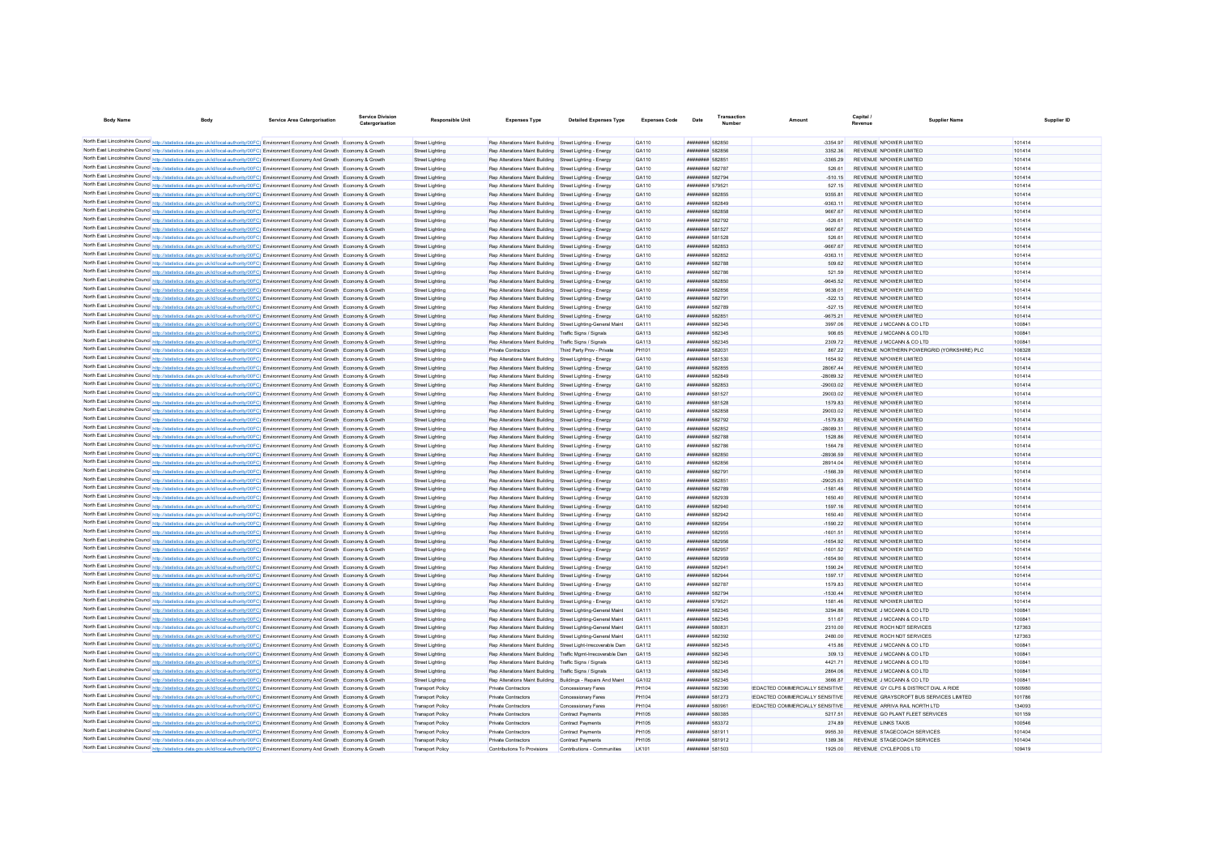| <b>Body Name</b>                |                                                                                                                                                                                                                                                                                  | <b>Service Area Catergorisation</b> | <b>Service Division</b><br>Catergorisation | <b>Responsible Unit</b>                          | <b>Expenses Type</b>                                                                                               | <b>Detailed Expenses Type</b>                                                                                                  | <b>Expenses Code</b> | Date                                                         | Transactio |                                        | Capital.<br>Revenue                                     | <b>Supplier Name</b> | Supplier ID      |
|---------------------------------|----------------------------------------------------------------------------------------------------------------------------------------------------------------------------------------------------------------------------------------------------------------------------------|-------------------------------------|--------------------------------------------|--------------------------------------------------|--------------------------------------------------------------------------------------------------------------------|--------------------------------------------------------------------------------------------------------------------------------|----------------------|--------------------------------------------------------------|------------|----------------------------------------|---------------------------------------------------------|----------------------|------------------|
|                                 |                                                                                                                                                                                                                                                                                  |                                     |                                            |                                                  |                                                                                                                    |                                                                                                                                |                      | ######## 582850                                              |            | $-335497$                              | REVENUE NPOWER LIMITED                                  |                      |                  |
|                                 | North East Lincolnshire Council http://statistics.data.gov.uk/id/local-authority/00FC) Environment Economy And Growth Economy & Growth<br>North East Lincolnshire Council http://statistics.data.gov.uk/id/local-authority/00FC) Environment Economy And Growth Economy & Growth |                                     |                                            | <b>Street Lighting</b><br><b>Street Lighting</b> | Rep Alterations Maint Building Street Lighting - Energy<br>Rep Alterations Maint Building Street Lighting - Energy |                                                                                                                                | GA110<br>GA110       | <b><i><u>########</u></i></b> 582856                         |            | 3352.36                                | REVENUE NPOWER LIMITED                                  |                      | 101414<br>101414 |
|                                 | North East Lincolnshire Council http://statistics.data.gov.uk/id/local-authority/00FC) Environment Economy And Growth Economy & Growth                                                                                                                                           |                                     |                                            | <b>Street Lighting</b>                           | Rep Alterations Maint Building Street Lighting - Energy                                                            |                                                                                                                                | GA110                | ######## 58285*                                              |            | $-3365.29$                             | REVENUE NPOWER LIMITED                                  |                      | 101414           |
|                                 | North East Lincolnshire Council http://statistics.data.gov.uk/id/local-authority/00FC) Environment Economy And Growth Economy & Growth                                                                                                                                           |                                     |                                            | <b>Street Lighting</b>                           | Rep Alterations Maint Building Street Lighting - Energy                                                            |                                                                                                                                | GA110                | ######## 582787                                              |            | 526.61                                 | <b>REVENUE NPOWER LIMITED</b>                           |                      | 101414           |
|                                 | North East Lincolnshire Council http://statistics.data.gov.uk/id/local-authority/00FC) Environment Economy And Growth Economy & Growth                                                                                                                                           |                                     |                                            | <b>Street Lighting</b>                           | Rep Alterations Maint Building Street Lighting - Energy                                                            |                                                                                                                                | GA110                | ######## 582794                                              |            | $-510.15$                              | <b>REVENUE NPOWER LIMITED</b>                           |                      | 101414           |
|                                 | North East Lincolnshire Council http://statistics.data.gov.uk/id/local-authority/00FC) Environment Economy And Growth Economy & Growth                                                                                                                                           |                                     |                                            | <b>Street Lighting</b>                           | Rep Alterations Maint Building Street Lighting - Energy                                                            |                                                                                                                                | GA110                | ######## 57952                                               |            | 527.15                                 | REVENUE NPOWER LIMITED                                  |                      | 101414           |
|                                 | North East Lincolnshire Council http://statistics.data.gov.uk/id/local-authority/00FC) Environment Economy And Growth Economy & Growth                                                                                                                                           |                                     |                                            | <b>Street Lighting</b>                           | Rep Alterations Maint Building Street Lighting - Energy                                                            |                                                                                                                                | GA110                | ######## 582855                                              |            | 9355.8                                 | REVENUE NPOWER LIMITED                                  |                      | 101414           |
|                                 | North East Lincolnshire Council http://statistics.data.gov.uk/id/local-authority/00FC) Environment Economy And Growth Economy & Growth                                                                                                                                           |                                     |                                            | <b>Street Lighting</b>                           | Rep Alterations Maint Building Street Lighting - Energy                                                            |                                                                                                                                | GA110                | ######## 582849                                              |            | $-9363.1$                              | REVENUE NPOWER LIMITED                                  |                      | 101414           |
|                                 | North East Lincolnshire Council http://statistics.data.gov.uk/id/local-authority/00FC) Environment Economy And Growth Economy & Growth                                                                                                                                           |                                     |                                            | <b>Street Lighting</b>                           | Rep Alterations Maint Building Street Lighting - Energy                                                            |                                                                                                                                | GA110                | <b>########</b> 582858                                       |            | 9667.67                                | REVENUE NPOWER LIMITED                                  |                      | 101414           |
|                                 | North East Lincolnshire Council http://statistics.data.gov.uk/id/local-authority/00FC) Environment Economy And Growth Economy & Growth                                                                                                                                           |                                     |                                            | <b>Street Lighting</b>                           | Rep Alterations Maint Building Street Lighting - Energy                                                            |                                                                                                                                | GA110                | ######## 582792                                              |            | $-5266$                                | REVENUE NPOWER LIMITED                                  |                      | 101414           |
|                                 | North East Lincolnshire Council http://statistics.data.gov.uk/id/local-authority/00FC) Environment Economy And Growth Economy & Growth                                                                                                                                           |                                     |                                            | Street Lighting                                  | Rep Alterations Maint Building Street Lighting - Energy                                                            |                                                                                                                                | GA110                | ######## 581527                                              |            | 9667.67                                | REVENUE NPOWER LIMITED                                  |                      | 101414           |
|                                 | North East Lincolnshire Council http://statistics.data.gov.uk/id/local-authority/00FC) Environment Economy And Growth Economy & Growth                                                                                                                                           |                                     |                                            | <b>Street Lighting</b>                           | Rep Alterations Maint Building Street Lighting - Energy                                                            |                                                                                                                                | GA110                | ######## 581528                                              |            | 526.61                                 | REVENUE NPOWER LIMITED                                  |                      | 101414           |
|                                 | North East Lincolnshire Council http://statistics.data.gov.uk/id/local-authority/00FC) Environment Economy And Growth Economy & Growth                                                                                                                                           |                                     |                                            | <b>Street Lighting</b>                           | Rep Alterations Maint Building Street Lighting - Energy                                                            |                                                                                                                                | GA110                | ######## 582853                                              |            | $-966767$                              | REVENUE NPOWER LIMITED                                  |                      | 101414           |
|                                 | North East Lincolnshire Council http://statistics.data.gov.uk/id/local-authority/00FC) Environment Economy And Growth Economy & Growth                                                                                                                                           |                                     |                                            | <b>Street Lighting</b>                           | Rep Alterations Maint Building Street Lighting - Energy                                                            |                                                                                                                                | GA110                | <b><i>BREEZER 582852</i></b>                                 |            | $-93631$                               | REVENUE NPOWER LIMITED                                  |                      | 101414           |
|                                 | North East Lincolnshire Council http://statistics.data.gov.uk/id/local-authority/00FC) Environment Economy And Growth Economy & Growth                                                                                                                                           |                                     |                                            | <b>Street Lighting</b>                           | Rep Alterations Maint Building Street Lighting - Energy                                                            |                                                                                                                                | GA110                | ######## 582788                                              |            | 509.62                                 | <b>REVENUE NPOWER LIMITED</b>                           |                      | 101414           |
|                                 | North East Lincolnshire Council http://statistics.data.gov.uk/id/local-authority/00FC) Environment Economy And Growth Economy & Growth                                                                                                                                           |                                     |                                            | <b>Street Lighting</b>                           | Rep Alterations Maint Building Street Lighting - Energy                                                            |                                                                                                                                | GA110<br>GA110       | <b><i><u>BRESHHAH</u></i></b> 582786<br>######## 582850      |            | 521.59<br>$-9645.52$                   | REVENUE NPOWER LIMITED<br>REVENUE NPOWER LIMITED        |                      | 101414<br>101414 |
|                                 | North East Lincolnshire Council http://statistics.data.gov.uk/id/local-authority/00FC) Environment Economy And Growth Economy & Growth<br>North East Lincolnshire Council http://statistics.data.gov.uk/id/local-authority/00FC) Environment Economy And Growth Economy & Growth |                                     |                                            | <b>Street Lighting</b><br><b>Street Lighting</b> | Rep Alterations Maint Building Street Lighting - Energy<br>Rep Alterations Maint Building Street Lighting - Energy |                                                                                                                                | GA110                | ######## 582856                                              |            | 9638.01                                | REVENUE NPOWER LIMITED                                  |                      | 101414           |
|                                 | North East Lincolnshire Council http://statistics.data.gov.uk/id/local-authority/00FC) Environment Economy And Growth Economy & Growth                                                                                                                                           |                                     |                                            | <b>Street Lighting</b>                           | Rep Alterations Maint Building Street Lighting - Energy                                                            |                                                                                                                                | GA110                | ####### 582791                                               |            | $-522.13$                              | REVENUE NPOWER LIMITED                                  |                      | 101414           |
|                                 | North East Lincolnshire Council http://statistics.data.gov.uk/id/local-authority/00FC) Environment Economy And Growth Economy & Growth                                                                                                                                           |                                     |                                            | <b>Street Lighting</b>                           | Rep Alterations Maint Building Street Lighting - Energy                                                            |                                                                                                                                | GA110                | ######## 582789                                              |            | $-527.15$                              | <b>REVENUE NPOWER LIMITED</b>                           |                      | 101414           |
|                                 | North East Lincolnshire Council http://statistics.data.gov.uk/id/local-authority/00FC) Environment Economy And Growth Economy & Growth                                                                                                                                           |                                     |                                            | <b>Street Lighting</b>                           | Rep Alterations Maint Building Street Lighting - Energy                                                            |                                                                                                                                | GA110                | ######## 58285                                               |            | $-9675.21$                             | REVENUE NPOWER LIMITED                                  |                      | 101414           |
|                                 | North East Lincolnshire Council http://statistics.data.gov.uk/id/local-authority/00FC) Environment Economy And Growth Economy & Growth                                                                                                                                           |                                     |                                            | <b>Street Lighting</b>                           | Rep Alterations Maint Building Street Lighting-General Maint                                                       |                                                                                                                                | GA111                | ######## 582345                                              |            | 3997.06                                | REVENUE J MCCANN & CO LTD                               |                      | 10084            |
|                                 | North East Lincolnshire Council http://statistics.data.gov.uk/id/local-authority/00FC) Environment Economy And Growth Economy & Growth                                                                                                                                           |                                     |                                            | <b>Street Lighting</b>                           | Rep Alterations Maint Building Traffic Signs / Signals                                                             |                                                                                                                                | GA113                | ######## 582345                                              |            | 906.65                                 | REVENUE J MCCANN & CO LTD                               |                      | 10084            |
|                                 | North East Lincolnshire Council http://statistics.data.gov.uk/id/local-authority/00FC) Environment Economy And Growth Economy & Growth                                                                                                                                           |                                     |                                            | Street Lighting                                  | Rep Alterations Maint Building                                                                                     | Traffic Signs / Signals                                                                                                        | GA113                | ######## 582345                                              |            | 2309.72                                | REVENUE J MCCANN & CO LTD                               |                      | 10084            |
|                                 | North East Lincolnshire Council http://statistics.data.gov.uk/id/local-authority/00FC) Environment Economy And Growth Economy & Growth                                                                                                                                           |                                     |                                            | Street Lighting                                  | Private Contractors                                                                                                | Third Party Prov - Private                                                                                                     | PH101                | ######## 582031                                              |            | 867.22                                 | REVENUE NORTHERN POWERGRID (YORKSHIRE) PLC              |                      | 108328           |
|                                 | North East Lincolnshire Council http://statistics.data.gov.uk/id/local-authority/00FC) Environment Economy And Growth Economy & Growth                                                                                                                                           |                                     |                                            | <b>Street Lighting</b>                           | Rep Alterations Maint Building Street Lighting - Energy                                                            |                                                                                                                                | GA110                | ######## 581530                                              |            | 1654.92                                | REVENUE NPOWER LIMITED                                  |                      | 101414           |
|                                 | North East Lincolnshire Council http://statistics.data.gov.uk/id/local-authority/00FC) Environment Economy And Growth Economy & Growth                                                                                                                                           |                                     |                                            | <b>Street Lighting</b>                           | Rep Alterations Maint Building Street Lighting - Energy                                                            |                                                                                                                                | GA110                | <b><i>BREEZER 582855</i></b>                                 |            | 2806744                                | REVENUE NPOWER LIMITED                                  |                      | 101414           |
|                                 | North East Lincolnshire Council http://statistics.data.gov.uk/id/local-authority/00FC) Environment Economy And Growth Economy & Growth                                                                                                                                           |                                     |                                            | <b>Street Lighting</b>                           | Ren Alterations Maint Building                                                                                     | Street Lighting - Energy                                                                                                       | GA110                | <b><i>BREEZER 582849</i></b>                                 |            | $-2808932$                             | REVENUE NPOWER LIMITED                                  |                      | 101414           |
|                                 | North East Lincolnshire Council http://statistics.data.gov.uk/id/local-authority/00FC) Environment Economy And Growth Economy & Growth                                                                                                                                           |                                     |                                            | <b>Street Lighting</b>                           | Rep Alterations Maint Building                                                                                     | Street Lighting - Energy                                                                                                       | GA110                | <b><i>BREEZER 582853</i></b>                                 |            | $-2900302$                             | <b>REVENUE NPOWER LIMITED</b>                           |                      | 101414           |
|                                 | North East Lincolnshire Council http://statistics.data.gov.uk/id/local-authority/00FC) Environment Economy And Growth Economy & Growth                                                                                                                                           |                                     |                                            | <b>Street Lighting</b>                           | Rep Alterations Maint Building                                                                                     | Street Lighting - Energy                                                                                                       | GA110                | ######## 581527                                              |            | 29003.02                               | <b>REVENUE NPOWER LIMITED</b>                           |                      | 101414           |
|                                 | North East Lincolnshire Council http://statistics.data.gov.uk/id/local-authority/00FC) Environment Economy And Growth Economy & Growth                                                                                                                                           |                                     |                                            | <b>Street Lighting</b>                           | Rep Alterations Maint Building Street Lighting - Energy                                                            |                                                                                                                                | GA110                | ######## 581528                                              |            | 1579.83                                | <b>REVENUE NPOWER LIMITED</b>                           |                      | 101414<br>101414 |
|                                 | North East Lincolnshire Council http://statistics.data.gov.uk/id/local-authority/00FC) Environment Economy And Growth Economy & Growth<br>North East Lincolnshire Council http://statistics.data.gov.uk/id/local-authority/00FC) Environment Economy And Growth Economy & Growth |                                     |                                            | <b>Street Lighting</b><br><b>Street Lighting</b> | Rep Alterations Maint Building Street Lighting - Energy<br>Rep Alterations Maint Building                          | Street Lighting - Energy                                                                                                       | GA110<br>GA110       | ######## 582858<br>######## 582792                           |            | 29003.02<br>$-1579.83$                 | REVENUE NPOWER LIMITED<br>REVENUE NPOWER LIMITED        |                      | 101414           |
|                                 | North East Lincolnshire Council http://statistics.data.gov.uk/id/local-authority/00FC) Environment Economy And Growth Economy & Growth                                                                                                                                           |                                     |                                            | <b>Street Lighting</b>                           | Rep Alterations Maint Building                                                                                     | Street Lighting - Energy                                                                                                       | GA110                | ######## 582852                                              |            | $-28089.3$                             | REVENUE NPOWER LIMITED                                  |                      | 101414           |
|                                 | North East Lincolnshire Council http://statistics.data.gov.uk/id/local-authority/00FC) Environment Economy And Growth Economy & Growth                                                                                                                                           |                                     |                                            | <b>Street Lighting</b>                           | Rep Alterations Maint Building                                                                                     | Street Lighting - Energy                                                                                                       | GA110                | ######## 582788                                              |            | 1528.86                                | REVENUE NPOWER LIMITED                                  |                      | 101414           |
|                                 | North East Lincolnshire Council http://statistics.data.gov.uk/id/local-authority/00FC) Environment Economy And Growth Economy & Growth                                                                                                                                           |                                     |                                            | <b>Street Lighting</b>                           | Rep Alterations Maint Building                                                                                     | Street Lighting - Energy                                                                                                       | GA110                | ######## 582786                                              |            | 1564.78                                | REVENUE NPOWER LIMITED                                  |                      | 101414           |
|                                 | North East Lincolnshire Council http://statistics.data.gov.uk/id/local-authority/00FC) Environment Economy And Growth Economy & Growth                                                                                                                                           |                                     |                                            | <b>Street Lighting</b>                           | Rep Alterations Maint Building Street Lighting - Energy                                                            |                                                                                                                                | GA110                | ######## 582850                                              |            | $-28936.59$                            | REVENUE NPOWER LIMITED                                  |                      | 101414           |
|                                 | North East Lincolnshire Council http://statistics.data.gov.uk/id/local-authority/00FC) Environment Economy And Growth Economy & Growth                                                                                                                                           |                                     |                                            | <b>Street Lighting</b>                           | Rep Alterations Maint Building Street Lighting - Energy                                                            |                                                                                                                                | GA110                | ######## 582856                                              |            | 28914.04                               | REVENUE NPOWER LIMITED                                  |                      | 101414           |
|                                 | North East Lincolnshire Council http://statistics.data.gov.uk/id/local-authority/00FC) Environment Economy And Growth Economy & Growth                                                                                                                                           |                                     |                                            | <b>Street Lighting</b>                           | Rep Alterations Maint Building Street Lighting - Energy                                                            |                                                                                                                                | GA110                | <b><i>BREERER 582791</i></b>                                 |            | $-1566.39$                             | REVENUE NPOWER LIMITED                                  |                      | 101414           |
|                                 | North East Lincolnshire Council http://statistics.data.gov.uk/id/local-authority/00FC) Environment Economy And Growth Economy & Growth                                                                                                                                           |                                     |                                            | <b>Street Lighting</b>                           | Rep Alterations Maint Building Street Lighting - Energy                                                            |                                                                                                                                | GA110                | ####### 58285*                                               |            | $-29025.63$                            | REVENUE NPOWER LIMITED                                  |                      | 101414           |
|                                 | North East Lincolnshire Council http://statistics.data.gov.uk/id/local-authority/00FC) Environment Economy And Growth Economy & Growth                                                                                                                                           |                                     |                                            | <b>Street Lighting</b>                           | Rep Alterations Maint Building Street Lighting - Energy                                                            |                                                                                                                                | GA110                | ######## 582789                                              |            | $-1581.46$                             | REVENUE NPOWER LIMITED                                  |                      | 101414           |
|                                 | North East Lincolnshire Council http://statistics.data.gov.uk/id/local-authority/00FC) Environment Economy And Growth Economy & Growth                                                                                                                                           |                                     |                                            | <b>Street Lighting</b>                           | Rep Alterations Maint Building Street Lighting - Energy                                                            |                                                                                                                                | GA110                | <b><i>BREERHAH</i></b> 582939                                |            | 1650.40                                | REVENUE NPOWER LIMITED                                  |                      | 101414           |
|                                 | North East Lincolnshire Council http://statistics.data.gov.uk/id/local-authority/00FC) Environment Economy And Growth Economy & Growth                                                                                                                                           |                                     |                                            | <b>Street Lighting</b>                           | Rep Alterations Maint Building Street Lighting - Energy                                                            |                                                                                                                                | GA110                | <b><i><u>BRESHHHH</u></i></b> 582940                         |            | 1597 16                                | REVENUE NPOWER LIMITED                                  |                      | 101414           |
|                                 | North East Lincolnshire Council http://statistics.data.gov.uk/id/local-authority/00FC) Environment Economy And Growth Economy & Growth                                                                                                                                           |                                     |                                            | <b>Street Lighting</b>                           | Rep Alterations Maint Building Street Lighting - Energy                                                            |                                                                                                                                | GA110                | <b><i>BREEZEEE 582942</i></b>                                |            | 1650.40                                | REVENUE NPOWER LIMITED                                  |                      | 101414           |
|                                 | North East Lincolnshire Council http://statistics.data.gov.uk/id/local-authority/00FC) Environment Economy And Growth Economy & Growth                                                                                                                                           |                                     |                                            | <b>Street Lighting</b>                           | Rep Alterations Maint Building Street Lighting - Energy                                                            |                                                                                                                                | GA110<br>GA110       | ######## 582954<br><b><i>BREEZER 582955</i></b>              |            | $-1590.22$<br>$-1601.51$               | <b>REVENUE NPOWER LIMITED</b><br>REVENUE NPOWER LIMITED |                      | 101414<br>101414 |
|                                 | North East Lincolnshire Council http://statistics.data.gov.uk/id/local-authority/00FC) Environment Economy And Growth Economy & Growth<br>North East Lincolnshire Council http://statistics.data.gov.uk/id/local-authority/00FC) Environment Economy And Growth Economy & Growth |                                     |                                            | <b>Street Lighting</b><br><b>Street Lighting</b> | Rep Alterations Maint Building Street Lighting - Energy<br>Rep Alterations Maint Building Street Lighting - Energy |                                                                                                                                | GA110                | ######## 582956                                              |            | $-1654.92$                             | REVENUE NPOWER LIMITED                                  |                      | 101414           |
|                                 | North East Lincolnshire Council http://statistics.data.gov.uk/id/local-authority/00FC) Environment Economy And Growth Economy & Growth                                                                                                                                           |                                     |                                            | <b>Street Lighting</b>                           | Rep Alterations Maint Building Street Lighting - Energy                                                            |                                                                                                                                | GA110                | ######## 582957                                              |            | $-1601.52$                             | REVENUE NPOWER LIMITED                                  |                      | 101414           |
|                                 | North East Lincolnshire Council http://statistics.data.gov.uk/id/local-authority/00FC) Environment Economy And Growth Economy & Growth                                                                                                                                           |                                     |                                            | <b>Street Lighting</b>                           | Rep Alterations Maint Building Street Lighting - Energy                                                            |                                                                                                                                | GA110                | ######## 582959                                              |            | $-1654.90$                             | REVENUE NPOWER LIMITED                                  |                      | 101414           |
|                                 | North East Lincolnshire Council http://statistics.data.gov.uk/id/local-authority/00FC) Environment Economy And Growth Economy & Growth                                                                                                                                           |                                     |                                            | <b>Street Lighting</b>                           | Rep Alterations Maint Building Street Lighting - Energy                                                            |                                                                                                                                | GA110                | ######## 582941                                              |            | 1590.24                                | REVENUE NPOWER LIMITED                                  |                      | 101414           |
|                                 | North East Lincolnshire Council http://statistics.data.gov.uk/id/local-authority/00FC) Environment Economy And Growth Economy & Growth                                                                                                                                           |                                     |                                            | <b>Street Lighting</b>                           | Rep Alterations Maint Building Street Lighting - Energy                                                            |                                                                                                                                | GA110                | ######## 582944                                              |            | 1597.17                                | REVENUE NPOWER LIMITED                                  |                      | 101414           |
|                                 | North East Lincolnshire Council http://statistics.data.gov.uk/id/local-authority/00FC) Environment Economy And Growth Economy & Growth                                                                                                                                           |                                     |                                            | <b>Street Lighting</b>                           | Rep Alterations Maint Building Street Lighting - Energy                                                            |                                                                                                                                | GA110                | ######## 582787                                              |            | 1579.83                                | REVENUE NPOWER LIMITED                                  |                      | 101414           |
|                                 | North East Lincolnshire Council http://statistics.data.gov.uk/id/local-authority/00FC) Environment Economy And Growth Economy & Growth                                                                                                                                           |                                     |                                            | <b>Street Lighting</b>                           | Rep Alterations Maint Building Street Lighting - Energy                                                            |                                                                                                                                | GA110                | <b>ИНИНИНИ 582794</b>                                        |            | $-153044$                              | REVENUE NPOWER LIMITED                                  |                      | 101414           |
|                                 | North East Lincolnshire Council http://statistics.data.gov.uk/id/local-authority/00FC) Environment Economy And Growth Economy & Growth                                                                                                                                           |                                     |                                            | <b>Street Lighting</b>                           | Rep Alterations Maint Building Street Lighting - Energy                                                            |                                                                                                                                | GA110                | <b>иннинин</b> 579521                                        |            | 1581.46                                | REVENUE NPOWER LIMITED                                  |                      | 101414           |
|                                 | North East Lincolnshire Council http://statistics.data.gov.uk/id/local-authority/00FC) Environment Economy And Growth Economy & Growth                                                                                                                                           |                                     |                                            | <b>Street Lighting</b>                           | Rep Alterations Maint Building Street Lighting-General Maint                                                       |                                                                                                                                | GA111                | ######## 582345                                              |            | 3294.86                                | REVENUE J MCCANN & CO LTD                               |                      | 100841           |
|                                 | North East Lincolnshire Council http://statistics.data.gov.uk/id/local-authority/00FC) Environment Economy And Growth Economy & Growth                                                                                                                                           |                                     |                                            | <b>Street Lighting</b>                           | Rep Alterations Maint Building Street Lighting-General Maint                                                       |                                                                                                                                | GA111                | ######## 582345                                              |            | 511.67                                 | REVENUE J MCCANN & CO LTD                               |                      | 100841           |
|                                 | North East Lincolnshire Council http://statistics.data.gov.uk/id/local-authority/00FC) Environment Economy And Growth Economy & Growth                                                                                                                                           |                                     |                                            | <b>Street Lighting</b>                           | Rep Alterations Maint Building Street Lighting-General Maint                                                       |                                                                                                                                | GA111                | ######## 580831                                              |            | 2310.00                                | REVENUE ROCH NDT SERVICES                               |                      | 127363           |
|                                 | North East Lincolnshire Council http://statistics.data.gov.uk/id/local-authority/00FC) Environment Economy And Growth Economy & Growth                                                                                                                                           |                                     |                                            | <b>Street Lighting</b>                           | Rep Alterations Maint Building Street Lighting-General Maint                                                       |                                                                                                                                | GA111<br>GA112       | <b><i>BREEZER 582392</i></b><br><b><i>BREEZER 582345</i></b> |            | 2480.00<br>41586                       | REVENUE ROCH NDT SERVICES                               |                      | 127363<br>100841 |
|                                 | North East Lincolnshire Council http://statistics.data.gov.uk/id/local-authority/00FC) Environment Economy And Growth Economy & Growth<br>North East Lincolnshire Council http://statistics.data.gov.uk/id/local-authority/00FC) Environment Economy And Growth Economy & Growth |                                     |                                            | <b>Street Lighting</b>                           |                                                                                                                    | Rep Alterations Maint Building Street Light-Irrecoverable Dam<br>Rep Alterations Maint Building Traffic Mgmt-Irrecoverable Dam | GA115                | ######## 582345                                              |            | 309.13                                 | REVENUE J MCCANN & CO LTD<br>REVENUE J MCCANN & CO LTD  |                      | 100841           |
|                                 | North East Lincolnshire Council http://statistics.data.gov.uk/id/local-authority/00FC) Environment Economy And Growth Economy & Growth                                                                                                                                           |                                     |                                            | <b>Street Lighting</b><br><b>Street Lighting</b> | Rep Alterations Maint Building Traffic Signs / Signal                                                              |                                                                                                                                | GA113                | <b><i>BREEZER 582345</i></b>                                 |            | 442171                                 | REVENUE J MCCANN & CO LTD                               |                      | 100841           |
|                                 | North East Lincolnshire Council http://statistics.data.gov.uk/id/local-authority/00FC) Environment Economy And Growth Economy & Growth                                                                                                                                           |                                     |                                            | <b>Street Lighting</b>                           | Rep Alterations Maint Building Traffic Signs / Signals                                                             |                                                                                                                                | GA113                | ######## 582345                                              |            | 2864.06                                | REVENUE J MCCANN & CO LTD                               |                      | 100841           |
|                                 | North East Lincolnshire Council http://statistics.data.gov.uk/id/local-authority/00FC) Environment Economy And Growth Economy & Growth                                                                                                                                           |                                     |                                            | <b>Street Lighting</b>                           |                                                                                                                    | Rep Alterations Maint Building Buildings - Repairs And Maint                                                                   | GA102                | ######## 582345                                              |            | 3666.87                                | REVENUE J MCCANN & CO LTD                               |                      | 100841           |
|                                 | North East Lincolnshire Council http://statistics.data.gov.uk/id/local-authority/00FC) Environment Economy And Growth Economy & Growth                                                                                                                                           |                                     |                                            | <b>Transport Policy</b>                          | Private Contractors                                                                                                | <b>Concessionary Fares</b>                                                                                                     | PH104                | ######## 582390                                              |            | <b>IFDACTED COMMERCIALLY SENSITIVE</b> | REVENUE GY CLPS & DISTRICT DIAL A RIDE                  |                      | 100980           |
|                                 | North East Lincolnshire Council http://statistics.data.gov.uk/id/local-authority/00FC) Environment Economy And Growth Economy & Growth                                                                                                                                           |                                     |                                            | <b>Transport Policy</b>                          | Private Contractors                                                                                                | Concessionary Fares                                                                                                            | PH104                | ######## 581273                                              |            | <b>REDACTED COMMERCIALLY SENSITIVE</b> | REVENUE GRAYSCROFT BUS SERVICES LIMITED                 |                      | 101786           |
|                                 | North East Lincolnshire Council http://statistics.data.gov.uk/id/local-authority/00FC) Environment Economy And Growth Economy & Growth                                                                                                                                           |                                     |                                            | <b>Transport Policy</b>                          | Private Contractors                                                                                                | Concessionary Fares                                                                                                            | PH104                | ######## 580961                                              |            | REDACTED COMMERCIALLY SENSITIVE        | REVENUE ARRIVA RAIL NORTH LTD                           |                      | 134093           |
|                                 | North East Lincolnshire Council http://statistics.data.gov.uk/id/local-authority/00FC) Environment Economy And Growth Economy & Growth                                                                                                                                           |                                     |                                            | <b>Transport Policy</b>                          | Private Contractors                                                                                                | <b>Contract Payments</b>                                                                                                       | <b>PH105</b>         | ######## 580385                                              |            | 5217.51                                | REVENUE GO PLANT FLEET SERVICES                         |                      | 101159           |
|                                 | North East Lincolnshire Council http://statistics.data.gov.uk/id/local-authority/00FC) Environment Economy And Growth Economy & Growth                                                                                                                                           |                                     |                                            | <b>Transport Policy</b>                          | <b>Private Contractors</b>                                                                                         | <b>Contract Payments</b>                                                                                                       | PH105                | <b><i>BRENHHHH 583372</i></b>                                |            | 274 89                                 | <b>REVENUE LINKS TAXIS</b>                              |                      | 100546           |
|                                 | North East Lincolnshire Council http://statistics.data.gov.uk/id/local-authority/00FC) Environment Economy And Growth Economy & Growth                                                                                                                                           |                                     |                                            | <b>Transport Policy</b>                          | <b>Private Contractors</b>                                                                                         | <b>Contract Payments</b>                                                                                                       | <b>PH105</b>         | ######## 581911                                              |            | 9955.30                                | REVENUE STAGECOACH SERVICES                             |                      | 101404           |
| North East Lincolnshire Council | North East Lincolnshire Council http://statistics.data.gov.uk/id/local-authority/00FC) Environment Economy And Growth Economy & Growth                                                                                                                                           |                                     |                                            | <b>Transport Policy</b>                          | Private Contractors                                                                                                | Contract Payments                                                                                                              | <b>PH105</b>         | ######## 581912                                              |            | 1389.36                                | REVENUE STAGECOACH SERVICES                             |                      | 101404           |
|                                 | statistics.data.gov.uk/id/local-authority/00FC) Environment Economy And Growth Economy & Growth                                                                                                                                                                                  |                                     |                                            | <b>Transport Policy</b>                          | Contributions To Provisions                                                                                        | Contributions - Communities                                                                                                    | <b>LK101</b>         | ######## 581503                                              |            | 1925.00                                | REVENUE CYCLEPODS LTD                                   |                      | 109419           |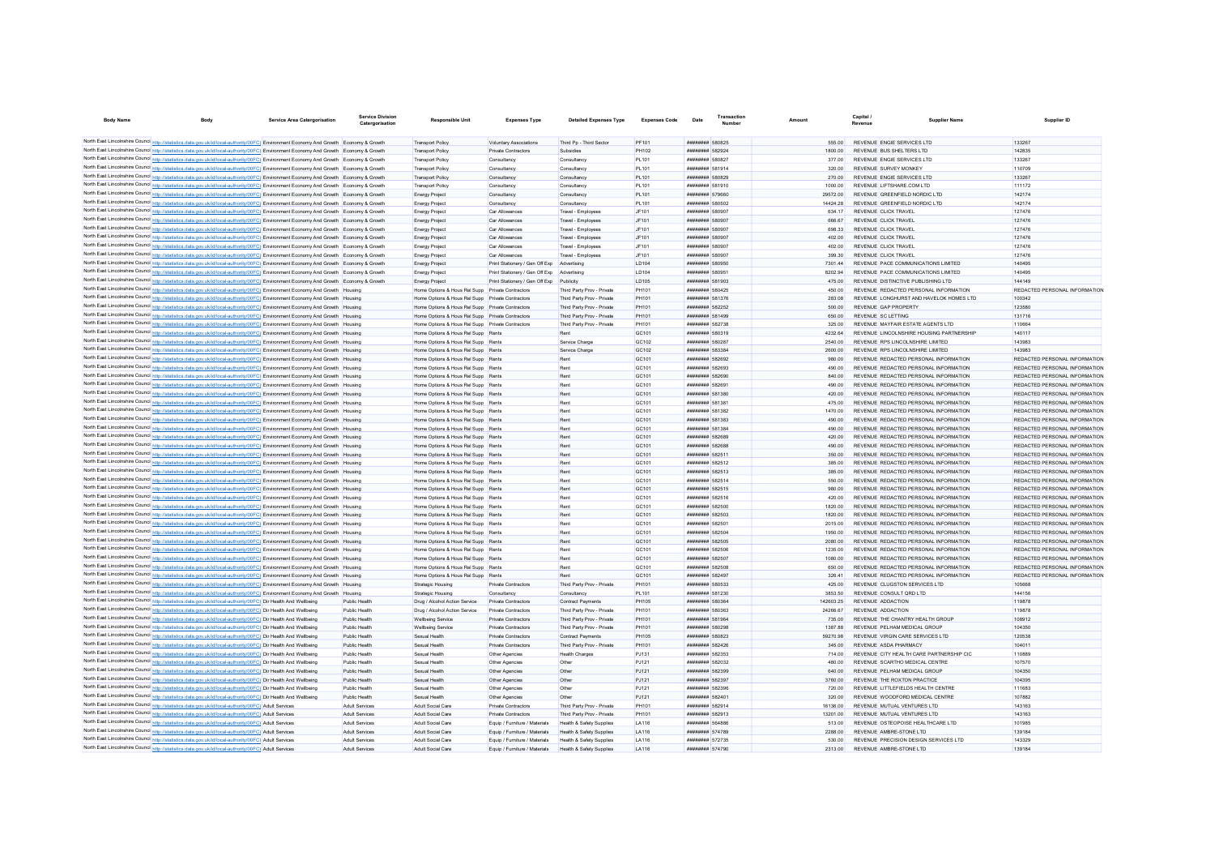| <b>Body Name</b>                                                                                                                                                                                                                                               | <b>Service Area Catergorisation</b> | <b>Service Division</b><br>Catergorisation | <b>Responsible Unit</b>                                                  | <b>Expenses Type</b>                       | <b>Detailed Expenses Type</b>                   | <b>Expenses Code</b>       | Date                                       | Transactio<br><b>Number</b> |                       | Capital<br>Revenue | Supplier Name                                                                  | Supplier ID                                                    |
|----------------------------------------------------------------------------------------------------------------------------------------------------------------------------------------------------------------------------------------------------------------|-------------------------------------|--------------------------------------------|--------------------------------------------------------------------------|--------------------------------------------|-------------------------------------------------|----------------------------|--------------------------------------------|-----------------------------|-----------------------|--------------------|--------------------------------------------------------------------------------|----------------------------------------------------------------|
| North East Lincolnshire Council http://statistics.data.gov.uk/id/local-authority/00FC) Environment Economy And Growth Economy & Growth                                                                                                                         |                                     |                                            | <b>Transport Policy</b>                                                  | Voluntary Associations                     | Third Pp - Third Sector                         | PF101                      | ######## 580825                            |                             | 555.00                |                    | REVENUE ENGIE SERVICES LTD                                                     | 133267                                                         |
| North East Lincolnshire Council http://statistics.data.gov.uk/id/local-authority/00FC) Environment Economy And Growth Economy & Growth                                                                                                                         |                                     |                                            | <b>Transport Policy</b>                                                  | Private Contractors                        | Subpidies                                       | PH102                      | <b><i><i><u>HHHHHHH</u></i></i></b> 582924 |                             | 1800.00               |                    | REVENUE BUS SHELTERS LTD                                                       | 142835                                                         |
| North East Lincolnshire Council http://statistics.data.gov.uk/id/local-authority/00FC) Environment Economy And Growth Economy & Growth                                                                                                                         |                                     |                                            | Transport Policy                                                         | Consultancy                                | Consultancy                                     | <b>PL101</b>               | <b>########</b> 580827                     |                             | 377.00                |                    | REVENUE ENGIE SERVICES LTD                                                     | 133267                                                         |
| North East Lincolnshire Council http://statistics.data.gov.uk/id/local-authority/00FC) Environment Economy And Growth Economy & Growth                                                                                                                         |                                     |                                            | <b>Transport Policy</b>                                                  | Consultancy                                | Consultancy                                     | <b>PL101</b>               | <b><i>BREEZER 581914</i></b>               |                             | 320.00                |                    | REVENUE SURVEY MONKEY                                                          | 110709                                                         |
| North East Lincolnshire Council http://statistics.data.gov.uk/id/local-authority/00FC) Environment Economy And Growth Economy & Growth                                                                                                                         |                                     |                                            | Transport Policy                                                         | Consultancy                                | Consultancy                                     | PL101                      | ######## 580829                            |                             | 270.00                |                    | REVENUE ENGIE SERVICES LTD                                                     | 133267                                                         |
| North East Lincolnshire Council http://statistics.data.gov.uk/id/local-authority/00FC) Environment Economy And Growth Economy & Growth                                                                                                                         |                                     |                                            | <b>Transport Policy</b>                                                  | Consultancy                                | Consultancy                                     | <b>PL101</b>               | <b>########</b> 581910                     |                             | 1000.00               |                    | REVENUE LIFTSHARE.COM LTD                                                      | 111172                                                         |
| North East Lincolnshire Council http://statistics.data.gov.uk/id/local-authority/00FC) Environment Economy And Growth Economy & Growth                                                                                                                         |                                     |                                            | <b>Energy Project</b>                                                    | Consultancy                                | Consultancy                                     | <b>PL101</b>               | ######## 579660                            |                             | 29572.00              |                    | REVENUE GREENFIELD NORDIC LTD                                                  | 142174                                                         |
| North East Lincolnshire Council http://statistics.data.gov.uk/id/local-authority/00FC) Environment Economy And Growth Economy & Growth                                                                                                                         |                                     |                                            | <b>Energy Project</b>                                                    | Consultancy                                | Consultancy                                     | <b>PL101</b>               | ######## 580502                            |                             | 14424.28              |                    | REVENUE GREENFIELD NORDIC LTD                                                  | 142174                                                         |
| North East Lincolnshire Council http://statistics.data.gov.uk/id/local-authority/00FC) Environment Economy And Growth Economy & Growth                                                                                                                         |                                     |                                            | <b>Energy Project</b>                                                    | Car Allowances                             | Travel - Employee                               | JF101                      | ######## 580907                            |                             | 634.17                |                    | REVENUE CLICK TRAVEL                                                           | 127476                                                         |
| North East Lincolnshire Council http://statistics.data.gov.uk/id/local-authority/00FC) Environment Economy And Growth Economy & Growth                                                                                                                         |                                     |                                            | <b>Energy Project</b>                                                    | Car Allowances                             | Travel - Employee                               | JF101                      | ######## 580907                            |                             | 666.67                |                    | REVENUE CLICK TRAVEL                                                           | 127476                                                         |
| North East Lincolnshire Council http://statistics.data.gov.uk/id/local-authority/00FC) Environment Economy And Growth Economy & Growth                                                                                                                         |                                     |                                            | Energy Project                                                           | Car Allowances                             | Travel - Employee                               | JF101                      | ######## 580907                            |                             | 698.33                |                    | REVENUE CLICK TRAVEL                                                           | 127476                                                         |
| North East Lincolnshire Council http://statistics.data.gov.uk/id/local-authority/00FC) Environment Economy And Growth Economy & Growth                                                                                                                         |                                     |                                            | <b>Energy Project</b>                                                    | Car Allowances                             | Travel - Employees                              | JF101                      | ######## 580907                            |                             | 402.00                |                    | REVENUE CLICK TRAVEL                                                           | 127476                                                         |
| North East Lincolnshire Council http://statistics.data.gov.uk/id/local-authority/00FC) Environment Economy And Growth Economy & Growth                                                                                                                         |                                     |                                            | <b>Energy Project</b>                                                    | Car Allowances                             | Travel - Employees                              | JF101                      | ######## 580907                            |                             | 402.00                |                    | REVENUE CLICK TRAVEL                                                           | 127476                                                         |
| North East Lincolnshire Council http://statistics.data.gov.uk/id/local-authority/00FC) Environment Economy And Growth Economy & Growth                                                                                                                         |                                     |                                            | <b>Energy Project</b>                                                    | Car Allowances                             | Travel - Employees                              | JF101                      | ######## 580907                            |                             | 399 30                |                    | REVENUE CLICK TRAVEL                                                           | 127476                                                         |
| North East Lincolnshire Council http://statistics.data.gov.uk/id/local-authority/00FC) Environment Economy And Growth Economy & Growth                                                                                                                         |                                     |                                            | <b>Energy Project</b>                                                    | Print Stationery / Gen Off Exp             | Advertising                                     | <b>ID104</b>               | ######## 580950                            |                             | 7301 44               |                    | REVENUE PACE COMMUNICATIONS LIMITED                                            | 140495                                                         |
| North East Lincolnshire Council http://statistics.data.gov.uk/id/local-authority/00FC) Environment Economy And Growth Economy & Growth                                                                                                                         |                                     |                                            | <b>Energy Project</b>                                                    | Print Stationery / Gen Off Exp             | Advertising                                     | <b>ID104</b>               | ######## 580951                            |                             | 8202.94               |                    | REVENUE PACE COMMUNICATIONS LIMITED                                            | 140495                                                         |
| North East Lincolnshire Council http://statistics.data.gov.uk/id/local-authority/00FC) Environment Economy And Growth Economy & Growth                                                                                                                         |                                     |                                            | <b>Energy Project</b>                                                    | Print Stationery / Gen Off Exp Publicity   |                                                 | <b>ID105</b>               | ######## 581903                            |                             | 475.00                |                    | REVENUE DISTINCTIVE PUBLISHING I TD                                            | 144149                                                         |
| North East Lincolnshire Council http://statistics.data.gov.uk/id/local-authority/00FC) Environment Economy And Growth Housing                                                                                                                                  |                                     |                                            | Home Options & Hous Rel Supp Private Contractors                         |                                            | Third Party Prov - Private                      | PH101                      | <b><i>BREEZER 580425</i></b>               |                             | 450.00                |                    | REVENUE REDACTED PERSONAL INFORMATION                                          | REDACTED PERSONAL INFORMATION                                  |
| North East Lincolnshire Council http://statistics.data.gov.uk/id/local-authority/00FC) Environment Economy And Growth Housing                                                                                                                                  |                                     |                                            | Home Options & Hous Rel Supp Private Contractors                         |                                            | Third Party Prov - Private                      | PH101                      | <b>######## 581376</b>                     |                             | 283.08                |                    | REVENUE LONGHURST AND HAVELOK HOMES LTD                                        | 100342                                                         |
| North East Lincolnshire Council http://statistics.data.gov.uk/id/local-authority/00FC) Environment Economy And Growth Housing                                                                                                                                  |                                     |                                            | Home Options & Hous Rel Supp Private Contractors                         |                                            | Third Party Prov - Private                      | PH101                      | ######## 582252                            |                             | 500.00                |                    | REVENUE GAP PROPERTY                                                           | 123580                                                         |
| North East Lincolnshire Council http://statistics.data.gov.uk/id/local-authority/00FC) Environment Economy And Growth Housing                                                                                                                                  |                                     |                                            | Home Options & Hous Rel Supp Private Contractors                         |                                            | Third Party Prov - Private                      | PH101                      | ######## 581499                            |                             | 650.00                |                    | REVENUE SC LETTING                                                             | 131716                                                         |
| North East Lincolnshire Council http://statistics.data.gov.uk/id/local-authority/00FC) Environment Economy And Growth Housing                                                                                                                                  |                                     |                                            | Home Options & Hous Rel Supp Private Contractors                         |                                            | Third Party Prov - Private                      | PH101                      | ######## 582738                            |                             | 325.00                |                    | REVENUE MAYFAIR ESTATE AGENTS LTD                                              | 110664                                                         |
| North East Lincolnshire Council http://statistics.data.gov.uk/id/local-authority/00FC) Environment Economy And Growth Housing                                                                                                                                  |                                     |                                            | Home Options & Hous Rel Supp Rents                                       |                                            | Rent                                            | GC101                      | ######## 580319                            |                             | 4232.64               |                    | REVENUE LINCOLNSHIRE HOUSING PARTNERSHIP                                       | 140117                                                         |
| North East Lincolnshire Council http://statistics.data.gov.uk/id/local-authority/00FC) Environment Economy And Growth Housing                                                                                                                                  |                                     |                                            | Home Options & Hous Rel Supp Rents                                       |                                            | Service Charge                                  | GC102                      | ######## 580287                            |                             | 2540.00               |                    | REVENUE RPS LINCOLNSHIRE LIMITED                                               | 143983                                                         |
| North East Lincolnshire Council http://statistics.data.gov.uk/id/local-authority/00FC) Environment Economy And Growth Housing                                                                                                                                  |                                     |                                            | Home Options & Hous Rel Supp Rents                                       |                                            | Service Charge                                  | GC102                      | ######## 583384                            |                             | 2600.00               |                    | REVENUE RPS LINCOLNSHIRE LIMITED                                               | 143983                                                         |
| North East Lincolnshire Council http://statistics.data.gov.uk/id/local-authority/00FC) Environment Economy And Growth Housing                                                                                                                                  |                                     |                                            | Home Options & Hous Rel Supp Rents                                       |                                            | Rent                                            | GC101                      | ######## 582692                            |                             | 980.00                |                    | REVENUE REDACTED PERSONAL INFORMATION                                          | REDACTED PERSONAL INFORMATION                                  |
| North East Lincolnshire Council http://statistics.data.gov.uk/id/local-authority/00FC) Environment Economy And Growth Housing                                                                                                                                  |                                     |                                            | Home Options & Hous Rel Supp Rents                                       |                                            | Rent                                            | GC101                      | ######## 582693                            |                             | 490.00                |                    | REVENUE REDACTED PERSONAL INFORMATION                                          | REDACTED PERSONAL INFORMATION                                  |
| North East Lincolnshire Council http://statistics.data.gov.uk/id/local-authority/00FC) Environment Economy And Growth Housing                                                                                                                                  |                                     |                                            | Home Options & Hous Rel Supp Rents                                       |                                            | Rent                                            | GC101                      | ######## 582690                            |                             | 840.00                |                    | REVENUE REDACTED PERSONAL INFORMATION                                          | REDACTED PERSONAL INFORMATION                                  |
| North East Lincolnshire Council http://statistics.data.gov.uk/id/local-authority/00FC) Environment Economy And Growth Housing                                                                                                                                  |                                     |                                            | Home Options & Hous Rel Supp Rents                                       |                                            | Rent                                            | GC101                      | ######## 582691                            |                             | 490.00                |                    | REVENUE REDACTED PERSONAL INFORMATION                                          | REDACTED PERSONAL INFORMATION                                  |
| North East Lincolnshire Council http://statistics.data.gov.uk/id/local-authority/00FC) Environment Economy And Growth Housing                                                                                                                                  |                                     |                                            | Home Options & Hous Rel Supp Rents                                       |                                            | Rent                                            | GC101                      | ######## 581380                            |                             | 420.00                |                    | REVENUE REDACTED PERSONAL INFORMATION                                          | REDACTED PERSONAL INFORMATION                                  |
| North East Lincolnshire Council http://statistics.data.gov.uk/id/local-authority/00FC) Environment Economy And Growth Housing                                                                                                                                  |                                     |                                            | Home Ontions & Hous Rel Supp Rents                                       |                                            | Rent                                            | GC101                      | ######## 581381                            |                             | 475.00                |                    | REVENUE REDACTED PERSONAL INFORMATION                                          | REDACTED PERSONAL INFORMATION                                  |
| North East Lincolnshire Council http://statistics.data.gov.uk/id/local-authority/00FC) Environment Economy And Growth Housing                                                                                                                                  |                                     |                                            | Home Options & Hous Rel Supp Rents                                       |                                            | Rent                                            | GC101                      | ######## 581382                            |                             | 1470.00               |                    | REVENUE REDACTED PERSONAL INFORMATION                                          | REDACTED PERSONAL INFORMATION                                  |
| North East Lincolnshire Council http://statistics.data.gov.uk/id/local-authority/00FC) Environment Economy And Growth Housing                                                                                                                                  |                                     |                                            | Home Options & Hous Rel Supp Rents                                       |                                            | Rent                                            | GC101                      | ######## 581383                            |                             | 490.00                |                    | REVENUE REDACTED PERSONAL INFORMATION                                          | REDACTED PERSONAL INFORMATION                                  |
| North East Lincolnshire Council http://statistics.data.gov.uk/id/local-authority/00FC) Environment Economy And Growth Housing                                                                                                                                  |                                     |                                            | Home Options & Hous Rel Supp Rents                                       |                                            | Rent                                            | GC <sub>101</sub>          | <b><i>BREAGHAN 581384</i></b>              |                             | 490.00                |                    | REVENUE REDACTED PERSONAL INFORMATION                                          | REDACTED PERSONAL INFORMATION                                  |
| North East Lincolnshire Council http://statistics.data.gov.uk/id/local-authority/00FC) Environment Economy And Growth Housing                                                                                                                                  |                                     |                                            | Home Options & Hous Rel Supp Rents                                       |                                            | Rent                                            | GC101                      | <b>######## 582689</b>                     |                             | 420.00                |                    | REVENUE REDACTED PERSONAL INFORMATION                                          | REDACTED PERSONAL INFORMATION                                  |
| North East Lincolnshire Council http://statistics.data.gov.uk/id/local-authority/00FC) Environment Economy And Growth Housing                                                                                                                                  |                                     |                                            | Home Options & Hous Rel Supp Rents                                       |                                            | Rent                                            | GC101                      | <b>######## 582688</b>                     |                             | 490.00                |                    | REVENUE REDACTED PERSONAL INFORMATION                                          | REDACTED PERSONAL INFORMATION                                  |
| North East Lincolnshire Council http://statistics.data.gov.uk/id/local-authority/00FC) Environment Economy And Growth Housing                                                                                                                                  |                                     |                                            | Home Options & Hous Rel Supp Rents                                       |                                            | Rent                                            | GC101                      | ######## 582511                            |                             | 350.00                |                    | REVENUE REDACTED PERSONAL INFORMATION                                          | REDACTED PERSONAL INFORMATION                                  |
| North East Lincolnshire Council http://statistics.data.gov.uk/id/local-authority/00FC) Environment Economy And Growth Housing                                                                                                                                  |                                     |                                            | Home Options & Hous Rel Supp Rents                                       |                                            | Rent                                            | GC101                      | ######## 582512                            |                             | 385.00                |                    | REVENUE REDACTED PERSONAL INFORMATION                                          | REDACTED PERSONAL INFORMATION                                  |
| North East Lincolnshire Council http://statistics.data.gov.uk/id/local-authority/00FC) Environment Economy And Growth Housing                                                                                                                                  |                                     |                                            | Home Options & Hous Rel Supp Rents                                       |                                            | Rent                                            | GC101                      | ######## 582513                            |                             | 385.00                |                    | REVENUE REDACTED PERSONAL INFORMATION                                          | REDACTED PERSONAL INFORMATION                                  |
| North East Lincolnshire Council http://statistics.data.gov.uk/id/local-authority/00FC) Environment Economy And Growth Housing                                                                                                                                  |                                     |                                            | Home Options & Hous Rel Supp Rents                                       |                                            | Rent                                            | GC101                      | ######## 582514                            |                             | 550.00                |                    | REVENUE REDACTED PERSONAL INFORMATION                                          | REDACTED PERSONAL INFORMATION                                  |
| North East Lincolnshire Council http://statistics.data.gov.uk/id/local-authority/00FC) Environment Economy And Growth Housing                                                                                                                                  |                                     |                                            | Home Options & Hous Rel Supp Rents                                       |                                            | Rent                                            | GC101                      | ######## 582515                            |                             | 980.00                |                    | REVENUE REDACTED PERSONAL INFORMATION                                          | REDACTED PERSONAL INFORMATION                                  |
| North East Lincolnshire Council http://statistics.data.gov.uk/id/local-authority/00FC) Environment Economy And Growth Housing                                                                                                                                  |                                     |                                            | Home Options & Hous Rel Supp Rents                                       |                                            | Rent                                            | GC101                      | ######## 582516                            |                             | 420.00                |                    | REVENUE REDACTED PERSONAL INFORMATION                                          | REDACTED PERSONAL INFORMATION                                  |
| North East Lincolnshire Council http://statistics.data.gov.uk/id/local-authority/00FC) Environment Economy And Growth Housing                                                                                                                                  |                                     |                                            | Home Options & Hous Rel Supp Rents                                       |                                            | Rent<br>Rent                                    | GC <sub>101</sub><br>GC101 | ######## 582500<br>######## 582503         |                             | 1820.00<br>1820.00    |                    | REVENUE REDACTED PERSONAL INFORMATION<br>REVENUE REDACTED PERSONAL INFORMATION | REDACTED PERSONAL INFORMATION<br>REDACTED PERSONAL INFORMATION |
| North East Lincolnshire Council http://statistics.data.gov.uk/id/local-authority/00FC) Environment Economy And Growth Housing                                                                                                                                  |                                     |                                            | Home Options & Hous Rel Supp Rents                                       |                                            |                                                 | GC101                      |                                            |                             |                       |                    | REVENUE REDACTED PERSONAL INFORMATION                                          | REDACTED PERSONAL INFORMATION                                  |
| North East Lincolnshire Council http://statistics.data.gov.uk/id/local-authority/00FC) Environment Economy And Growth Housing                                                                                                                                  |                                     |                                            | Home Options & Hous Rel Supp Rents                                       |                                            | Rent                                            |                            | ######## 582501                            |                             | 2015.00               |                    |                                                                                |                                                                |
| North East Lincolnshire Council http://statistics.data.gov.uk/id/local-authority/00FC) Environment Economy And Growth Housing                                                                                                                                  |                                     |                                            | Home Options & Hous Rel Supp Rents                                       |                                            | Rent                                            | GC101                      | ######## 582504                            |                             | 1950.00               |                    | REVENUE REDACTED PERSONAL INFORMATION                                          | REDACTED PERSONAL INFORMATION                                  |
| North East Lincolnshire Council http://statistics.data.gov.uk/id/local-authority/00FC) Environment Economy And Growth Housing                                                                                                                                  |                                     |                                            | Home Options & Hous Rel Supp Rents<br>Home Ontions & Hous Rel Supp Rents |                                            | Rent<br>Rent                                    | GC101<br>GC <sub>101</sub> | ######## 582505<br>######## 582506         |                             | 2080.00<br>1235.00    |                    | REVENUE REDACTED PERSONAL INFORMATION<br>REVENUE REDACTED PERSONAL INFORMATION | REDACTED PERSONAL INFORMATION<br>REDACTED PERSONAL INFORMATION |
| North East Lincolnshire Council http://statistics.data.gov.uk/id/local-authority/00FC) Environment Economy And Growth Housing<br>North East Lincolnshire Council http://statistics.data.gov.uk/id/local-authority/00FC) Environment Economy And Growth Housing |                                     |                                            | Home Options & Hous Rel Supp Rents                                       |                                            | Rent                                            | GC101                      | ######## 582507                            |                             | 1080.00               |                    | REVENUE REDACTED PERSONAL INFORMATION                                          | REDACTED PERSONAL INFORMATION                                  |
|                                                                                                                                                                                                                                                                |                                     |                                            | Home Options & Hous Rel Supp Rents                                       |                                            | Rent                                            | GC101                      | ######## 582508                            |                             | 650.00                |                    | REVENUE REDACTED PERSONAL INFORMATION                                          |                                                                |
| North East Lincolnshire Council http://statistics.data.gov.uk/id/local-authority/00FC) Environment Economy And Growth Housing                                                                                                                                  |                                     |                                            | Home Ontions & Hous Rel Supp Rents                                       |                                            | <b>Rent</b>                                     | GC101                      | <b><i><u>HHHHHHH</u></i></b> 582497        |                             | 326.41                |                    | REVENUE REDACTED PERSONAL INFORMATION                                          | REDACTED PERSONAL INFORMATION<br>REDACTED PERSONAL INFORMATION |
| North East Lincolnshire Council http://statistics.data.gov.uk/id/local-authority/00FC) Environment Economy And Growth Housing<br>North East Lincolnshire Council http://statistics.data.gov.uk/id/local-authority/00FC) Environment Economy And Growth Housing |                                     |                                            | Strategic Housing                                                        | Private Contractors                        | Third Party Prov - Private                      | PH101                      | ######## 580533                            |                             | 425.00                |                    | REVENUE CLUGSTON SERVICES LTD                                                  | 105668                                                         |
| North East Lincolnshire Council http://statistics.data.gov.uk/id/local-authority/00FC) Environment Economy And Growth Housing                                                                                                                                  |                                     |                                            |                                                                          | Consultancy                                | Consultancy                                     | <b>PL101</b>               | ######## 581230                            |                             | 3853.50               |                    | REVENUE CONSULT QRD LTD                                                        | 144156                                                         |
| North East Lincolnshire Council http://statistics.data.gov.uk/id/local-authority/00FC) Dir Health And Wellbeing                                                                                                                                                |                                     | Public Health                              | Strategic Housing                                                        |                                            |                                                 | <b>PH105</b>               | ######## 580364                            |                             |                       |                    | <b>REVENUE ADDACTION</b>                                                       | 119878                                                         |
| North East Lincolnshire Council http://statistics.data.gov.uk/id/local-authority/00FC) Dir Health And Wellbeing                                                                                                                                                |                                     | Public Health                              | Drug / Alcohol Action Service<br>Drug / Alcohol Action Service           | Private Contractors<br>Private Contractors | Contract Payments<br>Third Party Prov - Private | PH101                      | ######## 580363                            |                             | 142603.25<br>24266.67 |                    | REVENUE ADDACTION                                                              | 119878                                                         |
| North East Lincolnshire Council http://statistics.data.gov.uk/id/local-authority/00FC) Dir Health And Wellbeing                                                                                                                                                |                                     | Public Health                              | Wellbeing Service                                                        | Private Contractors                        | Third Party Prov - Private                      | PH101                      | ######## 581964                            |                             | 735.00                |                    | REVENUE THE CHANTRY HEALTH GROUP                                               | 108912                                                         |
| North East Lincolnshire Council http://statistics.data.gov.uk/id/local-authority/00FC) Dir Health And Wellbeing                                                                                                                                                |                                     | Public Health                              | <b>Wellbeing Service</b>                                                 | Private Contractors                        | Third Party Prov - Private                      | PH101                      | ######## 580298                            |                             | 1387.88               |                    | REVENUE PELHAM MEDICAL GROUP                                                   | 104350                                                         |
| North East Lincolnshire Council http://statistics.data.gov.uk/id/local-authority/00FC) Dir Health And Wellbeing                                                                                                                                                |                                     | Public Health                              | Sexual Health                                                            | <b>Private Contractors</b>                 | Contract Payments                               | <b>PH105</b>               | ######## 580823                            |                             | 59270.98              |                    | REVENUE VIRGIN CARE SERVICES LTD                                               | 120538                                                         |
| North East Lincolnshire Council http://statistics.data.gov.uk/id/local-authority/00FC) Dir Health And Wellbeing                                                                                                                                                |                                     | Public Health                              | Sexual Health                                                            | <b>Private Contractors</b>                 | Third Party Prov - Private                      | PH101                      | ######## 582426                            |                             | 345.00                |                    | REVENUE ASDA PHARMACY                                                          | 104011                                                         |
| North East Lincolnshire Council http://statistics.data.gov.uk/id/local-authority/00FC) Dir Health And Wellbeing                                                                                                                                                |                                     | Public Health                              | Sexual Health                                                            | Other Agencies                             | <b>Health Charges</b>                           | PJ131                      | ######## 582353                            |                             | 714.00                |                    | REVENUE CITY HEALTH CARE PARTNERSHIP CIC                                       | 110889                                                         |
| North East Lincolnshire Council http://statistics.data.gov.uk/id/local-authority/00FC) Dir Health And Wellbeing                                                                                                                                                |                                     | Public Health                              | Sexual Health                                                            | Other Agencies                             | Other                                           | PJ121                      | ######## 582032                            |                             | 480.00                |                    | REVENUE SCARTHO MEDICAL CENTRE                                                 | 107570                                                         |
| North East Lincolnshire Council http://statistics.data.gov.uk/id/local-authority/00FC) Dir Health And Wellbeing                                                                                                                                                |                                     | Public Health                              | Sexual Health                                                            | Other Agencies                             | Other                                           | PJ121                      | ######## 582399                            |                             | 640.00                |                    | REVENUE PELHAM MEDICAL GROUP                                                   | 104350                                                         |
| North East Lincolnshire Council http://statistics.data.gov.uk/id/local-authority/00FC) Dir Health And Wellbeing                                                                                                                                                |                                     | Public Health                              | Sexual Health                                                            | Other Agencies                             | Other                                           | PJ121                      | ######## 582397                            |                             | 3760.00               |                    | REVENUE THE ROXTON PRACTICE                                                    | 104395                                                         |
| North East Lincolnshire Council http://statistics.data.gov.uk/id/local-authority/00FC) Dir Health And Wellbeing                                                                                                                                                |                                     | Public Health                              | Sexual Health                                                            | Other Agencies                             | Other                                           | P.1121                     | <b>########</b> 582396                     |                             | 720.00                |                    | REVENUE LITTLEFIELDS HEALTH CENTRE                                             | 111683                                                         |
| North East Lincolnshire Council http://statistics.data.gov.uk/id/local-authority/00FC) Dir Health And Wellbeing                                                                                                                                                |                                     | Public Health                              | Sexual Health                                                            | Other Agencies                             | Other                                           | P.1121                     | <b>########</b> 582401                     |                             | 320.00                |                    | REVENUE WOODFORD MEDICAL CENTRE                                                | 107882                                                         |
| North East Lincolnshire Council http://statistics.data.gov.uk/id/local-authority/00FC) Adult Services                                                                                                                                                          |                                     | Adult Services                             | Adult Social Care                                                        | Private Contractors                        | Third Party Prov - Private                      | PH101                      | <b><i>BREEZER 582914</i></b>               |                             | 16136.00              |                    | REVENUE MUTUAL VENTURES LTD                                                    | 143163                                                         |
| North East Lincolnshire Council http://statistics.data.gov.uk/id/local-authority/00FC) Adult Services                                                                                                                                                          |                                     | Adult Services                             | Adult Social Care                                                        | <b>Private Contractors</b>                 | Third Party Prov - Private                      | PH101                      | <b><i>BREEZER 582913</i></b>               |                             | 13201.00              |                    | REVENUE MUTUAL VENTURES LTD                                                    | 143163                                                         |
| North East Lincolnshire Council http://statistics.data.gov.uk/id/local-authority/00FC) Adult Services                                                                                                                                                          |                                     | Adult Services                             | Adult Social Care                                                        | Fouin / Furniture / Materials              | Health & Safety Supplies                        | I A116                     | <b><i><u>HHHHHHH</u></i></b> 564886        |                             | 513.00                |                    | REVENUE OSTEOPOISE HEALTHCARE LTD                                              | 101985                                                         |
| North East Lincolnshire Council http://statistics.data.gov.uk/id/local-authority/00FC) Adult Services                                                                                                                                                          |                                     | Adult Services                             | Adult Social Care                                                        | Equip / Furniture / Materials              | Health & Safety Supplies                        | I A 116                    | <b><i>BREBREER</i></b> 574789              |                             | 2288.00               |                    | REVENUE AMBRE-STONE LTD                                                        | 139184                                                         |
| North East Lincolnshire Council http://statistics.data.gov.uk/id/local-authority/00FC) Adult Services                                                                                                                                                          |                                     | Adult Services                             | Adult Social Care                                                        | Equip / Furniture / Materials              | Health & Safety Supplies                        | I A 116                    | <b>######## 572735</b>                     |                             | 530.00                |                    | REVENUE PRECISION DESIGN SERVICES LTD                                          | 143329                                                         |
| North East Lincolnshire Council http://statistics.data.gov.uk/id/local-authority/00FC) Adult Services                                                                                                                                                          |                                     | <b>Adult Services</b>                      | Adult Social Care                                                        | Equip / Furniture / Materials              | Health & Safety Supplies                        | I A 116                    | <b>######## 574790</b>                     |                             | 2313.00               |                    | REVENUE AMBRE-STONE LTD                                                        | 139184                                                         |
|                                                                                                                                                                                                                                                                |                                     |                                            |                                                                          |                                            |                                                 |                            |                                            |                             |                       |                    |                                                                                |                                                                |